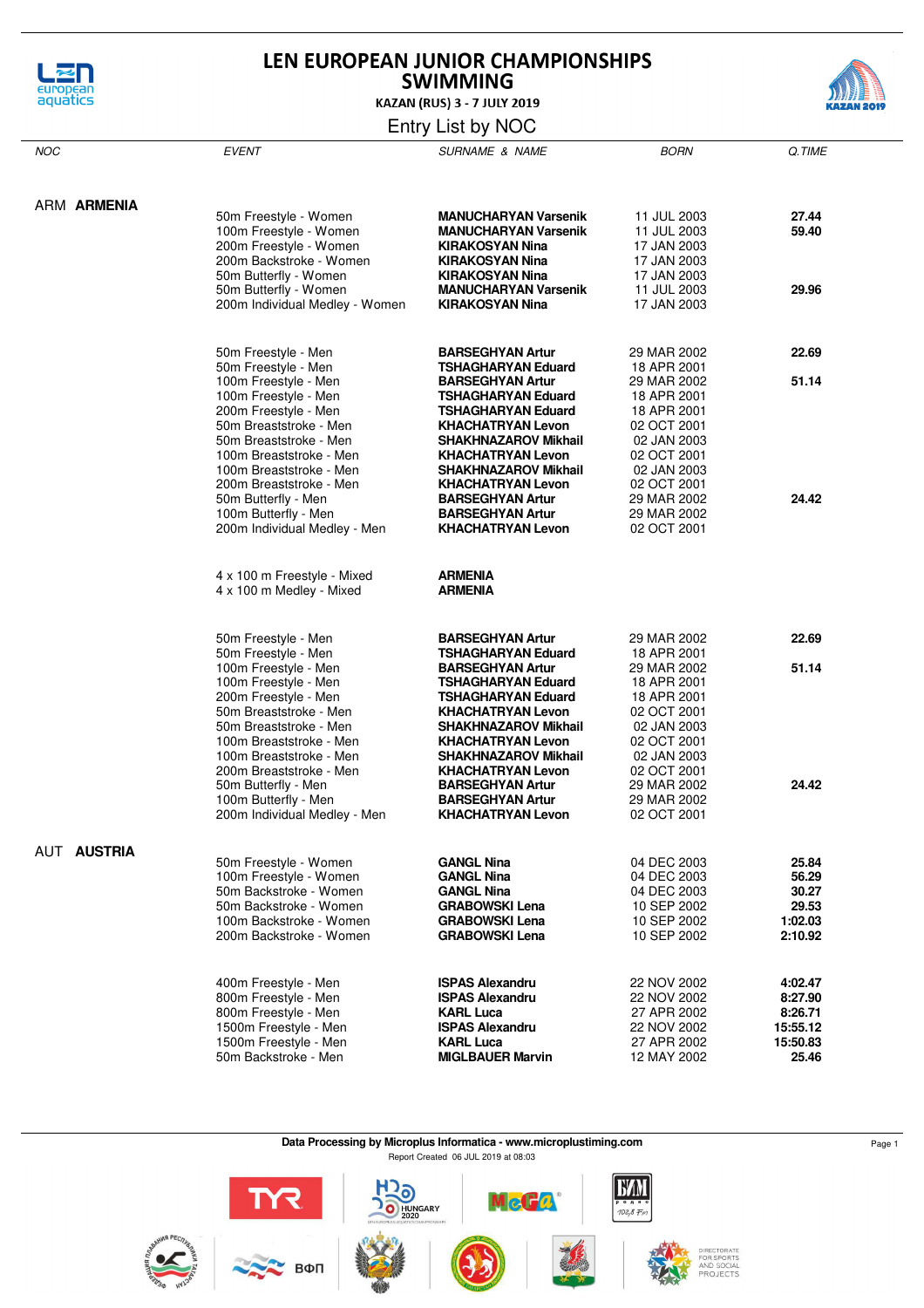

# LEN EUROPEAN JUNIOR CHAMPIONSHIPS **SWIMMING**



**KAZAN (RUS) 3 - 7 JULY 2019** 

## Entry List by NOC

| <b>NOC</b>         | <b>EVENT</b>                   | <b>SURNAME &amp; NAME</b>                               | <b>BORN</b>                | Q.TIME   |
|--------------------|--------------------------------|---------------------------------------------------------|----------------------------|----------|
|                    |                                |                                                         |                            |          |
| ARM ARMENIA        | 50m Freestyle - Women          | <b>MANUCHARYAN Varsenik</b>                             | 11 JUL 2003                | 27.44    |
|                    |                                |                                                         |                            |          |
|                    | 100m Freestyle - Women         | <b>MANUCHARYAN Varsenik</b>                             | 11 JUL 2003                | 59.40    |
|                    | 200m Freestyle - Women         | KIRAKOSYAN Nina                                         | 17 JAN 2003                |          |
|                    | 200m Backstroke - Women        | <b>KIRAKOSYAN Nina</b>                                  | 17 JAN 2003                |          |
|                    | 50m Butterfly - Women          | <b>KIRAKOSYAN Nina</b>                                  | 17 JAN 2003                |          |
|                    | 50m Butterfly - Women          | <b>MANUCHARYAN Varsenik</b>                             | 11 JUL 2003                | 29.96    |
|                    | 200m Individual Medley - Women | KIRAKOSYAN Nina                                         | 17 JAN 2003                |          |
|                    | 50m Freestyle - Men            | <b>BARSEGHYAN Artur</b>                                 | 29 MAR 2002                | 22.69    |
|                    | 50m Freestyle - Men            | <b>TSHAGHARYAN Eduard</b>                               | 18 APR 2001                |          |
|                    | 100m Freestyle - Men           | <b>BARSEGHYAN Artur</b>                                 | 29 MAR 2002                | 51.14    |
|                    | 100m Freestyle - Men           | TSHAGHARYAN Eduard                                      |                            |          |
|                    | 200m Freestyle - Men           | TSHAGHARYAN Eduard                                      | 18 APR 2001                |          |
|                    | 50m Breaststroke - Men         |                                                         | 18 APR 2001                |          |
|                    | 50m Breaststroke - Men         | <b>KHACHATRYAN Levon</b><br><b>SHAKHNAZAROV Mikhail</b> | 02 OCT 2001                |          |
|                    |                                |                                                         | 02 JAN 2003<br>02 OCT 2001 |          |
|                    | 100m Breaststroke - Men        | <b>KHACHATRYAN Levon</b>                                |                            |          |
|                    | 100m Breaststroke - Men        | <b>SHAKHNAZAROV Mikhail</b>                             | 02 JAN 2003                |          |
|                    | 200m Breaststroke - Men        | <b>KHACHATRYAN Levon</b>                                | 02 OCT 2001                |          |
|                    | 50m Butterfly - Men            | <b>BARSEGHYAN Artur</b>                                 | 29 MAR 2002                | 24.42    |
|                    | 100m Butterfly - Men           | <b>BARSEGHYAN Artur</b>                                 | 29 MAR 2002                |          |
|                    | 200m Individual Medley - Men   | <b>KHACHATRYAN Levon</b>                                | 02 OCT 2001                |          |
|                    | 4 x 100 m Freestyle - Mixed    | <b>ARMENIA</b>                                          |                            |          |
|                    | 4 x 100 m Medley - Mixed       | <b>ARMENIA</b>                                          |                            |          |
|                    |                                |                                                         |                            |          |
|                    | 50m Freestyle - Men            | <b>BARSEGHYAN Artur</b>                                 | 29 MAR 2002                | 22.69    |
|                    | 50m Freestyle - Men            | <b>TSHAGHARYAN Eduard</b>                               | 18 APR 2001                |          |
|                    | 100m Freestyle - Men           | <b>BARSEGHYAN Artur</b>                                 | 29 MAR 2002                | 51.14    |
|                    | 100m Freestyle - Men           | TSHAGHARYAN Eduard                                      | 18 APR 2001                |          |
|                    | 200m Freestyle - Men           | TSHAGHARYAN Eduard                                      | 18 APR 2001                |          |
|                    | 50m Breaststroke - Men         | <b>KHACHATRYAN Levon</b>                                | 02 OCT 2001                |          |
|                    | 50m Breaststroke - Men         | <b>SHAKHNAZAROV Mikhail</b>                             | 02 JAN 2003                |          |
|                    | 100m Breaststroke - Men        | <b>KHACHATRYAN Levon</b>                                | 02 OCT 2001                |          |
|                    | 100m Breaststroke - Men        | <b>SHAKHNAZAROV Mikhail</b>                             | 02 JAN 2003                |          |
|                    | 200m Breaststroke - Men        | <b>KHACHATRYAN Levon</b>                                | 02 OCT 2001                |          |
|                    | 50m Butterfly - Men            | <b>BARSEGHYAN Artur</b>                                 | 29 MAR 2002                | 24.42    |
|                    | 100m Butterfly - Men           | <b>BARSEGHYAN Artur</b>                                 | 29 MAR 2002                |          |
|                    | 200m Individual Medley - Men   | <b>KHACHATRYAN Levon</b>                                | 02 OCT 2001                |          |
| <b>AUT AUSTRIA</b> | 50m Freestyle - Women          | <b>GANGL Nina</b>                                       | 04 DEC 2003                | 25.84    |
|                    | 100m Freestyle - Women         | <b>GANGL Nina</b>                                       | 04 DEC 2003                | 56.29    |
|                    | 50m Backstroke - Women         | <b>GANGL Nina</b>                                       | 04 DEC 2003                | 30.27    |
|                    | 50m Backstroke - Women         | <b>GRABOWSKI Lena</b>                                   | 10 SEP 2002                | 29.53    |
|                    | 100m Backstroke - Women        | <b>GRABOWSKI Lena</b>                                   | 10 SEP 2002                | 1:02.03  |
|                    | 200m Backstroke - Women        | <b>GRABOWSKI Lena</b>                                   |                            | 2:10.92  |
|                    |                                |                                                         | 10 SEP 2002                |          |
|                    | 400m Freestyle - Men           | <b>ISPAS Alexandru</b>                                  | 22 NOV 2002                | 4:02.47  |
|                    | 800m Freestyle - Men           | <b>ISPAS Alexandru</b>                                  | 22 NOV 2002                | 8:27.90  |
|                    | 800m Freestyle - Men           | <b>KARL Luca</b>                                        | 27 APR 2002                | 8:26.71  |
|                    | 1500m Freestyle - Men          | <b>ISPAS Alexandru</b>                                  | 22 NOV 2002                | 15:55.12 |
|                    | 1500m Freestyle - Men          | <b>KARL Luca</b>                                        | 27 APR 2002                | 15:50.83 |
|                    | 50m Backstroke - Men           | <b>MIGLBAUER Marvin</b>                                 | 12 MAY 2002                | 25.46    |

**Data Processing by Microplus Informatica - www.microplustiming.com** Page 1 Report Created 06 JUL 2019 at 08:03



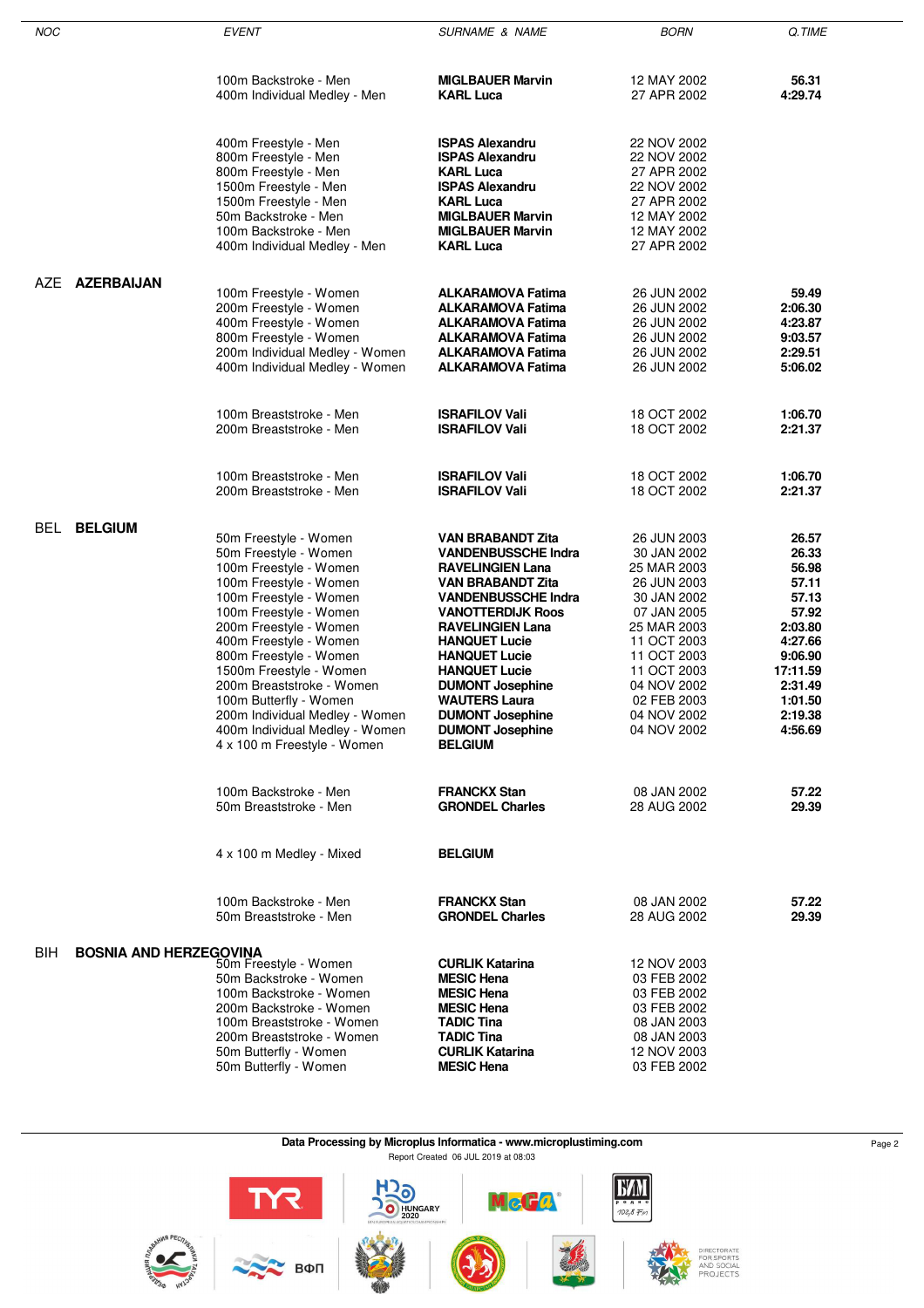| NOC                                   | <b>EVENT</b>                                                  | <b>SURNAME &amp; NAME</b>                            | <b>BORN</b>                | Q.TIME             |
|---------------------------------------|---------------------------------------------------------------|------------------------------------------------------|----------------------------|--------------------|
|                                       |                                                               |                                                      |                            |                    |
|                                       | 100m Backstroke - Men<br>400m Individual Medley - Men         | <b>MIGLBAUER Marvin</b><br><b>KARL Luca</b>          | 12 MAY 2002<br>27 APR 2002 | 56.31<br>4:29.74   |
|                                       | 400m Freestyle - Men                                          | <b>ISPAS Alexandru</b>                               | 22 NOV 2002                |                    |
|                                       | 800m Freestyle - Men                                          | <b>ISPAS Alexandru</b>                               | 22 NOV 2002                |                    |
|                                       | 800m Freestyle - Men                                          | <b>KARL Luca</b>                                     | 27 APR 2002                |                    |
|                                       | 1500m Freestyle - Men                                         | <b>ISPAS Alexandru</b>                               | 22 NOV 2002                |                    |
|                                       | 1500m Freestyle - Men                                         | <b>KARL Luca</b>                                     | 27 APR 2002                |                    |
|                                       | 50m Backstroke - Men                                          | <b>MIGLBAUER Marvin</b>                              | 12 MAY 2002                |                    |
|                                       | 100m Backstroke - Men<br>400m Individual Medley - Men         | <b>MIGLBAUER Marvin</b><br><b>KARL Luca</b>          | 12 MAY 2002<br>27 APR 2002 |                    |
| AZE AZERBAIJAN                        |                                                               |                                                      |                            |                    |
|                                       | 100m Freestyle - Women                                        | <b>ALKARAMOVA Fatima</b>                             | 26 JUN 2002                | 59.49              |
|                                       | 200m Freestyle - Women<br>400m Freestyle - Women              | <b>ALKARAMOVA Fatima</b><br><b>ALKARAMOVA Fatima</b> | 26 JUN 2002<br>26 JUN 2002 | 2:06.30<br>4:23.87 |
|                                       | 800m Freestyle - Women                                        | <b>ALKARAMOVA Fatima</b>                             | 26 JUN 2002                | 9:03.57            |
|                                       | 200m Individual Medley - Women                                | <b>ALKARAMOVA Fatima</b>                             | 26 JUN 2002                | 2:29.51            |
|                                       | 400m Individual Medley - Women                                | <b>ALKARAMOVA Fatima</b>                             | 26 JUN 2002                | 5:06.02            |
|                                       | 100m Breaststroke - Men                                       | <b>ISRAFILOV Vali</b>                                | 18 OCT 2002                | 1:06.70            |
|                                       | 200m Breaststroke - Men                                       | <b>ISRAFILOV Vali</b>                                | 18 OCT 2002                | 2:21.37            |
|                                       | 100m Breaststroke - Men                                       | <b>ISRAFILOV Vali</b>                                | 18 OCT 2002                | 1:06.70            |
|                                       | 200m Breaststroke - Men                                       | <b>ISRAFILOV Vali</b>                                | 18 OCT 2002                | 2:21.37            |
| BEL<br><b>BELGIUM</b>                 | 50m Freestyle - Women                                         | <b>VAN BRABANDT Zita</b>                             | 26 JUN 2003                | 26.57              |
|                                       | 50m Freestyle - Women                                         | <b>VANDENBUSSCHE Indra</b>                           | 30 JAN 2002                | 26.33              |
|                                       | 100m Freestyle - Women                                        | <b>RAVELINGIEN Lana</b>                              | 25 MAR 2003                | 56.98              |
|                                       | 100m Freestyle - Women                                        | VAN BRABANDT Zita                                    | 26 JUN 2003                | 57.11              |
|                                       | 100m Freestyle - Women                                        | <b>VANDENBUSSCHE Indra</b>                           | 30 JAN 2002                | 57.13              |
|                                       | 100m Freestyle - Women                                        | <b>VANOTTERDIJK Roos</b>                             | 07 JAN 2005                | 57.92<br>2:03.80   |
|                                       | 200m Freestyle - Women<br>400m Freestyle - Women              | <b>RAVELINGIEN Lana</b><br><b>HANQUET Lucie</b>      | 25 MAR 2003<br>11 OCT 2003 | 4:27.66            |
|                                       | 800m Freestyle - Women                                        | <b>HANQUET Lucie</b>                                 | 11 OCT 2003                | 9:06.90            |
|                                       | 1500m Freestyle - Women                                       | <b>HANQUET Lucie</b>                                 | 11 OCT 2003                | 17:11.59           |
|                                       | 200m Breaststroke - Women                                     | <b>DUMONT Josephine</b>                              | 04 NOV 2002                | 2:31.49            |
|                                       | 100m Butterfly - Women                                        | <b>WAUTERS Laura</b>                                 | 02 FEB 2003                | 1:01.50            |
|                                       | 200m Individual Medley - Women                                | <b>DUMONT Josephine</b>                              | 04 NOV 2002                | 2:19.38            |
|                                       | 400m Individual Medley - Women<br>4 x 100 m Freestyle - Women | <b>DUMONT Josephine</b><br><b>BELGIUM</b>            | 04 NOV 2002                | 4:56.69            |
|                                       | 100m Backstroke - Men                                         | <b>FRANCKX Stan</b>                                  | 08 JAN 2002                | 57.22              |
|                                       | 50m Breaststroke - Men                                        | <b>GRONDEL Charles</b>                               | 28 AUG 2002                | 29.39              |
|                                       | 4 x 100 m Medley - Mixed                                      | <b>BELGIUM</b>                                       |                            |                    |
|                                       | 100m Backstroke - Men                                         | <b>FRANCKX Stan</b>                                  | 08 JAN 2002                | 57.22              |
|                                       | 50m Breaststroke - Men                                        | <b>GRONDEL Charles</b>                               | 28 AUG 2002                | 29.39              |
| BIH.<br><b>BOSNIA AND HERZEGOVINA</b> | 50m Freestyle - Women                                         | <b>CURLIK Katarina</b>                               | 12 NOV 2003                |                    |
|                                       | 50m Backstroke - Women                                        | <b>MESIC Hena</b>                                    | 03 FEB 2002                |                    |
|                                       | 100m Backstroke - Women                                       | <b>MESIC Hena</b>                                    | 03 FEB 2002                |                    |
|                                       | 200m Backstroke - Women                                       | <b>MESIC Hena</b>                                    | 03 FEB 2002                |                    |
|                                       | 100m Breaststroke - Women                                     | <b>TADIC Tina</b>                                    | 08 JAN 2003                |                    |
|                                       | 200m Breaststroke - Women                                     | <b>TADIC Tina</b>                                    | 08 JAN 2003                |                    |
|                                       | 50m Butterfly - Women<br>50m Butterfly - Women                | <b>CURLIK Katarina</b><br><b>MESIC Hena</b>          | 12 NOV 2003<br>03 FEB 2002 |                    |
|                                       |                                                               |                                                      |                            |                    |

# **Data Processing by Microplus Informatica - www.microplustiming.com** Page 2

Report Created 06 JUL 2019 at 08:03

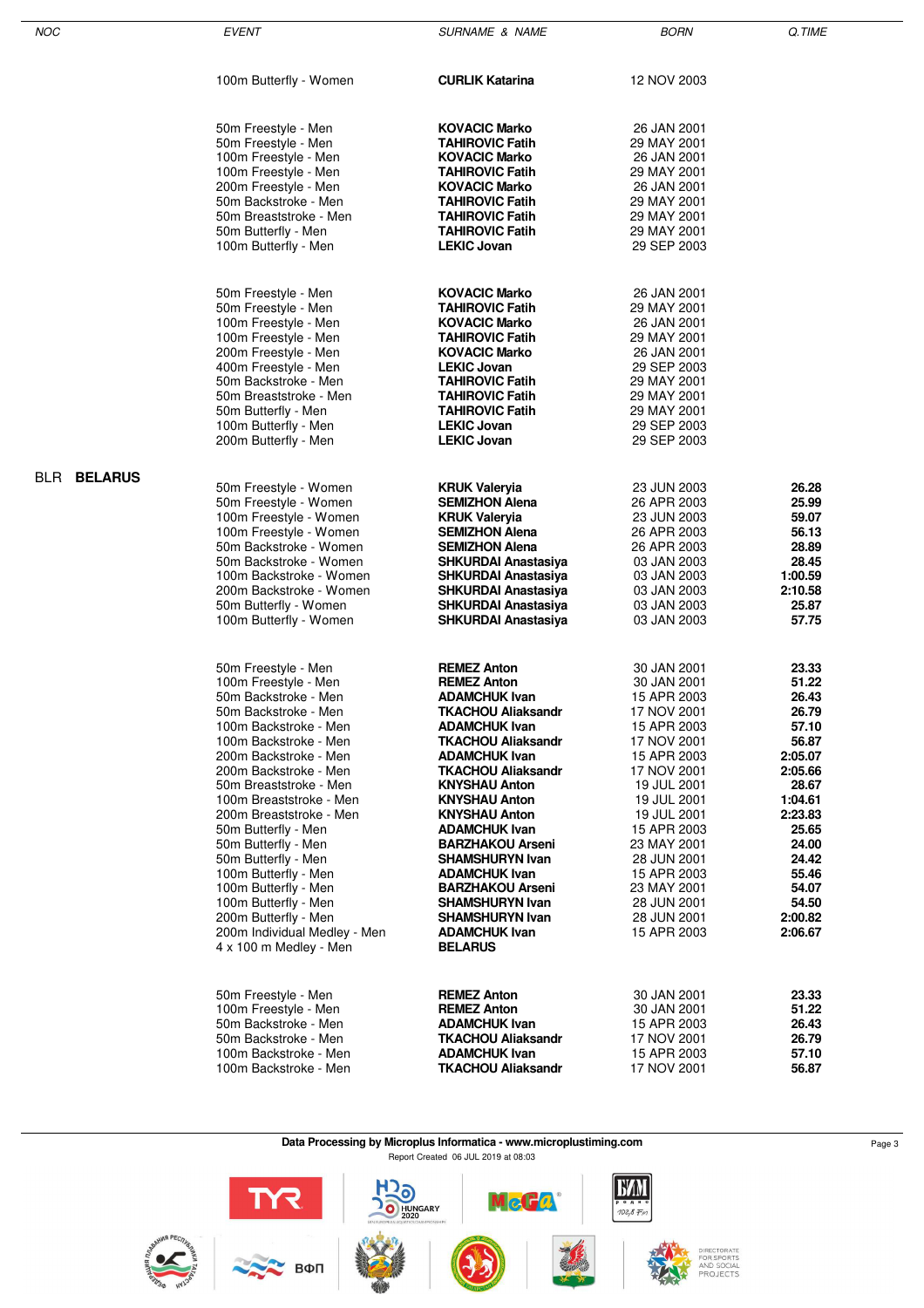| NOC                | <b>EVENT</b>                                         | <b>SURNAME &amp; NAME</b>                         | <b>BORN</b>                | Q.TIME             |
|--------------------|------------------------------------------------------|---------------------------------------------------|----------------------------|--------------------|
|                    | 100m Butterfly - Women                               | <b>CURLIK Katarina</b>                            | 12 NOV 2003                |                    |
|                    | 50m Freestyle - Men<br>50m Freestyle - Men           | <b>KOVACIC Marko</b><br><b>TAHIROVIC Fatih</b>    | 26 JAN 2001<br>29 MAY 2001 |                    |
|                    | 100m Freestyle - Men                                 | <b>KOVACIC Marko</b>                              | 26 JAN 2001                |                    |
|                    | 100m Freestyle - Men                                 | <b>TAHIROVIC Fatih</b>                            | 29 MAY 2001                |                    |
|                    | 200m Freestyle - Men                                 | <b>KOVACIC Marko</b>                              | 26 JAN 2001                |                    |
|                    | 50m Backstroke - Men                                 | <b>TAHIROVIC Fatih</b><br><b>TAHIROVIC Fatih</b>  | 29 MAY 2001                |                    |
|                    | 50m Breaststroke - Men<br>50m Butterfly - Men        | <b>TAHIROVIC Fatih</b>                            | 29 MAY 2001<br>29 MAY 2001 |                    |
|                    | 100m Butterfly - Men                                 | <b>LEKIC Jovan</b>                                | 29 SEP 2003                |                    |
|                    | 50m Freestyle - Men                                  | <b>KOVACIC Marko</b>                              | 26 JAN 2001                |                    |
|                    | 50m Freestyle - Men                                  | <b>TAHIROVIC Fatih</b>                            | 29 MAY 2001                |                    |
|                    | 100m Freestyle - Men                                 | <b>KOVACIC Marko</b>                              | 26 JAN 2001                |                    |
|                    | 100m Freestyle - Men                                 | <b>TAHIROVIC Fatih</b>                            | 29 MAY 2001                |                    |
|                    | 200m Freestyle - Men                                 | <b>KOVACIC Marko</b>                              | 26 JAN 2001                |                    |
|                    | 400m Freestyle - Men<br>50m Backstroke - Men         | <b>LEKIC Jovan</b><br><b>TAHIROVIC Fatih</b>      | 29 SEP 2003<br>29 MAY 2001 |                    |
|                    | 50m Breaststroke - Men                               | <b>TAHIROVIC Fatih</b>                            | 29 MAY 2001                |                    |
|                    | 50m Butterfly - Men                                  | <b>TAHIROVIC Fatih</b>                            | 29 MAY 2001                |                    |
|                    | 100m Butterfly - Men                                 | <b>LEKIC Jovan</b>                                | 29 SEP 2003                |                    |
|                    | 200m Butterfly - Men                                 | <b>LEKIC Jovan</b>                                | 29 SEP 2003                |                    |
| <b>BLR BELARUS</b> | 50m Freestyle - Women                                | <b>KRUK Valeryia</b>                              | 23 JUN 2003                | 26.28              |
|                    | 50m Freestyle - Women                                | <b>SEMIZHON Alena</b>                             | 26 APR 2003                | 25.99              |
|                    | 100m Freestyle - Women                               | <b>KRUK Valeryia</b>                              | 23 JUN 2003                | 59.07              |
|                    | 100m Freestyle - Women<br>50m Backstroke - Women     | <b>SEMIZHON Alena</b>                             | 26 APR 2003                | 56.13              |
|                    | 50m Backstroke - Women                               | <b>SEMIZHON Alena</b><br>SHKURDAI Anastasiya      | 26 APR 2003<br>03 JAN 2003 | 28.89<br>28.45     |
|                    | 100m Backstroke - Women                              | SHKURDAI Anastasiya                               | 03 JAN 2003                | 1:00.59            |
|                    | 200m Backstroke - Women                              | <b>SHKURDAI Anastasiya</b>                        | 03 JAN 2003                | 2:10.58            |
|                    | 50m Butterfly - Women                                | <b>SHKURDAI Anastasiya</b>                        | 03 JAN 2003                | 25.87              |
|                    | 100m Butterfly - Women                               | SHKURDAI Anastasiya                               | 03 JAN 2003                | 57.75              |
|                    | 50m Freestyle - Men                                  | <b>REMEZ Anton</b>                                | 30 JAN 2001                | 23.33              |
|                    | 100m Freestyle - Men                                 | <b>REMEZ Anton</b>                                | 30 JAN 2001                | 51.22              |
|                    | 50m Backstroke - Men<br>50m Backstroke - Men         | <b>ADAMCHUK Ivan</b><br><b>TKACHOU Aliaksandr</b> | 15 APR 2003<br>17 NOV 2001 | 26.43<br>26.79     |
|                    | 100m Backstroke - Men                                | <b>ADAMCHUK Ivan</b>                              | 15 APR 2003                | 57.10              |
|                    | 100m Backstroke - Men                                | <b>TKACHOU Aliaksandr</b>                         | 17 NOV 2001                | 56.87              |
|                    | 200m Backstroke - Men                                | <b>ADAMCHUK Ivan</b>                              | 15 APR 2003                | 2:05.07            |
|                    | 200m Backstroke - Men<br>50m Breaststroke - Men      | <b>TKACHOU Aliaksandr</b><br><b>KNYSHAU Anton</b> | 17 NOV 2001<br>19 JUL 2001 | 2:05.66<br>28.67   |
|                    | 100m Breaststroke - Men                              | <b>KNYSHAU Anton</b>                              | 19 JUL 2001                | 1:04.61            |
|                    | 200m Breaststroke - Men                              | <b>KNYSHAU Anton</b>                              | 19 JUL 2001                | 2:23.83            |
|                    | 50m Butterfly - Men                                  | <b>ADAMCHUK Ivan</b>                              | 15 APR 2003                | 25.65              |
|                    | 50m Butterfly - Men<br>50m Butterfly - Men           | <b>BARZHAKOU Arseni</b><br><b>SHAMSHURYN Ivan</b> | 23 MAY 2001<br>28 JUN 2001 | 24.00<br>24.42     |
|                    | 100m Butterfly - Men                                 | <b>ADAMCHUK Ivan</b>                              | 15 APR 2003                | 55.46              |
|                    | 100m Butterfly - Men                                 | <b>BARZHAKOU Arseni</b>                           | 23 MAY 2001                | 54.07              |
|                    | 100m Butterfly - Men                                 | <b>SHAMSHURYN Ivan</b>                            | 28 JUN 2001                | 54.50              |
|                    | 200m Butterfly - Men<br>200m Individual Medley - Men | <b>SHAMSHURYN Ivan</b><br><b>ADAMCHUK Ivan</b>    | 28 JUN 2001<br>15 APR 2003 | 2:00.82<br>2:06.67 |
|                    | 4 x 100 m Medley - Men                               | <b>BELARUS</b>                                    |                            |                    |
|                    |                                                      |                                                   |                            |                    |
|                    | 50m Freestyle - Men<br>100m Freestyle - Men          | <b>REMEZ Anton</b><br><b>REMEZ Anton</b>          | 30 JAN 2001<br>30 JAN 2001 | 23.33<br>51.22     |
|                    | 50m Backstroke - Men                                 | <b>ADAMCHUK Ivan</b>                              | 15 APR 2003                | 26.43              |
|                    | 50m Backstroke - Men                                 | <b>TKACHOU Aliaksandr</b>                         | 17 NOV 2001                | 26.79              |
|                    | 100m Backstroke - Men                                | <b>ADAMCHUK Ivan</b>                              | 15 APR 2003                | 57.10              |
|                    | 100m Backstroke - Men                                | <b>TKACHOU Aliaksandr</b>                         | 17 NOV 2001                | 56.87              |

#### **Data Processing by Microplus Informatica - www.microplustiming.com** Page 3 Report Created 06 JUL 2019 at 08:03

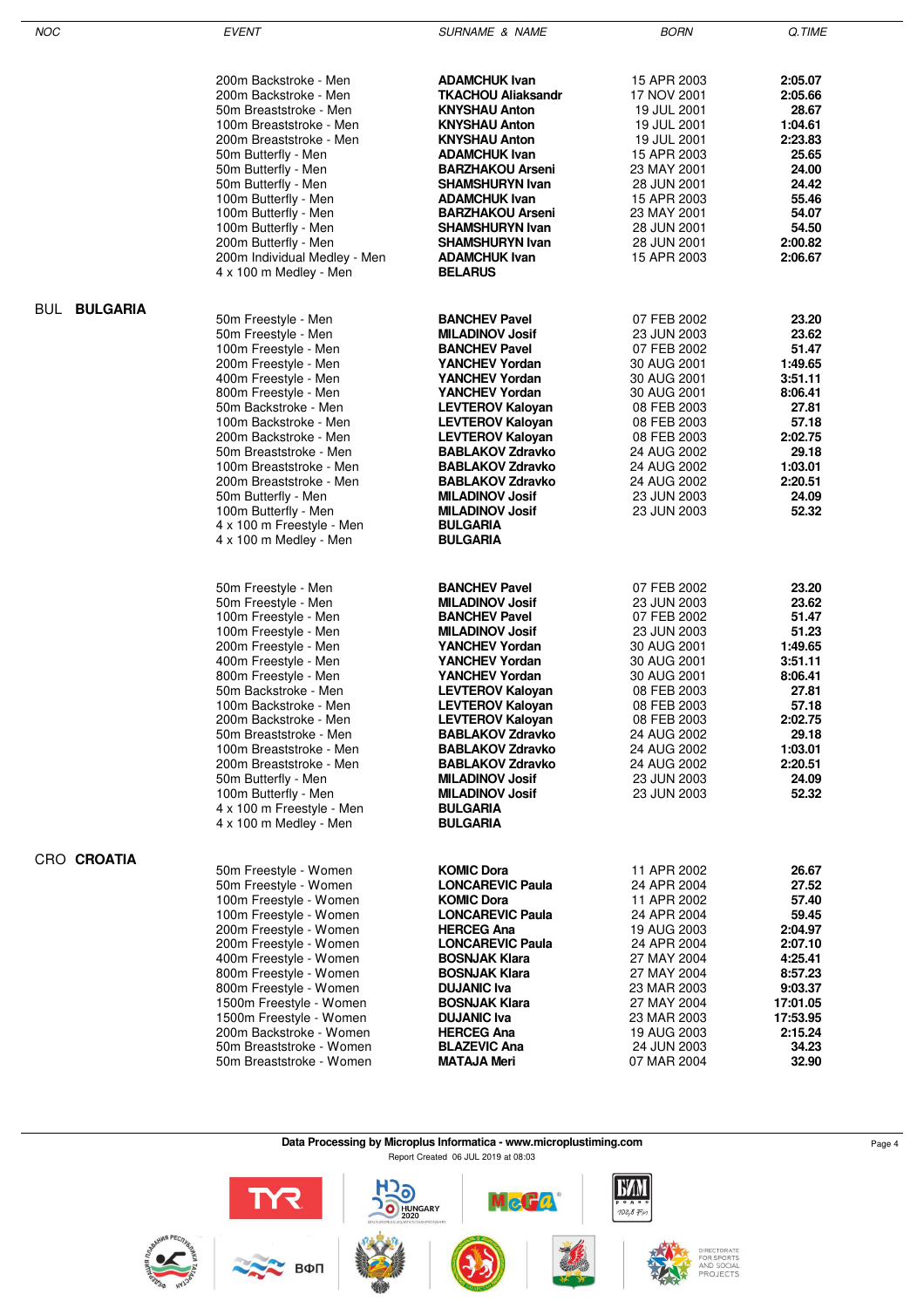| <b>NOC</b>          | <b>EVENT</b>                                       | <b>SURNAME &amp; NAME</b>                          | <b>BORN</b>                | Q.TIME              |
|---------------------|----------------------------------------------------|----------------------------------------------------|----------------------------|---------------------|
|                     |                                                    |                                                    |                            |                     |
|                     |                                                    |                                                    |                            |                     |
|                     | 200m Backstroke - Men<br>200m Backstroke - Men     | <b>ADAMCHUK Ivan</b><br><b>TKACHOU Aliaksandr</b>  | 15 APR 2003<br>17 NOV 2001 | 2:05.07<br>2:05.66  |
|                     | 50m Breaststroke - Men                             | <b>KNYSHAU Anton</b>                               | 19 JUL 2001                | 28.67               |
|                     | 100m Breaststroke - Men                            | <b>KNYSHAU Anton</b>                               | 19 JUL 2001                | 1:04.61             |
|                     | 200m Breaststroke - Men                            | <b>KNYSHAU Anton</b>                               | 19 JUL 2001                | 2:23.83             |
|                     | 50m Butterfly - Men<br>50m Butterfly - Men         | <b>ADAMCHUK Ivan</b><br><b>BARZHAKOU Arseni</b>    | 15 APR 2003<br>23 MAY 2001 | 25.65<br>24.00      |
|                     | 50m Butterfly - Men                                | <b>SHAMSHURYN Ivan</b>                             | 28 JUN 2001                | 24.42               |
|                     | 100m Butterfly - Men                               | <b>ADAMCHUK Ivan</b>                               | 15 APR 2003                | 55.46               |
|                     | 100m Butterfly - Men                               | <b>BARZHAKOU Arseni</b>                            | 23 MAY 2001                | 54.07               |
|                     | 100m Butterfly - Men<br>200m Butterfly - Men       | <b>SHAMSHURYN Ivan</b><br><b>SHAMSHURYN Ivan</b>   | 28 JUN 2001<br>28 JUN 2001 | 54.50<br>2:00.82    |
|                     | 200m Individual Medley - Men                       | <b>ADAMCHUK Ivan</b>                               | 15 APR 2003                | 2:06.67             |
|                     | 4 x 100 m Medley - Men                             | <b>BELARUS</b>                                     |                            |                     |
|                     |                                                    |                                                    |                            |                     |
| <b>BUL BULGARIA</b> | 50m Freestyle - Men                                | <b>BANCHEV Pavel</b>                               | 07 FEB 2002                | 23.20               |
|                     | 50m Freestyle - Men                                | <b>MILADINOV Josif</b>                             | 23 JUN 2003                | 23.62               |
|                     | 100m Freestyle - Men                               | <b>BANCHEV Pavel</b>                               | 07 FEB 2002                | 51.47               |
|                     | 200m Freestyle - Men<br>400m Freestyle - Men       | YANCHEV Yordan<br><b>YANCHEV Yordan</b>            | 30 AUG 2001<br>30 AUG 2001 | 1:49.65<br>3:51.11  |
|                     | 800m Freestyle - Men                               | <b>YANCHEV Yordan</b>                              | 30 AUG 2001                | 8:06.41             |
|                     | 50m Backstroke - Men                               | <b>LEVTEROV Kalovan</b>                            | 08 FEB 2003                | 27.81               |
|                     | 100m Backstroke - Men                              | <b>LEVTEROV Kaloyan</b>                            | 08 FEB 2003                | 57.18               |
|                     | 200m Backstroke - Men<br>50m Breaststroke - Men    | <b>LEVTEROV Kaloyan</b><br><b>BABLAKOV Zdravko</b> | 08 FEB 2003<br>24 AUG 2002 | 2:02.75<br>29.18    |
|                     | 100m Breaststroke - Men                            | <b>BABLAKOV Zdravko</b>                            | 24 AUG 2002                | 1:03.01             |
|                     | 200m Breaststroke - Men                            | <b>BABLAKOV Zdravko</b>                            | 24 AUG 2002                | 2:20.51             |
|                     | 50m Butterfly - Men                                | <b>MILADINOV Josif</b>                             | 23 JUN 2003                | 24.09               |
|                     | 100m Butterfly - Men<br>4 x 100 m Freestyle - Men  | <b>MILADINOV Josif</b><br><b>BULGARIA</b>          | 23 JUN 2003                | 52.32               |
|                     | 4 x 100 m Medley - Men                             | <b>BULGARIA</b>                                    |                            |                     |
|                     |                                                    |                                                    |                            |                     |
|                     | 50m Freestyle - Men                                | <b>BANCHEV Pavel</b>                               | 07 FEB 2002                | 23.20               |
|                     | 50m Freestyle - Men                                | <b>MILADINOV Josif</b>                             | 23 JUN 2003                | 23.62               |
|                     | 100m Freestyle - Men<br>100m Freestyle - Men       | <b>BANCHEV Pavel</b><br><b>MILADINOV Josif</b>     | 07 FEB 2002<br>23 JUN 2003 | 51.47<br>51.23      |
|                     | 200m Freestyle - Men                               | <b>YANCHEV Yordan</b>                              | 30 AUG 2001                | 1:49.65             |
|                     | 400m Freestyle - Men                               | <b>YANCHEV Yordan</b>                              | 30 AUG 2001                | 3:51.11             |
|                     | 800m Freestyle - Men                               | <b>YANCHEV Yordan</b>                              | 30 AUG 2001                | 8:06.41             |
|                     | 50m Backstroke - Men<br>100m Backstroke - Men      | <b>LEVTEROV Kaloyan</b><br><b>LEVTEROV Kaloyan</b> | 08 FEB 2003<br>08 FEB 2003 | 27.81<br>57.18      |
|                     | 200m Backstroke - Men                              | <b>LEVTEROV Kaloyan</b>                            | 08 FEB 2003                | 2:02.75             |
|                     | 50m Breaststroke - Men                             | <b>BABLAKOV Zdravko</b>                            | 24 AUG 2002                | 29.18               |
|                     | 100m Breaststroke - Men                            | <b>BABLAKOV Zdravko</b><br><b>BABLAKOV Zdravko</b> | 24 AUG 2002                | 1:03.01             |
|                     | 200m Breaststroke - Men<br>50m Butterfly - Men     | <b>MILADINOV Josif</b>                             | 24 AUG 2002<br>23 JUN 2003 | 2:20.51<br>24.09    |
|                     | 100m Butterfly - Men                               | <b>MILADINOV Josif</b>                             | 23 JUN 2003                | 52.32               |
|                     | 4 x 100 m Freestyle - Men                          | <b>BULGARIA</b>                                    |                            |                     |
|                     | 4 x 100 m Medley - Men                             | <b>BULGARIA</b>                                    |                            |                     |
| CRO CROATIA         |                                                    |                                                    |                            |                     |
|                     | 50m Freestyle - Women                              | <b>KOMIC Dora</b>                                  | 11 APR 2002                | 26.67               |
|                     | 50m Freestyle - Women<br>100m Freestyle - Women    | <b>LONCAREVIC Paula</b><br><b>KOMIC Dora</b>       | 24 APR 2004<br>11 APR 2002 | 27.52<br>57.40      |
|                     | 100m Freestyle - Women                             | <b>LONCAREVIC Paula</b>                            | 24 APR 2004                | 59.45               |
|                     | 200m Freestyle - Women                             | <b>HERCEG Ana</b>                                  | 19 AUG 2003                | 2:04.97             |
|                     | 200m Freestyle - Women                             | <b>LONCAREVIC Paula</b>                            | 24 APR 2004                | 2:07.10             |
|                     | 400m Freestyle - Women<br>800m Freestyle - Women   | <b>BOSNJAK Klara</b><br><b>BOSNJAK Klara</b>       | 27 MAY 2004<br>27 MAY 2004 | 4:25.41<br>8:57.23  |
|                     | 800m Freestyle - Women                             | <b>DUJANIC Iva</b>                                 | 23 MAR 2003                | 9:03.37             |
|                     | 1500m Freestyle - Women                            | <b>BOSNJAK Klara</b>                               | 27 MAY 2004                | 17:01.05            |
|                     | 1500m Freestyle - Women<br>200m Backstroke - Women | <b>DUJANIC Iva</b><br><b>HERCEG Ana</b>            | 23 MAR 2003<br>19 AUG 2003 | 17:53.95<br>2:15.24 |
|                     | 50m Breaststroke - Women                           | <b>BLAZEVIC Ana</b>                                | 24 JUN 2003                | 34.23               |
|                     | 50m Breaststroke - Women                           | <b>MATAJA Meri</b>                                 | 07 MAR 2004                | 32.90               |
|                     |                                                    |                                                    |                            |                     |

**Data Processing by Microplus Informatica - www.microplustiming.com** Page 4

Report Created 06 JUL 2019 at 08:03

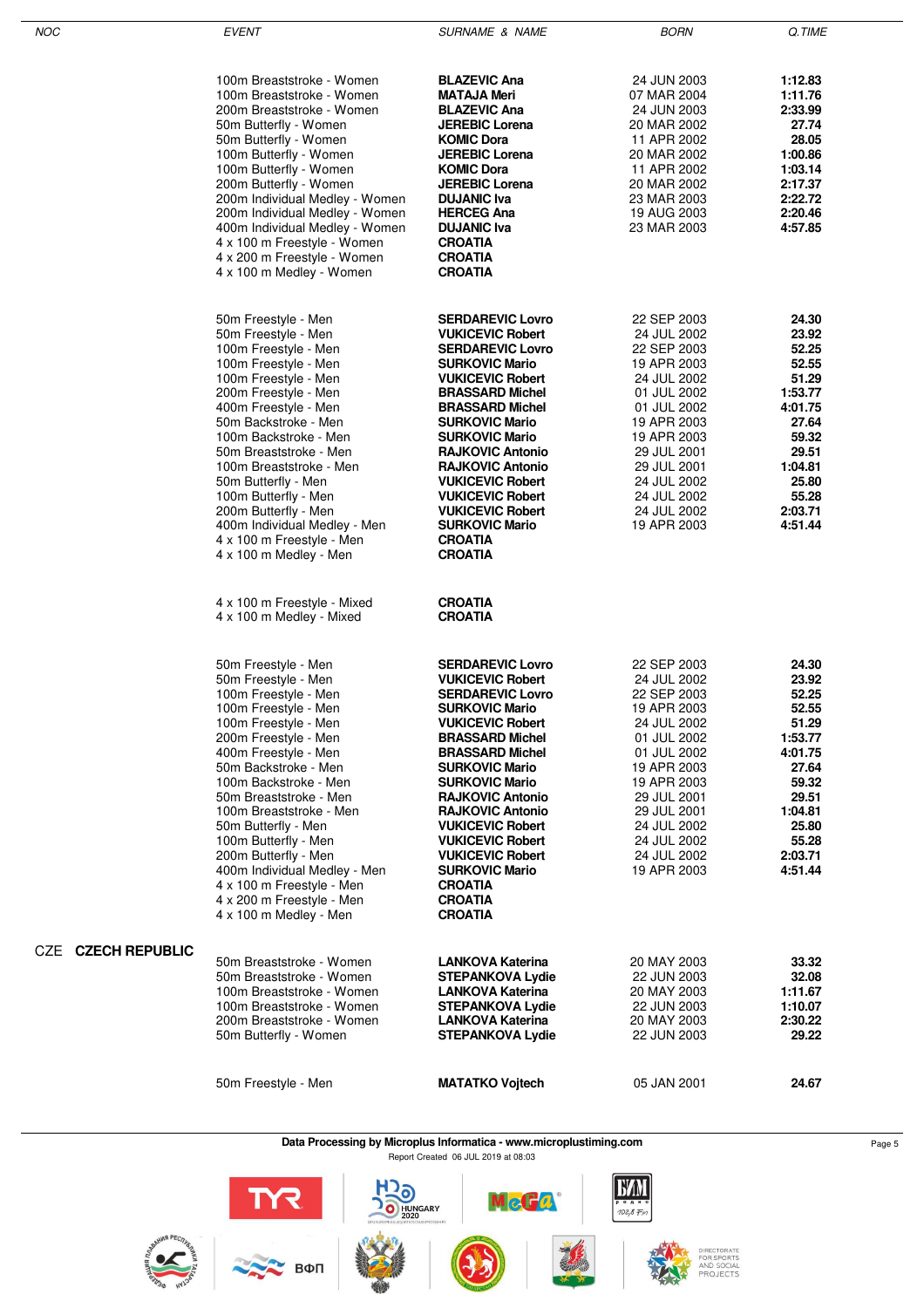| <b>NOC</b> |                       | <b>EVENT</b>                                                    | <b>SURNAME &amp; NAME</b>                          | <b>BORN</b>                | Q.TIME           |
|------------|-----------------------|-----------------------------------------------------------------|----------------------------------------------------|----------------------------|------------------|
|            |                       |                                                                 |                                                    |                            |                  |
|            |                       |                                                                 |                                                    |                            |                  |
|            |                       | 100m Breaststroke - Women                                       | <b>BLAZEVIC Ana</b>                                | 24 JUN 2003                | 1:12.83          |
|            |                       | 100m Breaststroke - Women                                       | MATAJA Meri                                        | 07 MAR 2004                | 1:11.76          |
|            |                       | 200m Breaststroke - Women                                       | <b>BLAZEVIC Ana</b>                                | 24 JUN 2003                | 2:33.99          |
|            |                       | 50m Butterfly - Women                                           | <b>JEREBIC Lorena</b>                              | 20 MAR 2002                | 27.74            |
|            |                       | 50m Butterfly - Women                                           | <b>KOMIC Dora</b><br><b>JEREBIC Lorena</b>         | 11 APR 2002                | 28.05<br>1:00.86 |
|            |                       | 100m Butterfly - Women<br>100m Butterfly - Women                | <b>KOMIC Dora</b>                                  | 20 MAR 2002<br>11 APR 2002 | 1:03.14          |
|            |                       | 200m Butterfly - Women                                          | <b>JEREBIC Lorena</b>                              | 20 MAR 2002                | 2:17.37          |
|            |                       | 200m Individual Medley - Women                                  | <b>DUJANIC Iva</b>                                 | 23 MAR 2003                | 2:22.72          |
|            |                       | 200m Individual Medley - Women                                  | <b>HERCEG Ana</b>                                  | 19 AUG 2003                | 2:20.46          |
|            |                       | 400m Individual Medley - Women                                  | <b>DUJANIC Iva</b>                                 | 23 MAR 2003                | 4:57.85          |
|            |                       | 4 x 100 m Freestyle - Women                                     | <b>CROATIA</b>                                     |                            |                  |
|            |                       | 4 x 200 m Freestyle - Women                                     | <b>CROATIA</b>                                     |                            |                  |
|            |                       | 4 x 100 m Medley - Women                                        | <b>CROATIA</b>                                     |                            |                  |
|            |                       |                                                                 |                                                    |                            |                  |
|            |                       | 50m Freestyle - Men                                             | <b>SERDAREVIC Lovro</b>                            | 22 SEP 2003                | 24.30            |
|            |                       | 50m Freestyle - Men                                             | <b>VUKICEVIC Robert</b>                            | 24 JUL 2002                | 23.92            |
|            |                       | 100m Freestyle - Men                                            | <b>SERDAREVIC Lovro</b>                            | 22 SEP 2003                | 52.25            |
|            |                       | 100m Freestyle - Men                                            | <b>SURKOVIC Mario</b>                              | 19 APR 2003                | 52.55            |
|            |                       | 100m Freestyle - Men                                            | <b>VUKICEVIC Robert</b>                            | 24 JUL 2002                | 51.29            |
|            |                       | 200m Freestyle - Men                                            | <b>BRASSARD Michel</b>                             | 01 JUL 2002                | 1:53.77          |
|            |                       | 400m Freestyle - Men                                            | <b>BRASSARD Michel</b>                             | 01 JUL 2002                | 4:01.75          |
|            |                       | 50m Backstroke - Men                                            | <b>SURKOVIC Mario</b>                              | 19 APR 2003                | 27.64            |
|            |                       | 100m Backstroke - Men                                           | <b>SURKOVIC Mario</b>                              | 19 APR 2003                | 59.32            |
|            |                       | 50m Breaststroke - Men                                          | <b>RAJKOVIC Antonio</b>                            | 29 JUL 2001                | 29.51            |
|            |                       | 100m Breaststroke - Men                                         | <b>RAJKOVIC Antonio</b>                            | 29 JUL 2001                | 1:04.81          |
|            |                       | 50m Butterfly - Men                                             | <b>VUKICEVIC Robert</b>                            | 24 JUL 2002                | 25.80            |
|            |                       | 100m Butterfly - Men                                            | <b>VUKICEVIC Robert</b>                            | 24 JUL 2002                | 55.28            |
|            |                       | 200m Butterfly - Men                                            | <b>VUKICEVIC Robert</b>                            | 24 JUL 2002                | 2:03.71          |
|            |                       | 400m Individual Medley - Men                                    | <b>SURKOVIC Mario</b><br><b>CROATIA</b>            | 19 APR 2003                | 4:51.44          |
|            |                       | 4 x 100 m Freestyle - Men<br>4 x 100 m Medley - Men             | <b>CROATIA</b>                                     |                            |                  |
|            |                       |                                                                 |                                                    |                            |                  |
|            |                       | 4 x 100 m Freestyle - Mixed<br>4 x 100 m Medley - Mixed         | <b>CROATIA</b><br><b>CROATIA</b>                   |                            |                  |
|            |                       | 50m Freestyle - Men                                             | <b>SERDAREVIC Lovro</b>                            | 22 SEP 2003                | 24.30            |
|            |                       | 50m Freestyle - Men                                             | <b>VUKICEVIC Robert</b>                            | 24 JUL 2002                | 23.92            |
|            |                       | 100m Freestyle - Men                                            | <b>SERDAREVIC Lovro</b>                            | 22 SEP 2003                | 52.25            |
|            |                       | 100m Freestyle - Men                                            | <b>SURKOVIC Mario</b>                              | 19 APR 2003                | 52.55            |
|            |                       | 100m Freestyle - Men                                            | <b>VUKICEVIC Robert</b>                            | 24 JUL 2002                | 51.29            |
|            |                       | 200m Freestyle - Men                                            | <b>BRASSARD Michel</b>                             | 01 JUL 2002                | 1:53.77          |
|            |                       | 400m Freestyle - Men                                            | <b>BRASSARD Michel</b>                             | 01 JUL 2002                | 4:01.75          |
|            |                       | 50m Backstroke - Men                                            | <b>SURKOVIC Mario</b>                              | 19 APR 2003                | 27.64            |
|            |                       | 100m Backstroke - Men                                           | <b>SURKOVIC Mario</b>                              | 19 APR 2003                | 59.32            |
|            |                       | 50m Breaststroke - Men                                          | <b>RAJKOVIC Antonio</b>                            | 29 JUL 2001                | 29.51            |
|            |                       | 100m Breaststroke - Men                                         | <b>RAJKOVIC Antonio</b>                            | 29 JUL 2001                | 1:04.81          |
|            |                       | 50m Butterfly - Men                                             | <b>VUKICEVIC Robert</b>                            | 24 JUL 2002                | 25.80            |
|            |                       | 100m Butterfly - Men                                            | <b>VUKICEVIC Robert</b>                            | 24 JUL 2002                | 55.28            |
|            |                       | 200m Butterfly - Men                                            | <b>VUKICEVIC Robert</b>                            | 24 JUL 2002                | 2:03.71          |
|            |                       | 400m Individual Medley - Men                                    | <b>SURKOVIC Mario</b>                              | 19 APR 2003                | 4:51.44          |
|            |                       | 4 x 100 m Freestyle - Men                                       | <b>CROATIA</b><br><b>CROATIA</b>                   |                            |                  |
|            |                       | 4 x 200 m Freestyle - Men<br>4 x 100 m Medley - Men             | <b>CROATIA</b>                                     |                            |                  |
|            |                       |                                                                 |                                                    |                            |                  |
| CZE        | <b>CZECH REPUBLIC</b> |                                                                 |                                                    |                            |                  |
|            |                       | 50m Breaststroke - Women<br>50m Breaststroke - Women            | <b>LANKOVA Katerina</b><br><b>STEPANKOVA Lydie</b> | 20 MAY 2003                | 33.32            |
|            |                       | 100m Breaststroke - Women                                       | <b>LANKOVA Katerina</b>                            | 22 JUN 2003<br>20 MAY 2003 | 32.08<br>1:11.67 |
|            |                       | 100m Breaststroke - Women                                       | <b>STEPANKOVA Lydie</b>                            | 22 JUN 2003                | 1:10.07          |
|            |                       | 200m Breaststroke - Women                                       | <b>LANKOVA Katerina</b>                            | 20 MAY 2003                | 2:30.22          |
|            |                       | 50m Butterfly - Women                                           | <b>STEPANKOVA Lydie</b>                            | 22 JUN 2003                | 29.22            |
|            |                       |                                                                 |                                                    |                            |                  |
|            |                       | 50m Freestyle - Men                                             | <b>MATATKO Vojtech</b>                             | 05 JAN 2001                | 24.67            |
|            |                       |                                                                 |                                                    |                            |                  |
|            |                       |                                                                 |                                                    |                            |                  |
|            |                       | Deta Dressecing by Microphys Information was unique intiming co |                                                    |                            |                  |

**Data Processing by Microplus Informatica - www.microplustiming.com** Page 5 Page 5 Page 5

Report Created 06 JUL 2019 at 08:03







McGa

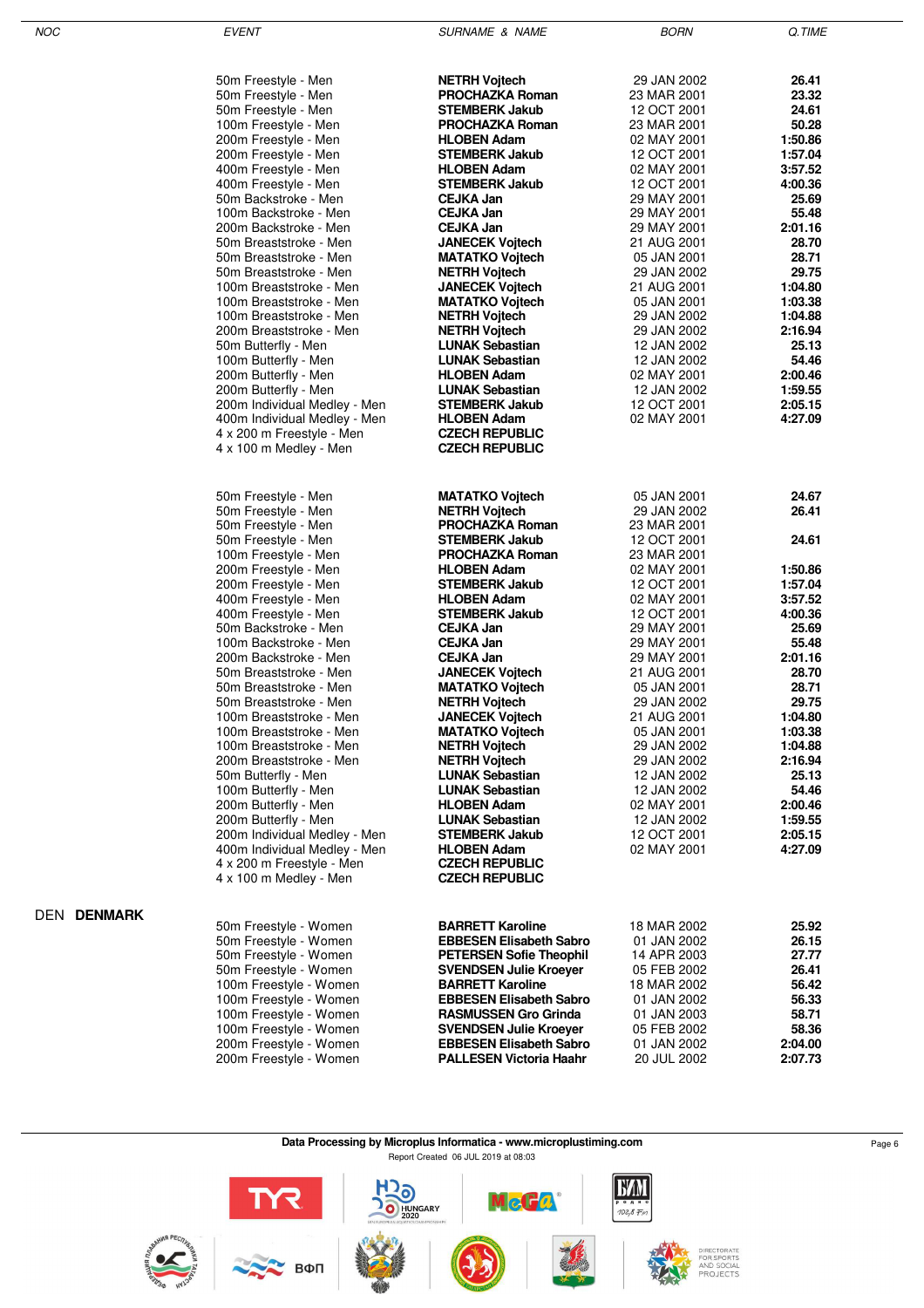| 50m Freestyle - Men          | <b>NETRH Voitech</b>           | 29 JAN 2002 | 26.41   |
|------------------------------|--------------------------------|-------------|---------|
| 50m Freestyle - Men          | <b>PROCHAZKA Roman</b>         | 23 MAR 2001 | 23.32   |
| 50m Freestyle - Men          | <b>STEMBERK Jakub</b>          | 12 OCT 2001 | 24.61   |
| 100m Freestyle - Men         | <b>PROCHAZKA Roman</b>         | 23 MAR 2001 | 50.28   |
| 200m Freestyle - Men         | <b>HLOBEN Adam</b>             | 02 MAY 2001 | 1:50.86 |
| 200m Freestyle - Men         | <b>STEMBERK Jakub</b>          | 12 OCT 2001 | 1:57.04 |
| 400m Freestyle - Men         | <b>HLOBEN Adam</b>             | 02 MAY 2001 | 3:57.52 |
| 400m Freestyle - Men         | <b>STEMBERK Jakub</b>          | 12 OCT 2001 | 4:00.36 |
| 50m Backstroke - Men         | <b>CEJKA Jan</b>               | 29 MAY 2001 | 25.69   |
| 100m Backstroke - Men        | <b>CEJKA Jan</b>               | 29 MAY 2001 | 55.48   |
| 200m Backstroke - Men        | CEJKA Jan                      | 29 MAY 2001 | 2:01.16 |
| 50m Breaststroke - Men       | <b>JANECEK Vojtech</b>         | 21 AUG 2001 | 28.70   |
| 50m Breaststroke - Men       | <b>MATATKO Vojtech</b>         | 05 JAN 2001 | 28.71   |
| 50m Breaststroke - Men       | <b>NETRH Vojtech</b>           | 29 JAN 2002 | 29.75   |
| 100m Breaststroke - Men      | <b>JANECEK Vojtech</b>         | 21 AUG 2001 | 1:04.80 |
|                              |                                |             |         |
| 100m Breaststroke - Men      | <b>MATATKO Vojtech</b>         | 05 JAN 2001 | 1:03.38 |
| 100m Breaststroke - Men      | <b>NETRH Vojtech</b>           | 29 JAN 2002 | 1:04.88 |
| 200m Breaststroke - Men      | <b>NETRH Vojtech</b>           | 29 JAN 2002 | 2:16.94 |
| 50m Butterfly - Men          | <b>LUNAK Sebastian</b>         | 12 JAN 2002 | 25.13   |
| 100m Butterfly - Men         | <b>LUNAK Sebastian</b>         | 12 JAN 2002 | 54.46   |
| 200m Butterfly - Men         | <b>HLOBEN Adam</b>             | 02 MAY 2001 | 2:00.46 |
| 200m Butterfly - Men         | <b>LUNAK Sebastian</b>         | 12 JAN 2002 | 1:59.55 |
| 200m Individual Medley - Men | <b>STEMBERK Jakub</b>          | 12 OCT 2001 | 2:05.15 |
| 400m Individual Medley - Men | <b>HLOBEN Adam</b>             | 02 MAY 2001 | 4:27.09 |
| 4 x 200 m Freestyle - Men    | <b>CZECH REPUBLIC</b>          |             |         |
| 4 x 100 m Medley - Men       | <b>CZECH REPUBLIC</b>          |             |         |
|                              |                                |             |         |
| 50m Freestyle - Men          | <b>MATATKO Vojtech</b>         | 05 JAN 2001 | 24.67   |
| 50m Freestyle - Men          | <b>NETRH Vojtech</b>           | 29 JAN 2002 | 26.41   |
| 50m Freestyle - Men          | <b>PROCHAZKA Roman</b>         | 23 MAR 2001 |         |
| 50m Freestyle - Men          | <b>STEMBERK Jakub</b>          | 12 OCT 2001 | 24.61   |
| 100m Freestyle - Men         | <b>PROCHAZKA Roman</b>         | 23 MAR 2001 |         |
| 200m Freestyle - Men         | <b>HLOBEN Adam</b>             | 02 MAY 2001 | 1:50.86 |
| 200m Freestyle - Men         | <b>STEMBERK Jakub</b>          | 12 OCT 2001 | 1:57.04 |
|                              |                                |             | 3:57.52 |
| 400m Freestyle - Men         | <b>HLOBEN Adam</b>             | 02 MAY 2001 |         |
| 400m Freestyle - Men         | <b>STEMBERK Jakub</b>          | 12 OCT 2001 | 4:00.36 |
| 50m Backstroke - Men         | CEJKA Jan                      | 29 MAY 2001 | 25.69   |
| 100m Backstroke - Men        | <b>CEJKA Jan</b>               | 29 MAY 2001 | 55.48   |
| 200m Backstroke - Men        | CEJKA Jan                      | 29 MAY 2001 | 2:01.16 |
| 50m Breaststroke - Men       | <b>JANECEK Vojtech</b>         | 21 AUG 2001 | 28.70   |
| 50m Breaststroke - Men       | <b>MATATKO Vojtech</b>         | 05 JAN 2001 | 28.71   |
| 50m Breaststroke - Men       | <b>NETRH Vojtech</b>           | 29 JAN 2002 | 29.75   |
| 100m Breaststroke - Men      | <b>JANECEK Vojtech</b>         | 21 AUG 2001 | 1:04.80 |
| 100m Breaststroke - Men      | <b>MATATKO Vojtech</b>         | 05 JAN 2001 | 1:03.38 |
| 100m Breaststroke - Men      | <b>NETRH Vojtech</b>           | 29 JAN 2002 | 1:04.88 |
| 200m Breaststroke - Men      | <b>NETRH Vojtech</b>           | 29 JAN 2002 | 2:16.94 |
| 50m Butterfly - Men          | <b>LUNAK Sebastian</b>         | 12 JAN 2002 | 25.13   |
| 100m Butterfly - Men         | <b>LUNAK Sebastian</b>         | 12 JAN 2002 | 54.46   |
|                              | <b>HLOBEN Adam</b>             |             | 2:00.46 |
| 200m Butterfly - Men         |                                | 02 MAY 2001 |         |
| 200m Butterfly - Men         | <b>LUNAK Sebastian</b>         | 12 JAN 2002 | 1:59.55 |
| 200m Individual Medley - Men | <b>STEMBERK Jakub</b>          | 12 OCT 2001 | 2:05.15 |
| 400m Individual Medley - Men | <b>HLOBEN Adam</b>             | 02 MAY 2001 | 4:27.09 |
| 4 x 200 m Freestyle - Men    | <b>CZECH REPUBLIC</b>          |             |         |
| 4 x 100 m Medley - Men       | <b>CZECH REPUBLIC</b>          |             |         |
|                              |                                |             |         |
| 50m Freestyle - Women        | <b>BARRETT Karoline</b>        | 18 MAR 2002 | 25.92   |
| 50m Freestyle - Women        | <b>EBBESEN Elisabeth Sabro</b> | 01 JAN 2002 | 26.15   |
| 50m Freestyle - Women        | <b>PETERSEN Sofie Theophil</b> | 14 APR 2003 | 27.77   |
| 50m Freestyle - Women        | <b>SVENDSEN Julie Kroeyer</b>  | 05 FEB 2002 | 26.41   |
| 100m Freestyle - Women       | <b>BARRETT Karoline</b>        | 18 MAR 2002 | 56.42   |
| 100m Freestyle - Women       | <b>EBBESEN Elisabeth Sabro</b> | 01 JAN 2002 | 56.33   |
| 100m Freestyle - Women       | <b>RASMUSSEN Gro Grinda</b>    | 01 JAN 2003 | 58.71   |
| 100m Freestyle - Women       |                                |             | 58.36   |
|                              | <b>SVENDSEN Julie Kroeyer</b>  | 05 FEB 2002 | 2:04.00 |
| 200m Freestyle - Women       | <b>EBBESEN Elisabeth Sabro</b> | 01 JAN 2002 |         |

DEN **DENMARK**

200m Freestyle - Women **PALLESEN Victoria Haahr** 20 JUL 2002 **2:07.73**

| Data Processing by Microplus Informatica - www.microplustiming.com | Page 6 |
|--------------------------------------------------------------------|--------|
| Report Created 06 JUL 2019 at 08:03                                |        |

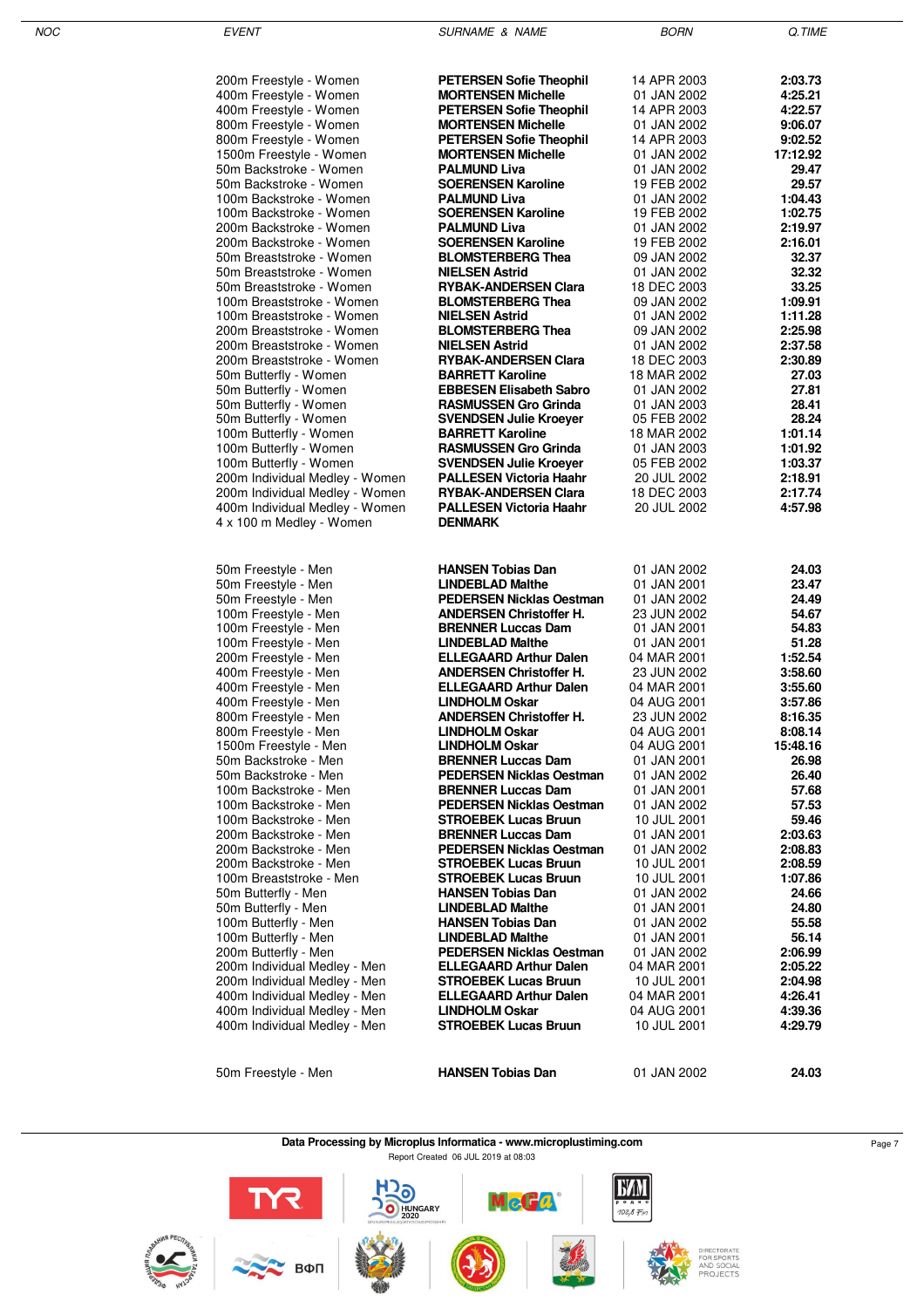| 200m Freestyle - Women         | <b>PETERSEN Sofie Theophil</b>                    | 14 APR 2003                | 2:03.73  |
|--------------------------------|---------------------------------------------------|----------------------------|----------|
| 400m Freestyle - Women         | <b>MORTENSEN Michelle</b>                         | 01 JAN 2002                | 4:25.21  |
| 400m Freestyle - Women         | <b>PETERSEN Sofie Theophil</b>                    | 14 APR 2003                | 4:22.57  |
| 800m Freestyle - Women         | <b>MORTENSEN Michelle</b>                         | 01 JAN 2002                | 9:06.07  |
| 800m Freestyle - Women         | <b>PETERSEN Sofie Theophil</b>                    | 14 APR 2003                | 9:02.52  |
| 1500m Freestyle - Women        | <b>MORTENSEN Michelle</b>                         | 01 JAN 2002                | 17:12.92 |
| 50m Backstroke - Women         | <b>PALMUND Liva</b>                               | 01 JAN 2002                | 29.47    |
| 50m Backstroke - Women         | <b>SOERENSEN Karoline</b>                         | 19 FEB 2002                | 29.57    |
| 100m Backstroke - Women        | <b>PALMUND Liva</b>                               | 01 JAN 2002                | 1:04.43  |
| 100m Backstroke - Women        | <b>SOERENSEN Karoline</b>                         | 19 FEB 2002                | 1:02.75  |
| 200m Backstroke - Women        | <b>PALMUND Liva</b>                               | 01 JAN 2002                | 2:19.97  |
| 200m Backstroke - Women        | <b>SOERENSEN Karoline</b>                         | 19 FEB 2002                | 2:16.01  |
| 50m Breaststroke - Women       | <b>BLOMSTERBERG Thea</b>                          | 09 JAN 2002                | 32.37    |
| 50m Breaststroke - Women       | <b>NIELSEN Astrid</b>                             | 01 JAN 2002                | 32.32    |
| 50m Breaststroke - Women       | <b>RYBAK-ANDERSEN Clara</b>                       | 18 DEC 2003                | 33.25    |
| 100m Breaststroke - Women      | <b>BLOMSTERBERG Thea</b>                          | 09 JAN 2002                | 1:09.91  |
| 100m Breaststroke - Women      | <b>NIELSEN Astrid</b>                             | 01 JAN 2002                | 1:11.28  |
| 200m Breaststroke - Women      |                                                   |                            | 2:25.98  |
| 200m Breaststroke - Women      | <b>BLOMSTERBERG Thea</b><br><b>NIELSEN Astrid</b> | 09 JAN 2002<br>01 JAN 2002 | 2:37.58  |
|                                |                                                   |                            |          |
| 200m Breaststroke - Women      | <b>RYBAK-ANDERSEN Clara</b>                       | 18 DEC 2003                | 2:30.89  |
| 50m Butterfly - Women          | <b>BARRETT Karoline</b>                           | 18 MAR 2002                | 27.03    |
| 50m Butterfly - Women          | <b>EBBESEN Elisabeth Sabro</b>                    | 01 JAN 2002                | 27.81    |
| 50m Butterfly - Women          | <b>RASMUSSEN Gro Grinda</b>                       | 01 JAN 2003                | 28.41    |
| 50m Butterfly - Women          | <b>SVENDSEN Julie Kroever</b>                     | 05 FEB 2002                | 28.24    |
| 100m Butterfly - Women         | <b>BARRETT Karoline</b>                           | 18 MAR 2002                | 1:01.14  |
| 100m Butterfly - Women         | <b>RASMUSSEN Gro Grinda</b>                       | 01 JAN 2003                | 1:01.92  |
| 100m Butterfly - Women         | <b>SVENDSEN Julie Kroeyer</b>                     | 05 FEB 2002                | 1:03.37  |
| 200m Individual Medley - Women | <b>PALLESEN Victoria Haahr</b>                    | 20 JUL 2002                | 2:18.91  |
| 200m Individual Medley - Women | <b>RYBAK-ANDERSEN Clara</b>                       | 18 DEC 2003                | 2:17.74  |
| 400m Individual Medley - Women | <b>PALLESEN Victoria Haahr</b>                    | 20 JUL 2002                | 4:57.98  |
| 4 x 100 m Medley - Women       | <b>DENMARK</b>                                    |                            |          |
|                                |                                                   |                            |          |
|                                |                                                   |                            |          |
| 50m Freestyle - Men            | <b>HANSEN Tobias Dan</b>                          | 01 JAN 2002                | 24.03    |
| 50m Freestyle - Men            | <b>LINDEBLAD Malthe</b>                           | 01 JAN 2001                | 23.47    |
| 50m Freestyle - Men            | <b>PEDERSEN Nicklas Oestman</b>                   | 01 JAN 2002                | 24.49    |
| 100m Freestyle - Men           | <b>ANDERSEN Christoffer H.</b>                    | 23 JUN 2002                | 54.67    |
| 100m Freestyle - Men           | <b>BRENNER Luccas Dam</b>                         | 01 JAN 2001                | 54.83    |
| 100m Freestyle - Men           | <b>LINDEBLAD Malthe</b>                           | 01 JAN 2001                | 51.28    |
| 200m Freestyle - Men           | <b>ELLEGAARD Arthur Dalen</b>                     | 04 MAR 2001                | 1:52.54  |
| 400m Freestyle - Men           | <b>ANDERSEN Christoffer H.</b>                    | 23 JUN 2002                | 3:58.60  |
| 400m Freestyle - Men           | <b>ELLEGAARD Arthur Dalen</b>                     | 04 MAR 2001                | 3:55.60  |
| 400m Freestyle - Men           | <b>LINDHOLM Oskar</b>                             | 04 AUG 2001                | 3:57.86  |
| 800m Freestyle - Men           | <b>ANDERSEN Christoffer H.</b>                    | 23 JUN 2002                | 8:16.35  |
| 800m Freestyle - Men           | <b>LINDHOLM Oskar</b>                             | 04 AUG 2001                | 8:08.14  |
| 1500m Freestyle - Men          | <b>LINDHOLM Oskar</b>                             | 04 AUG 2001                | 15:48.16 |
| 50m Backstroke - Men           | <b>BRENNER Luccas Dam</b>                         | 01 JAN 2001                | 26.98    |
| 50m Backstroke - Men           | <b>PEDERSEN Nicklas Oestman</b>                   | 01 JAN 2002                | 26.40    |
| 100m Backstroke - Men          | <b>BRENNER Luccas Dam</b>                         | 01 JAN 2001                | 57.68    |
| 100m Backstroke - Men          | <b>PEDERSEN Nicklas Oestman</b>                   | 01 JAN 2002                | 57.53    |
| 100m Backstroke - Men          | <b>STROEBEK Lucas Bruun</b>                       | 10 JUL 2001                | 59.46    |
| 200m Backstroke - Men          | <b>BRENNER Luccas Dam</b>                         | 01 JAN 2001                | 2:03.63  |
| 200m Backstroke - Men          | <b>PEDERSEN Nicklas Oestman</b>                   | 01 JAN 2002                | 2:08.83  |
| 200m Backstroke - Men          | <b>STROEBEK Lucas Bruun</b>                       | 10 JUL 2001                | 2:08.59  |
| 100m Breaststroke - Men        | <b>STROEBEK Lucas Bruun</b>                       | 10 JUL 2001                | 1:07.86  |
| 50m Butterfly - Men            | <b>HANSEN Tobias Dan</b>                          | 01 JAN 2002                | 24.66    |
| 50m Butterfly - Men            | <b>LINDEBLAD Malthe</b>                           | 01 JAN 2001                | 24.80    |
| 100m Butterfly - Men           | <b>HANSEN Tobias Dan</b>                          | 01 JAN 2002                | 55.58    |
| 100m Butterfly - Men           | <b>LINDEBLAD Malthe</b>                           | 01 JAN 2001                | 56.14    |
| 200m Butterfly - Men           | <b>PEDERSEN Nicklas Oestman</b>                   | 01 JAN 2002                | 2:06.99  |
| 200m Individual Medley - Men   | <b>ELLEGAARD Arthur Dalen</b>                     | 04 MAR 2001                | 2:05.22  |
| 200m Individual Medley - Men   | <b>STROEBEK Lucas Bruun</b>                       | 10 JUL 2001                | 2:04.98  |
| 400m Individual Medley - Men   | <b>ELLEGAARD Arthur Dalen</b>                     | 04 MAR 2001                | 4:26.41  |
| 400m Individual Medley - Men   | <b>LINDHOLM Oskar</b>                             | 04 AUG 2001                | 4:39.36  |
| 400m Individual Medley - Men   | <b>STROEBEK Lucas Bruun</b>                       | 10 JUL 2001                | 4:29.79  |
|                                |                                                   |                            |          |
|                                |                                                   |                            |          |
| 50m Freestyle - Men            | <b>HANSEN Tobias Dan</b>                          | 01 JAN 2002                | 24.03    |
|                                |                                                   |                            |          |

**Data Processing by Microplus Informatica - www.microplustiming.com** Page 7 Report Created 06 JUL 2019 at 08:03

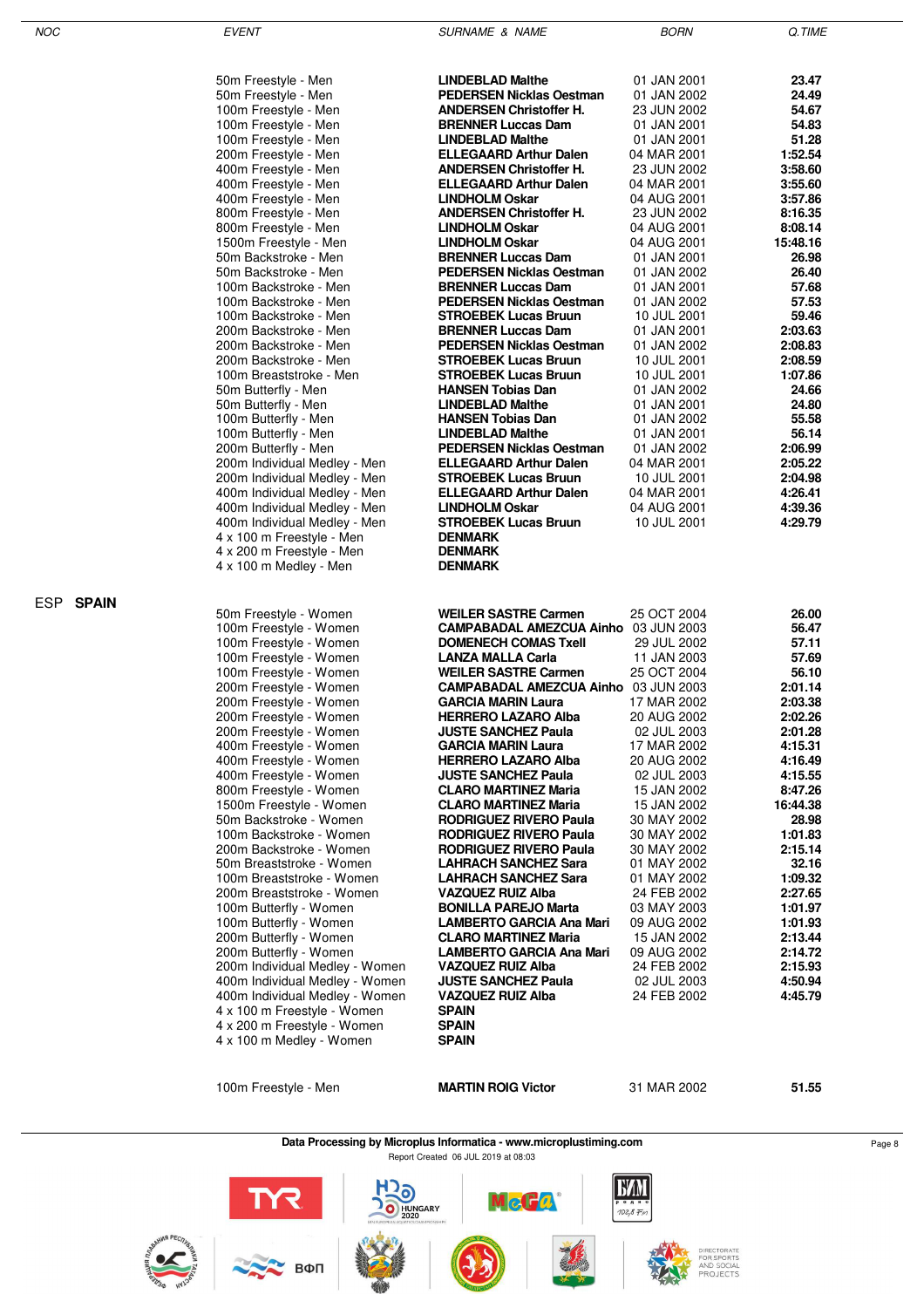| $\mathcal{N}$ |  |
|---------------|--|
|               |  |

ESP **SPAIN**

EVENT GUERNAME & NAME SURNAME & NAME BORN BORN Q.TIME

| 50m Freestyle - Men            | <b>LINDEBLAD Malthe</b>                     | 01 JAN 2001 | 23.47    |
|--------------------------------|---------------------------------------------|-------------|----------|
| 50m Freestyle - Men            | <b>PEDERSEN Nicklas Oestman</b>             | 01 JAN 2002 | 24.49    |
| 100m Freestyle - Men           | <b>ANDERSEN Christoffer H.</b>              | 23 JUN 2002 | 54.67    |
| 100m Freestyle - Men           | <b>BRENNER Luccas Dam</b>                   | 01 JAN 2001 | 54.83    |
| 100m Freestyle - Men           | <b>LINDEBLAD Malthe</b>                     | 01 JAN 2001 | 51.28    |
| 200m Freestyle - Men           | <b>ELLEGAARD Arthur Dalen</b>               | 04 MAR 2001 | 1:52.54  |
| 400m Freestyle - Men           | <b>ANDERSEN Christoffer H.</b>              | 23 JUN 2002 | 3:58.60  |
| 400m Freestyle - Men           | <b>ELLEGAARD Arthur Dalen</b>               | 04 MAR 2001 | 3:55.60  |
| 400m Freestyle - Men           | <b>LINDHOLM Oskar</b>                       | 04 AUG 2001 | 3:57.86  |
| 800m Freestyle - Men           | <b>ANDERSEN Christoffer H.</b>              | 23 JUN 2002 | 8:16.35  |
| 800m Freestyle - Men           | <b>LINDHOLM Oskar</b>                       | 04 AUG 2001 | 8:08.14  |
| 1500m Freestyle - Men          | <b>LINDHOLM Oskar</b>                       | 04 AUG 2001 | 15:48.16 |
| 50m Backstroke - Men           | <b>BRENNER Luccas Dam</b>                   | 01 JAN 2001 | 26.98    |
| 50m Backstroke - Men           | <b>PEDERSEN Nicklas Oestman</b>             | 01 JAN 2002 | 26.40    |
| 100m Backstroke - Men          | <b>BRENNER Luccas Dam</b>                   | 01 JAN 2001 | 57.68    |
| 100m Backstroke - Men          | <b>PEDERSEN Nicklas Oestman</b>             | 01 JAN 2002 | 57.53    |
| 100m Backstroke - Men          | <b>STROEBEK Lucas Bruun</b>                 | 10 JUL 2001 | 59.46    |
| 200m Backstroke - Men          | <b>BRENNER Luccas Dam</b>                   | 01 JAN 2001 | 2:03.63  |
| 200m Backstroke - Men          | <b>PEDERSEN Nicklas Oestman</b>             | 01 JAN 2002 | 2:08.83  |
| 200m Backstroke - Men          | <b>STROEBEK Lucas Bruun</b>                 | 10 JUL 2001 | 2:08.59  |
| 100m Breaststroke - Men        | <b>STROEBEK Lucas Bruun</b>                 | 10 JUL 2001 | 1:07.86  |
| 50m Butterfly - Men            | <b>HANSEN Tobias Dan</b>                    | 01 JAN 2002 | 24.66    |
| 50m Butterfly - Men            | <b>LINDEBLAD Malthe</b>                     | 01 JAN 2001 | 24.80    |
| 100m Butterfly - Men           | <b>HANSEN Tobias Dan</b>                    | 01 JAN 2002 | 55.58    |
| 100m Butterfly - Men           | <b>LINDEBLAD Malthe</b>                     | 01 JAN 2001 | 56.14    |
| 200m Butterfly - Men           | <b>PEDERSEN Nicklas Oestman</b>             | 01 JAN 2002 | 2:06.99  |
| 200m Individual Medley - Men   | <b>ELLEGAARD Arthur Dalen</b>               | 04 MAR 2001 | 2:05.22  |
| 200m Individual Medley - Men   | <b>STROEBEK Lucas Bruun</b>                 | 10 JUL 2001 | 2:04.98  |
| 400m Individual Medley - Men   | <b>ELLEGAARD Arthur Dalen</b>               | 04 MAR 2001 | 4:26.41  |
| 400m Individual Medley - Men   | <b>LINDHOLM Oskar</b>                       | 04 AUG 2001 | 4:39.36  |
| 400m Individual Medley - Men   | <b>STROEBEK Lucas Bruun</b>                 | 10 JUL 2001 | 4:29.79  |
| 4 x 100 m Freestyle - Men      | <b>DENMARK</b>                              |             |          |
| 4 x 200 m Freestyle - Men      | <b>DENMARK</b>                              |             |          |
| 4 x 100 m Medley - Men         | <b>DENMARK</b>                              |             |          |
| 50m Freestyle - Women          | <b>WEILER SASTRE Carmen</b>                 | 25 OCT 2004 | 26.00    |
| 100m Freestyle - Women         | <b>CAMPABADAL AMEZCUA Ainho</b> 03 JUN 2003 |             | 56.47    |
| 100m Freestyle - Women         | <b>DOMENECH COMAS Txell</b>                 | 29 JUL 2002 | 57.11    |
| 100m Freestyle - Women         | <b>LANZA MALLA Carla</b>                    | 11 JAN 2003 | 57.69    |
| 100m Freestyle - Women         | <b>WEILER SASTRE Carmen</b>                 | 25 OCT 2004 | 56.10    |
| 200m Freestyle - Women         | <b>CAMPABADAL AMEZCUA Ainho 03 JUN 2003</b> |             | 2:01.14  |
| 200m Freestyle - Women         | <b>GARCIA MARIN Laura</b>                   | 17 MAR 2002 | 2:03.38  |
| 200m Freestyle - Women         | <b>HERRERO LAZARO Alba</b>                  | 20 AUG 2002 | 2:02.26  |
| 200m Freestyle - Women         | <b>JUSTE SANCHEZ Paula</b>                  | 02 JUL 2003 | 2:01.28  |
| 400m Freestyle - Women         | <b>GARCIA MARIN Laura</b>                   | 17 MAR 2002 | 4:15.31  |
| 400m Freestyle - Women         | <b>HERRERO LAZARO Alba</b>                  | 20 AUG 2002 | 4:16.49  |
| 400m Freestyle - Women         | <b>JUSTE SANCHEZ Paula</b>                  | 02 JUL 2003 | 4:15.55  |
| 800m Freestyle - Women         | <b>CLARO MARTINEZ Maria</b>                 | 15 JAN 2002 | 8:47.26  |
| 1500m Freestyle - Women        | <b>CLARO MARTINEZ Maria</b>                 | 15 JAN 2002 | 16:44.38 |
| 50m Backstroke - Women         | RODRIGUEZ RIVERO Paula                      | 30 MAY 2002 | 28.98    |
| 100m Backstroke - Women        | <b>RODRIGUEZ RIVERO Paula</b>               | 30 MAY 2002 | 1:01.83  |
| 200m Backstroke - Women        | RODRIGUEZ RIVERO Paula                      | 30 MAY 2002 | 2:15.14  |
| 50m Breaststroke - Women       | <b>LAHRACH SANCHEZ Sara</b>                 | 01 MAY 2002 | 32.16    |
| 100m Breaststroke - Women      | <b>LAHRACH SANCHEZ Sara</b>                 | 01 MAY 2002 | 1:09.32  |
| 200m Breaststroke - Women      | <b>VAZQUEZ RUIZ Alba</b>                    | 24 FEB 2002 | 2:27.65  |
| 100m Butterfly - Women         | <b>BONILLA PAREJO Marta</b>                 | 03 MAY 2003 | 1:01.97  |
| 100m Butterfly - Women         | LAMBERTO GARCIA Ana Mari                    | 09 AUG 2002 | 1:01.93  |
| 200m Butterfly - Women         | <b>CLARO MARTINEZ Maria</b>                 | 15 JAN 2002 | 2:13.44  |
| 200m Butterfly - Women         | <b>LAMBERTO GARCIA Ana Mari</b>             | 09 AUG 2002 | 2:14.72  |
| 200m Individual Medley - Women | <b>VAZQUEZ RUIZ Alba</b>                    | 24 FEB 2002 | 2:15.93  |
| 400m Individual Medley - Women | <b>JUSTE SANCHEZ Paula</b>                  | 02 JUL 2003 | 4:50.94  |
| 400m Individual Medley - Women | <b>VAZQUEZ RUIZ Alba</b>                    | 24 FEB 2002 | 4:45.79  |
| 4 x 100 m Freestyle - Women    | <b>SPAIN</b>                                |             |          |
| 4 x 200 m Freestyle - Women    | <b>SPAIN</b>                                |             |          |
| 4 x 100 m Medley - Women       | <b>SPAIN</b>                                |             |          |
|                                |                                             |             |          |
|                                |                                             |             |          |
| 100m Freestyle - Men           | <b>MARTIN ROIG Victor</b>                   | 31 MAR 2002 | 51.55    |
|                                |                                             |             |          |

**Data Processing by Microplus Informatica - www.microplustiming.com** Page 8 Report Created 06 JUL 2019 at 08:03

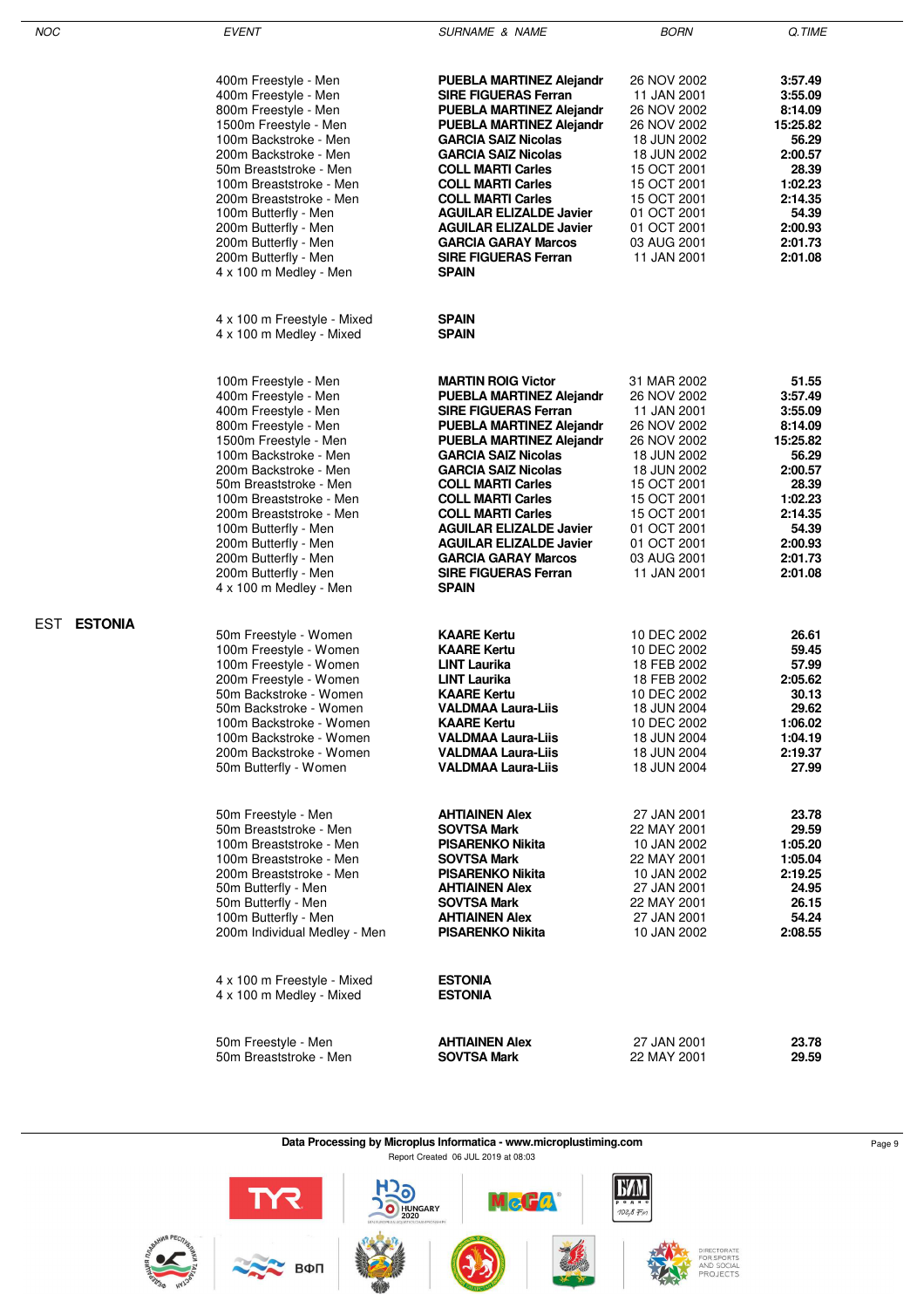| NOC                   | <b>EVENT</b>                                                                                                                                                                                                                                                                                                                                                                                                                                                                                              | <b>SURNAME &amp; NAME</b>                                                                                                                                                                                                                                                                                                                                                                                                                                                     | <b>BORN</b>                                                                                                                                                                                                                                                                               | Q.TIME                                                                                                                                                                                  |
|-----------------------|-----------------------------------------------------------------------------------------------------------------------------------------------------------------------------------------------------------------------------------------------------------------------------------------------------------------------------------------------------------------------------------------------------------------------------------------------------------------------------------------------------------|-------------------------------------------------------------------------------------------------------------------------------------------------------------------------------------------------------------------------------------------------------------------------------------------------------------------------------------------------------------------------------------------------------------------------------------------------------------------------------|-------------------------------------------------------------------------------------------------------------------------------------------------------------------------------------------------------------------------------------------------------------------------------------------|-----------------------------------------------------------------------------------------------------------------------------------------------------------------------------------------|
|                       | 400m Freestyle - Men<br>400m Freestyle - Men<br>800m Freestyle - Men<br>1500m Freestyle - Men<br>100m Backstroke - Men<br>200m Backstroke - Men<br>50m Breaststroke - Men<br>100m Breaststroke - Men<br>200m Breaststroke - Men<br>100m Butterfly - Men<br>200m Butterfly - Men<br>200m Butterfly - Men<br>200m Butterfly - Men<br>4 x 100 m Medley - Men                                                                                                                                                 | <b>PUEBLA MARTINEZ Alejandr</b><br><b>SIRE FIGUERAS Ferran</b><br>PUEBLA MARTINEZ Alejandr<br>PUEBLA MARTINEZ Alejandr<br><b>GARCIA SAIZ Nicolas</b><br><b>GARCIA SAIZ Nicolas</b><br><b>COLL MARTI Carles</b><br><b>COLL MARTI Carles</b><br><b>COLL MARTI Carles</b><br><b>AGUILAR ELIZALDE Javier</b><br><b>AGUILAR ELIZALDE Javier</b><br><b>GARCIA GARAY Marcos</b><br><b>SIRE FIGUERAS Ferran</b><br><b>SPAIN</b>                                                       | 26 NOV 2002<br>11 JAN 2001<br>26 NOV 2002<br>26 NOV 2002<br>18 JUN 2002<br>18 JUN 2002<br>15 OCT 2001<br>15 OCT 2001<br>15 OCT 2001<br>01 OCT 2001<br>01 OCT 2001<br>03 AUG 2001<br>11 JAN 2001                                                                                           | 3:57.49<br>3:55.09<br>8:14.09<br>15:25.82<br>56.29<br>2:00.57<br>28.39<br>1:02.23<br>2:14.35<br>54.39<br>2:00.93<br>2:01.73<br>2:01.08                                                  |
|                       | 4 x 100 m Freestyle - Mixed<br>4 x 100 m Medley - Mixed                                                                                                                                                                                                                                                                                                                                                                                                                                                   | SPAIN<br><b>SPAIN</b>                                                                                                                                                                                                                                                                                                                                                                                                                                                         |                                                                                                                                                                                                                                                                                           |                                                                                                                                                                                         |
|                       | 100m Freestyle - Men<br>400m Freestyle - Men<br>400m Freestyle - Men<br>800m Freestyle - Men<br>1500m Freestyle - Men<br>100m Backstroke - Men<br>200m Backstroke - Men<br>50m Breaststroke - Men<br>100m Breaststroke - Men<br>200m Breaststroke - Men<br>100m Butterfly - Men<br>200m Butterfly - Men<br>200m Butterfly - Men<br>200m Butterfly - Men<br>4 x 100 m Medley - Men                                                                                                                         | <b>MARTIN ROIG Victor</b><br>PUEBLA MARTINEZ Alejandr<br><b>SIRE FIGUERAS Ferran</b><br>PUEBLA MARTINEZ Alejandr<br>PUEBLA MARTINEZ Alejandr<br><b>GARCIA SAIZ Nicolas</b><br><b>GARCIA SAIZ Nicolas</b><br><b>COLL MARTI Carles</b><br><b>COLL MARTI Carles</b><br><b>COLL MARTI Carles</b><br><b>AGUILAR ELIZALDE Javier</b><br><b>AGUILAR ELIZALDE Javier</b><br><b>GARCIA GARAY Marcos</b><br><b>SIRE FIGUERAS Ferran</b><br><b>SPAIN</b>                                 | 31 MAR 2002<br>26 NOV 2002<br>11 JAN 2001<br>26 NOV 2002<br>26 NOV 2002<br>18 JUN 2002<br>18 JUN 2002<br>15 OCT 2001<br>15 OCT 2001<br>15 OCT 2001<br>01 OCT 2001<br>01 OCT 2001<br>03 AUG 2001<br>11 JAN 2001                                                                            | 51.55<br>3:57.49<br>3:55.09<br>8:14.09<br>15:25.82<br>56.29<br>2:00.57<br>28.39<br>1:02.23<br>2:14.35<br>54.39<br>2:00.93<br>2:01.73<br>2:01.08                                         |
| <b>ESTONIA</b><br>EST | 50m Freestyle - Women<br>100m Freestyle - Women<br>100m Freestyle - Women<br>200m Freestyle - Women<br>50m Backstroke - Women<br>50m Backstroke - Women<br>100m Backstroke - Women<br>100m Backstroke - Women<br>200m Backstroke - Women<br>50m Butterfly - Women<br>50m Freestyle - Men<br>50m Breaststroke - Men<br>100m Breaststroke - Men<br>100m Breaststroke - Men<br>200m Breaststroke - Men<br>50m Butterfly - Men<br>50m Butterfly - Men<br>100m Butterfly - Men<br>200m Individual Medley - Men | <b>KAARE Kertu</b><br><b>KAARE Kertu</b><br><b>LINT Laurika</b><br><b>LINT Laurika</b><br><b>KAARE Kertu</b><br>VALDMAA Laura-Liis<br><b>KAARE Kertu</b><br><b>VALDMAA Laura-Liis</b><br><b>VALDMAA Laura-Liis</b><br><b>VALDMAA Laura-Liis</b><br><b>AHTIAINEN Alex</b><br><b>SOVTSA Mark</b><br><b>PISARENKO Nikita</b><br><b>SOVTSA Mark</b><br><b>PISARENKO Nikita</b><br><b>AHTIAINEN Alex</b><br><b>SOVTSA Mark</b><br><b>AHTIAINEN Alex</b><br><b>PISARENKO Nikita</b> | 10 DEC 2002<br>10 DEC 2002<br>18 FEB 2002<br>18 FEB 2002<br>10 DEC 2002<br>18 JUN 2004<br>10 DEC 2002<br>18 JUN 2004<br>18 JUN 2004<br>18 JUN 2004<br>27 JAN 2001<br>22 MAY 2001<br>10 JAN 2002<br>22 MAY 2001<br>10 JAN 2002<br>27 JAN 2001<br>22 MAY 2001<br>27 JAN 2001<br>10 JAN 2002 | 26.61<br>59.45<br>57.99<br>2:05.62<br>30.13<br>29.62<br>1:06.02<br>1:04.19<br>2:19.37<br>27.99<br>23.78<br>29.59<br>1:05.20<br>1:05.04<br>2:19.25<br>24.95<br>26.15<br>54.24<br>2:08.55 |
|                       | 4 x 100 m Freestyle - Mixed<br>4 x 100 m Medley - Mixed                                                                                                                                                                                                                                                                                                                                                                                                                                                   | <b>ESTONIA</b><br><b>ESTONIA</b>                                                                                                                                                                                                                                                                                                                                                                                                                                              |                                                                                                                                                                                                                                                                                           |                                                                                                                                                                                         |
|                       | 50m Freestyle - Men<br>50m Breaststroke - Men                                                                                                                                                                                                                                                                                                                                                                                                                                                             | AHTIAINEN Alex<br>SOVTSA Mark                                                                                                                                                                                                                                                                                                                                                                                                                                                 | 27 JAN 2001<br>22 MAY 2001                                                                                                                                                                                                                                                                | 23.78<br>29.59                                                                                                                                                                          |

**Data Processing by Microplus Informatica - www.microplustiming.com** Page 9 Report Created 06 JUL 2019 at 08:03

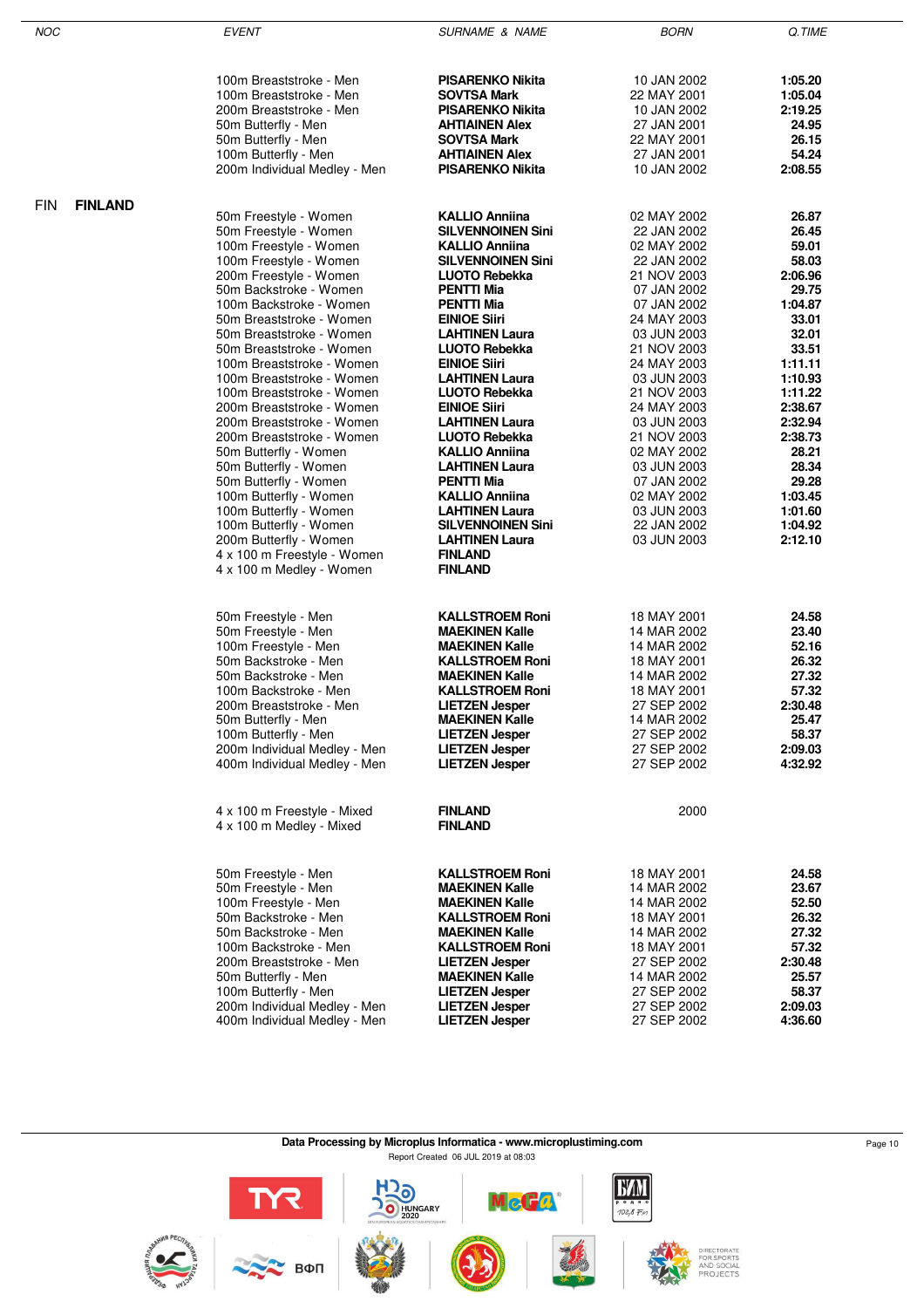| <b>NOC</b> |                | <b>EVENT</b>                                         | <b>SURNAME &amp; NAME</b>                       | <b>BORN</b>                | Q.TIME             |
|------------|----------------|------------------------------------------------------|-------------------------------------------------|----------------------------|--------------------|
|            |                |                                                      |                                                 |                            |                    |
|            |                |                                                      |                                                 |                            |                    |
|            |                | 100m Breaststroke - Men<br>100m Breaststroke - Men   | <b>PISARENKO Nikita</b><br>SOVTSA Mark          | 10 JAN 2002<br>22 MAY 2001 | 1:05.20<br>1:05.04 |
|            |                | 200m Breaststroke - Men                              | <b>PISARENKO Nikita</b>                         | 10 JAN 2002                | 2:19.25            |
|            |                | 50m Butterfly - Men                                  | <b>AHTIAINEN Alex</b>                           | 27 JAN 2001                | 24.95              |
|            |                | 50m Butterfly - Men                                  | SOVTSA Mark                                     | 22 MAY 2001                | 26.15              |
|            |                | 100m Butterfly - Men                                 | <b>AHTIAINEN Alex</b>                           | 27 JAN 2001                | 54.24              |
|            |                | 200m Individual Medley - Men                         | <b>PISARENKO Nikita</b>                         | 10 JAN 2002                | 2:08.55            |
|            |                |                                                      |                                                 |                            |                    |
| <b>FIN</b> | <b>FINLAND</b> | 50m Freestyle - Women                                | <b>KALLIO Anniina</b>                           | 02 MAY 2002                | 26.87              |
|            |                | 50m Freestyle - Women                                | <b>SILVENNOINEN Sini</b>                        | 22 JAN 2002                | 26.45              |
|            |                | 100m Freestyle - Women                               | <b>KALLIO Anniina</b>                           | 02 MAY 2002                | 59.01              |
|            |                | 100m Freestyle - Women                               | <b>SILVENNOINEN Sini</b>                        | 22 JAN 2002                | 58.03              |
|            |                | 200m Freestyle - Women                               | <b>LUOTO Rebekka</b>                            | 21 NOV 2003                | 2:06.96            |
|            |                | 50m Backstroke - Women                               | <b>PENTTI Mia</b>                               | 07 JAN 2002                | 29.75              |
|            |                | 100m Backstroke - Women                              | <b>PENTTI Mia</b>                               | 07 JAN 2002                | 1:04.87            |
|            |                | 50m Breaststroke - Women                             | <b>EINIOE Siiri</b>                             | 24 MAY 2003                | 33.01              |
|            |                | 50m Breaststroke - Women<br>50m Breaststroke - Women | <b>LAHTINEN Laura</b><br><b>LUOTO Rebekka</b>   | 03 JUN 2003<br>21 NOV 2003 | 32.01<br>33.51     |
|            |                | 100m Breaststroke - Women                            | <b>EINIOE Siiri</b>                             | 24 MAY 2003                | 1:11.11            |
|            |                | 100m Breaststroke - Women                            | <b>LAHTINEN Laura</b>                           | 03 JUN 2003                | 1:10.93            |
|            |                | 100m Breaststroke - Women                            | <b>LUOTO Rebekka</b>                            | 21 NOV 2003                | 1:11.22            |
|            |                | 200m Breaststroke - Women                            | <b>EINIOE Siiri</b>                             | 24 MAY 2003                | 2:38.67            |
|            |                | 200m Breaststroke - Women                            | <b>LAHTINEN Laura</b>                           | 03 JUN 2003                | 2:32.94            |
|            |                | 200m Breaststroke - Women                            | <b>LUOTO Rebekka</b>                            | 21 NOV 2003                | 2:38.73            |
|            |                | 50m Butterfly - Women                                | KALLIO Anniina                                  | 02 MAY 2002                | 28.21              |
|            |                | 50m Butterfly - Women<br>50m Butterfly - Women       | <b>LAHTINEN Laura</b><br><b>PENTTI Mia</b>      | 03 JUN 2003<br>07 JAN 2002 | 28.34<br>29.28     |
|            |                | 100m Butterfly - Women                               | <b>KALLIO Anniina</b>                           | 02 MAY 2002                | 1:03.45            |
|            |                | 100m Butterfly - Women                               | <b>LAHTINEN Laura</b>                           | 03 JUN 2003                | 1:01.60            |
|            |                | 100m Butterfly - Women                               | <b>SILVENNOINEN Sini</b>                        | 22 JAN 2002                | 1:04.92            |
|            |                | 200m Butterfly - Women                               | <b>LAHTINEN Laura</b>                           | 03 JUN 2003                | 2:12.10            |
|            |                | 4 x 100 m Freestyle - Women                          | <b>FINLAND</b>                                  |                            |                    |
|            |                | 4 x 100 m Medley - Women                             | <b>FINLAND</b>                                  |                            |                    |
|            |                |                                                      |                                                 |                            |                    |
|            |                | 50m Freestyle - Men                                  | <b>KALLSTROEM Roni</b>                          | 18 MAY 2001                | 24.58              |
|            |                | 50m Freestyle - Men                                  | <b>MAEKINEN Kalle</b>                           | 14 MAR 2002                | 23.40              |
|            |                | 100m Freestyle - Men                                 | <b>MAEKINEN Kalle</b>                           | 14 MAR 2002                | 52.16              |
|            |                | 50m Backstroke - Men<br>50m Backstroke - Men         | <b>KALLSTROEM Roni</b>                          | 18 MAY 2001                | 26.32              |
|            |                | 100m Backstroke - Men                                | <b>MAEKINEN Kalle</b><br><b>KALLSTROEM Roni</b> | 14 MAR 2002<br>18 MAY 2001 | 27.32<br>57.32     |
|            |                | 200m Breaststroke - Men                              | <b>LIETZEN Jesper</b>                           | 27 SEP 2002                | 2:30.48            |
|            |                | 50m Butterfly - Men                                  | <b>MAEKINEN Kalle</b>                           | 14 MAR 2002                | 25.47              |
|            |                | 100m Butterfly - Men                                 | <b>LIETZEN Jesper</b>                           | 27 SEP 2002                | 58.37              |
|            |                | 200m Individual Medley - Men                         | <b>LIETZEN Jesper</b>                           | 27 SEP 2002                | 2:09.03            |
|            |                | 400m Individual Medley - Men                         | <b>LIETZEN Jesper</b>                           | 27 SEP 2002                | 4:32.92            |
|            |                |                                                      |                                                 |                            |                    |
|            |                | 4 x 100 m Freestyle - Mixed                          | <b>FINLAND</b>                                  | 2000                       |                    |
|            |                | 4 x 100 m Medley - Mixed                             | <b>FINLAND</b>                                  |                            |                    |
|            |                |                                                      |                                                 |                            |                    |
|            |                | 50m Freestyle - Men                                  | <b>KALLSTROEM Roni</b>                          | 18 MAY 2001                | 24.58              |
|            |                | 50m Freestyle - Men                                  | <b>MAEKINEN Kalle</b>                           | 14 MAR 2002                | 23.67              |
|            |                | 100m Freestyle - Men                                 | <b>MAEKINEN Kalle</b>                           | 14 MAR 2002                | 52.50              |
|            |                | 50m Backstroke - Men<br>50m Backstroke - Men         | <b>KALLSTROEM Roni</b><br><b>MAEKINEN Kalle</b> | 18 MAY 2001<br>14 MAR 2002 | 26.32<br>27.32     |
|            |                | 100m Backstroke - Men                                | <b>KALLSTROEM Roni</b>                          | 18 MAY 2001                | 57.32              |
|            |                | 200m Breaststroke - Men                              | <b>LIETZEN Jesper</b>                           | 27 SEP 2002                | 2:30.48            |
|            |                | 50m Butterfly - Men                                  | <b>MAEKINEN Kalle</b>                           | 14 MAR 2002                | 25.57              |
|            |                | 100m Butterfly - Men                                 | <b>LIETZEN Jesper</b>                           | 27 SEP 2002                | 58.37              |
|            |                | 200m Individual Medley - Men                         | <b>LIETZEN Jesper</b>                           | 27 SEP 2002                | 2:09.03            |
|            |                | 400m Individual Medley - Men                         | <b>LIETZEN Jesper</b>                           | 27 SEP 2002                | 4:36.60            |

**Data Processing by Microplus Informatica - www.microplustiming.com** Page 10 Page 10

Report Created 06 JUL 2019 at 08:03

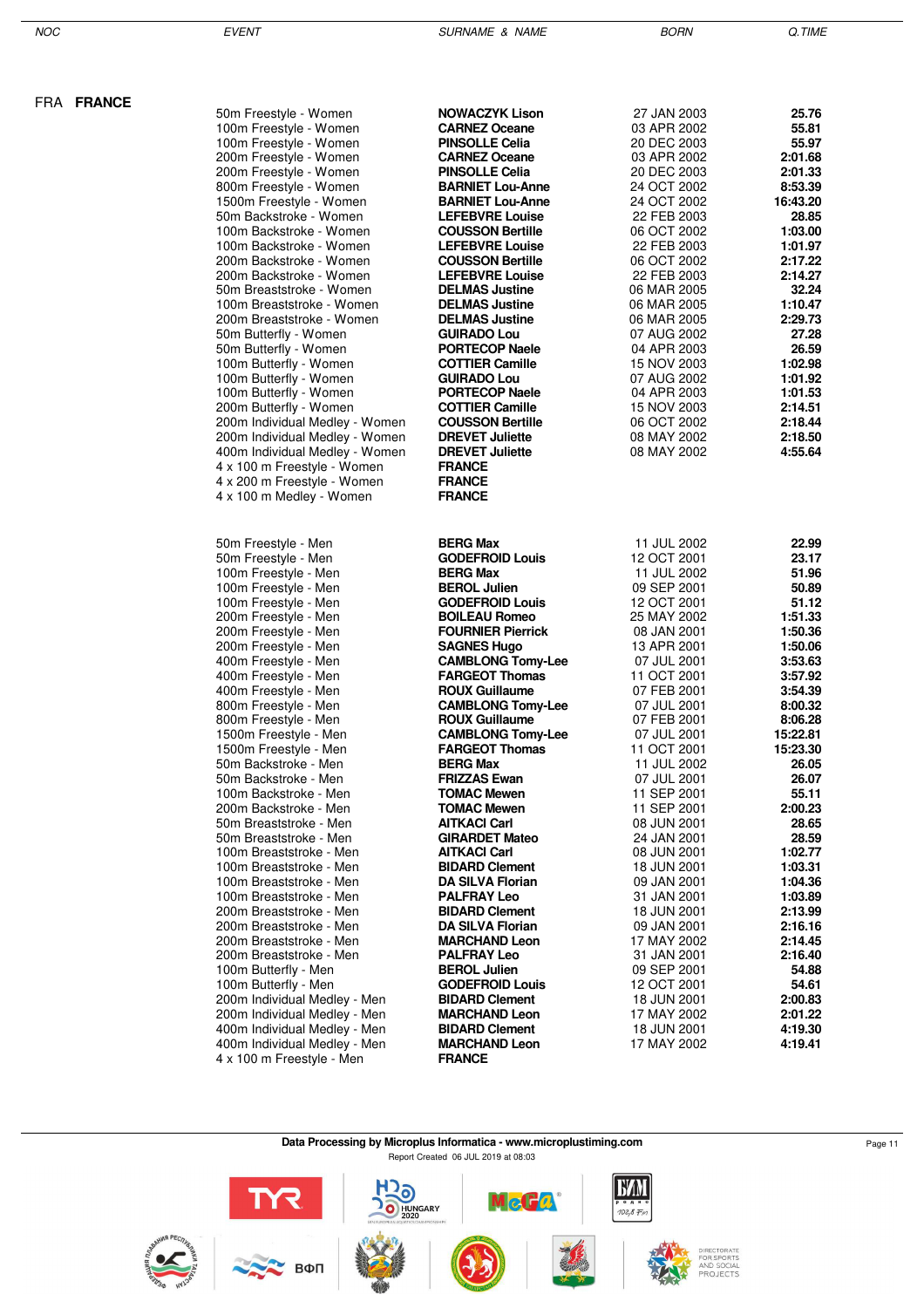NOC EVENT SURNAME & NAME BORN Q.TIME

| 50m Freestyle - Women                                        | <b>NOWACZYK Lison</b>                              | 27 JAN 2003                | 25.76               |
|--------------------------------------------------------------|----------------------------------------------------|----------------------------|---------------------|
| 100m Freestyle - Women                                       | <b>CARNEZ Oceane</b>                               | 03 APR 2002                | 55.81               |
| 100m Freestyle - Women                                       | <b>PINSOLLE Celia</b>                              | 20 DEC 2003                | 55.97               |
| 200m Freestyle - Women                                       | <b>CARNEZ Oceane</b>                               | 03 APR 2002                | 2:01.68             |
| 200m Freestyle - Women                                       | <b>PINSOLLE Celia</b>                              | 20 DEC 2003                | 2:01.33             |
| 800m Freestyle - Women                                       | <b>BARNIET Lou-Anne</b><br><b>BARNIET Lou-Anne</b> | 24 OCT 2002<br>24 OCT 2002 | 8:53.39<br>16:43.20 |
| 1500m Freestyle - Women<br>50m Backstroke - Women            | <b>LEFEBVRE Louise</b>                             | 22 FEB 2003                | 28.85               |
| 100m Backstroke - Women                                      | <b>COUSSON Bertille</b>                            | 06 OCT 2002                | 1:03.00             |
| 100m Backstroke - Women                                      | <b>LEFEBVRE Louise</b>                             | 22 FEB 2003                | 1:01.97             |
| 200m Backstroke - Women                                      | <b>COUSSON Bertille</b>                            | 06 OCT 2002                | 2:17.22             |
| 200m Backstroke - Women                                      | <b>LEFEBVRE Louise</b>                             | 22 FEB 2003                | 2:14.27             |
| 50m Breaststroke - Women                                     | <b>DELMAS Justine</b>                              | 06 MAR 2005                | 32.24               |
| 100m Breaststroke - Women                                    | <b>DELMAS Justine</b>                              | 06 MAR 2005                | 1:10.47             |
| 200m Breaststroke - Women                                    | <b>DELMAS Justine</b>                              | 06 MAR 2005                | 2:29.73             |
| 50m Butterfly - Women                                        | <b>GUIRADO Lou</b>                                 | 07 AUG 2002                | 27.28               |
| 50m Butterfly - Women                                        | <b>PORTECOP Naele</b>                              | 04 APR 2003                | 26.59               |
| 100m Butterfly - Women                                       | <b>COTTIER Camille</b><br><b>GUIRADO Lou</b>       | 15 NOV 2003<br>07 AUG 2002 | 1:02.98<br>1:01.92  |
| 100m Butterfly - Women<br>100m Butterfly - Women             | <b>PORTECOP Naele</b>                              | 04 APR 2003                | 1:01.53             |
| 200m Butterfly - Women                                       | <b>COTTIER Camille</b>                             | 15 NOV 2003                | 2:14.51             |
| 200m Individual Medley - Women                               | <b>COUSSON Bertille</b>                            | 06 OCT 2002                | 2:18.44             |
| 200m Individual Medley - Women                               | <b>DREVET Juliette</b>                             | 08 MAY 2002                | 2:18.50             |
| 400m Individual Medley - Women                               | <b>DREVET Juliette</b>                             | 08 MAY 2002                | 4:55.64             |
| 4 x 100 m Freestyle - Women                                  | <b>FRANCE</b>                                      |                            |                     |
| 4 x 200 m Freestyle - Women                                  | <b>FRANCE</b>                                      |                            |                     |
| 4 x 100 m Medley - Women                                     | <b>FRANCE</b>                                      |                            |                     |
|                                                              |                                                    |                            |                     |
| 50m Freestyle - Men                                          | <b>BERG Max</b>                                    | 11 JUL 2002                | 22.99               |
| 50m Freestyle - Men                                          | <b>GODEFROID Louis</b>                             | 12 OCT 2001                | 23.17               |
| 100m Freestyle - Men                                         | <b>BERG Max</b>                                    | 11 JUL 2002                | 51.96               |
| 100m Freestyle - Men                                         | <b>BEROL Julien</b>                                | 09 SEP 2001                | 50.89               |
| 100m Freestyle - Men                                         | <b>GODEFROID Louis</b>                             | 12 OCT 2001                | 51.12               |
| 200m Freestyle - Men                                         | <b>BOILEAU Romeo</b><br><b>FOURNIER Pierrick</b>   | 25 MAY 2002<br>08 JAN 2001 | 1:51.33<br>1:50.36  |
| 200m Freestyle - Men<br>200m Freestyle - Men                 | <b>SAGNES Hugo</b>                                 | 13 APR 2001                | 1:50.06             |
| 400m Freestyle - Men                                         | <b>CAMBLONG Tomy-Lee</b>                           | 07 JUL 2001                | 3:53.63             |
| 400m Freestyle - Men                                         | <b>FARGEOT Thomas</b>                              | 11 OCT 2001                | 3:57.92             |
| 400m Freestyle - Men                                         | <b>ROUX Guillaume</b>                              | 07 FEB 2001                | 3:54.39             |
| 800m Freestyle - Men                                         | <b>CAMBLONG Tomy-Lee</b>                           | 07 JUL 2001                | 8:00.32             |
| 800m Freestyle - Men                                         | <b>ROUX Guillaume</b>                              | 07 FEB 2001                | 8:06.28             |
| 1500m Freestyle - Men                                        | <b>CAMBLONG Tomy-Lee</b>                           | 07 JUL 2001                | 15:22.81            |
| 1500m Freestyle - Men                                        | <b>FARGEOT Thomas</b>                              | 11 OCT 2001                | 15:23.30            |
| 50m Backstroke - Men                                         | <b>BERG Max</b>                                    | 11 JUL 2002                | 26.05               |
| 50m Backstroke - Men                                         | <b>FRIZZAS Ewan</b>                                | 07 JUL 2001                | 26.07               |
| 100m Backstroke - Men<br>200m Backstroke - Men               | <b>TOMAC Mewen</b><br><b>TOMAC Mewen</b>           | 11 SEP 2001<br>11 SEP 2001 | 55.11<br>2:00.23    |
| 50m Breaststroke - Men                                       | <b>AITKACI Carl</b>                                | 08 JUN 2001                | 28.65               |
| 50m Breaststroke - Men                                       | <b>GIRARDET Mateo</b>                              | 24 JAN 2001                | 28.59               |
| 100m Breaststroke - Men                                      | <b>AITKACI Carl</b>                                | 08 JUN 2001                | 1:02.77             |
| 100m Breaststroke - Men                                      | <b>BIDARD Clement</b>                              | 18 JUN 2001                | 1:03.31             |
| 100m Breaststroke - Men                                      | DA SILVA Florian                                   | 09 JAN 2001                | 1:04.36             |
| 100m Breaststroke - Men                                      | <b>PALFRAY Leo</b>                                 | 31 JAN 2001                | 1:03.89             |
| 200m Breaststroke - Men                                      | <b>BIDARD Clement</b>                              | 18 JUN 2001                | 2:13.99             |
| 200m Breaststroke - Men                                      | <b>DA SILVA Florian</b>                            | 09 JAN 2001                | 2:16.16             |
| 200m Breaststroke - Men                                      | <b>MARCHAND Leon</b>                               | 17 MAY 2002                | 2:14.45             |
| 200m Breaststroke - Men                                      | <b>PALFRAY Leo</b>                                 | 31 JAN 2001                | 2:16.40             |
| 100m Butterfly - Men                                         | <b>BEROL Julien</b>                                | 09 SEP 2001                | 54.88               |
| 100m Butterfly - Men                                         | <b>GODEFROID Louis</b>                             | 12 OCT 2001                | 54.61               |
| 200m Individual Medley - Men                                 | <b>BIDARD Clement</b>                              | 18 JUN 2001                | 2:00.83             |
| 200m Individual Medley - Men<br>400m Individual Medley - Men | <b>MARCHAND Leon</b><br><b>BIDARD Clement</b>      | 17 MAY 2002<br>18 JUN 2001 | 2:01.22<br>4:19.30  |
| 400m Individual Medley - Men                                 | <b>MARCHAND Leon</b>                               | 17 MAY 2002                | 4:19.41             |
| 4 x 100 m Freestyle - Men                                    | <b>FRANCE</b>                                      |                            |                     |
|                                                              |                                                    |                            |                     |

**Data Processing by Microplus Informatica - www.microplustiming.com** Page 11 Report Created 06 JUL 2019 at 08:03

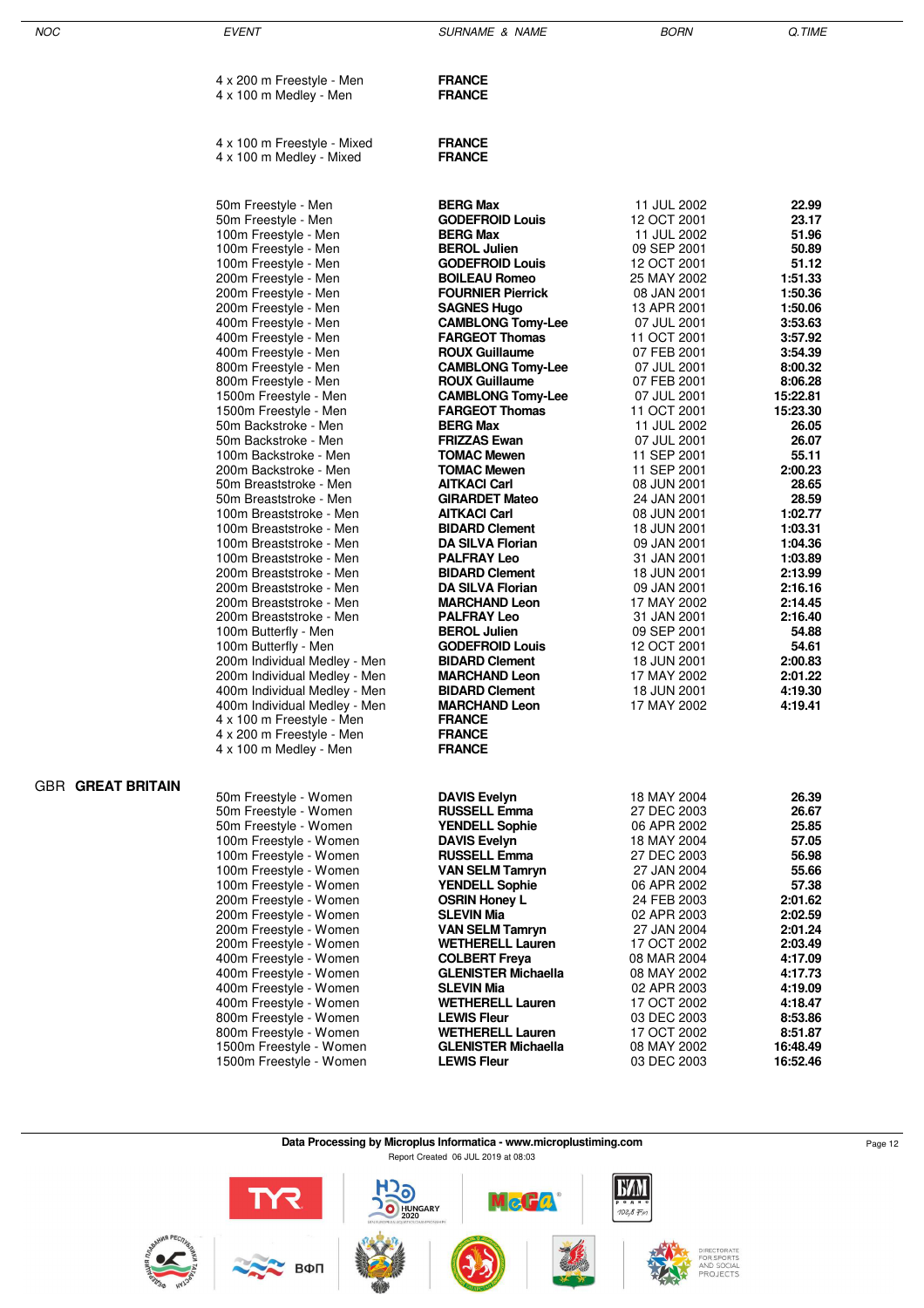| NOC                      | <b>EVENT</b>                                                                                                                                                                                                                                                                                                                                                                                                                                                                                                                                                                                                                                                                                                                                                                                                                                                                                                                       | <b>SURNAME &amp; NAME</b>                                                                                                                                                                                                                                                                                                                                                                                                                                                                                                                                                                                                                                                                                                                                                                                                                                                   | <b>BORN</b>                                                                                                                                                                                                                                                                                                                                                                                                                                                                                                                               | Q.TIME                                                                                                                                                                                                                                                                                                                                                                  |
|--------------------------|------------------------------------------------------------------------------------------------------------------------------------------------------------------------------------------------------------------------------------------------------------------------------------------------------------------------------------------------------------------------------------------------------------------------------------------------------------------------------------------------------------------------------------------------------------------------------------------------------------------------------------------------------------------------------------------------------------------------------------------------------------------------------------------------------------------------------------------------------------------------------------------------------------------------------------|-----------------------------------------------------------------------------------------------------------------------------------------------------------------------------------------------------------------------------------------------------------------------------------------------------------------------------------------------------------------------------------------------------------------------------------------------------------------------------------------------------------------------------------------------------------------------------------------------------------------------------------------------------------------------------------------------------------------------------------------------------------------------------------------------------------------------------------------------------------------------------|-------------------------------------------------------------------------------------------------------------------------------------------------------------------------------------------------------------------------------------------------------------------------------------------------------------------------------------------------------------------------------------------------------------------------------------------------------------------------------------------------------------------------------------------|-------------------------------------------------------------------------------------------------------------------------------------------------------------------------------------------------------------------------------------------------------------------------------------------------------------------------------------------------------------------------|
|                          | 4 x 200 m Freestyle - Men<br>4 x 100 m Medley - Men                                                                                                                                                                                                                                                                                                                                                                                                                                                                                                                                                                                                                                                                                                                                                                                                                                                                                | <b>FRANCE</b><br><b>FRANCE</b>                                                                                                                                                                                                                                                                                                                                                                                                                                                                                                                                                                                                                                                                                                                                                                                                                                              |                                                                                                                                                                                                                                                                                                                                                                                                                                                                                                                                           |                                                                                                                                                                                                                                                                                                                                                                         |
|                          | 4 x 100 m Freestyle - Mixed                                                                                                                                                                                                                                                                                                                                                                                                                                                                                                                                                                                                                                                                                                                                                                                                                                                                                                        | <b>FRANCE</b>                                                                                                                                                                                                                                                                                                                                                                                                                                                                                                                                                                                                                                                                                                                                                                                                                                                               |                                                                                                                                                                                                                                                                                                                                                                                                                                                                                                                                           |                                                                                                                                                                                                                                                                                                                                                                         |
|                          | 4 x 100 m Medley - Mixed                                                                                                                                                                                                                                                                                                                                                                                                                                                                                                                                                                                                                                                                                                                                                                                                                                                                                                           | <b>FRANCE</b>                                                                                                                                                                                                                                                                                                                                                                                                                                                                                                                                                                                                                                                                                                                                                                                                                                                               |                                                                                                                                                                                                                                                                                                                                                                                                                                                                                                                                           |                                                                                                                                                                                                                                                                                                                                                                         |
|                          | 50m Freestyle - Men<br>50m Freestyle - Men<br>100m Freestyle - Men<br>100m Freestyle - Men<br>100m Freestyle - Men<br>200m Freestyle - Men<br>200m Freestyle - Men<br>200m Freestyle - Men<br>400m Freestyle - Men<br>400m Freestyle - Men<br>400m Freestyle - Men<br>800m Freestyle - Men<br>800m Freestyle - Men<br>1500m Freestyle - Men<br>1500m Freestyle - Men<br>50m Backstroke - Men<br>50m Backstroke - Men<br>100m Backstroke - Men<br>200m Backstroke - Men<br>50m Breaststroke - Men<br>50m Breaststroke - Men<br>100m Breaststroke - Men<br>100m Breaststroke - Men<br>100m Breaststroke - Men<br>100m Breaststroke - Men<br>200m Breaststroke - Men<br>200m Breaststroke - Men<br>200m Breaststroke - Men<br>200m Breaststroke - Men<br>100m Butterfly - Men<br>100m Butterfly - Men<br>200m Individual Medley - Men<br>200m Individual Medley - Men<br>400m Individual Medley - Men<br>400m Individual Medley - Men | <b>BERG Max</b><br><b>GODEFROID Louis</b><br><b>BERG Max</b><br><b>BEROL Julien</b><br><b>GODEFROID Louis</b><br><b>BOILEAU Romeo</b><br><b>FOURNIER Pierrick</b><br><b>SAGNES Hugo</b><br><b>CAMBLONG Tomy-Lee</b><br><b>FARGEOT Thomas</b><br><b>ROUX Guillaume</b><br><b>CAMBLONG Tomy-Lee</b><br><b>ROUX Guillaume</b><br><b>CAMBLONG Tomy-Lee</b><br><b>FARGEOT Thomas</b><br><b>BERG Max</b><br><b>FRIZZAS Ewan</b><br><b>TOMAC Mewen</b><br><b>TOMAC Mewen</b><br><b>AITKACI Carl</b><br><b>GIRARDET Mateo</b><br><b>AITKACI Carl</b><br><b>BIDARD Clement</b><br><b>DA SILVA Florian</b><br><b>PALFRAY Leo</b><br><b>BIDARD Clement</b><br><b>DA SILVA Florian</b><br><b>MARCHAND Leon</b><br><b>PALFRAY Leo</b><br><b>BEROL Julien</b><br><b>GODEFROID Louis</b><br><b>BIDARD Clement</b><br><b>MARCHAND Leon</b><br><b>BIDARD Clement</b><br><b>MARCHAND Leon</b> | 11 JUL 2002<br>12 OCT 2001<br>11 JUL 2002<br>09 SEP 2001<br>12 OCT 2001<br>25 MAY 2002<br>08 JAN 2001<br>13 APR 2001<br>07 JUL 2001<br>11 OCT 2001<br>07 FEB 2001<br>07 JUL 2001<br>07 FEB 2001<br>07 JUL 2001<br>11 OCT 2001<br>11 JUL 2002<br>07 JUL 2001<br>11 SEP 2001<br>11 SEP 2001<br>08 JUN 2001<br>24 JAN 2001<br>08 JUN 2001<br>18 JUN 2001<br>09 JAN 2001<br>31 JAN 2001<br>18 JUN 2001<br>09 JAN 2001<br>17 MAY 2002<br>31 JAN 2001<br>09 SEP 2001<br>12 OCT 2001<br>18 JUN 2001<br>17 MAY 2002<br>18 JUN 2001<br>17 MAY 2002 | 22.99<br>23.17<br>51.96<br>50.89<br>51.12<br>1:51.33<br>1:50.36<br>1:50.06<br>3:53.63<br>3:57.92<br>3:54.39<br>8:00.32<br>8:06.28<br>15:22.81<br>15:23.30<br>26.05<br>26.07<br>55.11<br>2:00.23<br>28.65<br>28.59<br>1:02.77<br>1:03.31<br>1:04.36<br>1:03.89<br>2:13.99<br>2:16.16<br>2:14.45<br>2:16.40<br>54.88<br>54.61<br>2:00.83<br>2:01.22<br>4:19.30<br>4:19.41 |
|                          | 4 x 100 m Freestyle - Men<br>4 x 200 m Freestyle - Men                                                                                                                                                                                                                                                                                                                                                                                                                                                                                                                                                                                                                                                                                                                                                                                                                                                                             | <b>FRANCE</b><br><b>FRANCE</b>                                                                                                                                                                                                                                                                                                                                                                                                                                                                                                                                                                                                                                                                                                                                                                                                                                              |                                                                                                                                                                                                                                                                                                                                                                                                                                                                                                                                           |                                                                                                                                                                                                                                                                                                                                                                         |
| <b>GBR GREAT BRITAIN</b> | 4 x 100 m Medley - Men<br>50m Freestyle - Women<br>50m Freestyle - Women<br>50m Freestyle - Women<br>100m Freestyle - Women<br>100m Freestyle - Women<br>100m Freestyle - Women<br>100m Freestyle - Women<br>200m Freestyle - Women<br>200m Freestyle - Women<br>200m Freestyle - Women<br>200m Freestyle - Women<br>400m Freestyle - Women<br>400m Freestyle - Women<br>400m Freestyle - Women<br>400m Freestyle - Women<br>800m Freestyle - Women<br>800m Freestyle - Women<br>1500m Freestyle - Women<br>1500m Freestyle - Women                                                                                                                                                                                                                                                                                                                                                                                                | <b>FRANCE</b><br><b>DAVIS Evelyn</b><br><b>RUSSELL Emma</b><br><b>YENDELL Sophie</b><br><b>DAVIS Evelyn</b><br><b>RUSSELL Emma</b><br><b>VAN SELM Tamryn</b><br><b>YENDELL Sophie</b><br><b>OSRIN Honey L</b><br><b>SLEVIN Mia</b><br><b>VAN SELM Tamryn</b><br><b>WETHERELL Lauren</b><br><b>COLBERT Freya</b><br><b>GLENISTER Michaella</b><br><b>SLEVIN Mia</b><br><b>WETHERELL Lauren</b><br><b>LEWIS Fleur</b><br><b>WETHERELL Lauren</b><br><b>GLENISTER Michaella</b><br><b>LEWIS Fleur</b>                                                                                                                                                                                                                                                                                                                                                                          | 18 MAY 2004<br>27 DEC 2003<br>06 APR 2002<br>18 MAY 2004<br>27 DEC 2003<br>27 JAN 2004<br>06 APR 2002<br>24 FEB 2003<br>02 APR 2003<br>27 JAN 2004<br>17 OCT 2002<br>08 MAR 2004<br>08 MAY 2002<br>02 APR 2003<br>17 OCT 2002<br>03 DEC 2003<br>17 OCT 2002<br>08 MAY 2002<br>03 DEC 2003                                                                                                                                                                                                                                                 | 26.39<br>26.67<br>25.85<br>57.05<br>56.98<br>55.66<br>57.38<br>2:01.62<br>2:02.59<br>2:01.24<br>2:03.49<br>4:17.09<br>4:17.73<br>4:19.09<br>4:18.47<br>8:53.86<br>8:51.87<br>16:48.49<br>16:52.46                                                                                                                                                                       |

**Data Processing by Microplus Informatica - www.microplustiming.com** Page 12 Report Created 06 JUL 2019 at 08:03

**BZM**  $R$ 0 **McGa**  $\overline{\overline{\bullet}}$ радио<br>*102,8 Fm* HUNGARY<br>2020







DIRECTORATE<br>FOR SPORTS<br>AND SOCIAL<br>PROJECTS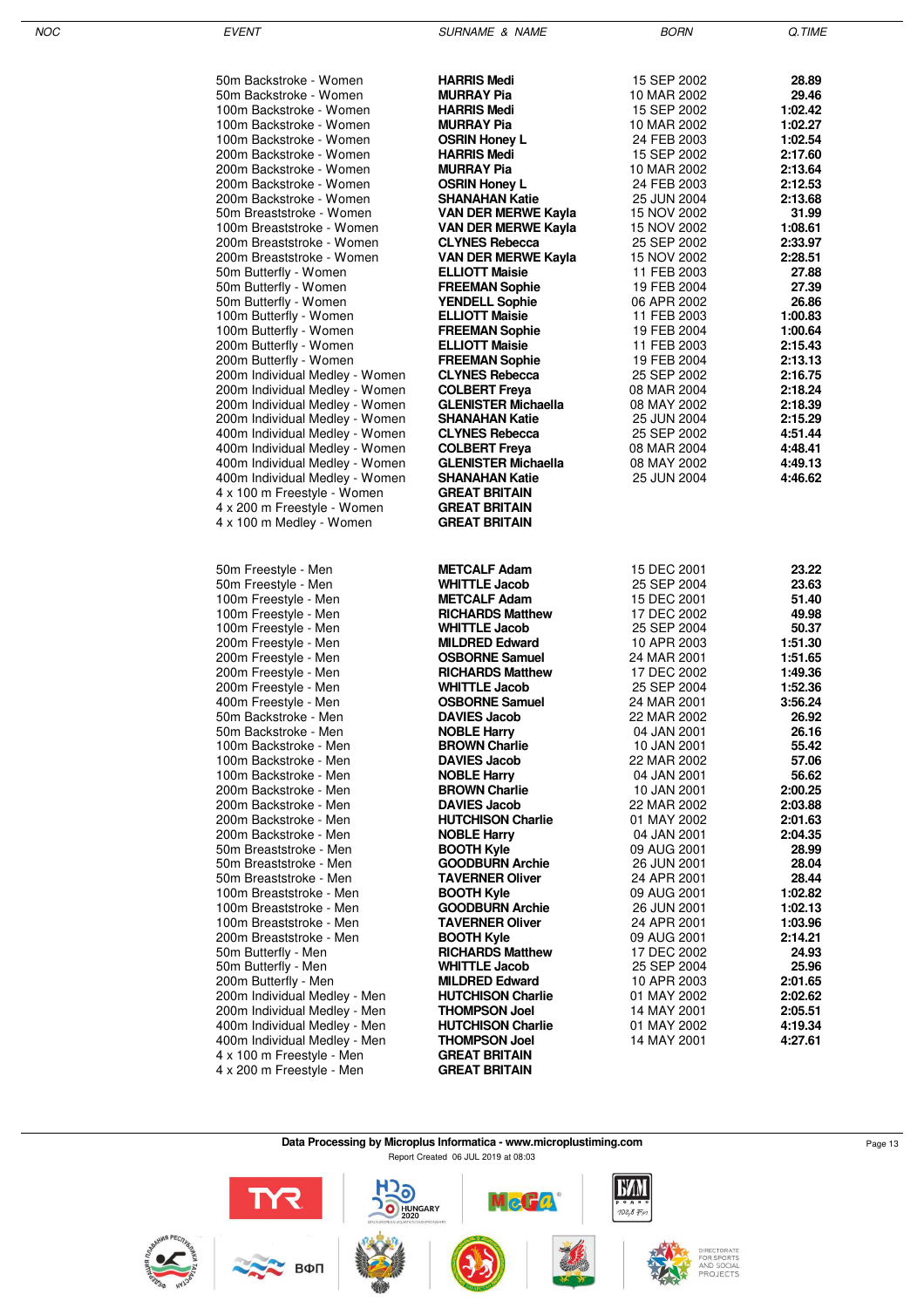| 50m Backstroke - Women                                  | <b>HARRIS Medi</b>                                | 15 SEP 2002                | 28.89              |
|---------------------------------------------------------|---------------------------------------------------|----------------------------|--------------------|
| 50m Backstroke - Women                                  | <b>MURRAY Pia</b>                                 | 10 MAR 2002                | 29.46              |
| 100m Backstroke - Women                                 | <b>HARRIS Medi</b>                                | 15 SEP 2002                | 1:02.42            |
| 100m Backstroke - Women                                 | <b>MURRAY Pia</b>                                 | 10 MAR 2002                | 1:02.27            |
| 100m Backstroke - Women                                 | <b>OSRIN Honey L</b>                              | 24 FEB 2003                | 1:02.54            |
| 200m Backstroke - Women                                 | <b>HARRIS Medi</b>                                | 15 SEP 2002                | 2:17.60            |
| 200m Backstroke - Women<br>200m Backstroke - Women      | <b>MURRAY Pia</b><br><b>OSRIN Honey L</b>         | 10 MAR 2002<br>24 FEB 2003 | 2:13.64<br>2:12.53 |
| 200m Backstroke - Women                                 | <b>SHANAHAN Katie</b>                             | 25 JUN 2004                | 2:13.68            |
| 50m Breaststroke - Women                                | VAN DER MERWE Kayla                               | 15 NOV 2002                | 31.99              |
| 100m Breaststroke - Women                               | VAN DER MERWE Kayla                               | 15 NOV 2002                | 1:08.61            |
| 200m Breaststroke - Women                               | <b>CLYNES Rebecca</b>                             | 25 SEP 2002                | 2:33.97            |
| 200m Breaststroke - Women                               | VAN DER MERWE Kayla                               | 15 NOV 2002                | 2:28.51            |
| 50m Butterfly - Women                                   | <b>ELLIOTT Maisie</b>                             | 11 FEB 2003                | 27.88              |
| 50m Butterfly - Women                                   | <b>FREEMAN Sophie</b>                             | 19 FEB 2004                | 27.39              |
| 50m Butterfly - Women                                   | <b>YENDELL Sophie</b>                             | 06 APR 2002                | 26.86              |
| 100m Butterfly - Women                                  | <b>ELLIOTT Maisie</b>                             | 11 FEB 2003                | 1:00.83            |
| 100m Butterfly - Women                                  | <b>FREEMAN Sophie</b>                             | 19 FEB 2004                | 1:00.64<br>2:15.43 |
| 200m Butterfly - Women<br>200m Butterfly - Women        | <b>ELLIOTT Maisie</b><br><b>FREEMAN Sophie</b>    | 11 FEB 2003<br>19 FEB 2004 | 2:13.13            |
| 200m Individual Medley - Women                          | <b>CLYNES Rebecca</b>                             | 25 SEP 2002                | 2:16.75            |
| 200m Individual Medley - Women                          | <b>COLBERT Freya</b>                              | 08 MAR 2004                | 2:18.24            |
| 200m Individual Medley - Women                          | <b>GLENISTER Michaella</b>                        | 08 MAY 2002                | 2:18.39            |
| 200m Individual Medley - Women                          | <b>SHANAHAN Katie</b>                             | 25 JUN 2004                | 2:15.29            |
| 400m Individual Medley - Women                          | <b>CLYNES Rebecca</b>                             | 25 SEP 2002                | 4:51.44            |
| 400m Individual Medley - Women                          | <b>COLBERT Freya</b>                              | 08 MAR 2004                | 4:48.41            |
| 400m Individual Medley - Women                          | GLENISTER Michaella                               | 08 MAY 2002                | 4:49.13            |
| 400m Individual Medley - Women                          | <b>SHANAHAN Katie</b>                             | 25 JUN 2004                | 4:46.62            |
| 4 x 100 m Freestyle - Women                             | <b>GREAT BRITAIN</b><br><b>GREAT BRITAIN</b>      |                            |                    |
| 4 x 200 m Freestyle - Women<br>4 x 100 m Medley - Women | <b>GREAT BRITAIN</b>                              |                            |                    |
|                                                         |                                                   |                            |                    |
|                                                         |                                                   |                            |                    |
| 50m Freestyle - Men                                     | <b>METCALF Adam</b>                               | 15 DEC 2001                | 23.22              |
| 50m Freestyle - Men                                     | <b>WHITTLE Jacob</b>                              | 25 SEP 2004                | 23.63              |
| 100m Freestyle - Men                                    | <b>METCALF Adam</b>                               | 15 DEC 2001                | 51.40              |
| 100m Freestyle - Men                                    | <b>RICHARDS Matthew</b>                           | 17 DEC 2002                | 49.98              |
| 100m Freestyle - Men                                    | <b>WHITTLE Jacob</b>                              | 25 SEP 2004                | 50.37              |
| 200m Freestyle - Men<br>200m Freestyle - Men            | <b>MILDRED Edward</b><br><b>OSBORNE Samuel</b>    | 10 APR 2003<br>24 MAR 2001 | 1:51.30<br>1:51.65 |
| 200m Freestyle - Men                                    | <b>RICHARDS Matthew</b>                           | 17 DEC 2002                | 1:49.36            |
| 200m Freestyle - Men                                    | <b>WHITTLE Jacob</b>                              | 25 SEP 2004                | 1:52.36            |
| 400m Freestyle - Men                                    | <b>OSBORNE Samuel</b>                             | 24 MAR 2001                | 3:56.24            |
| 50m Backstroke - Men                                    | <b>DAVIES Jacob</b>                               | 22 MAR 2002                | 26.92              |
| 50m Backstroke - Men                                    | <b>NOBLE Harry</b>                                | 04 JAN 2001                | 26.16              |
| 100m Backstroke - Men                                   | <b>BROWN Charlie</b>                              | 10 JAN 2001                | 55.42              |
| 100m Backstroke - Men                                   | <b>DAVIES Jacob</b>                               | 22 MAR 2002                | 57.06              |
| 100m Backstroke - Men                                   | <b>NOBLE Harry</b>                                | 04 JAN 2001                | 56.62              |
| 200m Backstroke - Men<br>200m Backstroke - Men          | <b>BROWN Charlie</b>                              | 10 JAN 2001                | 2:00.25            |
| 200m Backstroke - Men                                   | <b>DAVIES Jacob</b><br><b>HUTCHISON Charlie</b>   | 22 MAR 2002<br>01 MAY 2002 | 2:03.88<br>2:01.63 |
| 200m Backstroke - Men                                   | <b>NOBLE Harry</b>                                | 04 JAN 2001                | 2:04.35            |
| 50m Breaststroke - Men                                  | <b>BOOTH Kyle</b>                                 | 09 AUG 2001                | 28.99              |
| 50m Breaststroke - Men                                  | <b>GOODBURN Archie</b>                            | 26 JUN 2001                | 28.04              |
| 50m Breaststroke - Men                                  | <b>TAVERNER Oliver</b>                            | 24 APR 2001                | 28.44              |
| 100m Breaststroke - Men                                 | <b>BOOTH Kyle</b>                                 | 09 AUG 2001                | 1:02.82            |
| 100m Breaststroke - Men                                 | <b>GOODBURN Archie</b>                            | 26 JUN 2001                | 1:02.13            |
| 100m Breaststroke - Men                                 | <b>TAVERNER Oliver</b>                            | 24 APR 2001                | 1:03.96            |
| 200m Breaststroke - Men                                 | <b>BOOTH Kyle</b>                                 | 09 AUG 2001                | 2:14.21            |
| 50m Butterfly - Men                                     | <b>RICHARDS Matthew</b>                           | 17 DEC 2002                | 24.93              |
| 50m Butterfly - Men                                     | <b>WHITTLE Jacob</b>                              | 25 SEP 2004                | 25.96              |
| 200m Butterfly - Men<br>200m Individual Medley - Men    | <b>MILDRED Edward</b><br><b>HUTCHISON Charlie</b> | 10 APR 2003<br>01 MAY 2002 | 2:01.65<br>2:02.62 |
| 200m Individual Medley - Men                            | <b>THOMPSON Joel</b>                              | 14 MAY 2001                | 2:05.51            |
| 400m Individual Medley - Men                            | <b>HUTCHISON Charlie</b>                          | 01 MAY 2002                | 4:19.34            |
| 400m Individual Medley - Men                            | <b>THOMPSON Joel</b>                              | 14 MAY 2001                | 4:27.61            |
| 4 x 100 m Freestyle - Men                               | <b>GREAT BRITAIN</b>                              |                            |                    |

**Data Processing by Microplus Informatica - www.microplustiming.com** Page 13 Report Created 06 JUL 2019 at 08:03

4 x 200 m Freestyle - Men **GREAT BRITAIN**

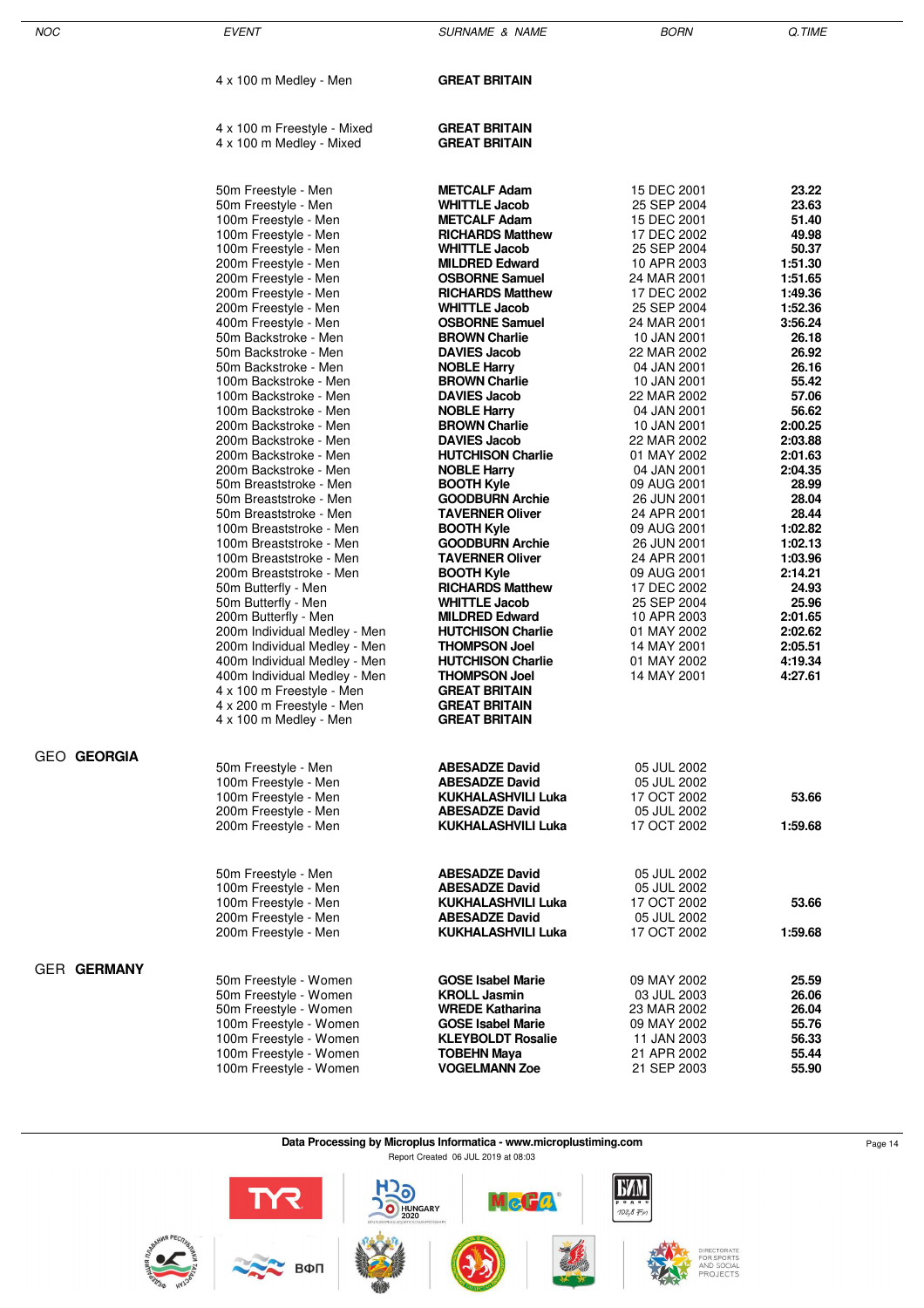| <b>NOC</b> |                    | <b>EVENT</b>                                                                                                                                                                                                                                                                                                                                                                                                                                                                                                                                                                                                                                                                                                                                                                                                                                                                                                                                                                          | <b>SURNAME &amp; NAME</b>                                                                                                                                                                                                                                                                                                                                                                                                                                                                                                                                                                                                                                                                                                                                                                                                                                                                                                         | <b>BORN</b>                                                                                                                                                                                                                                                                                                                                                                                                                                                                                                                | Q.TIME                                                                                                                                                                                                                                                                                                                                             |
|------------|--------------------|---------------------------------------------------------------------------------------------------------------------------------------------------------------------------------------------------------------------------------------------------------------------------------------------------------------------------------------------------------------------------------------------------------------------------------------------------------------------------------------------------------------------------------------------------------------------------------------------------------------------------------------------------------------------------------------------------------------------------------------------------------------------------------------------------------------------------------------------------------------------------------------------------------------------------------------------------------------------------------------|-----------------------------------------------------------------------------------------------------------------------------------------------------------------------------------------------------------------------------------------------------------------------------------------------------------------------------------------------------------------------------------------------------------------------------------------------------------------------------------------------------------------------------------------------------------------------------------------------------------------------------------------------------------------------------------------------------------------------------------------------------------------------------------------------------------------------------------------------------------------------------------------------------------------------------------|----------------------------------------------------------------------------------------------------------------------------------------------------------------------------------------------------------------------------------------------------------------------------------------------------------------------------------------------------------------------------------------------------------------------------------------------------------------------------------------------------------------------------|----------------------------------------------------------------------------------------------------------------------------------------------------------------------------------------------------------------------------------------------------------------------------------------------------------------------------------------------------|
|            |                    | 4 x 100 m Medley - Men                                                                                                                                                                                                                                                                                                                                                                                                                                                                                                                                                                                                                                                                                                                                                                                                                                                                                                                                                                | <b>GREAT BRITAIN</b>                                                                                                                                                                                                                                                                                                                                                                                                                                                                                                                                                                                                                                                                                                                                                                                                                                                                                                              |                                                                                                                                                                                                                                                                                                                                                                                                                                                                                                                            |                                                                                                                                                                                                                                                                                                                                                    |
|            |                    | 4 x 100 m Freestyle - Mixed<br>4 x 100 m Medley - Mixed                                                                                                                                                                                                                                                                                                                                                                                                                                                                                                                                                                                                                                                                                                                                                                                                                                                                                                                               | <b>GREAT BRITAIN</b><br><b>GREAT BRITAIN</b>                                                                                                                                                                                                                                                                                                                                                                                                                                                                                                                                                                                                                                                                                                                                                                                                                                                                                      |                                                                                                                                                                                                                                                                                                                                                                                                                                                                                                                            |                                                                                                                                                                                                                                                                                                                                                    |
|            |                    | 50m Freestyle - Men<br>50m Freestyle - Men<br>100m Freestyle - Men<br>100m Freestyle - Men<br>100m Freestyle - Men<br>200m Freestyle - Men<br>200m Freestyle - Men<br>200m Freestyle - Men<br>200m Freestyle - Men<br>400m Freestyle - Men<br>50m Backstroke - Men<br>50m Backstroke - Men<br>50m Backstroke - Men<br>100m Backstroke - Men<br>100m Backstroke - Men<br>100m Backstroke - Men<br>200m Backstroke - Men<br>200m Backstroke - Men<br>200m Backstroke - Men<br>200m Backstroke - Men<br>50m Breaststroke - Men<br>50m Breaststroke - Men<br>50m Breaststroke - Men<br>100m Breaststroke - Men<br>100m Breaststroke - Men<br>100m Breaststroke - Men<br>200m Breaststroke - Men<br>50m Butterfly - Men<br>50m Butterfly - Men<br>200m Butterfly - Men<br>200m Individual Medley - Men<br>200m Individual Medley - Men<br>400m Individual Medley - Men<br>400m Individual Medley - Men<br>4 x 100 m Freestyle - Men<br>4 x 200 m Freestyle - Men<br>4 x 100 m Medley - Men | <b>METCALF Adam</b><br><b>WHITTLE Jacob</b><br><b>METCALF Adam</b><br><b>RICHARDS Matthew</b><br><b>WHITTLE Jacob</b><br><b>MILDRED Edward</b><br><b>OSBORNE Samuel</b><br><b>RICHARDS Matthew</b><br><b>WHITTLE Jacob</b><br><b>OSBORNE Samuel</b><br><b>BROWN Charlie</b><br><b>DAVIES Jacob</b><br><b>NOBLE Harry</b><br><b>BROWN Charlie</b><br><b>DAVIES Jacob</b><br><b>NOBLE Harry</b><br><b>BROWN Charlie</b><br><b>DAVIES Jacob</b><br><b>HUTCHISON Charlie</b><br><b>NOBLE Harry</b><br><b>BOOTH Kyle</b><br><b>GOODBURN Archie</b><br><b>TAVERNER Oliver</b><br><b>BOOTH Kyle</b><br><b>GOODBURN Archie</b><br><b>TAVERNER Oliver</b><br><b>BOOTH Kyle</b><br><b>RICHARDS Matthew</b><br><b>WHITTLE Jacob</b><br><b>MILDRED Edward</b><br><b>HUTCHISON Charlie</b><br><b>THOMPSON Joel</b><br><b>HUTCHISON Charlie</b><br><b>THOMPSON Joel</b><br><b>GREAT BRITAIN</b><br><b>GREAT BRITAIN</b><br><b>GREAT BRITAIN</b> | 15 DEC 2001<br>25 SEP 2004<br>15 DEC 2001<br>17 DEC 2002<br>25 SEP 2004<br>10 APR 2003<br>24 MAR 2001<br>17 DEC 2002<br>25 SEP 2004<br>24 MAR 2001<br>10 JAN 2001<br>22 MAR 2002<br>04 JAN 2001<br>10 JAN 2001<br>22 MAR 2002<br>04 JAN 2001<br>10 JAN 2001<br>22 MAR 2002<br>01 MAY 2002<br>04 JAN 2001<br>09 AUG 2001<br>26 JUN 2001<br>24 APR 2001<br>09 AUG 2001<br>26 JUN 2001<br>24 APR 2001<br>09 AUG 2001<br>17 DEC 2002<br>25 SEP 2004<br>10 APR 2003<br>01 MAY 2002<br>14 MAY 2001<br>01 MAY 2002<br>14 MAY 2001 | 23.22<br>23.63<br>51.40<br>49.98<br>50.37<br>1:51.30<br>1:51.65<br>1:49.36<br>1:52.36<br>3:56.24<br>26.18<br>26.92<br>26.16<br>55.42<br>57.06<br>56.62<br>2:00.25<br>2:03.88<br>2:01.63<br>2:04.35<br>28.99<br>28.04<br>28.44<br>1:02.82<br>1:02.13<br>1:03.96<br>2:14.21<br>24.93<br>25.96<br>2:01.65<br>2:02.62<br>2:05.51<br>4:19.34<br>4:27.61 |
|            | <b>GEO GEORGIA</b> | 50m Freestyle - Men<br>100m Freestyle - Men<br>100m Freestyle - Men<br>200m Freestyle - Men<br>200m Freestyle - Men                                                                                                                                                                                                                                                                                                                                                                                                                                                                                                                                                                                                                                                                                                                                                                                                                                                                   | <b>ABESADZE David</b><br><b>ABESADZE David</b><br>KUKHALASHVILI Luka<br><b>ABESADZE David</b><br><b>KUKHALASHVILI Luka</b>                                                                                                                                                                                                                                                                                                                                                                                                                                                                                                                                                                                                                                                                                                                                                                                                        | 05 JUL 2002<br>05 JUL 2002<br>17 OCT 2002<br>05 JUL 2002<br>17 OCT 2002                                                                                                                                                                                                                                                                                                                                                                                                                                                    | 53.66<br>1:59.68                                                                                                                                                                                                                                                                                                                                   |
|            |                    | 50m Freestyle - Men<br>100m Freestyle - Men<br>100m Freestyle - Men<br>200m Freestyle - Men<br>200m Freestyle - Men                                                                                                                                                                                                                                                                                                                                                                                                                                                                                                                                                                                                                                                                                                                                                                                                                                                                   | <b>ABESADZE David</b><br><b>ABESADZE David</b><br><b>KUKHALASHVILI Luka</b><br><b>ABESADZE David</b><br>KUKHALASHVILI Luka                                                                                                                                                                                                                                                                                                                                                                                                                                                                                                                                                                                                                                                                                                                                                                                                        | 05 JUL 2002<br>05 JUL 2002<br>17 OCT 2002<br>05 JUL 2002<br>17 OCT 2002                                                                                                                                                                                                                                                                                                                                                                                                                                                    | 53.66<br>1:59.68                                                                                                                                                                                                                                                                                                                                   |
|            | <b>GER GERMANY</b> | 50m Freestyle - Women<br>50m Freestyle - Women<br>50m Freestyle - Women<br>100m Freestyle - Women<br>100m Freestyle - Women<br>100m Freestyle - Women<br>100m Freestyle - Women                                                                                                                                                                                                                                                                                                                                                                                                                                                                                                                                                                                                                                                                                                                                                                                                       | <b>GOSE Isabel Marie</b><br><b>KROLL Jasmin</b><br><b>WREDE Katharina</b><br><b>GOSE Isabel Marie</b><br><b>KLEYBOLDT Rosalie</b><br><b>TOBEHN Maya</b><br><b>VOGELMANN Zoe</b>                                                                                                                                                                                                                                                                                                                                                                                                                                                                                                                                                                                                                                                                                                                                                   | 09 MAY 2002<br>03 JUL 2003<br>23 MAR 2002<br>09 MAY 2002<br>11 JAN 2003<br>21 APR 2002<br>21 SEP 2003                                                                                                                                                                                                                                                                                                                                                                                                                      | 25.59<br>26.06<br>26.04<br>55.76<br>56.33<br>55.44<br>55.90                                                                                                                                                                                                                                                                                        |

÷

Data Processing by Microplus Informatica - www.microplustiming.com<br>
Page 14

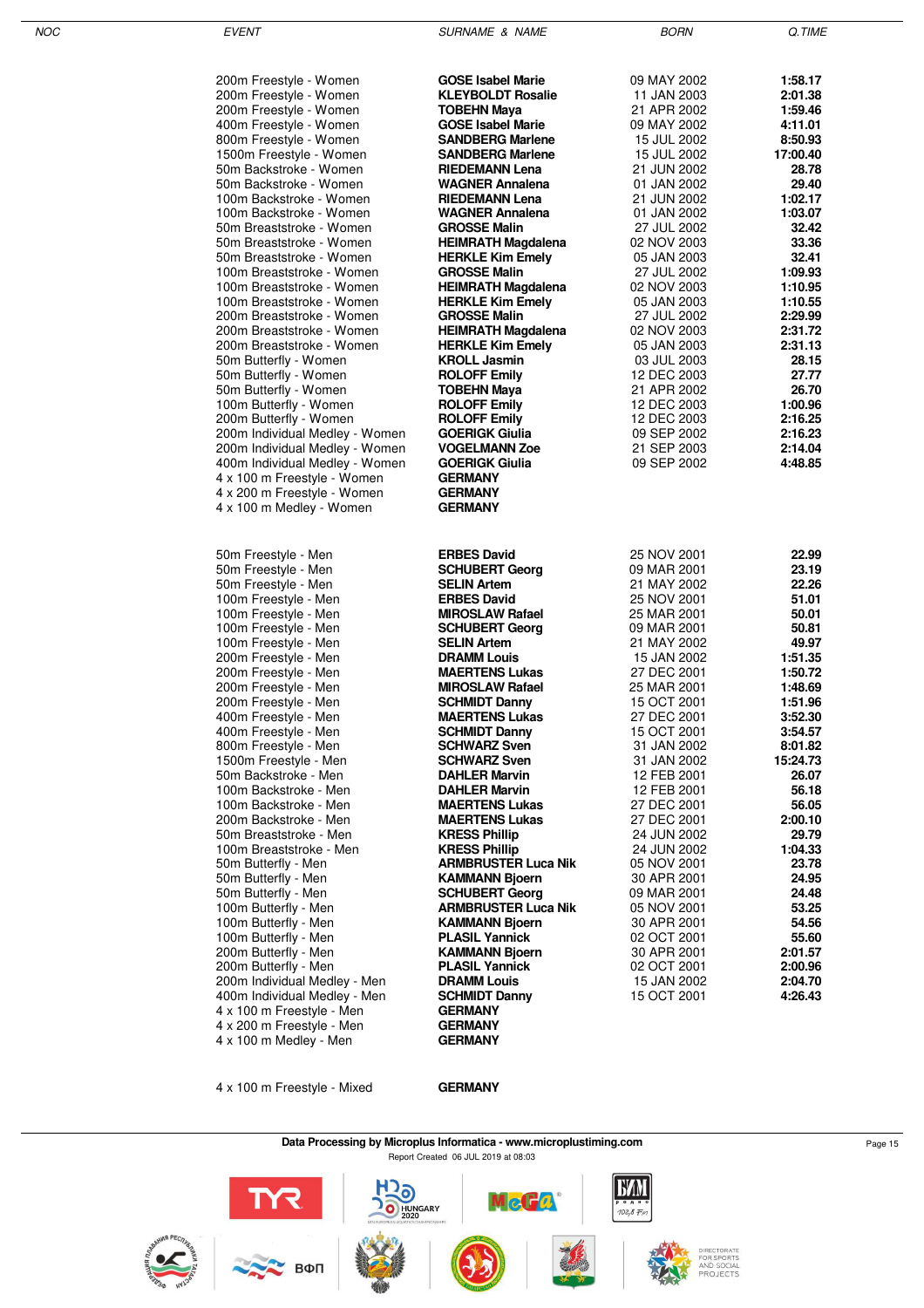| 200m Freestyle - Women                                        | <b>GOSE Isabel Marie</b>                             | 09 MAY 2002                | 1:58.17            |
|---------------------------------------------------------------|------------------------------------------------------|----------------------------|--------------------|
| 200m Freestyle - Women                                        | <b>KLEYBOLDT Rosalie</b>                             | 11 JAN 2003                | 2:01.38            |
| 200m Freestyle - Women                                        | TOBEHN Maya                                          | 21 APR 2002                | 1:59.46            |
| 400m Freestyle - Women                                        | <b>GOSE Isabel Marie</b>                             | 09 MAY 2002                | 4:11.01            |
| 800m Freestyle - Women                                        | <b>SANDBERG Marlene</b>                              | 15 JUL 2002                | 8:50.93            |
| 1500m Freestyle - Women                                       | <b>SANDBERG Marlene</b>                              | 15 JUL 2002                | 17:00.40           |
| 50m Backstroke - Women                                        | <b>RIEDEMANN Lena</b>                                | 21 JUN 2002                | 28.78              |
| 50m Backstroke - Women                                        | <b>WAGNER Annalena</b>                               | 01 JAN 2002                | 29.40              |
| 100m Backstroke - Women                                       | <b>RIEDEMANN Lena</b>                                | 21 JUN 2002                | 1:02.17            |
| 100m Backstroke - Women                                       | <b>WAGNER Annalena</b>                               | 01 JAN 2002                | 1:03.07            |
| 50m Breaststroke - Women                                      | <b>GROSSE Malin</b>                                  | 27 JUL 2002                | 32.42              |
| 50m Breaststroke - Women<br>50m Breaststroke - Women          | <b>HEIMRATH Magdalena</b><br><b>HERKLE Kim Emely</b> | 02 NOV 2003                | 33.36<br>32.41     |
| 100m Breaststroke - Women                                     | <b>GROSSE Malin</b>                                  | 05 JAN 2003<br>27 JUL 2002 | 1:09.93            |
| 100m Breaststroke - Women                                     | <b>HEIMRATH Magdalena</b>                            | 02 NOV 2003                | 1:10.95            |
| 100m Breaststroke - Women                                     | <b>HERKLE Kim Emely</b>                              | 05 JAN 2003                | 1:10.55            |
| 200m Breaststroke - Women                                     | <b>GROSSE Malin</b>                                  | 27 JUL 2002                | 2:29.99            |
| 200m Breaststroke - Women                                     | <b>HEIMRATH Magdalena</b>                            | 02 NOV 2003                | 2:31.72            |
| 200m Breaststroke - Women                                     | <b>HERKLE Kim Emely</b>                              | 05 JAN 2003                | 2:31.13            |
| 50m Butterfly - Women                                         | <b>KROLL Jasmin</b>                                  | 03 JUL 2003                | 28.15              |
| 50m Butterfly - Women                                         | <b>ROLOFF Emily</b>                                  | 12 DEC 2003                | 27.77              |
| 50m Butterfly - Women                                         | TOBEHN Maya                                          | 21 APR 2002                | 26.70              |
| 100m Butterfly - Women                                        | <b>ROLOFF Emily</b>                                  | 12 DEC 2003                | 1:00.96            |
| 200m Butterfly - Women                                        | <b>ROLOFF Emily</b>                                  | 12 DEC 2003                | 2:16.25            |
| 200m Individual Medley - Women                                | <b>GOERIGK Giulia</b>                                | 09 SEP 2002                | 2:16.23            |
| 200m Individual Medley - Women                                | <b>VOGELMANN Zoe</b>                                 | 21 SEP 2003                | 2:14.04            |
| 400m Individual Medley - Women<br>4 x 100 m Freestyle - Women | <b>GOERIGK Giulia</b><br><b>GERMANY</b>              | 09 SEP 2002                | 4:48.85            |
| 4 x 200 m Freestyle - Women                                   | <b>GERMANY</b>                                       |                            |                    |
| 4 x 100 m Medley - Women                                      | <b>GERMANY</b>                                       |                            |                    |
|                                                               |                                                      |                            |                    |
|                                                               |                                                      |                            |                    |
| 50m Freestyle - Men                                           | <b>ERBES David</b>                                   | 25 NOV 2001                | 22.99              |
| 50m Freestyle - Men                                           | <b>SCHUBERT Georg</b>                                | 09 MAR 2001                | 23.19              |
| 50m Freestyle - Men                                           | <b>SELIN Artem</b>                                   | 21 MAY 2002                | 22.26              |
| 100m Freestyle - Men                                          | <b>ERBES David</b>                                   | 25 NOV 2001                | 51.01              |
| 100m Freestyle - Men                                          | <b>MIROSLAW Rafael</b>                               | 25 MAR 2001                | 50.01              |
| 100m Freestyle - Men                                          | <b>SCHUBERT Georg</b>                                | 09 MAR 2001                | 50.81              |
| 100m Freestyle - Men                                          | <b>SELIN Artem</b>                                   | 21 MAY 2002                | 49.97              |
| 200m Freestyle - Men                                          | <b>DRAMM Louis</b>                                   | 15 JAN 2002                | 1:51.35            |
| 200m Freestyle - Men                                          | <b>MAERTENS Lukas</b>                                | 27 DEC 2001                | 1:50.72            |
| 200m Freestyle - Men<br>200m Freestyle - Men                  | <b>MIROSLAW Rafael</b><br><b>SCHMIDT Danny</b>       | 25 MAR 2001<br>15 OCT 2001 | 1:48.69<br>1:51.96 |
| 400m Freestyle - Men                                          | <b>MAERTENS Lukas</b>                                | 27 DEC 2001                | 3:52.30            |
| 400m Freestyle - Men                                          | <b>SCHMIDT Danny</b>                                 | 15 OCT 2001                | 3:54.57            |
| 800m Freestyle - Men                                          | <b>SCHWARZ Sven</b>                                  | 31 JAN 2002                | 8:01.82            |
| 1500m Freestyle - Men                                         | <b>SCHWARZ Sven</b>                                  | 31 JAN 2002                | 15:24.73           |
| 50m Backstroke - Men                                          | <b>DAHLER Marvin</b>                                 | 12 FEB 2001                | 26.07              |
| 100m Backstroke - Men                                         | <b>DAHLER Marvin</b>                                 | 12 FEB 2001                | 56.18              |
| 100m Backstroke - Men                                         | <b>MAERTENS Lukas</b>                                | 27 DEC 2001                | 56.05              |
| 200m Backstroke - Men                                         | <b>MAERTENS Lukas</b>                                | 27 DEC 2001                | 2:00.10            |
| 50m Breaststroke - Men                                        | <b>KRESS Phillip</b>                                 | 24 JUN 2002                | 29.79              |
| 100m Breaststroke - Men                                       | <b>KRESS Phillip</b>                                 | 24 JUN 2002                | 1:04.33            |
| 50m Butterfly - Men                                           | <b>ARMBRUSTER Luca Nik</b>                           | 05 NOV 2001                | 23.78              |
| 50m Butterfly - Men<br>50m Butterfly - Men                    | <b>KAMMANN Bjoern</b><br><b>SCHUBERT Georg</b>       | 30 APR 2001<br>09 MAR 2001 | 24.95<br>24.48     |
| 100m Butterfly - Men                                          | <b>ARMBRUSTER Luca Nik</b>                           | 05 NOV 2001                | 53.25              |
| 100m Butterfly - Men                                          | <b>KAMMANN Bjoern</b>                                | 30 APR 2001                | 54.56              |
| 100m Butterfly - Men                                          | <b>PLASIL Yannick</b>                                | 02 OCT 2001                | 55.60              |
| 200m Butterfly - Men                                          | <b>KAMMANN Bjoern</b>                                | 30 APR 2001                | 2:01.57            |
| 200m Butterfly - Men                                          | <b>PLASIL Yannick</b>                                | 02 OCT 2001                | 2:00.96            |
| 200m Individual Medley - Men                                  | <b>DRAMM Louis</b>                                   | 15 JAN 2002                | 2:04.70            |
| 400m Individual Medley - Men                                  | <b>SCHMIDT Danny</b>                                 | 15 OCT 2001                | 4:26.43            |
| 4 x 100 m Freestyle - Men                                     | <b>GERMANY</b>                                       |                            |                    |
| 4 x 200 m Freestyle - Men                                     | <b>GERMANY</b>                                       |                            |                    |
| 4 x 100 m Medley - Men                                        | GERMANY                                              |                            |                    |

4 x 100 m Freestyle - Mixed **GERMANY**



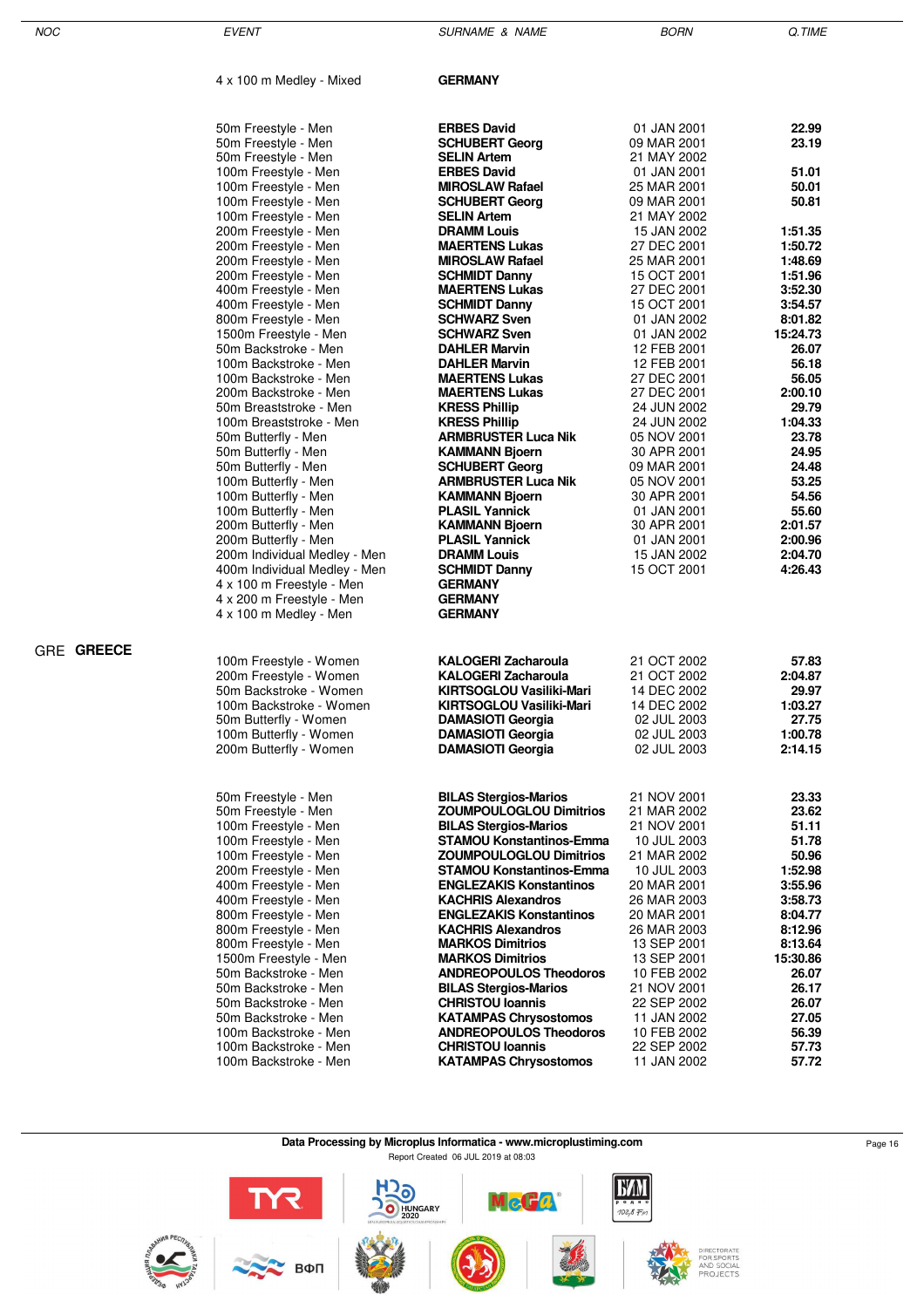| NOC               | <b>EVENT</b>                                                 | <b>SURNAME &amp; NAME</b>                                     | <b>BORN</b>                | Q.TIME              |
|-------------------|--------------------------------------------------------------|---------------------------------------------------------------|----------------------------|---------------------|
|                   | 4 x 100 m Medley - Mixed                                     | <b>GERMANY</b>                                                |                            |                     |
|                   | 50m Freestyle - Men                                          | <b>ERBES David</b>                                            | 01 JAN 2001                | 22.99               |
|                   | 50m Freestyle - Men                                          | <b>SCHUBERT Georg</b>                                         | 09 MAR 2001                | 23.19               |
|                   | 50m Freestyle - Men                                          | <b>SELIN Artem</b>                                            | 21 MAY 2002                |                     |
|                   | 100m Freestyle - Men                                         | <b>ERBES David</b>                                            | 01 JAN 2001                | 51.01               |
|                   | 100m Freestyle - Men                                         | <b>MIROSLAW Rafael</b>                                        | 25 MAR 2001                | 50.01               |
|                   | 100m Freestyle - Men<br>100m Freestyle - Men                 | <b>SCHUBERT Georg</b><br><b>SELIN Artem</b>                   | 09 MAR 2001<br>21 MAY 2002 | 50.81               |
|                   | 200m Freestyle - Men                                         | <b>DRAMM Louis</b>                                            | 15 JAN 2002                | 1:51.35             |
|                   | 200m Freestyle - Men                                         | <b>MAERTENS Lukas</b>                                         | 27 DEC 2001                | 1:50.72             |
|                   | 200m Freestyle - Men                                         | <b>MIROSLAW Rafael</b>                                        | 25 MAR 2001                | 1:48.69             |
|                   | 200m Freestyle - Men                                         | <b>SCHMIDT Danny</b>                                          | 15 OCT 2001                | 1:51.96             |
|                   | 400m Freestyle - Men                                         | <b>MAERTENS Lukas</b>                                         | 27 DEC 2001                | 3:52.30             |
|                   | 400m Freestyle - Men                                         | <b>SCHMIDT Danny</b>                                          | 15 OCT 2001                | 3:54.57             |
|                   | 800m Freestyle - Men<br>1500m Freestyle - Men                | <b>SCHWARZ Sven</b><br><b>SCHWARZ Sven</b>                    | 01 JAN 2002<br>01 JAN 2002 | 8:01.82<br>15:24.73 |
|                   | 50m Backstroke - Men                                         | <b>DAHLER Marvin</b>                                          | 12 FEB 2001                | 26.07               |
|                   | 100m Backstroke - Men                                        | <b>DAHLER Marvin</b>                                          | 12 FEB 2001                | 56.18               |
|                   | 100m Backstroke - Men                                        | <b>MAERTENS Lukas</b>                                         | 27 DEC 2001                | 56.05               |
|                   | 200m Backstroke - Men                                        | <b>MAERTENS Lukas</b>                                         | 27 DEC 2001                | 2:00.10             |
|                   | 50m Breaststroke - Men                                       | <b>KRESS Phillip</b>                                          | 24 JUN 2002                | 29.79               |
|                   | 100m Breaststroke - Men                                      | <b>KRESS Phillip</b><br><b>ARMBRUSTER Luca Nik</b>            | 24 JUN 2002                | 1:04.33<br>23.78    |
|                   | 50m Butterfly - Men<br>50m Butterfly - Men                   | <b>KAMMANN Bjoern</b>                                         | 05 NOV 2001<br>30 APR 2001 | 24.95               |
|                   | 50m Butterfly - Men                                          | <b>SCHUBERT Georg</b>                                         | 09 MAR 2001                | 24.48               |
|                   | 100m Butterfly - Men                                         | <b>ARMBRUSTER Luca Nik</b>                                    | 05 NOV 2001                | 53.25               |
|                   | 100m Butterfly - Men                                         | <b>KAMMANN Bjoern</b>                                         | 30 APR 2001                | 54.56               |
|                   | 100m Butterfly - Men                                         | <b>PLASIL Yannick</b>                                         | 01 JAN 2001                | 55.60               |
|                   | 200m Butterfly - Men                                         | <b>KAMMANN Bjoern</b>                                         | 30 APR 2001                | 2:01.57             |
|                   | 200m Butterfly - Men                                         | <b>PLASIL Yannick</b><br><b>DRAMM Louis</b>                   | 01 JAN 2001<br>15 JAN 2002 | 2:00.96<br>2:04.70  |
|                   | 200m Individual Medley - Men<br>400m Individual Medley - Men | <b>SCHMIDT Danny</b>                                          | 15 OCT 2001                | 4:26.43             |
|                   | 4 x 100 m Freestyle - Men                                    | <b>GERMANY</b>                                                |                            |                     |
|                   | 4 x 200 m Freestyle - Men                                    | <b>GERMANY</b>                                                |                            |                     |
|                   | 4 x 100 m Medley - Men                                       | <b>GERMANY</b>                                                |                            |                     |
| <b>GRE GREECE</b> |                                                              |                                                               |                            |                     |
|                   | 100m Freestyle - Women                                       | <b>KALOGERI Zacharoula</b>                                    | 21 OCT 2002                | 57.83               |
|                   | 200m Freestyle - Women                                       | <b>KALOGERI Zacharoula</b>                                    | 21 OCT 2002                | 2:04.87             |
|                   | 50m Backstroke - Women                                       | <b>KIRTSOGLOU Vasiliki-Mari</b>                               | 14 DEC 2002                | 29.97               |
|                   | 100m Backstroke - Women                                      | KIRTSOGLOU Vasiliki-Mari                                      | 14 DEC 2002                | 1:03.27             |
|                   | 50m Butterfly - Women<br>100m Butterfly - Women              | <b>DAMASIOTI Georgia</b><br><b>DAMASIOTI Georgia</b>          | 02 JUL 2003<br>02 JUL 2003 | 27.75<br>1:00.78    |
|                   | 200m Butterfly - Women                                       | <b>DAMASIOTI Georgia</b>                                      | 02 JUL 2003                | 2:14.15             |
|                   |                                                              |                                                               |                            |                     |
|                   | 50m Freestyle - Men                                          | <b>BILAS Stergios-Marios</b>                                  | 21 NOV 2001                | 23.33               |
|                   | 50m Freestyle - Men                                          | <b>ZOUMPOULOGLOU Dimitrios</b>                                | 21 MAR 2002                | 23.62               |
|                   | 100m Freestyle - Men                                         | <b>BILAS Stergios-Marios</b>                                  | 21 NOV 2001                | 51.11               |
|                   | 100m Freestyle - Men                                         | <b>STAMOU Konstantinos-Emma</b>                               | 10 JUL 2003                | 51.78               |
|                   | 100m Freestyle - Men                                         | <b>ZOUMPOULOGLOU Dimitrios</b>                                | 21 MAR 2002                | 50.96               |
|                   | 200m Freestyle - Men                                         | <b>STAMOU Konstantinos-Emma</b>                               | 10 JUL 2003                | 1:52.98             |
|                   | 400m Freestyle - Men<br>400m Freestyle - Men                 | <b>ENGLEZAKIS Konstantinos</b><br><b>KACHRIS Alexandros</b>   | 20 MAR 2001                | 3:55.96<br>3:58.73  |
|                   | 800m Freestyle - Men                                         | <b>ENGLEZAKIS Konstantinos</b>                                | 26 MAR 2003<br>20 MAR 2001 | 8:04.77             |
|                   | 800m Freestyle - Men                                         | <b>KACHRIS Alexandros</b>                                     | 26 MAR 2003                | 8:12.96             |
|                   | 800m Freestyle - Men                                         | <b>MARKOS Dimitrios</b>                                       | 13 SEP 2001                | 8:13.64             |
|                   | 1500m Freestyle - Men                                        | <b>MARKOS Dimitrios</b>                                       | 13 SEP 2001                | 15:30.86            |
|                   | 50m Backstroke - Men                                         | <b>ANDREOPOULOS Theodoros</b>                                 | 10 FEB 2002                | 26.07               |
|                   | 50m Backstroke - Men                                         | <b>BILAS Stergios-Marios</b>                                  | 21 NOV 2001                | 26.17               |
|                   | 50m Backstroke - Men                                         | <b>CHRISTOU Ioannis</b>                                       | 22 SEP 2002                | 26.07<br>27.05      |
|                   | 50m Backstroke - Men<br>100m Backstroke - Men                | <b>KATAMPAS Chrysostomos</b><br><b>ANDREOPOULOS Theodoros</b> | 11 JAN 2002<br>10 FEB 2002 | 56.39               |
|                   | 100m Backstroke - Men                                        | <b>CHRISTOU Ioannis</b>                                       | 22 SEP 2002                | 57.73               |
|                   | 100m Backstroke - Men                                        | <b>KATAMPAS Chrysostomos</b>                                  | 11 JAN 2002                | 57.72               |

**Data Processing by Microplus Informatica - www.microplustiming.com** Page 16 Page 16 Report Created 06 JUL 2019 at 08:03

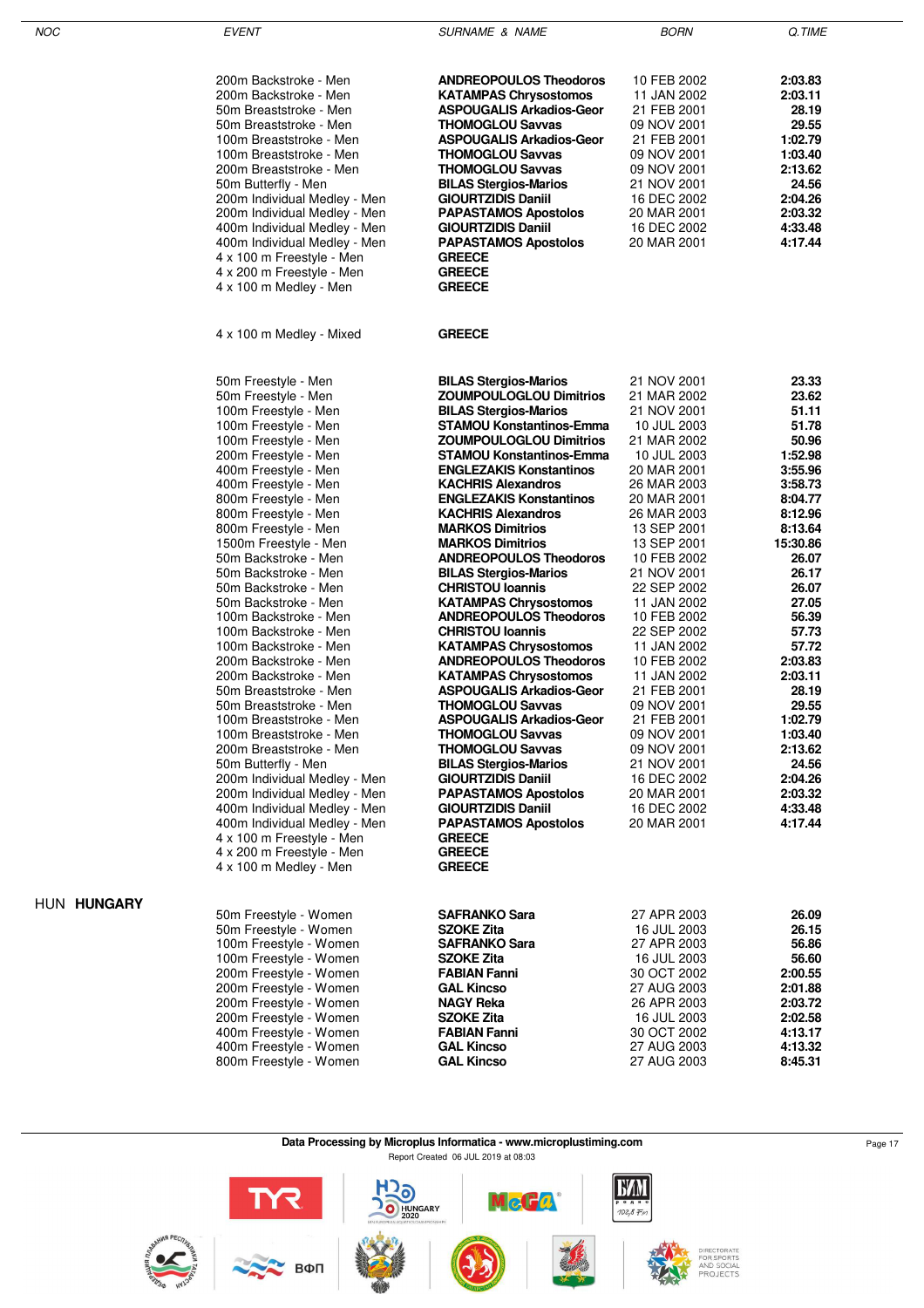| I<br>۰, |  |
|---------|--|

EVENT GUERNAME & NAME SURNAME & NAME BORN BORN Q.TIME

| 200m Backstroke - Men<br>200m Backstroke - Men<br>50m Breaststroke - Men<br>50m Breaststroke - Men<br>100m Breaststroke - Men<br>100m Breaststroke - Men<br>200m Breaststroke - Men<br>50m Butterfly - Men<br>200m Individual Medley - Men<br>200m Individual Medley - Men<br>400m Individual Medley - Men<br>400m Individual Medley - Men<br>4 x 100 m Freestyle - Men<br>4 x 200 m Freestyle - Men<br>4 x 100 m Medley - Men                                                                                                                                                                                                                                                                                                                                                                                                                                                                           | <b>ANDREOPOULOS Theodoros</b><br><b>KATAMPAS Chrysostomos</b><br>ASPOUGALIS Arkadios-Geor<br><b>THOMOGLOU Savvas</b><br>ASPOUGALIS Arkadios-Geor<br><b>THOMOGLOU Savvas</b><br><b>THOMOGLOU Savvas</b><br><b>BILAS Stergios-Marios</b><br><b>GIOURTZIDIS Daniil</b><br><b>PAPASTAMOS Apostolos</b><br><b>GIOURTZIDIS Daniil</b><br><b>PAPASTAMOS Apostolos</b><br><b>GREECE</b><br><b>GREECE</b><br><b>GREECE</b>                                                                                                                                                                                                                                                                                                                                                                                                                                                                                                                                                                                                                              | 10 FEB 2002<br>11 JAN 2002<br>21 FEB 2001<br>09 NOV 2001<br>21 FEB 2001<br>09 NOV 2001<br>09 NOV 2001<br>21 NOV 2001<br>16 DEC 2002<br>20 MAR 2001<br>16 DEC 2002<br>20 MAR 2001                                                                                                                                                                                                                                                                                              | 2:03.83<br>2:03.11<br>28.19<br>29.55<br>1:02.79<br>1:03.40<br>2:13.62<br>24.56<br>2:04.26<br>2:03.32<br>4:33.48<br>4:17.44                                                                                                                                                                                           |
|----------------------------------------------------------------------------------------------------------------------------------------------------------------------------------------------------------------------------------------------------------------------------------------------------------------------------------------------------------------------------------------------------------------------------------------------------------------------------------------------------------------------------------------------------------------------------------------------------------------------------------------------------------------------------------------------------------------------------------------------------------------------------------------------------------------------------------------------------------------------------------------------------------|------------------------------------------------------------------------------------------------------------------------------------------------------------------------------------------------------------------------------------------------------------------------------------------------------------------------------------------------------------------------------------------------------------------------------------------------------------------------------------------------------------------------------------------------------------------------------------------------------------------------------------------------------------------------------------------------------------------------------------------------------------------------------------------------------------------------------------------------------------------------------------------------------------------------------------------------------------------------------------------------------------------------------------------------|-------------------------------------------------------------------------------------------------------------------------------------------------------------------------------------------------------------------------------------------------------------------------------------------------------------------------------------------------------------------------------------------------------------------------------------------------------------------------------|----------------------------------------------------------------------------------------------------------------------------------------------------------------------------------------------------------------------------------------------------------------------------------------------------------------------|
| 4 x 100 m Medley - Mixed                                                                                                                                                                                                                                                                                                                                                                                                                                                                                                                                                                                                                                                                                                                                                                                                                                                                                 | <b>GREECE</b>                                                                                                                                                                                                                                                                                                                                                                                                                                                                                                                                                                                                                                                                                                                                                                                                                                                                                                                                                                                                                                  |                                                                                                                                                                                                                                                                                                                                                                                                                                                                               |                                                                                                                                                                                                                                                                                                                      |
| 50m Freestyle - Men<br>50m Freestyle - Men<br>100m Freestyle - Men<br>100m Freestyle - Men<br>100m Freestyle - Men<br>200m Freestyle - Men<br>400m Freestyle - Men<br>400m Freestyle - Men<br>800m Freestyle - Men<br>800m Freestyle - Men<br>800m Freestyle - Men<br>1500m Freestyle - Men<br>50m Backstroke - Men<br>50m Backstroke - Men<br>50m Backstroke - Men<br>50m Backstroke - Men<br>100m Backstroke - Men<br>100m Backstroke - Men<br>100m Backstroke - Men<br>200m Backstroke - Men<br>200m Backstroke - Men<br>50m Breaststroke - Men<br>50m Breaststroke - Men<br>100m Breaststroke - Men<br>100m Breaststroke - Men<br>200m Breaststroke - Men<br>50m Butterfly - Men<br>200m Individual Medley - Men<br>200m Individual Medley - Men<br>400m Individual Medley - Men<br>400m Individual Medley - Men<br>4 x 100 m Freestyle - Men<br>4 x 200 m Freestyle - Men<br>4 x 100 m Medley - Men | <b>BILAS Stergios-Marios</b><br><b>ZOUMPOULOGLOU Dimitrios</b><br><b>BILAS Stergios-Marios</b><br><b>STAMOU Konstantinos-Emma</b><br><b>ZOUMPOULOGLOU Dimitrios</b><br><b>STAMOU Konstantinos-Emma</b><br><b>ENGLEZAKIS Konstantinos</b><br><b>KACHRIS Alexandros</b><br><b>ENGLEZAKIS Konstantinos</b><br><b>KACHRIS Alexandros</b><br><b>MARKOS Dimitrios</b><br><b>MARKOS Dimitrios</b><br><b>ANDREOPOULOS Theodoros</b><br><b>BILAS Stergios-Marios</b><br><b>CHRISTOU Ioannis</b><br><b>KATAMPAS Chrysostomos</b><br><b>ANDREOPOULOS Theodoros</b><br><b>CHRISTOU Ioannis</b><br><b>KATAMPAS Chrysostomos</b><br><b>ANDREOPOULOS Theodoros</b><br><b>KATAMPAS Chrysostomos</b><br><b>ASPOUGALIS Arkadios-Geor</b><br><b>THOMOGLOU Savvas</b><br>ASPOUGALIS Arkadios-Geor<br><b>THOMOGLOU Savvas</b><br><b>THOMOGLOU Savvas</b><br><b>BILAS Stergios-Marios</b><br><b>GIOURTZIDIS Daniil</b><br><b>PAPASTAMOS Apostolos</b><br><b>GIOURTZIDIS Daniil</b><br><b>PAPASTAMOS Apostolos</b><br><b>GREECE</b><br><b>GREECE</b><br><b>GREECE</b> | 21 NOV 2001<br>21 MAR 2002<br>21 NOV 2001<br>10 JUL 2003<br>21 MAR 2002<br>10 JUL 2003<br>20 MAR 2001<br>26 MAR 2003<br>20 MAR 2001<br>26 MAR 2003<br>13 SEP 2001<br>13 SEP 2001<br>10 FEB 2002<br>21 NOV 2001<br>22 SEP 2002<br>11 JAN 2002<br>10 FEB 2002<br>22 SEP 2002<br>11 JAN 2002<br>10 FEB 2002<br>11 JAN 2002<br>21 FEB 2001<br>09 NOV 2001<br>21 FEB 2001<br>09 NOV 2001<br>09 NOV 2001<br>21 NOV 2001<br>16 DEC 2002<br>20 MAR 2001<br>16 DEC 2002<br>20 MAR 2001 | 23.33<br>23.62<br>51.11<br>51.78<br>50.96<br>1:52.98<br>3:55.96<br>3:58.73<br>8:04.77<br>8:12.96<br>8:13.64<br>15:30.86<br>26.07<br>26.17<br>26.07<br>27.05<br>56.39<br>57.73<br>57.72<br>2:03.83<br>2:03.11<br>28.19<br>29.55<br>1:02.79<br>1:03.40<br>2:13.62<br>24.56<br>2:04.26<br>2:03.32<br>4:33.48<br>4:17.44 |
| 50m Freestyle - Women<br>50m Freestyle - Women<br>100m Freestyle - Women<br>100m Freestyle - Women<br>200m Freestyle - Women<br>200m Freestyle - Women<br>200m Freestyle - Women<br>200m Freestyle - Women<br>400m Freestyle - Women                                                                                                                                                                                                                                                                                                                                                                                                                                                                                                                                                                                                                                                                     | <b>SAFRANKO Sara</b><br>SZOKE Zita<br><b>SAFRANKO Sara</b><br>SZOKE Zita<br><b>FABIAN Fanni</b><br><b>GAL Kincso</b><br><b>NAGY Reka</b><br><b>SZOKE Zita</b><br><b>FABIAN Fanni</b>                                                                                                                                                                                                                                                                                                                                                                                                                                                                                                                                                                                                                                                                                                                                                                                                                                                           | 27 APR 2003<br>16 JUL 2003<br>27 APR 2003<br>16 JUL 2003<br>30 OCT 2002<br>27 AUG 2003<br>26 APR 2003<br>16 JUL 2003<br>30 OCT 2002                                                                                                                                                                                                                                                                                                                                           | 26.09<br>26.15<br>56.86<br>56.60<br>2:00.55<br>2:01.88<br>2:03.72<br>2:02.58<br>4:13.17                                                                                                                                                                                                                              |

### HUN **HUNGARY**

400m Freestyle - Women **GAL Kincso** 27 AUG 2003 **4:13.32** 800m Freestyle - Women **GAL Kincso** 27 AUG 2003 **8:45.31**

| Data Processing by Microplus Informatica - www.microplustiming.com | Page 17 |
|--------------------------------------------------------------------|---------|

Report Created 06 JUL 2019 at 08:03

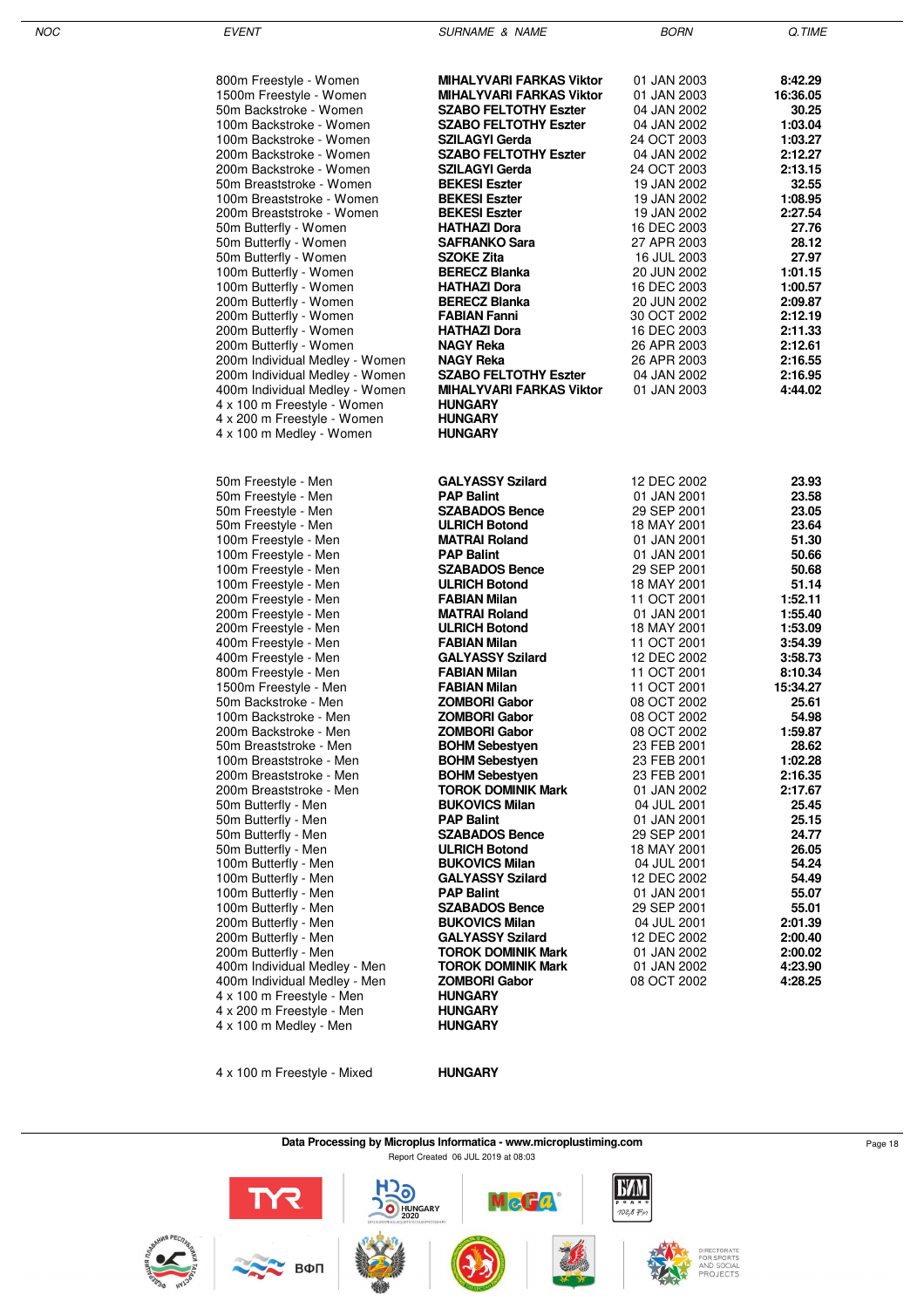| 800m Freestyle - Women<br>1500m Freestyle - Women<br>50m Backstroke - Women<br>100m Backstroke - Women<br>100m Backstroke - Women<br>200m Backstroke - Women<br>200m Backstroke - Women<br>50m Breaststroke - Women<br>100m Breaststroke - Women<br>200m Breaststroke - Women<br>50m Butterfly - Women<br>50m Butterfly - Women<br>50m Butterfly - Women<br>100m Butterfly - Women<br>100m Butterfly - Women<br>200m Butterfly - Women<br>200m Butterfly - Women<br>200m Butterfly - Women<br>200m Butterfly - Women<br>200m Individual Medley - Women<br>200m Individual Medley - Women<br>400m Individual Medley - Women<br>4 x 100 m Freestyle - Women<br>4 x 200 m Freestyle - Women<br>4 x 100 m Medley - Women                                                                                                                                                                                                                                                           | <b>MIHALYVARI FARKAS Viktor</b><br><b>MIHALYVARI FARKAS Viktor</b><br><b>SZABO FELTOTHY Eszter</b><br><b>SZABO FELTOTHY Eszter</b><br><b>SZILAGYI Gerda</b><br><b>SZABO FELTOTHY Eszter</b><br><b>SZILAGYI Gerda</b><br><b>BEKESI Eszter</b><br><b>BEKESI Eszter</b><br><b>BEKESI Eszter</b><br><b>HATHAZI Dora</b><br><b>SAFRANKO Sara</b><br><b>SZOKE Zita</b><br><b>BERECZ Blanka</b><br><b>HATHAZI Dora</b><br><b>BERECZ Blanka</b><br><b>FABIAN Fanni</b><br><b>HATHAZI Dora</b><br><b>NAGY Reka</b><br><b>NAGY Reka</b><br><b>SZABO FELTOTHY Eszter</b><br><b>MIHALYVARI FARKAS Viktor</b><br><b>HUNGARY</b><br><b>HUNGARY</b><br><b>HUNGARY</b>                                                                                                                                                                                                                                                                                          | 01 JAN 2003<br>01 JAN 2003<br>04 JAN 2002<br>04 JAN 2002<br>24 OCT 2003<br>04 JAN 2002<br>24 OCT 2003<br>19 JAN 2002<br>19 JAN 2002<br>19 JAN 2002<br>16 DEC 2003<br>27 APR 2003<br>16 JUL 2003<br>20 JUN 2002<br>16 DEC 2003<br>20 JUN 2002<br>30 OCT 2002<br>16 DEC 2003<br>26 APR 2003<br>26 APR 2003<br>04 JAN 2002<br>01 JAN 2003                                                                                                                                                                                                    | 8:42.29<br>16:36.05<br>30.25<br>1:03.04<br>1:03.27<br>2:12.27<br>2:13.15<br>32.55<br>1:08.95<br>2:27.54<br>27.76<br>28.12<br>27.97<br>1:01.15<br>1:00.57<br>2:09.87<br>2:12.19<br>2:11.33<br>2:12.61<br>2:16.55<br>2:16.95<br>4:44.02                                                                                                                    |
|--------------------------------------------------------------------------------------------------------------------------------------------------------------------------------------------------------------------------------------------------------------------------------------------------------------------------------------------------------------------------------------------------------------------------------------------------------------------------------------------------------------------------------------------------------------------------------------------------------------------------------------------------------------------------------------------------------------------------------------------------------------------------------------------------------------------------------------------------------------------------------------------------------------------------------------------------------------------------------|-------------------------------------------------------------------------------------------------------------------------------------------------------------------------------------------------------------------------------------------------------------------------------------------------------------------------------------------------------------------------------------------------------------------------------------------------------------------------------------------------------------------------------------------------------------------------------------------------------------------------------------------------------------------------------------------------------------------------------------------------------------------------------------------------------------------------------------------------------------------------------------------------------------------------------------------------|-------------------------------------------------------------------------------------------------------------------------------------------------------------------------------------------------------------------------------------------------------------------------------------------------------------------------------------------------------------------------------------------------------------------------------------------------------------------------------------------------------------------------------------------|----------------------------------------------------------------------------------------------------------------------------------------------------------------------------------------------------------------------------------------------------------------------------------------------------------------------------------------------------------|
| 50m Freestyle - Men<br>50m Freestyle - Men<br>50m Freestyle - Men<br>50m Freestyle - Men<br>100m Freestyle - Men<br>100m Freestyle - Men<br>100m Freestyle - Men<br>100m Freestyle - Men<br>200m Freestyle - Men<br>200m Freestyle - Men<br>200m Freestyle - Men<br>400m Freestyle - Men<br>400m Freestyle - Men<br>800m Freestyle - Men<br>1500m Freestyle - Men<br>50m Backstroke - Men<br>100m Backstroke - Men<br>200m Backstroke - Men<br>50m Breaststroke - Men<br>100m Breaststroke - Men<br>200m Breaststroke - Men<br>200m Breaststroke - Men<br>50m Butterfly - Men<br>50m Butterfly - Men<br>50m Butterfly - Men<br>50m Butterfly - Men<br>100m Butterfly - Men<br>100m Butterfly - Men<br>100m Butterfly - Men<br>100m Butterfly - Men<br>200m Butterfly - Men<br>200m Butterfly - Men<br>200m Butterfly - Men<br>400m Individual Medley - Men<br>400m Individual Medley - Men<br>4 x 100 m Freestyle - Men<br>4 x 200 m Freestyle - Men<br>4 x 100 m Medley - Men | <b>GALYASSY Szilard</b><br><b>PAP Balint</b><br><b>SZABADOS Bence</b><br><b>ULRICH Botond</b><br><b>MATRAI Roland</b><br><b>PAP Balint</b><br><b>SZABADOS Bence</b><br><b>ULRICH Botond</b><br><b>FABIAN Milan</b><br><b>MATRAI Roland</b><br><b>ULRICH Botond</b><br><b>FABIAN Milan</b><br><b>GALYASSY Szilard</b><br><b>FABIAN Milan</b><br><b>FABIAN Milan</b><br><b>ZOMBORI Gabor</b><br><b>ZOMBORI Gabor</b><br><b>ZOMBORI Gabor</b><br><b>BOHM Sebestyen</b><br><b>BOHM Sebestyen</b><br><b>BOHM Sebestyen</b><br><b>TOROK DOMINIK Mark</b><br><b>BUKOVICS Milan</b><br><b>PAP Balint</b><br><b>SZABADOS Bence</b><br><b>ULRICH Botond</b><br><b>BUKOVICS Milan</b><br><b>GALYASSY Szilard</b><br><b>PAP Balint</b><br><b>SZABADOS Bence</b><br><b>BUKOVICS Milan</b><br><b>GALYASSY Szilard</b><br><b>TOROK DOMINIK Mark</b><br><b>TOROK DOMINIK Mark</b><br><b>ZOMBORI Gabor</b><br><b>HUNGARY</b><br><b>HUNGARY</b><br><b>HUNGARY</b> | 12 DEC 2002<br>01 JAN 2001<br>29 SEP 2001<br>18 MAY 2001<br>01 JAN 2001<br>01 JAN 2001<br>29 SEP 2001<br>18 MAY 2001<br>11 OCT 2001<br>01 JAN 2001<br>18 MAY 2001<br>11 OCT 2001<br>12 DEC 2002<br>11 OCT 2001<br>11 OCT 2001<br>08 OCT 2002<br>08 OCT 2002<br>08 OCT 2002<br>23 FEB 2001<br>23 FEB 2001<br>23 FEB 2001<br>01 JAN 2002<br>04 JUL 2001<br>01 JAN 2001<br>29 SEP 2001<br>18 MAY 2001<br>04 JUL 2001<br>12 DEC 2002<br>01 JAN 2001<br>29 SEP 2001<br>04 JUL 2001<br>12 DEC 2002<br>01 JAN 2002<br>01 JAN 2002<br>08 OCT 2002 | 23.93<br>23.58<br>23.05<br>23.64<br>51.30<br>50.66<br>50.68<br>51.14<br>1:52.11<br>1:55.40<br>1:53.09<br>3:54.39<br>3:58.73<br>8:10.34<br>15:34.27<br>25.61<br>54.98<br>1:59.87<br>28.62<br>1:02.28<br>2:16.35<br>2:17.67<br>25.45<br>25.15<br>24.77<br>26.05<br>54.24<br>54.49<br>55.07<br>55.01<br>2:01.39<br>2:00.40<br>2:00.02<br>4:23.90<br>4:28.25 |

4 x 100 m Freestyle - Mixed **HUNGARY**

**Data Processing by Microplus Informatica - www.microplustiming.com** Page 18 Report Created 06 JUL 2019 at 08:03

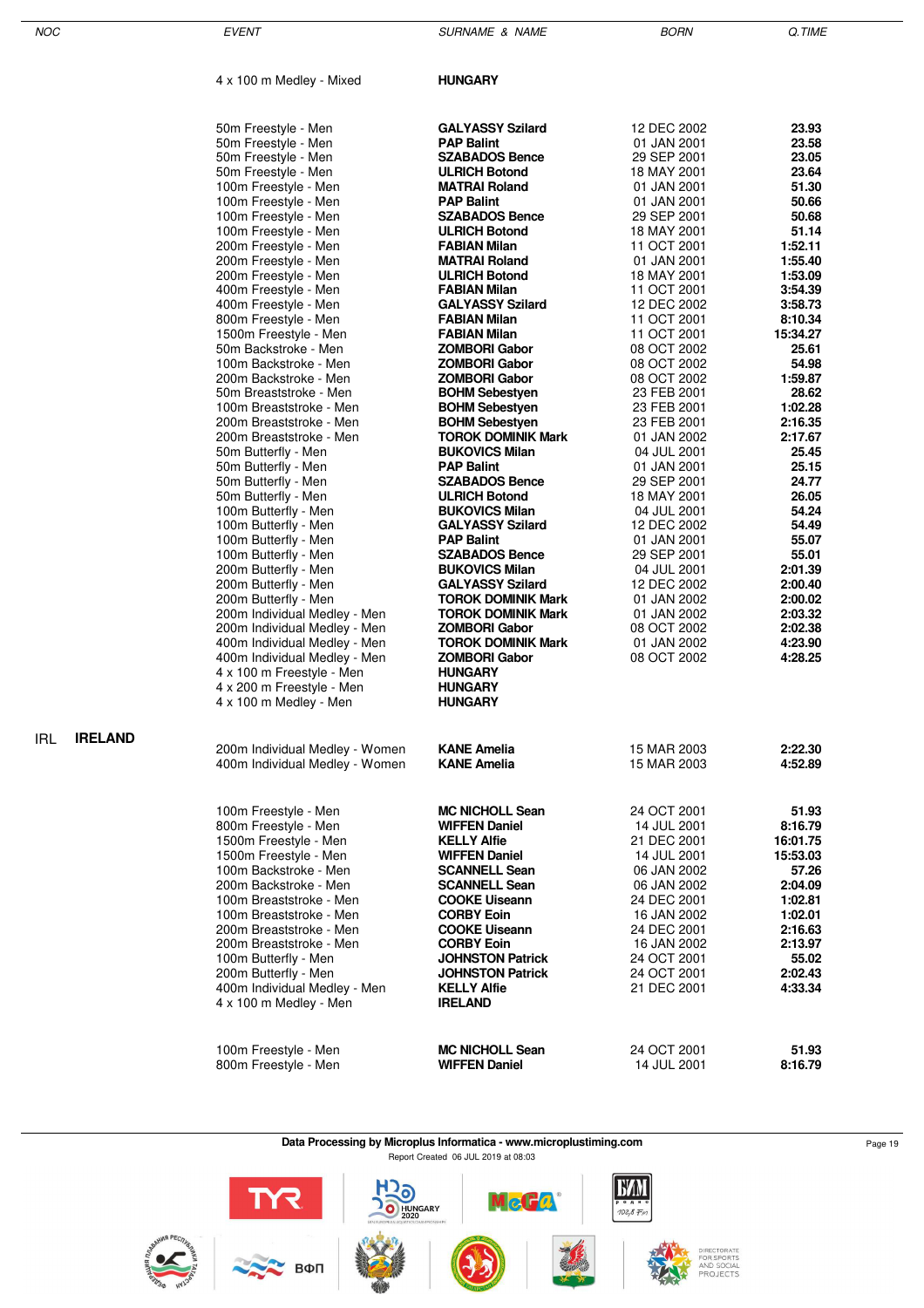IRL **IRELAND**

NOC EVENT EVENT SURNAME & NAME AND BORN Q.TIME

4 x 100 m Medley - Mixed **HUNGARY**

| 50m Freestyle - Men                            | <b>GALYASSY Szilard</b>                    | 12 DEC 2002                | 23.93                |
|------------------------------------------------|--------------------------------------------|----------------------------|----------------------|
| 50m Freestyle - Men                            | <b>PAP Balint</b>                          | 01 JAN 2001                | 23.58                |
| 50m Freestyle - Men                            | <b>SZABADOS Bence</b>                      | 29 SEP 2001                | 23.05                |
| 50m Freestyle - Men                            | <b>ULRICH Botond</b>                       | 18 MAY 2001                | 23.64                |
| 100m Freestyle - Men                           | <b>MATRAI Roland</b>                       | 01 JAN 2001                | 51.30                |
| 100m Freestyle - Men                           | <b>PAP Balint</b>                          | 01 JAN 2001                | 50.66                |
| 100m Freestyle - Men                           | <b>SZABADOS Bence</b>                      | 29 SEP 2001                | 50.68                |
| 100m Freestyle - Men                           | <b>ULRICH Botond</b>                       | 18 MAY 2001                | 51.14                |
| 200m Freestyle - Men                           | <b>FABIAN Milan</b>                        | 11 OCT 2001                | 1:52.11              |
| 200m Freestyle - Men                           | <b>MATRAI Roland</b>                       | 01 JAN 2001                | 1:55.40              |
| 200m Freestyle - Men                           | <b>ULRICH Botond</b>                       | 18 MAY 2001                | 1:53.09              |
| 400m Freestyle - Men                           | <b>FABIAN Milan</b>                        | 11 OCT 2001                | 3:54.39              |
| 400m Freestyle - Men                           | <b>GALYASSY Szilard</b>                    | 12 DEC 2002                | 3:58.73              |
| 800m Freestyle - Men                           | <b>FABIAN Milan</b>                        | 11 OCT 2001                | 8:10.34              |
| 1500m Freestyle - Men                          | <b>FABIAN Milan</b>                        | 11 OCT 2001                | 15:34.27             |
| 50m Backstroke - Men                           | <b>ZOMBORI Gabor</b>                       | 08 OCT 2002                | 25.61                |
| 100m Backstroke - Men                          | <b>ZOMBORI Gabor</b>                       | 08 OCT 2002                | 54.98                |
| 200m Backstroke - Men                          | <b>ZOMBORI Gabor</b>                       | 08 OCT 2002                | 1:59.87              |
| 50m Breaststroke - Men                         | <b>BOHM Sebestven</b>                      | 23 FEB 2001                | 28.62                |
| 100m Breaststroke - Men                        | <b>BOHM Sebestyen</b>                      | 23 FEB 2001                | 1:02.28              |
| 200m Breaststroke - Men                        | <b>BOHM Sebestyen</b>                      | 23 FEB 2001                | 2:16.35              |
| 200m Breaststroke - Men                        | <b>TOROK DOMINIK Mark</b>                  | 01 JAN 2002                | 2:17.67              |
| 50m Butterfly - Men                            | <b>BUKOVICS Milan</b><br><b>PAP Balint</b> | 04 JUL 2001                | 25.45<br>25.15       |
| 50m Butterfly - Men                            | <b>SZABADOS Bence</b>                      | 01 JAN 2001<br>29 SEP 2001 | 24.77                |
| 50m Butterfly - Men<br>50m Butterfly - Men     | <b>ULRICH Botond</b>                       | 18 MAY 2001                | 26.05                |
| 100m Butterfly - Men                           | <b>BUKOVICS Milan</b>                      | 04 JUL 2001                | 54.24                |
| 100m Butterfly - Men                           | <b>GALYASSY Szilard</b>                    | 12 DEC 2002                | 54.49                |
| 100m Butterfly - Men                           | <b>PAP Balint</b>                          | 01 JAN 2001                | 55.07                |
| 100m Butterfly - Men                           | <b>SZABADOS Bence</b>                      | 29 SEP 2001                | 55.01                |
| 200m Butterfly - Men                           | <b>BUKOVICS Milan</b>                      | 04 JUL 2001                | 2:01.39              |
| 200m Butterfly - Men                           | <b>GALYASSY Szilard</b>                    | 12 DEC 2002                | 2:00.40              |
| 200m Butterfly - Men                           | <b>TOROK DOMINIK Mark</b>                  | 01 JAN 2002                | 2:00.02              |
| 200m Individual Medley - Men                   | <b>TOROK DOMINIK Mark</b>                  | 01 JAN 2002                | 2:03.32              |
| 200m Individual Medley - Men                   | <b>ZOMBORI Gabor</b>                       | 08 OCT 2002                | 2:02.38              |
| 400m Individual Medley - Men                   | <b>TOROK DOMINIK Mark</b>                  | 01 JAN 2002                | 4:23.90              |
| 400m Individual Medley - Men                   | <b>ZOMBORI Gabor</b>                       | 08 OCT 2002                | 4:28.25              |
| 4 x 100 m Freestyle - Men                      | <b>HUNGARY</b>                             |                            |                      |
| 4 x 200 m Freestyle - Men                      | <b>HUNGARY</b>                             |                            |                      |
| 4 x 100 m Medley - Men                         | <b>HUNGARY</b>                             |                            |                      |
|                                                |                                            |                            |                      |
|                                                |                                            |                            |                      |
| 200m Individual Medley - Women                 | <b>KANE Amelia</b>                         | 15 MAR 2003                | 2:22.30              |
| 400m Individual Medley - Women                 | <b>KANE Amelia</b>                         | 15 MAR 2003                | 4:52.89              |
|                                                |                                            |                            |                      |
|                                                |                                            |                            |                      |
| 100m Freestyle - Men                           | <b>MC NICHOLL Sean</b>                     | 24 OCT 2001                | 51.93                |
| 800m Freestyle - Men                           | <b>WIFFEN Daniel</b>                       | 14 JUL 2001<br>21 DEC 2001 | 8:16.79              |
| 1500m Freestyle - Men<br>1500m Freestyle - Men | <b>KELLY Alfie</b><br><b>WIFFEN Daniel</b> | 14 JUL 2001                | 16:01.75<br>15:53.03 |
| 100m Backstroke - Men                          | <b>SCANNELL Sean</b>                       | 06 JAN 2002                | 57.26                |
| 200m Backstroke - Men                          | <b>SCANNELL Sean</b>                       | 06 JAN 2002                | 2:04.09              |
| 100m Breaststroke - Men                        | <b>COOKE Uiseann</b>                       | 24 DEC 2001                | 1:02.81              |
| 100m Breaststroke - Men                        | <b>CORBY Eoin</b>                          | 16 JAN 2002                | 1:02.01              |
| 200m Breaststroke - Men                        | <b>COOKE Uiseann</b>                       | 24 DEC 2001                | 2:16.63              |
| 200m Breaststroke - Men                        | <b>CORBY Eoin</b>                          | 16 JAN 2002                | 2:13.97              |
| 100m Butterfly - Men                           | <b>JOHNSTON Patrick</b>                    | 24 OCT 2001                | 55.02                |
| 200m Butterfly - Men                           | <b>JOHNSTON Patrick</b>                    | 24 OCT 2001                | 2:02.43              |
| 400m Individual Medley - Men                   | <b>KELLY Alfie</b>                         | 21 DEC 2001                | 4:33.34              |
| 4 x 100 m Medley - Men                         | <b>IRELAND</b>                             |                            |                      |
|                                                |                                            |                            |                      |
|                                                |                                            |                            |                      |
|                                                |                                            |                            |                      |

100m Freestyle - Men **MC NICHOLL Sean** 24 OCT 2001 **51.93** 800m Freestyle - Men **WIFFEN Daniel** 14 JUL 2001 **8:16.79**

> **Data Processing by Microplus Informatica - www.microplustiming.com** Page 19 Page 19 Report Created 06 JUL 2019 at 08:03

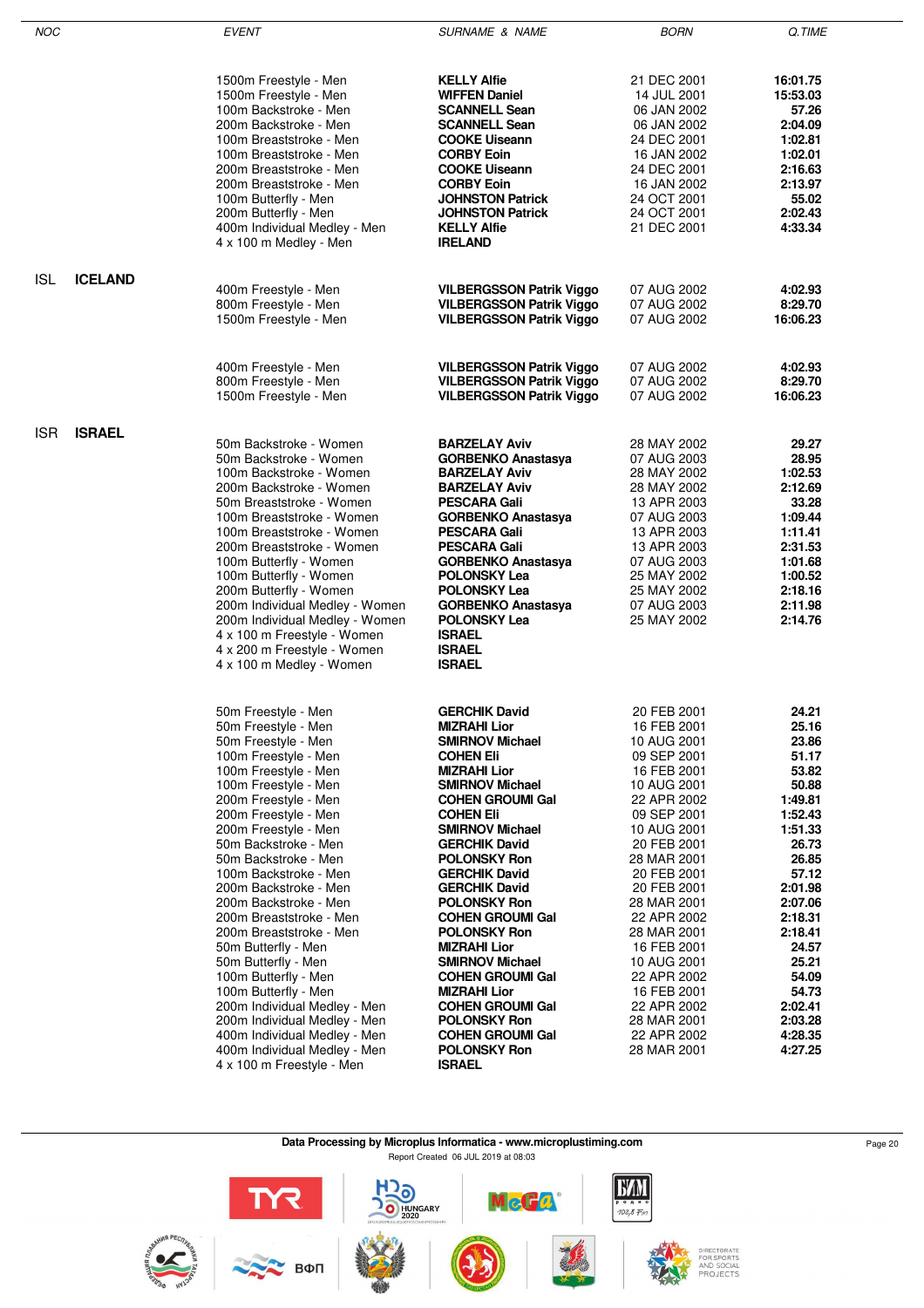| <b>NOC</b> |                | <b>EVENT</b>                                                     | <b>SURNAME &amp; NAME</b>                        | <b>BORN</b>                | Q.TIME             |
|------------|----------------|------------------------------------------------------------------|--------------------------------------------------|----------------------------|--------------------|
|            |                |                                                                  |                                                  |                            |                    |
|            |                |                                                                  | <b>KELLY Alfie</b>                               | 21 DEC 2001                | 16:01.75           |
|            |                | 1500m Freestyle - Men<br>1500m Freestyle - Men                   | <b>WIFFEN Daniel</b>                             | 14 JUL 2001                | 15:53.03           |
|            |                | 100m Backstroke - Men                                            | <b>SCANNELL Sean</b>                             | 06 JAN 2002                | 57.26              |
|            |                | 200m Backstroke - Men                                            | <b>SCANNELL Sean</b>                             | 06 JAN 2002                | 2:04.09            |
|            |                | 100m Breaststroke - Men                                          | <b>COOKE Uiseann</b>                             | 24 DEC 2001                | 1:02.81            |
|            |                | 100m Breaststroke - Men                                          | <b>CORBY Eoin</b>                                | 16 JAN 2002                | 1:02.01            |
|            |                | 200m Breaststroke - Men                                          | <b>COOKE Uiseann</b>                             | 24 DEC 2001                | 2:16.63            |
|            |                | 200m Breaststroke - Men                                          | <b>CORBY Eoin</b>                                | 16 JAN 2002                | 2:13.97            |
|            |                | 100m Butterfly - Men                                             | <b>JOHNSTON Patrick</b>                          | 24 OCT 2001                | 55.02              |
|            |                | 200m Butterfly - Men                                             | <b>JOHNSTON Patrick</b>                          | 24 OCT 2001                | 2:02.43            |
|            |                | 400m Individual Medley - Men<br>4 x 100 m Medley - Men           | <b>KELLY Alfie</b><br><b>IRELAND</b>             | 21 DEC 2001                | 4:33.34            |
|            |                |                                                                  |                                                  |                            |                    |
| <b>ISL</b> | <b>ICELAND</b> | 400m Freestyle - Men                                             | <b>VILBERGSSON Patrik Viggo</b>                  | 07 AUG 2002                | 4:02.93            |
|            |                | 800m Freestyle - Men                                             | <b>VILBERGSSON Patrik Viggo</b>                  | 07 AUG 2002                | 8:29.70            |
|            |                | 1500m Freestyle - Men                                            | <b>VILBERGSSON Patrik Viggo</b>                  | 07 AUG 2002                | 16:06.23           |
|            |                |                                                                  |                                                  |                            |                    |
|            |                | 400m Freestyle - Men                                             | <b>VILBERGSSON Patrik Viggo</b>                  | 07 AUG 2002                | 4:02.93            |
|            |                | 800m Freestyle - Men                                             | <b>VILBERGSSON Patrik Viggo</b>                  | 07 AUG 2002                | 8:29.70            |
|            |                | 1500m Freestyle - Men                                            | <b>VILBERGSSON Patrik Viggo</b>                  | 07 AUG 2002                | 16:06.23           |
| <b>ISR</b> | <b>ISRAEL</b>  |                                                                  |                                                  |                            |                    |
|            |                | 50m Backstroke - Women                                           | <b>BARZELAY Aviv</b>                             | 28 MAY 2002                | 29.27              |
|            |                | 50m Backstroke - Women                                           | <b>GORBENKO Anastasya</b>                        | 07 AUG 2003                | 28.95              |
|            |                | 100m Backstroke - Women                                          | <b>BARZELAY Aviv</b>                             | 28 MAY 2002                | 1:02.53            |
|            |                | 200m Backstroke - Women<br>50m Breaststroke - Women              | <b>BARZELAY Aviv</b><br><b>PESCARA Gali</b>      | 28 MAY 2002<br>13 APR 2003 | 2:12.69<br>33.28   |
|            |                | 100m Breaststroke - Women                                        | <b>GORBENKO Anastasya</b>                        | 07 AUG 2003                | 1:09.44            |
|            |                | 100m Breaststroke - Women                                        | <b>PESCARA Gali</b>                              | 13 APR 2003                | 1:11.41            |
|            |                | 200m Breaststroke - Women                                        | <b>PESCARA Gali</b>                              | 13 APR 2003                | 2:31.53            |
|            |                | 100m Butterfly - Women                                           | <b>GORBENKO Anastasya</b>                        | 07 AUG 2003                | 1:01.68            |
|            |                | 100m Butterfly - Women                                           | <b>POLONSKY Lea</b>                              | 25 MAY 2002                | 1:00.52            |
|            |                | 200m Butterfly - Women                                           | <b>POLONSKY Lea</b>                              | 25 MAY 2002                | 2:18.16            |
|            |                | 200m Individual Medley - Women<br>200m Individual Medley - Women | <b>GORBENKO Anastasya</b><br><b>POLONSKY Lea</b> | 07 AUG 2003<br>25 MAY 2002 | 2:11.98<br>2:14.76 |
|            |                | 4 x 100 m Freestyle - Women                                      | <b>ISRAEL</b>                                    |                            |                    |
|            |                | 4 x 200 m Freestyle - Women                                      | <b>ISRAEL</b>                                    |                            |                    |
|            |                | 4 x 100 m Medley - Women                                         | <b>ISRAEL</b>                                    |                            |                    |
|            |                |                                                                  |                                                  |                            |                    |
|            |                | 50m Freestyle - Men                                              | <b>GERCHIK David</b>                             | 20 FEB 2001                | 24.21              |
|            |                | 50m Freestyle - Men                                              | <b>MIZRAHI Lior</b>                              | 16 FEB 2001                | 25.16<br>23.86     |
|            |                | 50m Freestyle - Men<br>100m Freestyle - Men                      | <b>SMIRNOV Michael</b><br><b>COHEN Eli</b>       | 10 AUG 2001<br>09 SEP 2001 | 51.17              |
|            |                | 100m Freestyle - Men                                             | <b>MIZRAHI Lior</b>                              | 16 FEB 2001                | 53.82              |
|            |                | 100m Freestyle - Men                                             | <b>SMIRNOV Michael</b>                           | 10 AUG 2001                | 50.88              |
|            |                | 200m Freestyle - Men                                             | <b>COHEN GROUMI Gal</b>                          | 22 APR 2002                | 1:49.81            |
|            |                | 200m Freestyle - Men                                             | <b>COHEN Eli</b>                                 | 09 SEP 2001                | 1:52.43            |
|            |                | 200m Freestyle - Men                                             | <b>SMIRNOV Michael</b>                           | 10 AUG 2001                | 1:51.33            |
|            |                | 50m Backstroke - Men                                             | <b>GERCHIK David</b>                             | 20 FEB 2001                | 26.73              |
|            |                | 50m Backstroke - Men                                             | <b>POLONSKY Ron</b>                              | 28 MAR 2001                | 26.85              |
|            |                | 100m Backstroke - Men                                            | <b>GERCHIK David</b>                             | 20 FEB 2001                | 57.12              |
|            |                | 200m Backstroke - Men<br>200m Backstroke - Men                   | <b>GERCHIK David</b><br><b>POLONSKY Ron</b>      | 20 FEB 2001<br>28 MAR 2001 | 2:01.98<br>2:07.06 |
|            |                | 200m Breaststroke - Men                                          | <b>COHEN GROUMI Gal</b>                          | 22 APR 2002                | 2:18.31            |
|            |                | 200m Breaststroke - Men                                          | <b>POLONSKY Ron</b>                              | 28 MAR 2001                | 2:18.41            |
|            |                | 50m Butterfly - Men                                              | <b>MIZRAHI Lior</b>                              | 16 FEB 2001                | 24.57              |
|            |                | 50m Butterfly - Men                                              | <b>SMIRNOV Michael</b>                           | 10 AUG 2001                | 25.21              |
|            |                | 100m Butterfly - Men                                             | <b>COHEN GROUMI Gal</b>                          | 22 APR 2002                | 54.09              |
|            |                | 100m Butterfly - Men                                             | <b>MIZRAHI Lior</b>                              | 16 FEB 2001                | 54.73              |
|            |                | 200m Individual Medley - Men                                     | <b>COHEN GROUMI Gal</b>                          | 22 APR 2002                | 2:02.41            |
|            |                | 200m Individual Medley - Men                                     | <b>POLONSKY Ron</b>                              | 28 MAR 2001                | 2:03.28            |
|            |                | 400m Individual Medley - Men                                     | <b>COHEN GROUMI Gal</b><br><b>POLONSKY Ron</b>   | 22 APR 2002                | 4:28.35<br>4:27.25 |
|            |                | 400m Individual Medley - Men<br>4 x 100 m Freestyle - Men        | <b>ISRAEL</b>                                    | 28 MAR 2001                |                    |
|            |                |                                                                  |                                                  |                            |                    |
|            |                |                                                                  |                                                  |                            |                    |

**Data Processing by Microplus Informatica - www.microplustiming.com** Page 20 Page 20

Report Created 06 JUL 2019 at 08:03

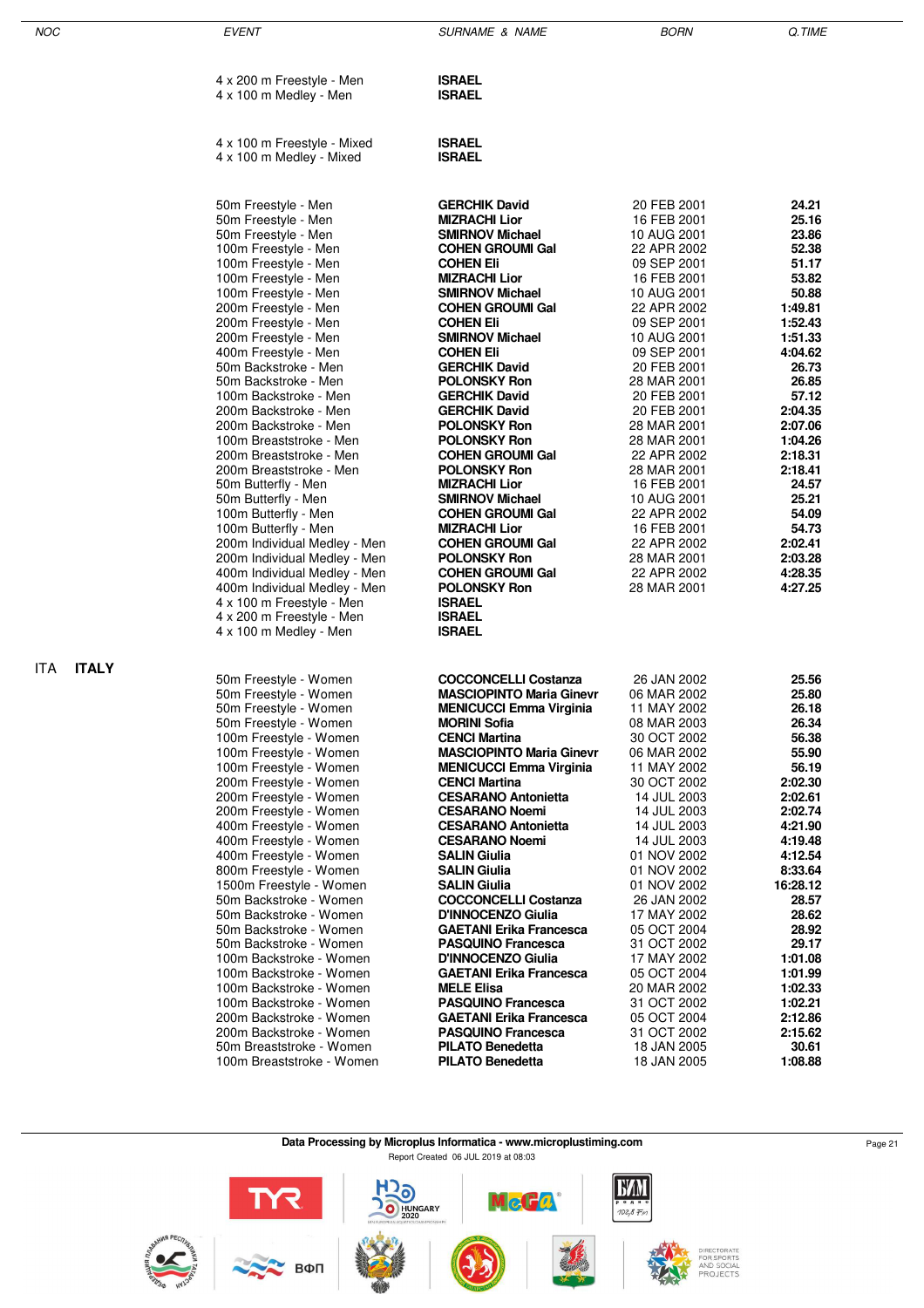| <b>NOC</b>          | <b>EVENT</b>                                           | <b>SURNAME &amp; NAME</b>                               | <b>BORN</b>                | Q.TIME             |
|---------------------|--------------------------------------------------------|---------------------------------------------------------|----------------------------|--------------------|
|                     | 4 x 200 m Freestyle - Men                              | <b>ISRAEL</b>                                           |                            |                    |
|                     | 4 x 100 m Medley - Men                                 | <b>ISRAEL</b>                                           |                            |                    |
|                     | 4 x 100 m Freestyle - Mixed                            | <b>ISRAEL</b>                                           |                            |                    |
|                     | 4 x 100 m Medley - Mixed                               | <b>ISRAEL</b>                                           |                            |                    |
|                     | 50m Freestyle - Men                                    | <b>GERCHIK David</b>                                    | 20 FEB 2001                | 24.21              |
|                     | 50m Freestyle - Men<br>50m Freestyle - Men             | <b>MIZRACHI Lior</b><br><b>SMIRNOV Michael</b>          | 16 FEB 2001<br>10 AUG 2001 | 25.16<br>23.86     |
|                     | 100m Freestyle - Men                                   | <b>COHEN GROUMI Gal</b>                                 | 22 APR 2002                | 52.38              |
|                     | 100m Freestyle - Men                                   | <b>COHEN Eli</b>                                        | 09 SEP 2001                | 51.17              |
|                     | 100m Freestyle - Men                                   | <b>MIZRACHI Lior</b>                                    | 16 FEB 2001                | 53.82              |
|                     | 100m Freestyle - Men<br>200m Freestyle - Men           | <b>SMIRNOV Michael</b><br><b>COHEN GROUMI Gal</b>       | 10 AUG 2001<br>22 APR 2002 | 50.88<br>1:49.81   |
|                     | 200m Freestyle - Men                                   | <b>COHEN Eli</b>                                        | 09 SEP 2001                | 1:52.43            |
|                     | 200m Freestyle - Men                                   | <b>SMIRNOV Michael</b>                                  | 10 AUG 2001                | 1:51.33            |
|                     | 400m Freestyle - Men                                   | <b>COHEN Eli</b>                                        | 09 SEP 2001                | 4:04.62            |
|                     | 50m Backstroke - Men                                   | <b>GERCHIK David</b><br><b>POLONSKY Ron</b>             | 20 FEB 2001                | 26.73<br>26.85     |
|                     | 50m Backstroke - Men<br>100m Backstroke - Men          | <b>GERCHIK David</b>                                    | 28 MAR 2001<br>20 FEB 2001 | 57.12              |
|                     | 200m Backstroke - Men                                  | <b>GERCHIK David</b>                                    | 20 FEB 2001                | 2:04.35            |
|                     | 200m Backstroke - Men                                  | <b>POLONSKY Ron</b>                                     | 28 MAR 2001                | 2:07.06            |
|                     | 100m Breaststroke - Men<br>200m Breaststroke - Men     | <b>POLONSKY Ron</b>                                     | 28 MAR 2001                | 1:04.26<br>2:18.31 |
|                     | 200m Breaststroke - Men                                | <b>COHEN GROUMI Gal</b><br><b>POLONSKY Ron</b>          | 22 APR 2002<br>28 MAR 2001 | 2:18.41            |
|                     | 50m Butterfly - Men                                    | <b>MIZRACHI Lior</b>                                    | 16 FEB 2001                | 24.57              |
|                     | 50m Butterfly - Men                                    | <b>SMIRNOV Michael</b>                                  | 10 AUG 2001                | 25.21              |
|                     | 100m Butterfly - Men                                   | <b>COHEN GROUMI Gal</b>                                 | 22 APR 2002                | 54.09              |
|                     | 100m Butterfly - Men<br>200m Individual Medley - Men   | <b>MIZRACHI Lior</b><br><b>COHEN GROUMI Gal</b>         | 16 FEB 2001<br>22 APR 2002 | 54.73<br>2:02.41   |
|                     | 200m Individual Medley - Men                           | <b>POLONSKY Ron</b>                                     | 28 MAR 2001                | 2:03.28            |
|                     | 400m Individual Medley - Men                           | <b>COHEN GROUMI Gal</b>                                 | 22 APR 2002                | 4:28.35            |
|                     | 400m Individual Medley - Men                           | <b>POLONSKY Ron</b>                                     | 28 MAR 2001                | 4:27.25            |
|                     | 4 x 100 m Freestyle - Men<br>4 x 200 m Freestyle - Men | <b>ISRAEL</b><br><b>ISRAEL</b>                          |                            |                    |
|                     | 4 x 100 m Medley - Men                                 | <b>ISRAEL</b>                                           |                            |                    |
| <b>ITALY</b><br>ITA | 50m Freestyle - Women                                  | <b>COCCONCELLI Costanza</b>                             | 26 JAN 2002                | 25.56              |
|                     | 50m Freestyle - Women                                  | <b>MASCIOPINTO Maria Ginevr</b>                         | 06 MAR 2002                | 25.80              |
|                     | 50m Freestyle - Women                                  | <b>MENICUCCI Emma Virginia</b>                          | 11 MAY 2002                | 26.18              |
|                     | 50m Freestyle - Women                                  | <b>MORINI Sofia</b>                                     | 08 MAR 2003                | 26.34              |
|                     | 100m Freestyle - Women<br>100m Freestyle - Women       | <b>CENCI Martina</b><br><b>MASCIOPINTO Maria Ginevr</b> | 30 OCT 2002<br>06 MAR 2002 | 56.38<br>55.90     |
|                     | 100m Freestyle - Women                                 | <b>MENICUCCI Emma Virginia</b>                          | 11 MAY 2002                | 56.19              |
|                     | 200m Freestyle - Women                                 | <b>CENCI Martina</b>                                    | 30 OCT 2002                | 2:02.30            |
|                     | 200m Freestyle - Women                                 | <b>CESARANO Antonietta</b>                              | 14 JUL 2003                | 2:02.61            |
|                     | 200m Freestyle - Women<br>400m Freestyle - Women       | <b>CESARANO Noemi</b><br><b>CESARANO Antonietta</b>     | 14 JUL 2003<br>14 JUL 2003 | 2:02.74<br>4:21.90 |
|                     | 400m Freestyle - Women                                 | <b>CESARANO Noemi</b>                                   | 14 JUL 2003                | 4:19.48            |
|                     | 400m Freestyle - Women                                 | SALIN Giulia                                            | 01 NOV 2002                | 4:12.54            |
|                     | 800m Freestyle - Women                                 | <b>SALIN Giulia</b>                                     | 01 NOV 2002                | 8:33.64            |
|                     | 1500m Freestyle - Women<br>50m Backstroke - Women      | <b>SALIN Giulia</b><br><b>COCCONCELLI Costanza</b>      | 01 NOV 2002<br>26 JAN 2002 | 16:28.12<br>28.57  |
|                     | 50m Backstroke - Women                                 | D'INNOCENZO Giulia                                      | 17 MAY 2002                | 28.62              |
|                     | 50m Backstroke - Women                                 | <b>GAETANI Erika Francesca</b>                          | 05 OCT 2004                | 28.92              |
|                     | 50m Backstroke - Women                                 | <b>PASQUINO Francesca</b>                               | 31 OCT 2002                | 29.17              |
|                     | 100m Backstroke - Women<br>100m Backstroke - Women     | D'INNOCENZO Giulia<br><b>GAETANI Erika Francesca</b>    | 17 MAY 2002<br>05 OCT 2004 | 1:01.08<br>1:01.99 |
|                     | 100m Backstroke - Women                                | <b>MELE Elisa</b>                                       | 20 MAR 2002                | 1:02.33            |
|                     | 100m Backstroke - Women                                | <b>PASQUINO Francesca</b>                               | 31 OCT 2002                | 1:02.21            |
|                     | 200m Backstroke - Women                                | <b>GAETANI Erika Francesca</b>                          | 05 OCT 2004                | 2:12.86            |
|                     | 200m Backstroke - Women<br>50m Breaststroke - Women    | <b>PASQUINO Francesca</b><br><b>PILATO Benedetta</b>    | 31 OCT 2002                | 2:15.62<br>30.61   |
|                     | 100m Breaststroke - Women                              | <b>PILATO Benedetta</b>                                 | 18 JAN 2005<br>18 JAN 2005 | 1:08.88            |
|                     |                                                        |                                                         |                            |                    |

**Data Processing by Microplus Informatica - www.microplustiming.com** Page 21

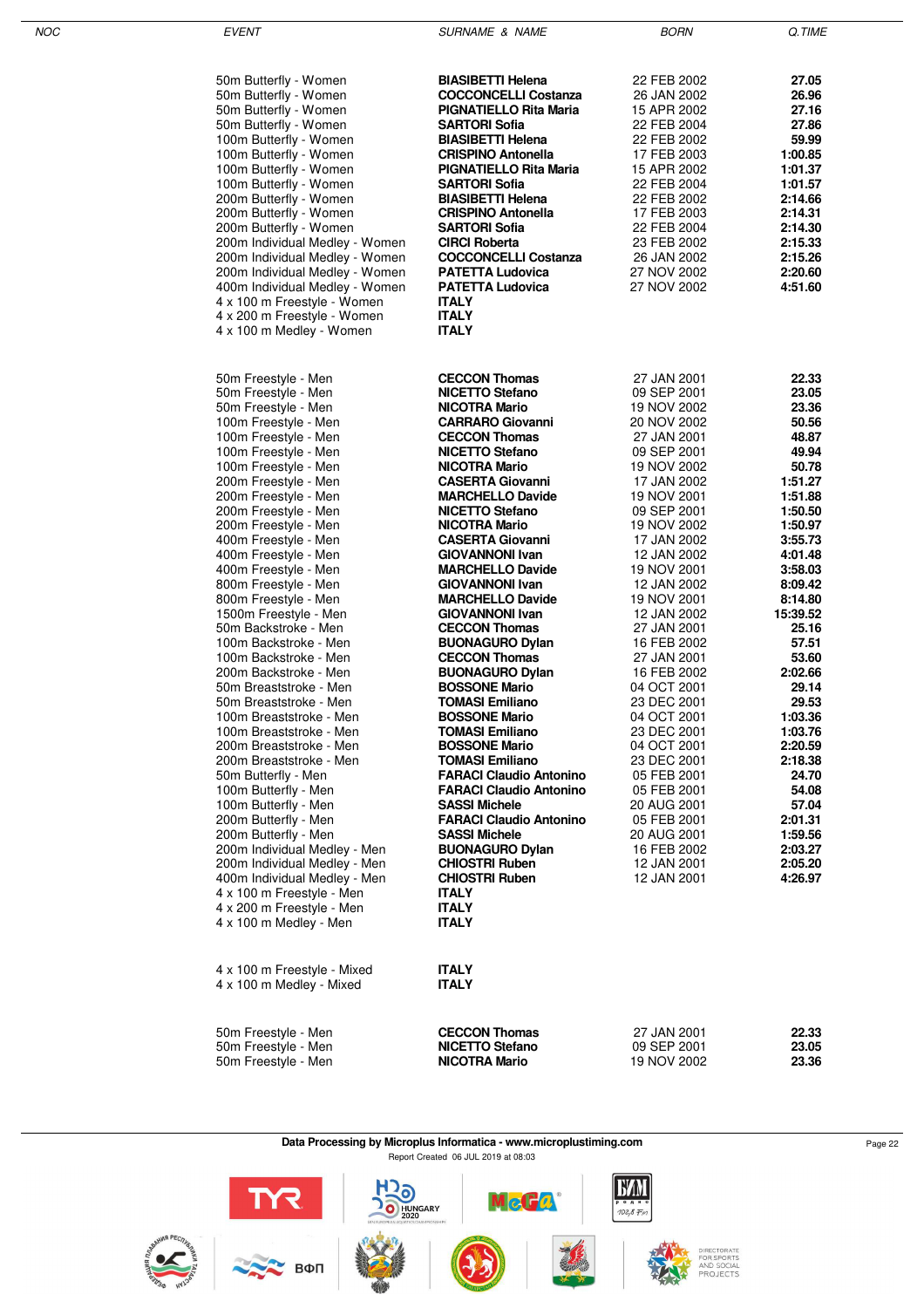| I | ۰, |
|---|----|

EVENT GUERNAME & NAME SURNAME & NAME BORN BORN Q.TIME

| 50m Butterfly - Women<br>50m Butterfly - Women<br>50m Butterfly - Women<br>50m Butterfly - Women<br>100m Butterfly - Women<br>100m Butterfly - Women<br>100m Butterfly - Women<br>100m Butterfly - Women<br>200m Butterfly - Women<br>200m Butterfly - Women<br>200m Butterfly - Women<br>200m Individual Medley - Women<br>200m Individual Medley - Women<br>200m Individual Medley - Women<br>400m Individual Medley - Women<br>4 x 100 m Freestyle - Women<br>4 x 200 m Freestyle - Women<br>4 x 100 m Medley - Women                                                                                                                                                                                                                                                                                                                                                                                                                                                                                                                                    | <b>BIASIBETTI Helena</b><br><b>COCCONCELLI Costanza</b><br><b>PIGNATIELLO Rita Maria</b><br>SARTORI Sofia<br><b>BIASIBETTI Helena</b><br><b>CRISPINO Antonella</b><br><b>PIGNATIELLO Rita Maria</b><br><b>SARTORI Sofia</b><br><b>BIASIBETTI Helena</b><br><b>CRISPINO Antonella</b><br><b>SARTORI Sofia</b><br><b>CIRCI Roberta</b><br><b>COCCONCELLI Costanza</b><br><b>PATETTA Ludovica</b><br><b>PATETTA Ludovica</b><br><b>ITALY</b><br><b>ITALY</b><br><b>ITALY</b>                                                                                                                                                                                                                                                                                                                                                                                                                                                                                                                                                      | 22 FEB 2002<br>26 JAN 2002<br>15 APR 2002<br>22 FEB 2004<br>22 FEB 2002<br>17 FEB 2003<br>15 APR 2002<br>22 FEB 2004<br>22 FEB 2002<br>17 FEB 2003<br>22 FEB 2004<br>23 FEB 2002<br>26 JAN 2002<br>27 NOV 2002<br>27 NOV 2002                                                                                                                                                                                                                                                                                                             | 27.05<br>26.96<br>27.16<br>27.86<br>59.99<br>1:00.85<br>1:01.37<br>1:01.57<br>2:14.66<br>2:14.31<br>2:14.30<br>2:15.33<br>2:15.26<br>2:20.60<br>4:51.60                                                                                                                                                                                                          |
|-------------------------------------------------------------------------------------------------------------------------------------------------------------------------------------------------------------------------------------------------------------------------------------------------------------------------------------------------------------------------------------------------------------------------------------------------------------------------------------------------------------------------------------------------------------------------------------------------------------------------------------------------------------------------------------------------------------------------------------------------------------------------------------------------------------------------------------------------------------------------------------------------------------------------------------------------------------------------------------------------------------------------------------------------------------|--------------------------------------------------------------------------------------------------------------------------------------------------------------------------------------------------------------------------------------------------------------------------------------------------------------------------------------------------------------------------------------------------------------------------------------------------------------------------------------------------------------------------------------------------------------------------------------------------------------------------------------------------------------------------------------------------------------------------------------------------------------------------------------------------------------------------------------------------------------------------------------------------------------------------------------------------------------------------------------------------------------------------------|-------------------------------------------------------------------------------------------------------------------------------------------------------------------------------------------------------------------------------------------------------------------------------------------------------------------------------------------------------------------------------------------------------------------------------------------------------------------------------------------------------------------------------------------|------------------------------------------------------------------------------------------------------------------------------------------------------------------------------------------------------------------------------------------------------------------------------------------------------------------------------------------------------------------|
| 50m Freestyle - Men<br>50m Freestyle - Men<br>50m Freestyle - Men<br>100m Freestyle - Men<br>100m Freestyle - Men<br>100m Freestyle - Men<br>100m Freestyle - Men<br>200m Freestyle - Men<br>200m Freestyle - Men<br>200m Freestyle - Men<br>200m Freestyle - Men<br>400m Freestyle - Men<br>400m Freestyle - Men<br>400m Freestyle - Men<br>800m Freestyle - Men<br>800m Freestyle - Men<br>1500m Freestyle - Men<br>50m Backstroke - Men<br>100m Backstroke - Men<br>100m Backstroke - Men<br>200m Backstroke - Men<br>50m Breaststroke - Men<br>50m Breaststroke - Men<br>100m Breaststroke - Men<br>100m Breaststroke - Men<br>200m Breaststroke - Men<br>200m Breaststroke - Men<br>50m Butterfly - Men<br>100m Butterfly - Men<br>100m Butterfly - Men<br>200m Butterfly - Men<br>200m Butterfly - Men<br>200m Individual Medley - Men<br>200m Individual Medley - Men<br>400m Individual Medley - Men<br>4 x 100 m Freestyle - Men<br>4 x 200 m Freestyle - Men<br>4 x 100 m Medley - Men<br>4 x 100 m Freestyle - Mixed<br>4 x 100 m Medley - Mixed | <b>CECCON Thomas</b><br><b>NICETTO Stefano</b><br><b>NICOTRA Mario</b><br><b>CARRARO Giovanni</b><br><b>CECCON Thomas</b><br><b>NICETTO Stefano</b><br><b>NICOTRA Mario</b><br><b>CASERTA Giovanni</b><br><b>MARCHELLO Davide</b><br><b>NICETTO Stefano</b><br><b>NICOTRA Mario</b><br><b>CASERTA Giovanni</b><br><b>GIOVANNONI Ivan</b><br><b>MARCHELLO Davide</b><br><b>GIOVANNONI Ivan</b><br><b>MARCHELLO Davide</b><br><b>GIOVANNONI Ivan</b><br><b>CECCON Thomas</b><br><b>BUONAGURO Dylan</b><br><b>CECCON Thomas</b><br><b>BUONAGURO Dylan</b><br><b>BOSSONE Mario</b><br><b>TOMASI Emiliano</b><br><b>BOSSONE Mario</b><br><b>TOMASI Emiliano</b><br><b>BOSSONE Mario</b><br><b>TOMASI Emiliano</b><br><b>FARACI Claudio Antonino</b><br><b>FARACI Claudio Antonino</b><br><b>SASSI Michele</b><br><b>FARACI Claudio Antonino</b><br><b>SASSI Michele</b><br><b>BUONAGURO Dylan</b><br><b>CHIOSTRI Ruben</b><br><b>CHIOSTRI Ruben</b><br><b>ITALY</b><br><b>ITALY</b><br><b>ITALY</b><br><b>ITALY</b><br><b>ITALY</b> | 27 JAN 2001<br>09 SEP 2001<br>19 NOV 2002<br>20 NOV 2002<br>27 JAN 2001<br>09 SEP 2001<br>19 NOV 2002<br>17 JAN 2002<br>19 NOV 2001<br>09 SEP 2001<br>19 NOV 2002<br>17 JAN 2002<br>12 JAN 2002<br>19 NOV 2001<br>12 JAN 2002<br>19 NOV 2001<br>12 JAN 2002<br>27 JAN 2001<br>16 FEB 2002<br>27 JAN 2001<br>16 FEB 2002<br>04 OCT 2001<br>23 DEC 2001<br>04 OCT 2001<br>23 DEC 2001<br>04 OCT 2001<br>23 DEC 2001<br>05 FEB 2001<br>05 FEB 2001<br>20 AUG 2001<br>05 FEB 2001<br>20 AUG 2001<br>16 FEB 2002<br>12 JAN 2001<br>12 JAN 2001 | 22.33<br>23.05<br>23.36<br>50.56<br>48.87<br>49.94<br>50.78<br>1:51.27<br>1:51.88<br>1:50.50<br>1:50.97<br>3:55.73<br>4:01.48<br>3:58.03<br>8:09.42<br>8:14.80<br>15:39.52<br>25.16<br>57.51<br>53.60<br>2:02.66<br>29.14<br>29.53<br>1:03.36<br>1:03.76<br>2:20.59<br>2:18.38<br>24.70<br>54.08<br>57.04<br>2:01.31<br>1:59.56<br>2:03.27<br>2:05.20<br>4:26.97 |
| 50m Freestyle - Men<br>50m Freestyle - Men<br>50m Freestyle - Men                                                                                                                                                                                                                                                                                                                                                                                                                                                                                                                                                                                                                                                                                                                                                                                                                                                                                                                                                                                           | <b>CECCON Thomas</b><br><b>NICETTO Stefano</b><br><b>NICOTRA Mario</b>                                                                                                                                                                                                                                                                                                                                                                                                                                                                                                                                                                                                                                                                                                                                                                                                                                                                                                                                                         | 27 JAN 2001<br>09 SEP 2001<br>19 NOV 2002                                                                                                                                                                                                                                                                                                                                                                                                                                                                                                 | 22.33<br>23.05<br>23.36                                                                                                                                                                                                                                                                                                                                          |

**Data Processing by Microplus Informatica - www.microplustiming.com** Page 22 Page 22 Report Created 06 JUL 2019 at 08:03

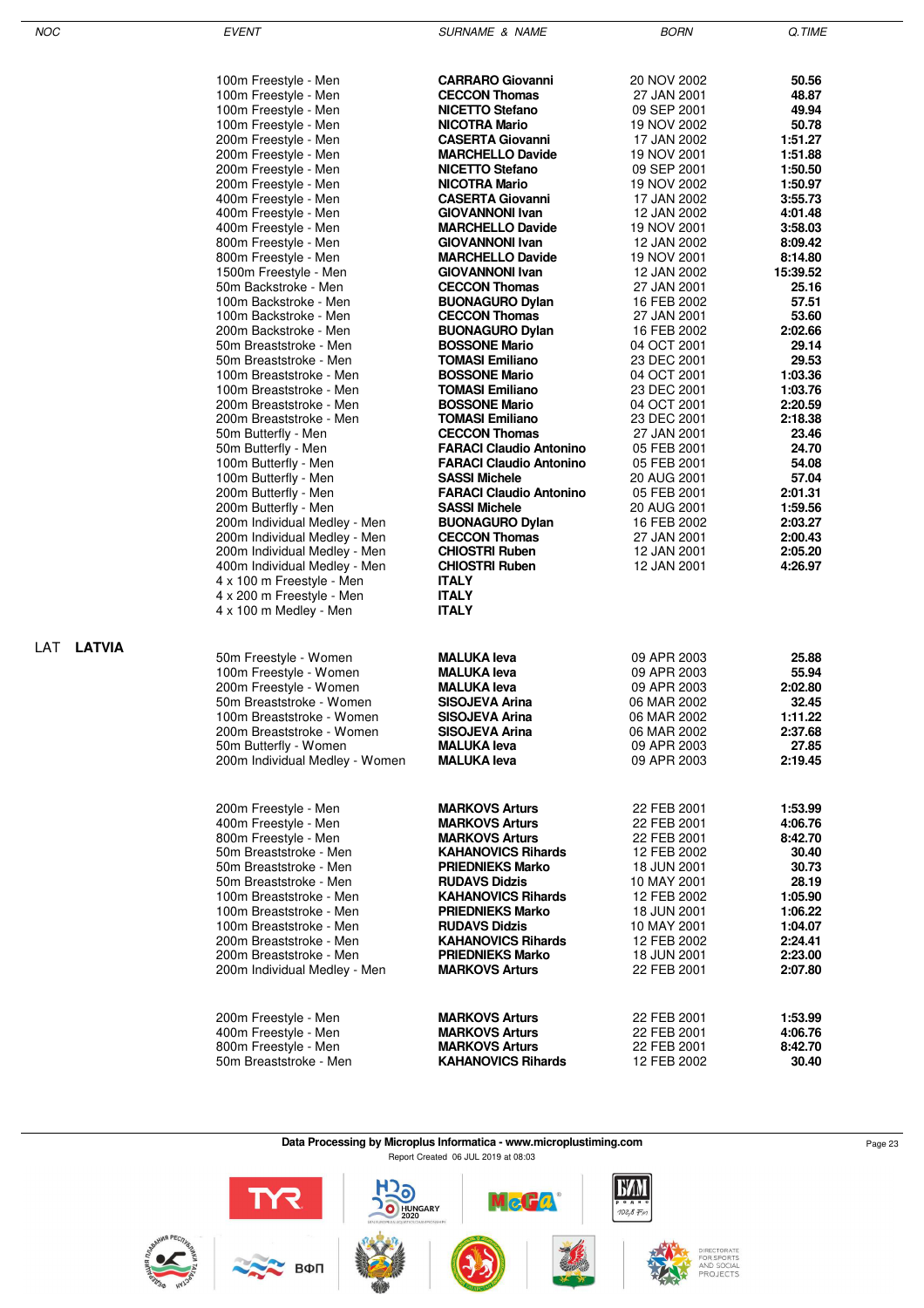LAT **LATVIA**

EVENT GUERNAME & NAME SURNAME & NAME BORN BORN Q.TIME

| 100m Freestyle - Men                                | <b>CARRARO Giovanni</b>        | 20 NOV 2002 | 50.56    |
|-----------------------------------------------------|--------------------------------|-------------|----------|
| 100m Freestyle - Men                                | <b>CECCON Thomas</b>           | 27 JAN 2001 | 48.87    |
| 100m Freestyle - Men                                | <b>NICETTO Stefano</b>         | 09 SEP 2001 | 49.94    |
| 100m Freestyle - Men                                | <b>NICOTRA Mario</b>           | 19 NOV 2002 | 50.78    |
| 200m Freestyle - Men                                | <b>CASERTA Giovanni</b>        | 17 JAN 2002 | 1:51.27  |
| 200m Freestyle - Men                                | <b>MARCHELLO Davide</b>        | 19 NOV 2001 | 1:51.88  |
| 200m Freestyle - Men                                | <b>NICETTO Stefano</b>         | 09 SEP 2001 | 1:50.50  |
| 200m Freestyle - Men                                | <b>NICOTRA Mario</b>           | 19 NOV 2002 | 1:50.97  |
| 400m Freestyle - Men                                | <b>CASERTA Giovanni</b>        | 17 JAN 2002 | 3:55.73  |
| 400m Freestyle - Men                                | <b>GIOVANNONI Ivan</b>         | 12 JAN 2002 | 4:01.48  |
| 400m Freestyle - Men                                | <b>MARCHELLO Davide</b>        | 19 NOV 2001 | 3:58.03  |
| 800m Freestyle - Men                                | <b>GIOVANNONI Ivan</b>         | 12 JAN 2002 | 8:09.42  |
| 800m Freestyle - Men                                | <b>MARCHELLO Davide</b>        | 19 NOV 2001 | 8:14.80  |
| 1500m Freestyle - Men                               | <b>GIOVANNONI Ivan</b>         | 12 JAN 2002 | 15:39.52 |
| 50m Backstroke - Men                                | <b>CECCON Thomas</b>           | 27 JAN 2001 | 25.16    |
| 100m Backstroke - Men                               | <b>BUONAGURO Dylan</b>         | 16 FEB 2002 | 57.51    |
| 100m Backstroke - Men                               | <b>CECCON Thomas</b>           | 27 JAN 2001 | 53.60    |
| 200m Backstroke - Men                               | <b>BUONAGURO Dylan</b>         | 16 FEB 2002 | 2:02.66  |
| 50m Breaststroke - Men                              | <b>BOSSONE Mario</b>           | 04 OCT 2001 | 29.14    |
| 50m Breaststroke - Men                              | <b>TOMASI Emiliano</b>         | 23 DEC 2001 | 29.53    |
| 100m Breaststroke - Men                             | <b>BOSSONE Mario</b>           | 04 OCT 2001 | 1:03.36  |
| 100m Breaststroke - Men                             | <b>TOMASI Emiliano</b>         | 23 DEC 2001 | 1:03.76  |
| 200m Breaststroke - Men                             | <b>BOSSONE Mario</b>           | 04 OCT 2001 | 2:20.59  |
| 200m Breaststroke - Men                             | <b>TOMASI Emiliano</b>         | 23 DEC 2001 | 2:18.38  |
| 50m Butterfly - Men                                 | <b>CECCON Thomas</b>           | 27 JAN 2001 | 23.46    |
| 50m Butterfly - Men                                 | <b>FARACI Claudio Antonino</b> | 05 FEB 2001 | 24.70    |
| 100m Butterfly - Men                                | <b>FARACI Claudio Antonino</b> | 05 FEB 2001 | 54.08    |
| 100m Butterfly - Men                                | <b>SASSI Michele</b>           | 20 AUG 2001 | 57.04    |
| 200m Butterfly - Men                                | <b>FARACI Claudio Antonino</b> | 05 FEB 2001 | 2:01.31  |
| 200m Butterfly - Men                                | <b>SASSI Michele</b>           | 20 AUG 2001 | 1:59.56  |
| 200m Individual Medley - Men                        | <b>BUONAGURO Dylan</b>         | 16 FEB 2002 | 2:03.27  |
| 200m Individual Medley - Men                        | <b>CECCON Thomas</b>           | 27 JAN 2001 | 2:00.43  |
| 200m Individual Medley - Men                        | <b>CHIOSTRI Ruben</b>          | 12 JAN 2001 | 2:05.20  |
| 400m Individual Medley - Men                        | <b>CHIOSTRI Ruben</b>          | 12 JAN 2001 | 4:26.97  |
| 4 x 100 m Freestyle - Men                           | <b>ITALY</b>                   |             |          |
| 4 x 200 m Freestyle - Men<br>4 x 100 m Medley - Men | <b>ITALY</b><br><b>ITALY</b>   |             |          |
|                                                     |                                |             |          |
|                                                     |                                |             |          |
| 50m Freestyle - Women                               | <b>MALUKA leva</b>             | 09 APR 2003 | 25.88    |
| 100m Freestyle - Women                              | <b>MALUKA leva</b>             | 09 APR 2003 | 55.94    |
| 200m Freestyle - Women                              | <b>MALUKA leva</b>             | 09 APR 2003 | 2:02.80  |
| 50m Breaststroke - Women                            | SISOJEVA Arina                 | 06 MAR 2002 | 32.45    |
| 100m Breaststroke - Women                           | SISOJEVA Arina                 | 06 MAR 2002 | 1:11.22  |
| 200m Breaststroke - Women                           | <b>SISOJEVA Arina</b>          | 06 MAR 2002 | 2:37.68  |
| 50m Butterfly - Women                               | <b>MALUKA leva</b>             | 09 APR 2003 | 27.85    |
| 200m Individual Medley - Women                      | <b>MALUKA leva</b>             | 09 APR 2003 | 2:19.45  |
|                                                     |                                |             |          |
|                                                     |                                |             |          |
| 200m Freestyle - Men                                | <b>MARKOVS Arturs</b>          | 22 FEB 2001 | 1:53.99  |
| 400m Freestyle - Men                                | <b>MARKOVS Arturs</b>          | 22 FEB 2001 | 4:06.76  |
| 800m Freestyle - Men                                | <b>MARKOVS Arturs</b>          | 22 FEB 2001 | 8:42.70  |
| 50m Breaststroke - Men                              | <b>KAHANOVICS Rihards</b>      | 12 FEB 2002 | 30.40    |
| 50m Breaststroke - Men                              | <b>PRIEDNIEKS Marko</b>        | 18 JUN 2001 | 30.73    |
| 50m Breaststroke - Men                              | <b>RUDAVS Didzis</b>           | 10 MAY 2001 | 28.19    |
| 100m Breaststroke - Men                             | <b>KAHANOVICS Rihards</b>      | 12 FEB 2002 | 1:05.90  |
| 100m Breaststroke - Men                             | <b>PRIEDNIEKS Marko</b>        | 18 JUN 2001 | 1:06.22  |
| 100m Breaststroke - Men                             | <b>RUDAVS Didzis</b>           | 10 MAY 2001 | 1:04.07  |
| 200m Breaststroke - Men                             | <b>KAHANOVICS Rihards</b>      | 12 FEB 2002 | 2:24.41  |
| 200m Breaststroke - Men                             | <b>PRIEDNIEKS Marko</b>        | 18 JUN 2001 | 2:23.00  |
| 200m Individual Medley - Men                        | <b>MARKOVS Arturs</b>          | 22 FEB 2001 | 2:07.80  |
|                                                     |                                |             |          |
| 200m Freestyle - Men                                | <b>MARKOVS Arturs</b>          | 22 FEB 2001 | 1:53.99  |
| 400m Freestyle - Men                                | <b>MARKOVS Arturs</b>          | 22 FEB 2001 | 4:06.76  |
| 800m Freestyle - Men                                | <b>MARKOVS Arturs</b>          | 22 FEB 2001 | 8:42.70  |
| 50m Breaststroke - Men                              | <b>KAHANOVICS Rihards</b>      | 12 FEB 2002 | 30.40    |
|                                                     |                                |             |          |

**Data Processing by Microplus Informatica - www.microplustiming.com** Page 23 Report Created 06 JUL 2019 at 08:03



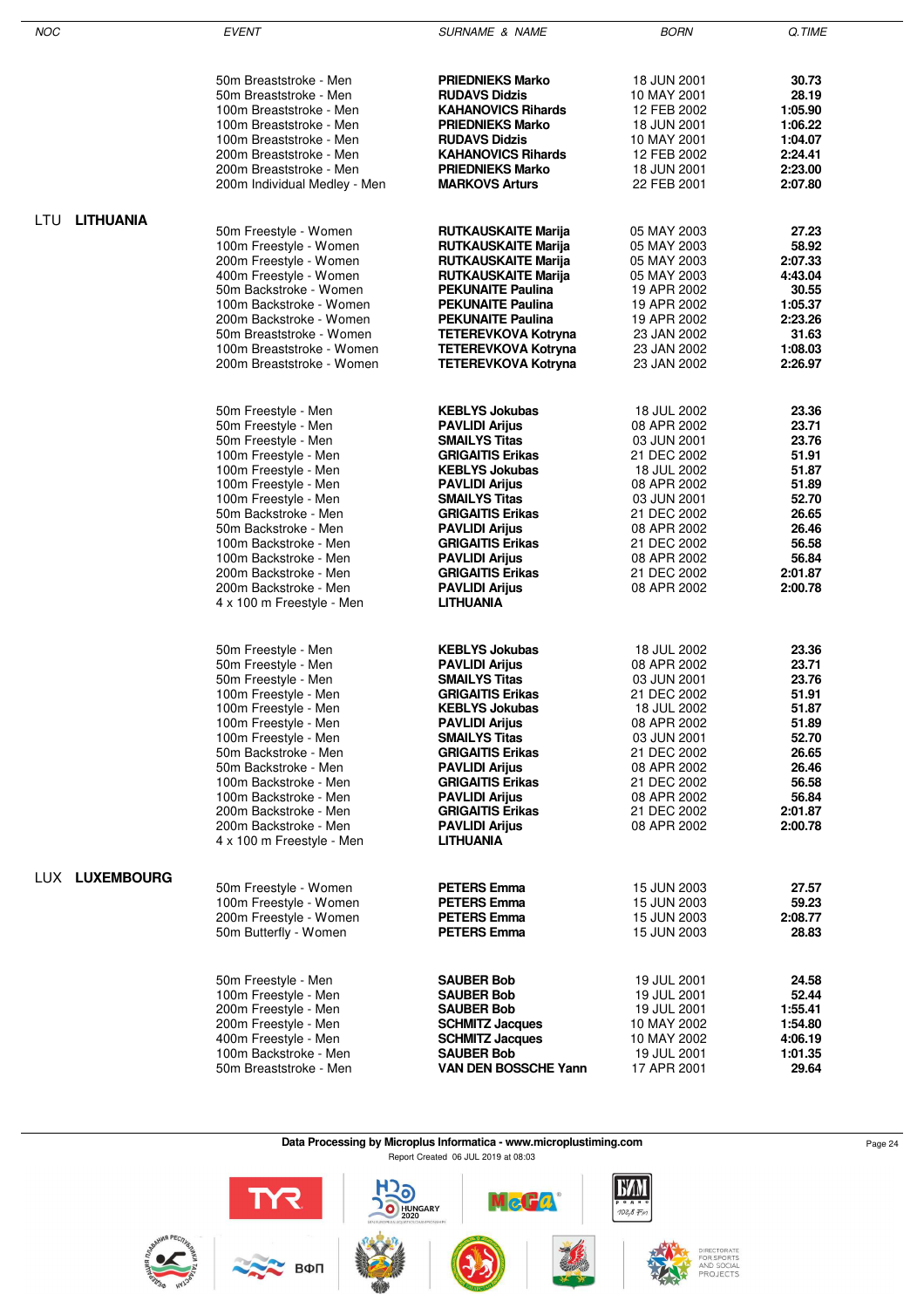| <b>NOC</b> |                  | <b>EVENT</b>                                                                                           | <b>SURNAME &amp; NAME</b>                                                                               | <b>BORN</b>                                              | Q.TIME                               |
|------------|------------------|--------------------------------------------------------------------------------------------------------|---------------------------------------------------------------------------------------------------------|----------------------------------------------------------|--------------------------------------|
|            |                  |                                                                                                        |                                                                                                         |                                                          |                                      |
|            |                  | 50m Breaststroke - Men<br>50m Breaststroke - Men<br>100m Breaststroke - Men<br>100m Breaststroke - Men | <b>PRIEDNIEKS Marko</b><br><b>RUDAVS Didzis</b><br><b>KAHANOVICS Rihards</b><br><b>PRIEDNIEKS Marko</b> | 18 JUN 2001<br>10 MAY 2001<br>12 FEB 2002<br>18 JUN 2001 | 30.73<br>28.19<br>1:05.90<br>1:06.22 |
|            |                  | 100m Breaststroke - Men                                                                                | <b>RUDAVS Didzis</b>                                                                                    | 10 MAY 2001                                              | 1:04.07                              |
|            |                  | 200m Breaststroke - Men<br>200m Breaststroke - Men                                                     | <b>KAHANOVICS Rihards</b><br><b>PRIEDNIEKS Marko</b>                                                    | 12 FEB 2002<br>18 JUN 2001                               | 2:24.41<br>2:23.00                   |
|            |                  | 200m Individual Medley - Men                                                                           | <b>MARKOVS Arturs</b>                                                                                   | 22 FEB 2001                                              | 2:07.80                              |
|            |                  |                                                                                                        |                                                                                                         |                                                          |                                      |
| LTU        | <b>LITHUANIA</b> |                                                                                                        |                                                                                                         |                                                          |                                      |
|            |                  | 50m Freestyle - Women<br>100m Freestyle - Women                                                        | <b>RUTKAUSKAITE Marija</b><br>RUTKAUSKAITE Marija                                                       | 05 MAY 2003<br>05 MAY 2003                               | 27.23<br>58.92                       |
|            |                  | 200m Freestyle - Women                                                                                 | <b>RUTKAUSKAITE Marija</b>                                                                              | 05 MAY 2003                                              | 2:07.33                              |
|            |                  | 400m Freestyle - Women                                                                                 | <b>RUTKAUSKAITE Marija</b>                                                                              | 05 MAY 2003                                              | 4:43.04                              |
|            |                  | 50m Backstroke - Women<br>100m Backstroke - Women                                                      | <b>PEKUNAITE Paulina</b><br><b>PEKUNAITE Paulina</b>                                                    | 19 APR 2002<br>19 APR 2002                               | 30.55<br>1:05.37                     |
|            |                  | 200m Backstroke - Women                                                                                | <b>PEKUNAITE Paulina</b>                                                                                | 19 APR 2002                                              | 2:23.26                              |
|            |                  | 50m Breaststroke - Women                                                                               | <b>TETEREVKOVA Kotryna</b>                                                                              | 23 JAN 2002                                              | 31.63                                |
|            |                  | 100m Breaststroke - Women                                                                              | <b>TETEREVKOVA Kotryna</b>                                                                              | 23 JAN 2002                                              | 1:08.03                              |
|            |                  | 200m Breaststroke - Women                                                                              | <b>TETEREVKOVA Kotryna</b>                                                                              | 23 JAN 2002                                              | 2:26.97                              |
|            |                  |                                                                                                        |                                                                                                         |                                                          |                                      |
|            |                  | 50m Freestyle - Men<br>50m Freestyle - Men                                                             | <b>KEBLYS Jokubas</b><br><b>PAVLIDI Arijus</b>                                                          | 18 JUL 2002<br>08 APR 2002                               | 23.36<br>23.71                       |
|            |                  | 50m Freestyle - Men                                                                                    | <b>SMAILYS Titas</b>                                                                                    | 03 JUN 2001                                              | 23.76                                |
|            |                  | 100m Freestyle - Men                                                                                   | <b>GRIGAITIS Erikas</b>                                                                                 | 21 DEC 2002                                              | 51.91                                |
|            |                  | 100m Freestyle - Men                                                                                   | <b>KEBLYS Jokubas</b>                                                                                   | 18 JUL 2002                                              | 51.87<br>51.89                       |
|            |                  | 100m Freestyle - Men<br>100m Freestyle - Men                                                           | <b>PAVLIDI Arijus</b><br><b>SMAILYS Titas</b>                                                           | 08 APR 2002<br>03 JUN 2001                               | 52.70                                |
|            |                  | 50m Backstroke - Men                                                                                   | <b>GRIGAITIS Erikas</b>                                                                                 | 21 DEC 2002                                              | 26.65                                |
|            |                  | 50m Backstroke - Men                                                                                   | <b>PAVLIDI Arijus</b>                                                                                   | 08 APR 2002                                              | 26.46                                |
|            |                  | 100m Backstroke - Men<br>100m Backstroke - Men                                                         | <b>GRIGAITIS Erikas</b><br><b>PAVLIDI Arijus</b>                                                        | 21 DEC 2002<br>08 APR 2002                               | 56.58<br>56.84                       |
|            |                  | 200m Backstroke - Men                                                                                  | <b>GRIGAITIS Erikas</b>                                                                                 | 21 DEC 2002                                              | 2:01.87                              |
|            |                  | 200m Backstroke - Men                                                                                  | <b>PAVLIDI Arijus</b>                                                                                   | 08 APR 2002                                              | 2:00.78                              |
|            |                  | 4 x 100 m Freestyle - Men                                                                              | LITHUANIA                                                                                               |                                                          |                                      |
|            |                  |                                                                                                        |                                                                                                         |                                                          |                                      |
|            |                  | 50m Freestyle - Men<br>50m Freestyle - Men                                                             | <b>KEBLYS Jokubas</b><br><b>PAVLIDI Arijus</b>                                                          | 18 JUL 2002<br>08 APR 2002                               | 23.36<br>23.71                       |
|            |                  | 50m Freestyle - Men                                                                                    | <b>SMAILYS Titas</b>                                                                                    | 03 JUN 2001                                              | 23.76                                |
|            |                  | 100m Freestyle - Men                                                                                   | <b>GRIGAITIS Erikas</b>                                                                                 | 21 DEC 2002                                              | 51.91                                |
|            |                  | 100m Freestyle - Men<br>100m Freestyle - Men                                                           | <b>KEBLYS Jokubas</b><br><b>PAVLIDI Arijus</b>                                                          | 18 JUL 2002<br>08 APR 2002                               | 51.87<br>51.89                       |
|            |                  | 100m Freestyle - Men                                                                                   | <b>SMAILYS Titas</b>                                                                                    | 03 JUN 2001                                              | 52.70                                |
|            |                  | 50m Backstroke - Men                                                                                   | <b>GRIGAITIS Erikas</b>                                                                                 | 21 DEC 2002                                              | 26.65                                |
|            |                  | 50m Backstroke - Men                                                                                   | <b>PAVLIDI Arijus</b>                                                                                   | 08 APR 2002                                              | 26.46                                |
|            |                  | 100m Backstroke - Men<br>100m Backstroke - Men                                                         | <b>GRIGAITIS Erikas</b><br><b>PAVLIDI Arijus</b>                                                        | 21 DEC 2002<br>08 APR 2002                               | 56.58<br>56.84                       |
|            |                  | 200m Backstroke - Men                                                                                  | <b>GRIGAITIS Erikas</b>                                                                                 | 21 DEC 2002                                              | 2:01.87                              |
|            |                  | 200m Backstroke - Men                                                                                  | <b>PAVLIDI Arijus</b>                                                                                   | 08 APR 2002                                              | 2:00.78                              |
|            |                  | 4 x 100 m Freestyle - Men                                                                              | <b>LITHUANIA</b>                                                                                        |                                                          |                                      |
|            | LUX LUXEMBOURG   |                                                                                                        |                                                                                                         |                                                          |                                      |
|            |                  | 50m Freestyle - Women<br>100m Freestyle - Women                                                        | <b>PETERS Emma</b><br><b>PETERS Emma</b>                                                                | 15 JUN 2003<br>15 JUN 2003                               | 27.57<br>59.23                       |
|            |                  | 200m Freestyle - Women                                                                                 | <b>PETERS Emma</b>                                                                                      | 15 JUN 2003                                              | 2:08.77                              |
|            |                  | 50m Butterfly - Women                                                                                  | <b>PETERS Emma</b>                                                                                      | 15 JUN 2003                                              | 28.83                                |
|            |                  |                                                                                                        |                                                                                                         |                                                          |                                      |
|            |                  | 50m Freestyle - Men                                                                                    | <b>SAUBER Bob</b>                                                                                       | 19 JUL 2001                                              | 24.58                                |
|            |                  | 100m Freestyle - Men                                                                                   | <b>SAUBER Bob</b>                                                                                       | 19 JUL 2001<br>19 JUL 2001                               | 52.44<br>1:55.41                     |
|            |                  | 200m Freestyle - Men<br>200m Freestyle - Men                                                           | <b>SAUBER Bob</b><br><b>SCHMITZ Jacques</b>                                                             | 10 MAY 2002                                              | 1:54.80                              |
|            |                  | 400m Freestyle - Men                                                                                   | <b>SCHMITZ Jacques</b>                                                                                  | 10 MAY 2002                                              | 4:06.19                              |
|            |                  | 100m Backstroke - Men                                                                                  | <b>SAUBER Bob</b>                                                                                       | 19 JUL 2001                                              | 1:01.35                              |
|            |                  | 50m Breaststroke - Men                                                                                 | <b>VAN DEN BOSSCHE Yann</b>                                                                             | 17 APR 2001                                              | 29.64                                |

**Data Processing by Microplus Informatica - www.microplustiming.com** Page 24

Report Created 06 JUL 2019 at 08:03

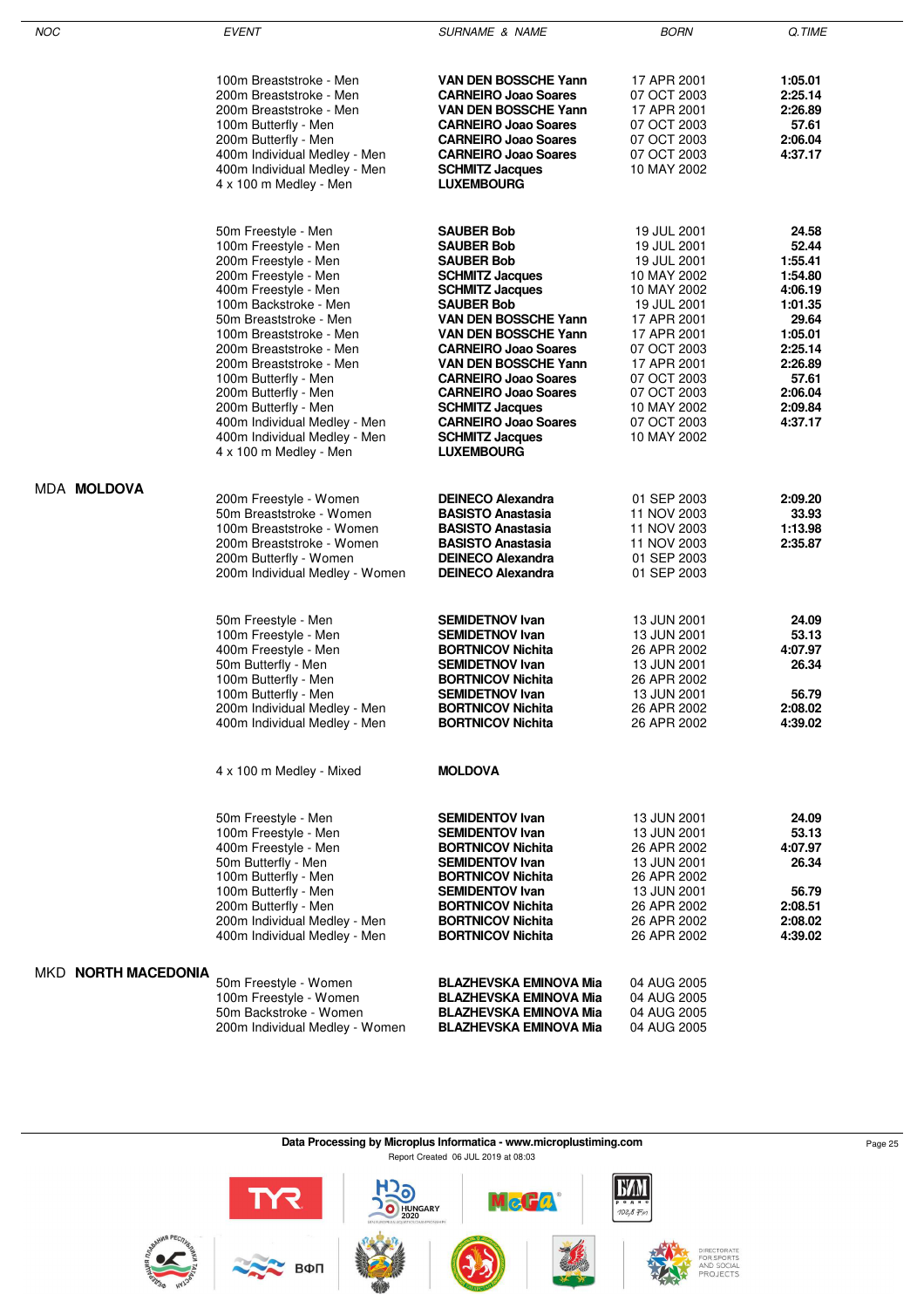| <b>NOC</b>          | <b>EVENT</b>                                                                                                                                                                                                                                                                                                                                                                                                              | <b>SURNAME &amp; NAME</b>                                                                                                                                                                                                                                                                                                                                                                                                       | <b>BORN</b>                                                                                                                                                                                                                   | Q.TIME                                                                                                                                         |
|---------------------|---------------------------------------------------------------------------------------------------------------------------------------------------------------------------------------------------------------------------------------------------------------------------------------------------------------------------------------------------------------------------------------------------------------------------|---------------------------------------------------------------------------------------------------------------------------------------------------------------------------------------------------------------------------------------------------------------------------------------------------------------------------------------------------------------------------------------------------------------------------------|-------------------------------------------------------------------------------------------------------------------------------------------------------------------------------------------------------------------------------|------------------------------------------------------------------------------------------------------------------------------------------------|
|                     | 100m Breaststroke - Men<br>200m Breaststroke - Men<br>200m Breaststroke - Men<br>100m Butterfly - Men<br>200m Butterfly - Men<br>400m Individual Medley - Men<br>400m Individual Medley - Men<br>4 x 100 m Medley - Men                                                                                                                                                                                                   | VAN DEN BOSSCHE Yann<br><b>CARNEIRO Joao Soares</b><br>VAN DEN BOSSCHE Yann<br><b>CARNEIRO Joao Soares</b><br><b>CARNEIRO Joao Soares</b><br><b>CARNEIRO Joao Soares</b><br><b>SCHMITZ Jacques</b><br><b>LUXEMBOURG</b>                                                                                                                                                                                                         | 17 APR 2001<br>07 OCT 2003<br>17 APR 2001<br>07 OCT 2003<br>07 OCT 2003<br>07 OCT 2003<br>10 MAY 2002                                                                                                                         | 1:05.01<br>2:25.14<br>2:26.89<br>57.61<br>2:06.04<br>4:37.17                                                                                   |
|                     | 50m Freestyle - Men<br>100m Freestyle - Men<br>200m Freestyle - Men<br>200m Freestyle - Men<br>400m Freestyle - Men<br>100m Backstroke - Men<br>50m Breaststroke - Men<br>100m Breaststroke - Men<br>200m Breaststroke - Men<br>200m Breaststroke - Men<br>100m Butterfly - Men<br>200m Butterfly - Men<br>200m Butterfly - Men<br>400m Individual Medley - Men<br>400m Individual Medley - Men<br>4 x 100 m Medley - Men | <b>SAUBER Bob</b><br><b>SAUBER Bob</b><br><b>SAUBER Bob</b><br><b>SCHMITZ Jacques</b><br><b>SCHMITZ Jacques</b><br><b>SAUBER Bob</b><br><b>VAN DEN BOSSCHE Yann</b><br><b>VAN DEN BOSSCHE Yann</b><br><b>CARNEIRO Joao Soares</b><br>VAN DEN BOSSCHE Yann<br><b>CARNEIRO Joao Soares</b><br><b>CARNEIRO Joao Soares</b><br><b>SCHMITZ Jacques</b><br><b>CARNEIRO Joao Soares</b><br><b>SCHMITZ Jacques</b><br><b>LUXEMBOURG</b> | 19 JUL 2001<br>19 JUL 2001<br>19 JUL 2001<br>10 MAY 2002<br>10 MAY 2002<br>19 JUL 2001<br>17 APR 2001<br>17 APR 2001<br>07 OCT 2003<br>17 APR 2001<br>07 OCT 2003<br>07 OCT 2003<br>10 MAY 2002<br>07 OCT 2003<br>10 MAY 2002 | 24.58<br>52.44<br>1:55.41<br>1:54.80<br>4:06.19<br>1:01.35<br>29.64<br>1:05.01<br>2:25.14<br>2:26.89<br>57.61<br>2:06.04<br>2:09.84<br>4:37.17 |
| <b>MDA MOLDOVA</b>  | 200m Freestyle - Women<br>50m Breaststroke - Women<br>100m Breaststroke - Women<br>200m Breaststroke - Women<br>200m Butterfly - Women<br>200m Individual Medley - Women                                                                                                                                                                                                                                                  | <b>DEINECO Alexandra</b><br><b>BASISTO Anastasia</b><br><b>BASISTO Anastasia</b><br><b>BASISTO Anastasia</b><br><b>DEINECO Alexandra</b><br><b>DEINECO Alexandra</b>                                                                                                                                                                                                                                                            | 01 SEP 2003<br>11 NOV 2003<br>11 NOV 2003<br>11 NOV 2003<br>01 SEP 2003<br>01 SEP 2003                                                                                                                                        | 2:09.20<br>33.93<br>1:13.98<br>2:35.87                                                                                                         |
|                     | 50m Freestyle - Men<br>100m Freestyle - Men<br>400m Freestyle - Men<br>50m Butterfly - Men<br>100m Butterfly - Men<br>100m Butterfly - Men<br>200m Individual Medley - Men<br>400m Individual Medley - Men                                                                                                                                                                                                                | <b>SEMIDETNOV Ivan</b><br><b>SEMIDETNOV Ivan</b><br><b>BORTNICOV Nichita</b><br><b>SEMIDETNOV Ivan</b><br><b>BORTNICOV Nichita</b><br><b>SEMIDETNOV Ivan</b><br><b>BORTNICOV Nichita</b><br><b>BORTNICOV Nichita</b>                                                                                                                                                                                                            | 13 JUN 2001<br>13 JUN 2001<br>26 APR 2002<br>13 JUN 2001<br>26 APR 2002<br>13 JUN 2001<br>26 APR 2002<br>26 APR 2002                                                                                                          | 24.09<br>53.13<br>4:07.97<br>26.34<br>56.79<br>2:08.02<br>4:39.02                                                                              |
|                     | 4 x 100 m Medley - Mixed                                                                                                                                                                                                                                                                                                                                                                                                  | <b>MOLDOVA</b>                                                                                                                                                                                                                                                                                                                                                                                                                  |                                                                                                                                                                                                                               |                                                                                                                                                |
|                     | 50m Freestyle - Men<br>100m Freestyle - Men<br>400m Freestyle - Men<br>50m Butterfly - Men<br>100m Butterfly - Men<br>100m Butterfly - Men<br>200m Butterfly - Men<br>200m Individual Medley - Men<br>400m Individual Medley - Men                                                                                                                                                                                        | <b>SEMIDENTOV Ivan</b><br><b>SEMIDENTOV Ivan</b><br><b>BORTNICOV Nichita</b><br><b>SEMIDENTOV Ivan</b><br><b>BORTNICOV Nichita</b><br><b>SEMIDENTOV Ivan</b><br><b>BORTNICOV Nichita</b><br><b>BORTNICOV Nichita</b><br><b>BORTNICOV Nichita</b>                                                                                                                                                                                | 13 JUN 2001<br>13 JUN 2001<br>26 APR 2002<br>13 JUN 2001<br>26 APR 2002<br>13 JUN 2001<br>26 APR 2002<br>26 APR 2002<br>26 APR 2002                                                                                           | 24.09<br>53.13<br>4:07.97<br>26.34<br>56.79<br>2:08.51<br>2:08.02<br>4:39.02                                                                   |
| MKD NORTH MACEDONIA | 50m Freestyle - Women<br>100m Freestyle - Women<br>50m Backstroke - Women<br>200m Individual Medley - Women                                                                                                                                                                                                                                                                                                               | <b>BLAZHEVSKA EMINOVA Mia</b><br><b>BLAZHEVSKA EMINOVA Mia</b><br><b>BLAZHEVSKA EMINOVA Mia</b><br><b>BLAZHEVSKA EMINOVA Mia</b>                                                                                                                                                                                                                                                                                                | 04 AUG 2005<br>04 AUG 2005<br>04 AUG 2005<br>04 AUG 2005                                                                                                                                                                      |                                                                                                                                                |

Data Processing by Microplus Informatica - www.microplustiming.com<br>
Page 25 Report Created 06 JUL 2019 at 08:03**EXM** HOO HUNGARY  $\frac{R}{\sqrt{R}}$  Bon McCa  $\frac{1}{102,8}$ DIRECTORATE<br>FOR SPORTS<br>AND SOCIAL<br>PROJECTS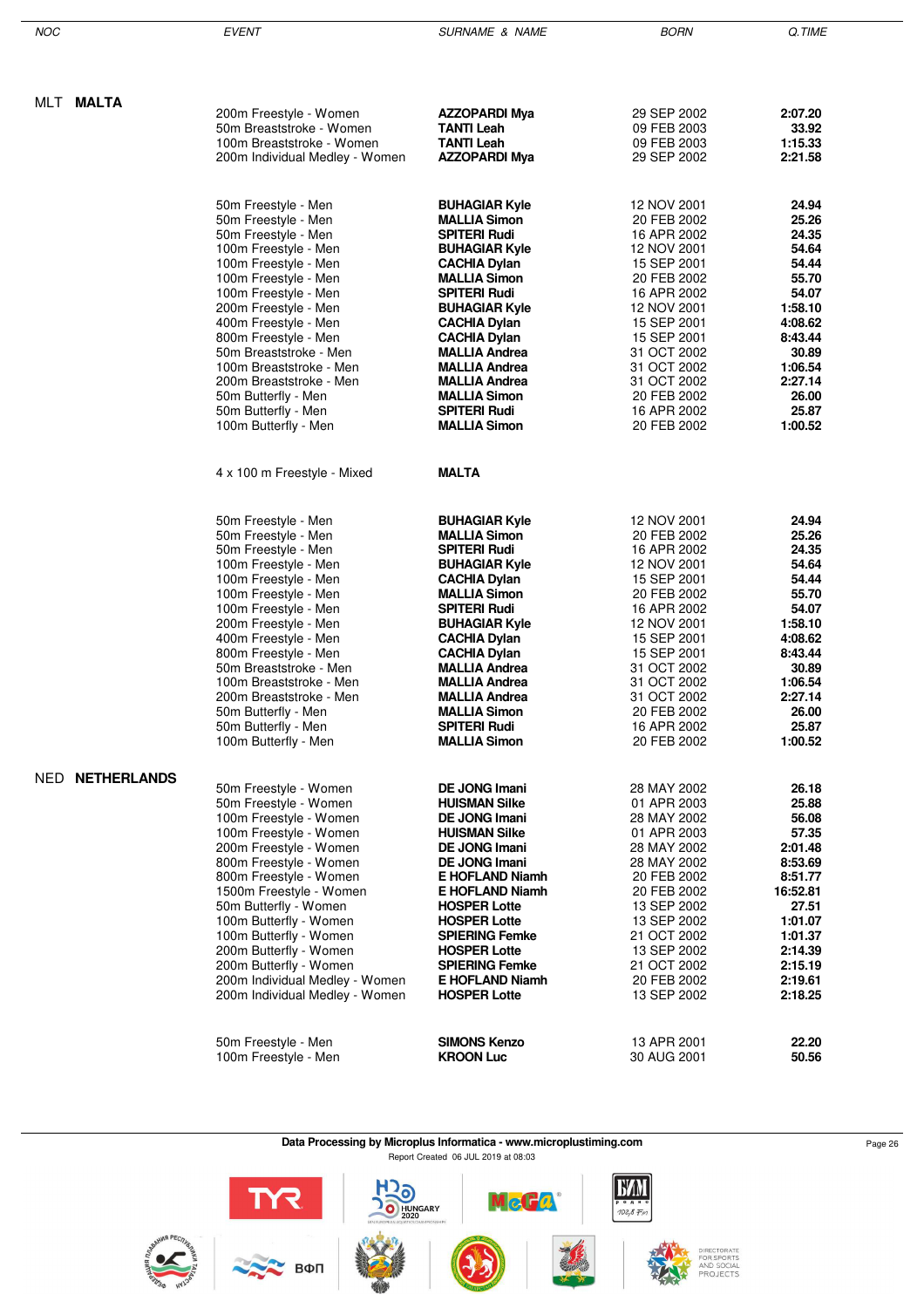| NOC |                 | <b>EVENT</b>                                       | <b>SURNAME &amp; NAME</b>                    | <b>BORN</b>                | Q.TIME             |
|-----|-----------------|----------------------------------------------------|----------------------------------------------|----------------------------|--------------------|
|     |                 |                                                    |                                              |                            |                    |
|     |                 |                                                    |                                              |                            |                    |
|     | MLT MALTA       | 200m Freestyle - Women                             | <b>AZZOPARDI Mya</b>                         | 29 SEP 2002                | 2:07.20            |
|     |                 | 50m Breaststroke - Women                           | <b>TANTI Leah</b>                            | 09 FEB 2003                | 33.92              |
|     |                 | 100m Breaststroke - Women                          | <b>TANTI Leah</b>                            | 09 FEB 2003                | 1:15.33            |
|     |                 | 200m Individual Medley - Women                     | <b>AZZOPARDI Mya</b>                         | 29 SEP 2002                | 2:21.58            |
|     |                 |                                                    |                                              |                            |                    |
|     |                 | 50m Freestyle - Men                                | <b>BUHAGIAR Kyle</b>                         | 12 NOV 2001                | 24.94              |
|     |                 | 50m Freestyle - Men                                | <b>MALLIA Simon</b>                          | 20 FEB 2002                | 25.26              |
|     |                 | 50m Freestyle - Men                                | <b>SPITERI Rudi</b>                          | 16 APR 2002                | 24.35              |
|     |                 | 100m Freestyle - Men                               | <b>BUHAGIAR Kyle</b>                         | 12 NOV 2001                | 54.64              |
|     |                 | 100m Freestyle - Men                               | <b>CACHIA Dylan</b>                          | 15 SEP 2001                | 54.44              |
|     |                 | 100m Freestyle - Men                               | <b>MALLIA Simon</b>                          | 20 FEB 2002                | 55.70              |
|     |                 | 100m Freestyle - Men                               | <b>SPITERI Rudi</b>                          | 16 APR 2002                | 54.07              |
|     |                 | 200m Freestyle - Men                               | <b>BUHAGIAR Kyle</b>                         | 12 NOV 2001                | 1:58.10            |
|     |                 | 400m Freestyle - Men                               | <b>CACHIA Dylan</b>                          | 15 SEP 2001                | 4:08.62            |
|     |                 | 800m Freestyle - Men                               | <b>CACHIA Dylan</b>                          | 15 SEP 2001                | 8:43.44            |
|     |                 | 50m Breaststroke - Men                             | <b>MALLIA Andrea</b>                         | 31 OCT 2002<br>31 OCT 2002 | 30.89              |
|     |                 | 100m Breaststroke - Men<br>200m Breaststroke - Men | <b>MALLIA Andrea</b><br><b>MALLIA Andrea</b> | 31 OCT 2002                | 1:06.54<br>2:27.14 |
|     |                 | 50m Butterfly - Men                                | <b>MALLIA Simon</b>                          | 20 FEB 2002                | 26.00              |
|     |                 | 50m Butterfly - Men                                | <b>SPITERI Rudi</b>                          | 16 APR 2002                | 25.87              |
|     |                 | 100m Butterfly - Men                               | <b>MALLIA Simon</b>                          | 20 FEB 2002                | 1:00.52            |
|     |                 |                                                    |                                              |                            |                    |
|     |                 | 4 x 100 m Freestyle - Mixed                        | <b>MALTA</b>                                 |                            |                    |
|     |                 |                                                    |                                              |                            |                    |
|     |                 | 50m Freestyle - Men                                | <b>BUHAGIAR Kyle</b>                         | 12 NOV 2001                | 24.94              |
|     |                 | 50m Freestyle - Men                                | <b>MALLIA Simon</b>                          | 20 FEB 2002                | 25.26              |
|     |                 | 50m Freestyle - Men                                | <b>SPITERI Rudi</b>                          | 16 APR 2002                | 24.35<br>54.64     |
|     |                 | 100m Freestyle - Men<br>100m Freestyle - Men       | <b>BUHAGIAR Kyle</b><br><b>CACHIA Dylan</b>  | 12 NOV 2001<br>15 SEP 2001 | 54.44              |
|     |                 | 100m Freestyle - Men                               | <b>MALLIA Simon</b>                          | 20 FEB 2002                | 55.70              |
|     |                 | 100m Freestyle - Men                               | <b>SPITERI Rudi</b>                          | 16 APR 2002                | 54.07              |
|     |                 | 200m Freestyle - Men                               | <b>BUHAGIAR Kyle</b>                         | 12 NOV 2001                | 1:58.10            |
|     |                 | 400m Freestyle - Men                               | <b>CACHIA Dylan</b>                          | 15 SEP 2001                | 4:08.62            |
|     |                 | 800m Freestyle - Men                               | <b>CACHIA Dylan</b>                          | 15 SEP 2001                | 8:43.44            |
|     |                 | 50m Breaststroke - Men                             | <b>MALLIA Andrea</b>                         | 31 OCT 2002                | 30.89              |
|     |                 | 100m Breaststroke - Men                            | <b>MALLIA Andrea</b>                         | 31 OCT 2002                | 1:06.54            |
|     |                 | 200m Breaststroke - Men                            | <b>MALLIA Andrea</b>                         | 31 OCT 2002                | 2:27.14            |
|     |                 | 50m Butterfly - Men<br>50m Butterfly - Men         | <b>MALLIA Simon</b><br><b>SPITERI Rudi</b>   | 20 FEB 2002<br>16 APR 2002 | 26.00<br>25.87     |
|     |                 | 100m Butterfly - Men                               | <b>MALLIA Simon</b>                          | 20 FEB 2002                | 1:00.52            |
|     |                 |                                                    |                                              |                            |                    |
|     | NED NETHERLANDS | 50m Freestyle - Women                              | <b>DE JONG Imani</b>                         | 28 MAY 2002                | 26.18              |
|     |                 | 50m Freestyle - Women                              | <b>HUISMAN Silke</b>                         | 01 APR 2003                | 25.88              |
|     |                 | 100m Freestyle - Women                             | <b>DE JONG Imani</b>                         | 28 MAY 2002                | 56.08              |
|     |                 | 100m Freestyle - Women                             | <b>HUISMAN Silke</b>                         | 01 APR 2003                | 57.35              |
|     |                 | 200m Freestyle - Women                             | <b>DE JONG Imani</b>                         | 28 MAY 2002                | 2:01.48            |
|     |                 | 800m Freestyle - Women                             | <b>DE JONG Imani</b>                         | 28 MAY 2002                | 8:53.69            |
|     |                 | 800m Freestyle - Women                             | <b>E HOFLAND Niamh</b>                       | 20 FEB 2002                | 8:51.77            |
|     |                 | 1500m Freestyle - Women                            | <b>E HOFLAND Niamh</b>                       | 20 FEB 2002                | 16:52.81           |
|     |                 | 50m Butterfly - Women                              | <b>HOSPER Lotte</b>                          | 13 SEP 2002                | 27.51              |
|     |                 | 100m Butterfly - Women<br>100m Butterfly - Women   | <b>HOSPER Lotte</b><br><b>SPIERING Femke</b> | 13 SEP 2002<br>21 OCT 2002 | 1:01.07<br>1:01.37 |
|     |                 | 200m Butterfly - Women                             | <b>HOSPER Lotte</b>                          | 13 SEP 2002                | 2:14.39            |
|     |                 | 200m Butterfly - Women                             | <b>SPIERING Femke</b>                        | 21 OCT 2002                | 2:15.19            |
|     |                 | 200m Individual Medley - Women                     | <b>E HOFLAND Niamh</b>                       | 20 FEB 2002                | 2:19.61            |
|     |                 | 200m Individual Medley - Women                     | <b>HOSPER Lotte</b>                          | 13 SEP 2002                | 2:18.25            |
|     |                 |                                                    |                                              |                            |                    |
|     |                 | 50m Freestyle - Men                                | <b>SIMONS Kenzo</b>                          | 13 APR 2001                | 22.20              |
|     |                 | 100m Freestyle - Men                               | <b>KROON Luc</b>                             | 30 AUG 2001                | 50.56              |
|     |                 |                                                    |                                              |                            |                    |

÷

**Data Processing by Microplus Informatica - www.microplustiming.com** Page 26 Page 26 Report Created 06 JUL 2019 at 08:03

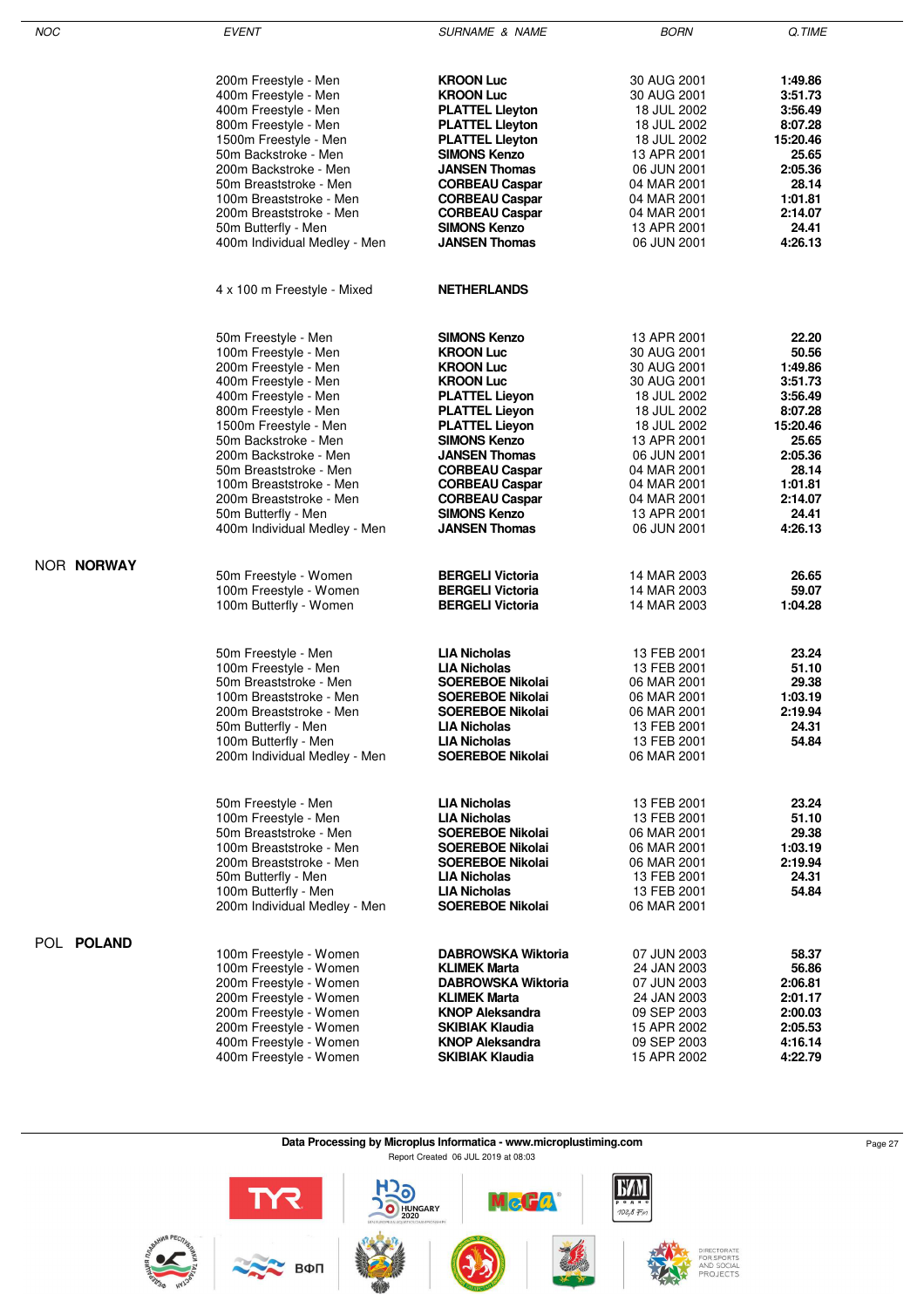| <b>NOC</b> | <b>EVENT</b>                                                                                                                                                                                               | <b>SURNAME &amp; NAME</b>                                                                                                                                                                            | <b>BORN</b>                                                                                                          | Q.TIME                                                          |
|------------|------------------------------------------------------------------------------------------------------------------------------------------------------------------------------------------------------------|------------------------------------------------------------------------------------------------------------------------------------------------------------------------------------------------------|----------------------------------------------------------------------------------------------------------------------|-----------------------------------------------------------------|
|            | 200m Freestyle - Men                                                                                                                                                                                       | <b>KROON Luc</b>                                                                                                                                                                                     | 30 AUG 2001                                                                                                          | 1:49.86                                                         |
|            | 400m Freestyle - Men                                                                                                                                                                                       | <b>KROON Luc</b>                                                                                                                                                                                     | 30 AUG 2001                                                                                                          | 3:51.73                                                         |
|            | 400m Freestyle - Men                                                                                                                                                                                       | <b>PLATTEL Lleyton</b>                                                                                                                                                                               | 18 JUL 2002                                                                                                          | 3:56.49                                                         |
|            | 800m Freestyle - Men                                                                                                                                                                                       | <b>PLATTEL Lieyton</b>                                                                                                                                                                               | 18 JUL 2002                                                                                                          | 8:07.28                                                         |
|            | 1500m Freestyle - Men                                                                                                                                                                                      | <b>PLATTEL Lieyton</b>                                                                                                                                                                               | 18 JUL 2002                                                                                                          | 15:20.46                                                        |
|            | 50m Backstroke - Men                                                                                                                                                                                       | <b>SIMONS Kenzo</b>                                                                                                                                                                                  | 13 APR 2001                                                                                                          | 25.65                                                           |
|            | 200m Backstroke - Men                                                                                                                                                                                      | <b>JANSEN Thomas</b>                                                                                                                                                                                 | 06 JUN 2001                                                                                                          | 2:05.36                                                         |
|            | 50m Breaststroke - Men                                                                                                                                                                                     | <b>CORBEAU Caspar</b>                                                                                                                                                                                | 04 MAR 2001                                                                                                          | 28.14                                                           |
|            | 100m Breaststroke - Men                                                                                                                                                                                    | <b>CORBEAU Caspar</b>                                                                                                                                                                                | 04 MAR 2001                                                                                                          | 1:01.81                                                         |
|            | 200m Breaststroke - Men                                                                                                                                                                                    | <b>CORBEAU Caspar</b>                                                                                                                                                                                | 04 MAR 2001                                                                                                          | 2:14.07                                                         |
|            | 50m Butterfly - Men                                                                                                                                                                                        | <b>SIMONS Kenzo</b>                                                                                                                                                                                  | 13 APR 2001                                                                                                          | 24.41                                                           |
|            | 400m Individual Medley - Men                                                                                                                                                                               | <b>JANSEN Thomas</b>                                                                                                                                                                                 | 06 JUN 2001                                                                                                          | 4:26.13                                                         |
|            | 4 x 100 m Freestyle - Mixed                                                                                                                                                                                | <b>NETHERLANDS</b>                                                                                                                                                                                   |                                                                                                                      |                                                                 |
|            | 50m Freestyle - Men                                                                                                                                                                                        | <b>SIMONS Kenzo</b>                                                                                                                                                                                  | 13 APR 2001                                                                                                          | 22.20                                                           |
|            | 100m Freestyle - Men                                                                                                                                                                                       | <b>KROON Luc</b>                                                                                                                                                                                     | 30 AUG 2001                                                                                                          | 50.56                                                           |
|            | 200m Freestyle - Men                                                                                                                                                                                       | <b>KROON Luc</b>                                                                                                                                                                                     | 30 AUG 2001                                                                                                          | 1:49.86                                                         |
|            | 400m Freestyle - Men                                                                                                                                                                                       | <b>KROON Luc</b>                                                                                                                                                                                     | 30 AUG 2001                                                                                                          | 3:51.73                                                         |
|            | 400m Freestyle - Men                                                                                                                                                                                       | <b>PLATTEL Lieyon</b>                                                                                                                                                                                | 18 JUL 2002                                                                                                          | 3:56.49                                                         |
|            | 800m Freestyle - Men                                                                                                                                                                                       | <b>PLATTEL Lieyon</b>                                                                                                                                                                                | 18 JUL 2002                                                                                                          | 8:07.28                                                         |
|            | 1500m Freestyle - Men                                                                                                                                                                                      | <b>PLATTEL Lieyon</b>                                                                                                                                                                                | 18 JUL 2002                                                                                                          | 15:20.46                                                        |
|            | 50m Backstroke - Men                                                                                                                                                                                       | <b>SIMONS Kenzo</b>                                                                                                                                                                                  | 13 APR 2001                                                                                                          | 25.65                                                           |
|            | 200m Backstroke - Men                                                                                                                                                                                      | <b>JANSEN Thomas</b>                                                                                                                                                                                 | 06 JUN 2001                                                                                                          | 2:05.36                                                         |
|            | 50m Breaststroke - Men                                                                                                                                                                                     | <b>CORBEAU Caspar</b>                                                                                                                                                                                | 04 MAR 2001                                                                                                          | 28.14                                                           |
|            | 100m Breaststroke - Men                                                                                                                                                                                    | <b>CORBEAU Caspar</b>                                                                                                                                                                                | 04 MAR 2001                                                                                                          | 1:01.81                                                         |
|            | 200m Breaststroke - Men                                                                                                                                                                                    | <b>CORBEAU Caspar</b>                                                                                                                                                                                | 04 MAR 2001                                                                                                          | 2:14.07                                                         |
|            | 50m Butterfly - Men                                                                                                                                                                                        | <b>SIMONS Kenzo</b>                                                                                                                                                                                  | 13 APR 2001                                                                                                          | 24.41                                                           |
|            | 400m Individual Medley - Men                                                                                                                                                                               | <b>JANSEN Thomas</b>                                                                                                                                                                                 | 06 JUN 2001                                                                                                          | 4:26.13                                                         |
| NOR NORWAY | 50m Freestyle - Women                                                                                                                                                                                      | <b>BERGELI Victoria</b>                                                                                                                                                                              | 14 MAR 2003                                                                                                          | 26.65                                                           |
|            | 100m Freestyle - Women                                                                                                                                                                                     | <b>BERGELI Victoria</b>                                                                                                                                                                              | 14 MAR 2003                                                                                                          | 59.07                                                           |
|            | 100m Butterfly - Women                                                                                                                                                                                     | <b>BERGELI Victoria</b>                                                                                                                                                                              | 14 MAR 2003                                                                                                          | 1:04.28                                                         |
|            | 50m Freestyle - Men<br>100m Freestyle - Men<br>50m Breaststroke - Men<br>100m Breaststroke - Men<br>200m Breaststroke - Men<br>50m Butterfly - Men<br>100m Butterfly - Men<br>200m Individual Medley - Men | LIA Nicholas<br><b>LIA Nicholas</b><br>SOEREBOE Nikolai<br>SOEREBOE Nikolai<br><b>SOEREBOE Nikolai</b><br><b>LIA Nicholas</b><br><b>LIA Nicholas</b><br><b>SOEREBOE Nikolai</b>                      | 13 FEB 2001<br>13 FEB 2001<br>06 MAR 2001<br>06 MAR 2001<br>06 MAR 2001<br>13 FEB 2001<br>13 FEB 2001<br>06 MAR 2001 | 23.24<br>51.10<br>29.38<br>1:03.19<br>2:19.94<br>24.31<br>54.84 |
|            | 50m Freestyle - Men<br>100m Freestyle - Men<br>50m Breaststroke - Men<br>100m Breaststroke - Men<br>200m Breaststroke - Men<br>50m Butterfly - Men<br>100m Butterfly - Men<br>200m Individual Medley - Men | <b>LIA Nicholas</b><br><b>LIA Nicholas</b><br><b>SOEREBOE Nikolai</b><br><b>SOEREBOE Nikolai</b><br><b>SOEREBOE Nikolai</b><br><b>LIA Nicholas</b><br><b>LIA Nicholas</b><br><b>SOEREBOE Nikolai</b> | 13 FEB 2001<br>13 FEB 2001<br>06 MAR 2001<br>06 MAR 2001<br>06 MAR 2001<br>13 FEB 2001<br>13 FEB 2001<br>06 MAR 2001 | 23.24<br>51.10<br>29.38<br>1:03.19<br>2:19.94<br>24.31<br>54.84 |
| POL POLAND | 100m Freestyle - Women                                                                                                                                                                                     | <b>DABROWSKA Wiktoria</b>                                                                                                                                                                            | 07 JUN 2003                                                                                                          | 58.37                                                           |
|            | 100m Freestyle - Women                                                                                                                                                                                     | <b>KLIMEK Marta</b>                                                                                                                                                                                  | 24 JAN 2003                                                                                                          | 56.86                                                           |
|            | 200m Freestyle - Women                                                                                                                                                                                     | <b>DABROWSKA Wiktoria</b>                                                                                                                                                                            | 07 JUN 2003                                                                                                          | 2:06.81                                                         |
|            | 200m Freestyle - Women                                                                                                                                                                                     | <b>KLIMEK Marta</b>                                                                                                                                                                                  | 24 JAN 2003                                                                                                          | 2:01.17                                                         |
|            | 200m Freestyle - Women                                                                                                                                                                                     | <b>KNOP Aleksandra</b>                                                                                                                                                                               | 09 SEP 2003                                                                                                          | 2:00.03                                                         |
|            | 200m Freestyle - Women                                                                                                                                                                                     | SKIBIAK Klaudia                                                                                                                                                                                      | 15 APR 2002                                                                                                          | 2:05.53                                                         |
|            | 400m Freestyle - Women                                                                                                                                                                                     | <b>KNOP Aleksandra</b>                                                                                                                                                                               | 09 SEP 2003                                                                                                          | 4:16.14                                                         |
|            | 400m Freestyle - Women                                                                                                                                                                                     | SKIBIAK Klaudia                                                                                                                                                                                      | 15 APR 2002                                                                                                          | 4:22.79                                                         |

**Data Processing by Microplus Informatica - www.microplustiming.com** Page 27 Page 27

Report Created 06 JUL 2019 at 08:03

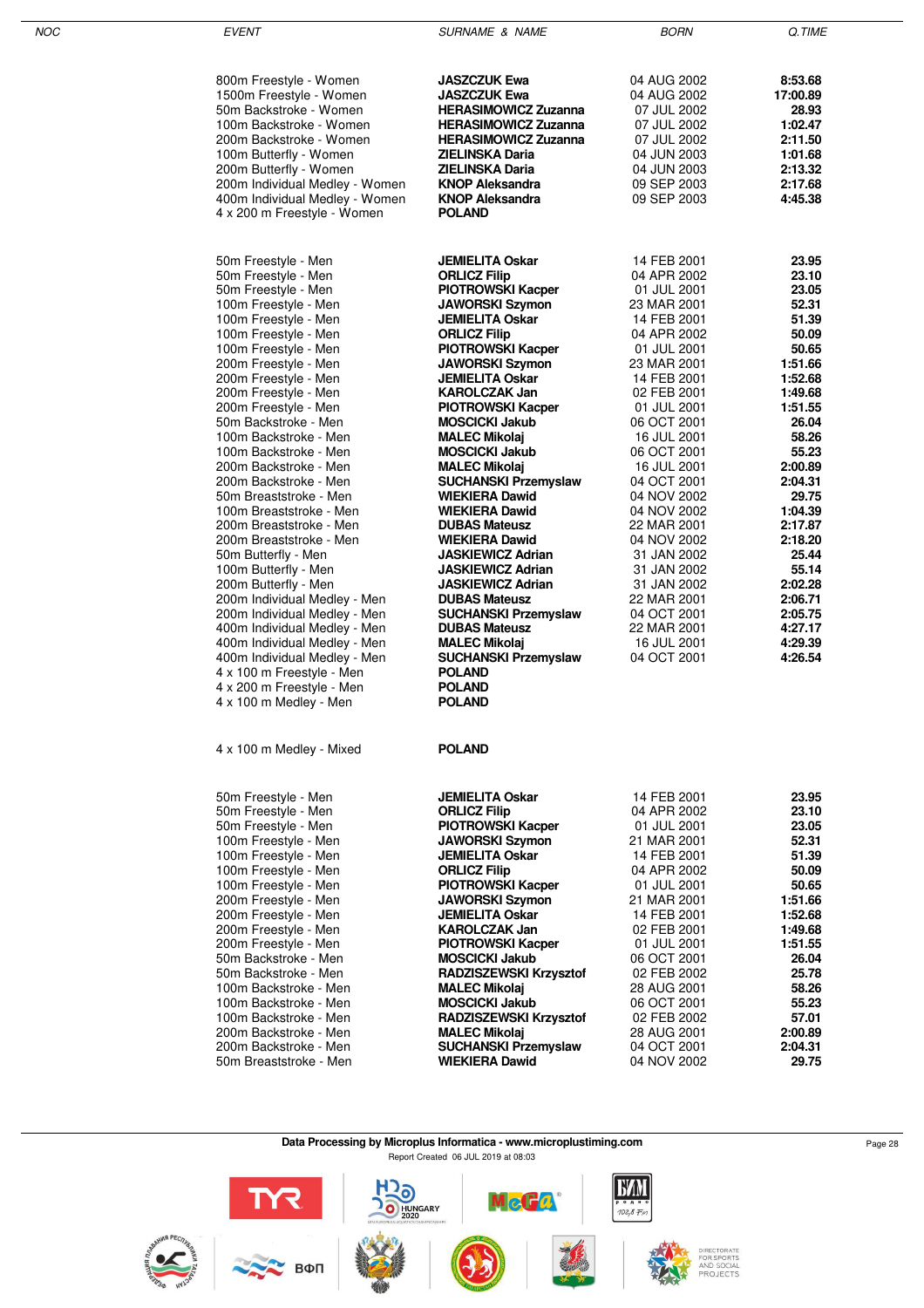| NOC | <b>EVENT</b>                                       | <b>SURNAME &amp; NAME</b>                       | <b>BORN</b>                | Q.TIME             |
|-----|----------------------------------------------------|-------------------------------------------------|----------------------------|--------------------|
|     | 800m Freestyle - Women                             | <b>JASZCZUK Ewa</b>                             | 04 AUG 2002                | 8:53.68            |
|     | 1500m Freestyle - Women                            | <b>JASZCZUK Ewa</b>                             | 04 AUG 2002                | 17:00.89           |
|     | 50m Backstroke - Women                             | <b>HERASIMOWICZ Zuzanna</b>                     | 07 JUL 2002                | 28.93              |
|     | 100m Backstroke - Women                            | <b>HERASIMOWICZ Zuzanna</b>                     | 07 JUL 2002                | 1:02.47            |
|     | 200m Backstroke - Women                            | <b>HERASIMOWICZ Zuzanna</b>                     | 07 JUL 2002                | 2:11.50            |
|     | 100m Butterfly - Women                             | ZIELINSKA Daria                                 | 04 JUN 2003                | 1:01.68            |
|     | 200m Butterfly - Women                             | ZIELINSKA Daria                                 | 04 JUN 2003                | 2:13.32            |
|     | 200m Individual Medley - Women                     | <b>KNOP Aleksandra</b>                          | 09 SEP 2003                | 2:17.68            |
|     | 400m Individual Medley - Women                     | <b>KNOP Aleksandra</b>                          | 09 SEP 2003                | 4:45.38            |
|     | 4 x 200 m Freestyle - Women                        | <b>POLAND</b>                                   |                            |                    |
|     | 50m Freestyle - Men                                | <b>JEMIELITA Oskar</b>                          | 14 FEB 2001                | 23.95              |
|     | 50m Freestyle - Men                                | <b>ORLICZ Filip</b>                             | 04 APR 2002                | 23.10              |
|     | 50m Freestyle - Men                                | <b>PIOTROWSKI Kacper</b>                        | 01 JUL 2001                | 23.05              |
|     | 100m Freestyle - Men                               | <b>JAWORSKI Szymon</b>                          | 23 MAR 2001                | 52.31              |
|     | 100m Freestyle - Men                               | <b>JEMIELITA Oskar</b>                          | 14 FEB 2001                | 51.39              |
|     | 100m Freestyle - Men                               | <b>ORLICZ Filip</b>                             | 04 APR 2002                | 50.09              |
|     | 100m Freestyle - Men                               | <b>PIOTROWSKI Kacper</b>                        | 01 JUL 2001                | 50.65              |
|     | 200m Freestyle - Men                               | <b>JAWORSKI Szymon</b>                          | 23 MAR 2001                | 1:51.66            |
|     | 200m Freestyle - Men                               | <b>JEMIELITA Oskar</b>                          | 14 FEB 2001                | 1:52.68            |
|     | 200m Freestyle - Men                               | <b>KAROLCZAK Jan</b>                            | 02 FEB 2001                | 1:49.68            |
|     | 200m Freestyle - Men                               | <b>PIOTROWSKI Kacper</b>                        | 01 JUL 2001                | 1:51.55            |
|     | 50m Backstroke - Men                               | <b>MOSCICKI Jakub</b>                           | 06 OCT 2001                | 26.04              |
|     | 100m Backstroke - Men                              | <b>MALEC Mikolaj</b>                            | 16 JUL 2001                | 58.26              |
|     | 100m Backstroke - Men                              | <b>MOSCICKI Jakub</b>                           | 06 OCT 2001                | 55.23              |
|     | 200m Backstroke - Men                              | <b>MALEC Mikolaj</b>                            | 16 JUL 2001                | 2:00.89            |
|     | 200m Backstroke - Men                              | <b>SUCHANSKI Przemyslaw</b>                     | 04 OCT 2001                | 2:04.31            |
|     | 50m Breaststroke - Men                             | <b>WIEKIERA Dawid</b>                           | 04 NOV 2002                | 29.75              |
|     | 100m Breaststroke - Men                            | <b>WIEKIERA Dawid</b>                           | 04 NOV 2002                | 1:04.39            |
|     | 200m Breaststroke - Men<br>200m Breaststroke - Men | <b>DUBAS Mateusz</b><br><b>WIEKIERA Dawid</b>   | 22 MAR 2001                | 2:17.87<br>2:18.20 |
|     |                                                    | <b>JASKIEWICZ Adrian</b>                        | 04 NOV 2002<br>31 JAN 2002 | 25.44              |
|     | 50m Butterfly - Men<br>100m Butterfly - Men        | <b>JASKIEWICZ Adrian</b>                        | 31 JAN 2002                | 55.14              |
|     | 200m Butterfly - Men                               | <b>JASKIEWICZ Adrian</b>                        | 31 JAN 2002                | 2:02.28            |
|     | 200m Individual Medley - Men                       | <b>DUBAS Mateusz</b>                            | 22 MAR 2001                | 2:06.71            |
|     | 200m Individual Medley - Men                       | <b>SUCHANSKI Przemyslaw</b>                     | 04 OCT 2001                | 2:05.75            |
|     | 400m Individual Medley - Men                       | <b>DUBAS Mateusz</b>                            | 22 MAR 2001                | 4:27.17            |
|     | 400m Individual Medley - Men                       | <b>MALEC Mikolaj</b>                            | 16 JUL 2001                | 4:29.39            |
|     | 400m Individual Medley - Men                       | <b>SUCHANSKI Przemyslaw</b>                     | 04 OCT 2001                | 4:26.54            |
|     | 4 x 100 m Freestyle - Men                          | <b>POLAND</b>                                   |                            |                    |
|     | 4 x 200 m Freestyle - Men                          | <b>POLAND</b>                                   |                            |                    |
|     | 4 x 100 m Medley - Men                             | <b>POLAND</b>                                   |                            |                    |
|     | 4 x 100 m Medley - Mixed                           | <b>POLAND</b>                                   |                            |                    |
|     |                                                    |                                                 |                            |                    |
|     | 50m Freestyle - Men                                | <b>JEMIELITA Oskar</b>                          | 14 FEB 2001                | 23.95              |
|     | 50m Freestyle - Men                                | <b>ORLICZ Filip</b>                             | 04 APR 2002                | 23.10              |
|     | 50m Freestyle - Men                                | <b>PIOTROWSKI Kacper</b>                        | 01 JUL 2001                | 23.05              |
|     | 100m Freestyle - Men                               | <b>JAWORSKI Szymon</b>                          | 21 MAR 2001                | 52.31              |
|     | 100m Freestyle - Men                               | <b>JEMIELITA Oskar</b>                          | 14 FEB 2001                | 51.39              |
|     | 100m Freestyle - Men<br>100m Freestyle - Men       | <b>ORLICZ Filip</b><br><b>PIOTROWSKI Kacper</b> | 04 APR 2002<br>01 JUL 2001 | 50.09<br>50.65     |
|     | 200m Freestyle - Men                               | <b>JAWORSKI Szymon</b>                          | 21 MAR 2001                | 1:51.66            |
|     | 200m Freestyle - Men                               | <b>JEMIELITA Oskar</b>                          | 14 FEB 2001                | 1:52.68            |
|     | 200m Freestyle - Men                               | <b>KAROLCZAK Jan</b>                            | 02 FEB 2001                | 1:49.68            |
|     | 200m Freestyle - Men                               | <b>PIOTROWSKI Kacper</b>                        | 01 JUL 2001                | 1:51.55            |
|     | 50m Backstroke - Men                               | <b>MOSCICKI Jakub</b>                           | 06 OCT 2001                | 26.04              |
|     | 50m Backstroke - Men                               | <b>RADZISZEWSKI Krzysztof</b>                   | 02 FEB 2002                | 25.78              |
|     | 100m Backstroke - Men                              | <b>MALEC Mikolaj</b>                            | 28 AUG 2001                | 58.26              |
|     | 100m Backstroke - Men                              | <b>MOSCICKI Jakub</b>                           | 06 OCT 2001                | 55.23              |
|     | 100m Backstroke - Men                              | <b>RADZISZEWSKI Krzysztof</b>                   | 02 FEB 2002                | 57.01              |
|     | 200m Backstroke - Men                              | <b>MALEC Mikolaj</b>                            | 28 AUG 2001                | 2:00.89            |
|     | 200m Backstroke - Men                              | <b>SUCHANSKI Przemyslaw</b>                     | 04 OCT 2001                | 2:04.31            |
|     | 50m Breaststroke - Men                             | <b>WIEKIERA Dawid</b>                           | 04 NOV 2002                | 29.75              |

**Data Processing by Microplus Informatica - www.microplustiming.com** Page 28 Report Created 06 JUL 2019 at 08:03

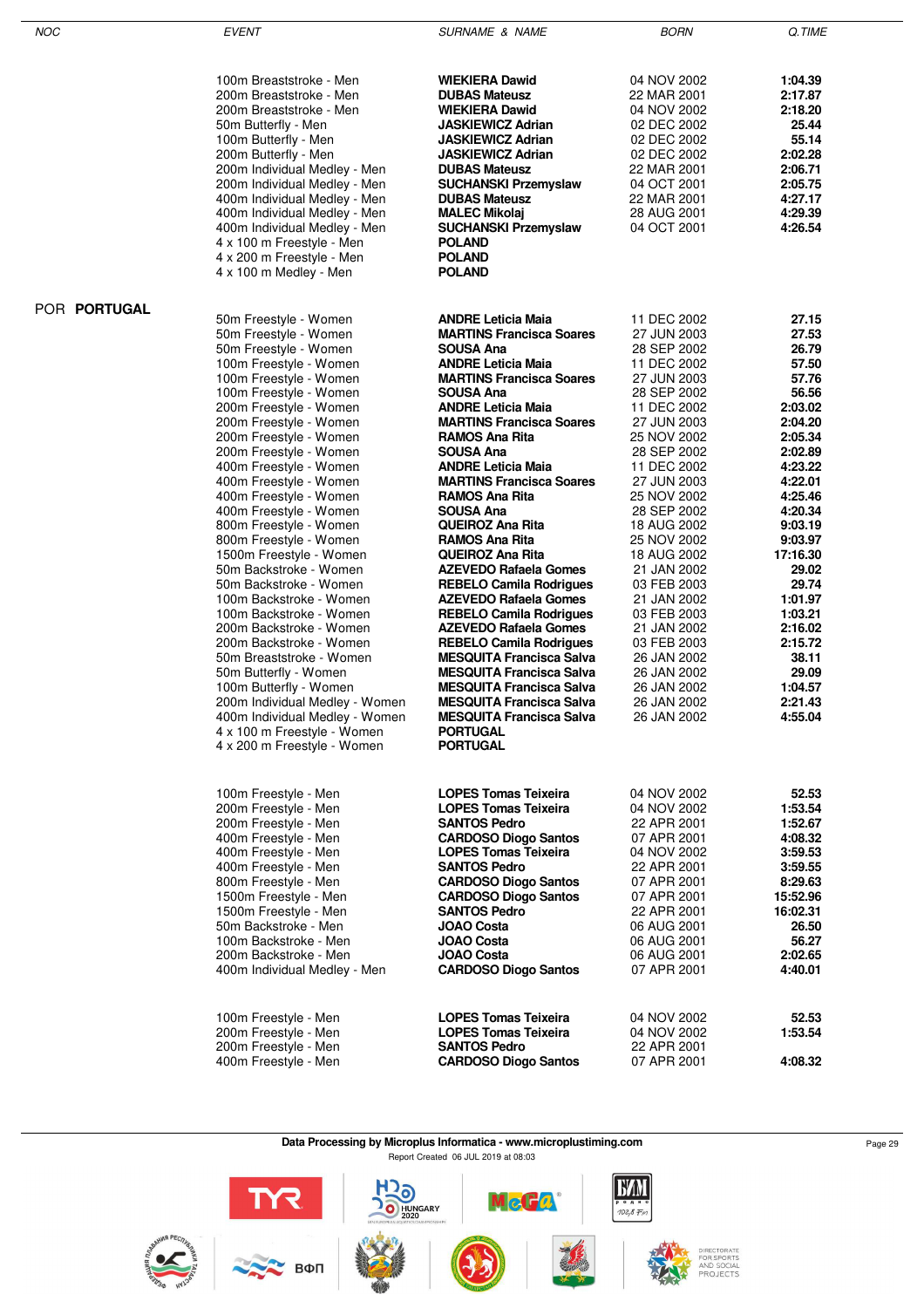| NOC                 | <b>EVENT</b>                                               | <b>SURNAME &amp; NAME</b>                                      | <b>BORN</b>                | Q.TIME             |
|---------------------|------------------------------------------------------------|----------------------------------------------------------------|----------------------------|--------------------|
|                     |                                                            |                                                                |                            |                    |
|                     | 100m Breaststroke - Men                                    | <b>WIEKIERA Dawid</b>                                          | 04 NOV 2002                | 1:04.39            |
|                     | 200m Breaststroke - Men                                    | <b>DUBAS Mateusz</b>                                           | 22 MAR 2001                | 2:17.87            |
|                     | 200m Breaststroke - Men                                    | <b>WIEKIERA Dawid</b>                                          | 04 NOV 2002                | 2:18.20            |
|                     | 50m Butterfly - Men                                        | JASKIEWICZ Adrian<br><b>JASKIEWICZ Adrian</b>                  | 02 DEC 2002                | 25.44<br>55.14     |
|                     | 100m Butterfly - Men<br>200m Butterfly - Men               | JASKIEWICZ Adrian                                              | 02 DEC 2002<br>02 DEC 2002 | 2:02.28            |
|                     | 200m Individual Medley - Men                               | <b>DUBAS Mateusz</b>                                           | 22 MAR 2001                | 2:06.71            |
|                     | 200m Individual Medley - Men                               | <b>SUCHANSKI Przemyslaw</b>                                    | 04 OCT 2001                | 2:05.75            |
|                     | 400m Individual Medley - Men                               | <b>DUBAS Mateusz</b>                                           | 22 MAR 2001                | 4:27.17            |
|                     | 400m Individual Medley - Men                               | <b>MALEC Mikolaj</b>                                           | 28 AUG 2001                | 4:29.39            |
|                     | 400m Individual Medley - Men                               | <b>SUCHANSKI Przemyslaw</b>                                    | 04 OCT 2001                | 4:26.54            |
|                     | 4 x 100 m Freestyle - Men                                  | <b>POLAND</b>                                                  |                            |                    |
|                     | 4 x 200 m Freestyle - Men                                  | <b>POLAND</b>                                                  |                            |                    |
|                     | 4 x 100 m Medley - Men                                     | <b>POLAND</b>                                                  |                            |                    |
| POR <b>PORTUGAL</b> | 50m Freestyle - Women                                      | <b>ANDRE Leticia Maia</b>                                      | 11 DEC 2002                | 27.15              |
|                     | 50m Freestyle - Women                                      | <b>MARTINS Francisca Soares</b>                                | 27 JUN 2003                | 27.53              |
|                     | 50m Freestyle - Women                                      | SOUSA Ana                                                      | 28 SEP 2002                | 26.79              |
|                     | 100m Freestyle - Women                                     | <b>ANDRE Leticia Maia</b>                                      | 11 DEC 2002                | 57.50              |
|                     | 100m Freestyle - Women                                     | <b>MARTINS Francisca Soares</b>                                | 27 JUN 2003                | 57.76              |
|                     | 100m Freestyle - Women                                     | SOUSA Ana                                                      | 28 SEP 2002                | 56.56              |
|                     | 200m Freestyle - Women                                     | <b>ANDRE Leticia Maia</b>                                      | 11 DEC 2002                | 2:03.02            |
|                     | 200m Freestyle - Women                                     | <b>MARTINS Francisca Soares</b>                                | 27 JUN 2003                | 2:04.20            |
|                     | 200m Freestyle - Women                                     | RAMOS Ana Rita                                                 | 25 NOV 2002                | 2:05.34            |
|                     | 200m Freestyle - Women                                     | SOUSA Ana                                                      | 28 SEP 2002                | 2:02.89            |
|                     | 400m Freestyle - Women<br>400m Freestyle - Women           | <b>ANDRE Leticia Maia</b><br><b>MARTINS Francisca Soares</b>   | 11 DEC 2002<br>27 JUN 2003 | 4:23.22<br>4:22.01 |
|                     | 400m Freestyle - Women                                     | RAMOS Ana Rita                                                 | 25 NOV 2002                | 4:25.46            |
|                     | 400m Freestyle - Women                                     | SOUSA Ana                                                      | 28 SEP 2002                | 4:20.34            |
|                     | 800m Freestyle - Women                                     | QUEIROZ Ana Rita                                               | 18 AUG 2002                | 9:03.19            |
|                     | 800m Freestyle - Women                                     | <b>RAMOS Ana Rita</b>                                          | 25 NOV 2002                | 9:03.97            |
|                     | 1500m Freestyle - Women                                    | <b>QUEIROZ Ana Rita</b>                                        | 18 AUG 2002                | 17:16.30           |
|                     | 50m Backstroke - Women                                     | <b>AZEVEDO Rafaela Gomes</b>                                   | 21 JAN 2002                | 29.02              |
|                     | 50m Backstroke - Women                                     | <b>REBELO Camila Rodrigues</b>                                 | 03 FEB 2003                | 29.74              |
|                     | 100m Backstroke - Women                                    | <b>AZEVEDO Rafaela Gomes</b>                                   | 21 JAN 2002                | 1:01.97            |
|                     | 100m Backstroke - Women                                    | <b>REBELO Camila Rodrigues</b>                                 | 03 FEB 2003                | 1:03.21            |
|                     | 200m Backstroke - Women<br>200m Backstroke - Women         | <b>AZEVEDO Rafaela Gomes</b><br><b>REBELO Camila Rodrigues</b> | 21 JAN 2002<br>03 FEB 2003 | 2:16.02<br>2:15.72 |
|                     | 50m Breaststroke - Women                                   | <b>MESQUITA Francisca Salva</b>                                | 26 JAN 2002                | 38.11              |
|                     | 50m Butterfly - Women                                      | <b>MESQUITA Francisca Salva</b>                                | 26 JAN 2002                | 29.09              |
|                     | 100m Butterfly - Women                                     | <b>MESQUITA Francisca Salva</b>                                | 26 JAN 2002                | 1:04.57            |
|                     | 200m Individual Medley - Women                             | <b>MESQUITA Francisca Salva</b>                                | 26 JAN 2002                | 2:21.43            |
|                     | 400m Individual Medley - Women                             | <b>MESQUITA Francisca Salva</b>                                | 26 JAN 2002                | 4:55.04            |
|                     | 4 x 100 m Freestyle - Women<br>4 x 200 m Freestyle - Women | <b>PORTUGAL</b><br><b>PORTUGAL</b>                             |                            |                    |
|                     |                                                            |                                                                |                            |                    |
|                     | 100m Freestyle - Men                                       | <b>LOPES Tomas Teixeira</b>                                    | 04 NOV 2002                | 52.53              |
|                     | 200m Freestyle - Men                                       | <b>LOPES Tomas Teixeira</b>                                    | 04 NOV 2002                | 1:53.54            |
|                     | 200m Freestyle - Men                                       | <b>SANTOS Pedro</b>                                            | 22 APR 2001                | 1:52.67            |
|                     | 400m Freestyle - Men                                       | <b>CARDOSO Diogo Santos</b>                                    | 07 APR 2001                | 4:08.32            |
|                     | 400m Freestyle - Men<br>400m Freestyle - Men               | <b>LOPES Tomas Teixeira</b><br><b>SANTOS Pedro</b>             | 04 NOV 2002<br>22 APR 2001 | 3:59.53            |
|                     | 800m Freestyle - Men                                       | <b>CARDOSO Diogo Santos</b>                                    | 07 APR 2001                | 3:59.55<br>8:29.63 |
|                     | 1500m Freestyle - Men                                      | <b>CARDOSO Diogo Santos</b>                                    | 07 APR 2001                | 15:52.96           |
|                     | 1500m Freestyle - Men                                      | <b>SANTOS Pedro</b>                                            | 22 APR 2001                | 16:02.31           |
|                     | 50m Backstroke - Men                                       | <b>JOAO Costa</b>                                              | 06 AUG 2001                | 26.50              |
|                     | 100m Backstroke - Men                                      | <b>JOAO Costa</b>                                              | 06 AUG 2001                | 56.27              |
|                     | 200m Backstroke - Men                                      | JOAO Costa                                                     | 06 AUG 2001                | 2:02.65            |
|                     | 400m Individual Medley - Men                               | <b>CARDOSO Diogo Santos</b>                                    | 07 APR 2001                | 4:40.01            |
|                     | 100m Freestyle - Men                                       | <b>LOPES Tomas Teixeira</b>                                    | 04 NOV 2002                | 52.53              |
|                     | 200m Freestyle - Men                                       | <b>LOPES Tomas Teixeira</b>                                    | 04 NOV 2002                | 1:53.54            |
|                     | 200m Freestyle - Men                                       | <b>SANTOS Pedro</b>                                            | 22 APR 2001                |                    |
|                     | 400m Freestyle - Men                                       | <b>CARDOSO Diogo Santos</b>                                    | 07 APR 2001                | 4:08.32            |
|                     |                                                            |                                                                |                            |                    |

**Data Processing by Microplus Informatica - www.microplustiming.com** Page 29 Report Created 06 JUL 2019 at 08:03

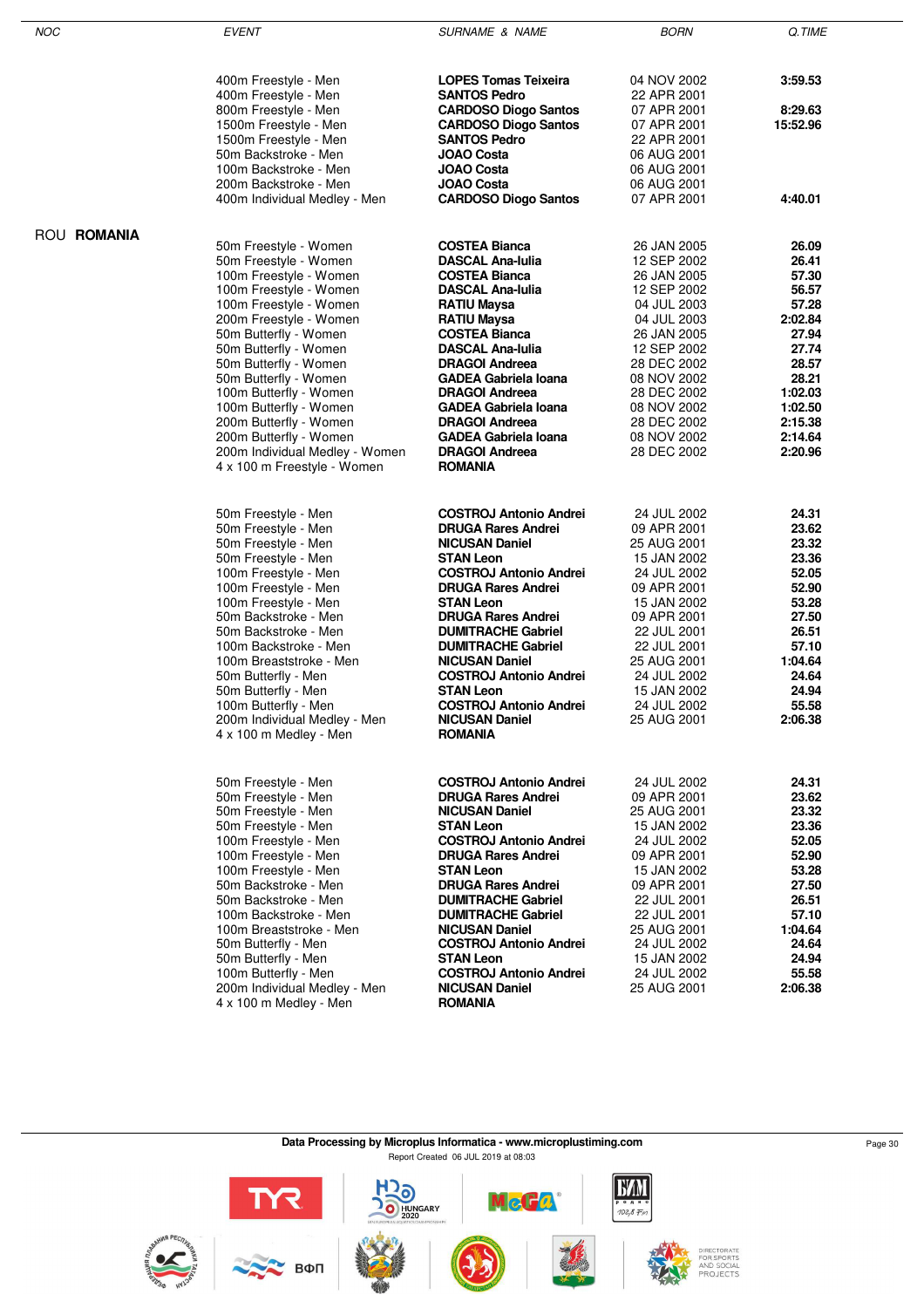| NOC         | <b>EVENT</b>                                                                                                                                                                                                                                                                                                                                                                                                                        | <b>SURNAME &amp; NAME</b>                                                                                                                                                                                                                                                                                                                                                                                                           | <b>BORN</b>                                                                                                                                                                                                                   | Q.TIME                                                                                                                                          |
|-------------|-------------------------------------------------------------------------------------------------------------------------------------------------------------------------------------------------------------------------------------------------------------------------------------------------------------------------------------------------------------------------------------------------------------------------------------|-------------------------------------------------------------------------------------------------------------------------------------------------------------------------------------------------------------------------------------------------------------------------------------------------------------------------------------------------------------------------------------------------------------------------------------|-------------------------------------------------------------------------------------------------------------------------------------------------------------------------------------------------------------------------------|-------------------------------------------------------------------------------------------------------------------------------------------------|
|             | 400m Freestyle - Men<br>400m Freestyle - Men<br>800m Freestyle - Men<br>1500m Freestyle - Men<br>1500m Freestyle - Men<br>50m Backstroke - Men<br>100m Backstroke - Men<br>200m Backstroke - Men                                                                                                                                                                                                                                    | <b>LOPES Tomas Teixeira</b><br><b>SANTOS Pedro</b><br><b>CARDOSO Diogo Santos</b><br><b>CARDOSO Diogo Santos</b><br><b>SANTOS Pedro</b><br>JOAO Costa<br>JOAO Costa<br>JOAO Costa<br><b>CARDOSO Diogo Santos</b>                                                                                                                                                                                                                    | 04 NOV 2002<br>22 APR 2001<br>07 APR 2001<br>07 APR 2001<br>22 APR 2001<br>06 AUG 2001<br>06 AUG 2001<br>06 AUG 2001<br>07 APR 2001                                                                                           | 3:59.53<br>8:29.63<br>15:52.96<br>4:40.01                                                                                                       |
|             | 400m Individual Medley - Men                                                                                                                                                                                                                                                                                                                                                                                                        |                                                                                                                                                                                                                                                                                                                                                                                                                                     |                                                                                                                                                                                                                               |                                                                                                                                                 |
| ROU ROMANIA | 50m Freestyle - Women<br>50m Freestyle - Women<br>100m Freestyle - Women<br>100m Freestyle - Women<br>100m Freestyle - Women<br>200m Freestyle - Women<br>50m Butterfly - Women<br>50m Butterfly - Women<br>50m Butterfly - Women<br>50m Butterfly - Women<br>100m Butterfly - Women<br>100m Butterfly - Women<br>200m Butterfly - Women<br>200m Butterfly - Women<br>200m Individual Medley - Women<br>4 x 100 m Freestyle - Women | <b>COSTEA Bianca</b><br><b>DASCAL Ana-Iulia</b><br><b>COSTEA Bianca</b><br><b>DASCAL Ana-Iulia</b><br><b>RATIU Maysa</b><br>RATIU Maysa<br><b>COSTEA Bianca</b><br><b>DASCAL Ana-Iulia</b><br><b>DRAGOI Andreea</b><br>GADEA Gabriela Ioana<br><b>DRAGOI Andreea</b><br><b>GADEA Gabriela Ioana</b><br><b>DRAGOI Andreea</b><br><b>GADEA Gabriela Ioana</b><br><b>DRAGOI Andreea</b><br>ROMANIA                                     | 26 JAN 2005<br>12 SEP 2002<br>26 JAN 2005<br>12 SEP 2002<br>04 JUL 2003<br>04 JUL 2003<br>26 JAN 2005<br>12 SEP 2002<br>28 DEC 2002<br>08 NOV 2002<br>28 DEC 2002<br>08 NOV 2002<br>28 DEC 2002<br>08 NOV 2002<br>28 DEC 2002 | 26.09<br>26.41<br>57.30<br>56.57<br>57.28<br>2:02.84<br>27.94<br>27.74<br>28.57<br>28.21<br>1:02.03<br>1:02.50<br>2:15.38<br>2:14.64<br>2:20.96 |
|             | 50m Freestyle - Men<br>50m Freestyle - Men<br>50m Freestyle - Men<br>50m Freestyle - Men<br>100m Freestyle - Men<br>100m Freestyle - Men<br>100m Freestyle - Men<br>50m Backstroke - Men<br>50m Backstroke - Men<br>100m Backstroke - Men<br>100m Breaststroke - Men<br>50m Butterfly - Men<br>50m Butterfly - Men<br>100m Butterfly - Men<br>200m Individual Medley - Men<br>4 x 100 m Medley - Men                                | <b>COSTROJ Antonio Andrei</b><br><b>DRUGA Rares Andrei</b><br><b>NICUSAN Daniel</b><br><b>STAN Leon</b><br><b>COSTROJ Antonio Andrei</b><br><b>DRUGA Rares Andrei</b><br>STAN Leon<br><b>DRUGA Rares Andrei</b><br><b>DUMITRACHE Gabriel</b><br><b>DUMITRACHE Gabriel</b><br><b>NICUSAN Daniel</b><br><b>COSTROJ Antonio Andrei</b><br>STAN Leon<br><b>COSTROJ Antonio Andrei</b><br><b>NICUSAN Daniel</b><br><b>ROMANIA</b>        | 24 JUL 2002<br>09 APR 2001<br>25 AUG 2001<br>15 JAN 2002<br>24 JUL 2002<br>09 APR 2001<br>15 JAN 2002<br>09 APR 2001<br>22 JUL 2001<br>22 JUL 2001<br>25 AUG 2001<br>24 JUL 2002<br>15 JAN 2002<br>24 JUL 2002<br>25 AUG 2001 | 24.31<br>23.62<br>23.32<br>23.36<br>52.05<br>52.90<br>53.28<br>27.50<br>26.51<br>57.10<br>1:04.64<br>24.64<br>24.94<br>55.58<br>2:06.38         |
|             | 50m Freestyle - Men<br>50m Freestyle - Men<br>50m Freestyle - Men<br>50m Freestyle - Men<br>100m Freestyle - Men<br>100m Freestyle - Men<br>100m Freestyle - Men<br>50m Backstroke - Men<br>50m Backstroke - Men<br>100m Backstroke - Men<br>100m Breaststroke - Men<br>50m Butterfly - Men<br>50m Butterfly - Men<br>100m Butterfly - Men<br>200m Individual Medley - Men<br>4 x 100 m Medley - Men                                | <b>COSTROJ Antonio Andrei</b><br><b>DRUGA Rares Andrei</b><br><b>NICUSAN Daniel</b><br><b>STAN Leon</b><br><b>COSTROJ Antonio Andrei</b><br><b>DRUGA Rares Andrei</b><br><b>STAN Leon</b><br><b>DRUGA Rares Andrei</b><br><b>DUMITRACHE Gabriel</b><br><b>DUMITRACHE Gabriel</b><br><b>NICUSAN Daniel</b><br><b>COSTROJ Antonio Andrei</b><br>STAN Leon<br><b>COSTROJ Antonio Andrei</b><br><b>NICUSAN Daniel</b><br><b>ROMANIA</b> | 24 JUL 2002<br>09 APR 2001<br>25 AUG 2001<br>15 JAN 2002<br>24 JUL 2002<br>09 APR 2001<br>15 JAN 2002<br>09 APR 2001<br>22 JUL 2001<br>22 JUL 2001<br>25 AUG 2001<br>24 JUL 2002<br>15 JAN 2002<br>24 JUL 2002<br>25 AUG 2001 | 24.31<br>23.62<br>23.32<br>23.36<br>52.05<br>52.90<br>53.28<br>27.50<br>26.51<br>57.10<br>1:04.64<br>24.64<br>24.94<br>55.58<br>2:06.38         |

ROU **ROMANIA**

#### **Data Processing by Microplus Informatica - www.microplustiming.com** Page 30 Page 30 Report Created 06 JUL 2019 at 08:03

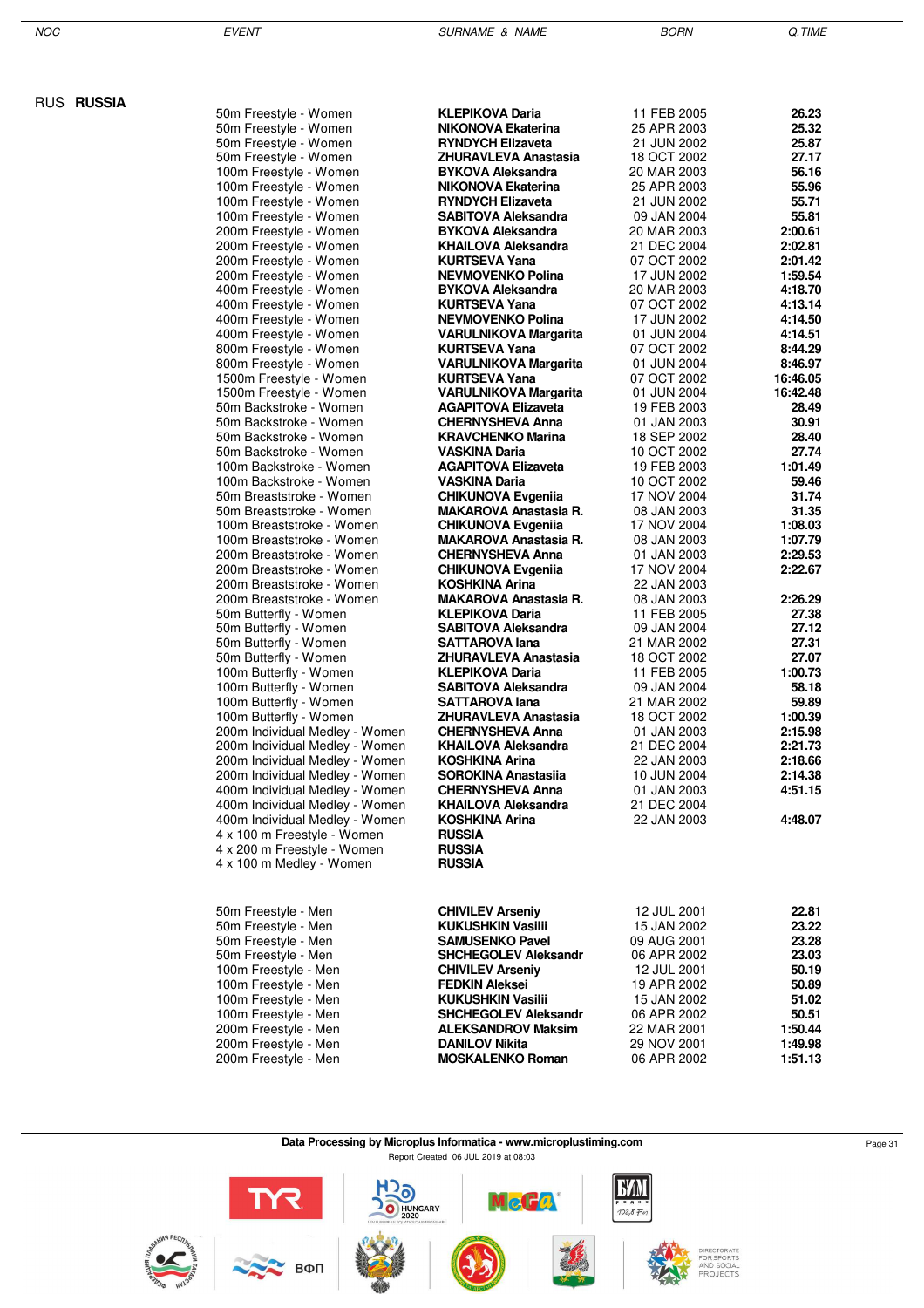RUS **RUSSIA**

| 50m Freestyle - Women                                         | <b>KLEPIKOVA Daria</b>                           | 11 FEB 2005                | 26.23              |
|---------------------------------------------------------------|--------------------------------------------------|----------------------------|--------------------|
| 50m Freestyle - Women                                         | <b>NIKONOVA Ekaterina</b>                        | 25 APR 2003                | 25.32              |
| 50m Freestyle - Women                                         | <b>RYNDYCH Elizaveta</b>                         | 21 JUN 2002                | 25.87              |
| 50m Freestyle - Women                                         | ZHURAVLEVA Anastasia                             | 18 OCT 2002                | 27.17              |
| 100m Freestyle - Women                                        | <b>BYKOVA Aleksandra</b>                         | 20 MAR 2003                | 56.16              |
| 100m Freestyle - Women                                        | NIKONOVA Ekaterina                               | 25 APR 2003                | 55.96              |
| 100m Freestyle - Women                                        | <b>RYNDYCH Elizaveta</b>                         | 21 JUN 2002                | 55.71              |
| 100m Freestyle - Women                                        | <b>SABITOVA Aleksandra</b>                       | 09 JAN 2004                | 55.81              |
| 200m Freestyle - Women<br>200m Freestyle - Women              | <b>BYKOVA Aleksandra</b><br>KHAILOVA Aleksandra  | 20 MAR 2003<br>21 DEC 2004 | 2:00.61<br>2:02.81 |
| 200m Freestyle - Women                                        | <b>KURTSEVA Yana</b>                             | 07 OCT 2002                | 2:01.42            |
| 200m Freestyle - Women                                        | <b>NEVMOVENKO Polina</b>                         | 17 JUN 2002                | 1:59.54            |
| 400m Freestyle - Women                                        | <b>BYKOVA Aleksandra</b>                         | 20 MAR 2003                | 4:18.70            |
| 400m Freestyle - Women                                        | <b>KURTSEVA Yana</b>                             | 07 OCT 2002                | 4:13.14            |
| 400m Freestyle - Women                                        | <b>NEVMOVENKO Polina</b>                         | 17 JUN 2002                | 4:14.50            |
| 400m Freestyle - Women                                        | <b>VARULNIKOVA Margarita</b>                     | 01 JUN 2004                | 4:14.51            |
| 800m Freestyle - Women                                        | <b>KURTSEVA Yana</b>                             | 07 OCT 2002                | 8:44.29            |
| 800m Freestyle - Women                                        | <b>VARULNIKOVA Margarita</b>                     | 01 JUN 2004                | 8:46.97            |
| 1500m Freestyle - Women                                       | <b>KURTSEVA Yana</b>                             | 07 OCT 2002                | 16:46.05           |
| 1500m Freestyle - Women                                       | <b>VARULNIKOVA Margarita</b>                     | 01 JUN 2004                | 16:42.48           |
| 50m Backstroke - Women                                        | <b>AGAPITOVA Elizaveta</b>                       | 19 FEB 2003                | 28.49              |
| 50m Backstroke - Women                                        | <b>CHERNYSHEVA Anna</b>                          | 01 JAN 2003                | 30.91              |
| 50m Backstroke - Women                                        | <b>KRAVCHENKO Marina</b>                         | 18 SEP 2002<br>10 OCT 2002 | 28.40<br>27.74     |
| 50m Backstroke - Women<br>100m Backstroke - Women             | VASKINA Daria<br><b>AGAPITOVA Elizaveta</b>      | 19 FEB 2003                | 1:01.49            |
| 100m Backstroke - Women                                       | VASKINA Daria                                    | 10 OCT 2002                | 59.46              |
| 50m Breaststroke - Women                                      | <b>CHIKUNOVA Evgenija</b>                        | 17 NOV 2004                | 31.74              |
| 50m Breaststroke - Women                                      | <b>MAKAROVA Anastasia R.</b>                     | 08 JAN 2003                | 31.35              |
| 100m Breaststroke - Women                                     | <b>CHIKUNOVA Evgenija</b>                        | 17 NOV 2004                | 1:08.03            |
| 100m Breaststroke - Women                                     | <b>MAKAROVA Anastasia R.</b>                     | 08 JAN 2003                | 1:07.79            |
| 200m Breaststroke - Women                                     | <b>CHERNYSHEVA Anna</b>                          | 01 JAN 2003                | 2:29.53            |
| 200m Breaststroke - Women                                     | <b>CHIKUNOVA Evgenija</b>                        | 17 NOV 2004                | 2:22.67            |
| 200m Breaststroke - Women                                     | <b>KOSHKINA Arina</b>                            | 22 JAN 2003                |                    |
| 200m Breaststroke - Women                                     | <b>MAKAROVA Anastasia R.</b>                     | 08 JAN 2003                | 2:26.29            |
| 50m Butterfly - Women                                         | <b>KLEPIKOVA Daria</b>                           | 11 FEB 2005                | 27.38              |
| 50m Butterfly - Women                                         | <b>SABITOVA Aleksandra</b>                       | 09 JAN 2004                | 27.12              |
| 50m Butterfly - Women                                         | SATTAROVA lana<br>ZHURAVLEVA Anastasia           | 21 MAR 2002<br>18 OCT 2002 | 27.31<br>27.07     |
| 50m Butterfly - Women<br>100m Butterfly - Women               | <b>KLEPIKOVA Daria</b>                           | 11 FEB 2005                | 1:00.73            |
| 100m Butterfly - Women                                        | <b>SABITOVA Aleksandra</b>                       | 09 JAN 2004                | 58.18              |
| 100m Butterfly - Women                                        | SATTAROVA lana                                   | 21 MAR 2002                | 59.89              |
| 100m Butterfly - Women                                        | ZHURAVLEVA Anastasia                             | 18 OCT 2002                | 1:00.39            |
| 200m Individual Medley - Women                                | <b>CHERNYSHEVA Anna</b>                          | 01 JAN 2003                | 2:15.98            |
| 200m Individual Medley - Women                                | KHAILOVA Aleksandra                              | 21 DEC 2004                | 2:21.73            |
| 200m Individual Medley - Women                                | KOSHKINA Arina                                   | 22 JAN 2003                | 2:18.66            |
| 200m Individual Medley - Women                                | <b>SOROKINA Anastasiia</b>                       | 10 JUN 2004                | 2:14.38            |
| 400m Individual Medley - Women                                | <b>CHERNYSHEVA Anna</b>                          | 01 JAN 2003                | 4:51.15            |
| 400m Individual Medley - Women                                | <b>KHAILOVA Aleksandra</b>                       | 21 DEC 2004                |                    |
| 400m Individual Medley - Women<br>4 x 100 m Freestyle - Women | KOSHKINA Arina                                   | 22 JAN 2003                | 4:48.07            |
| 4 x 200 m Freestyle - Women                                   | <b>RUSSIA</b><br><b>RUSSIA</b>                   |                            |                    |
| 4 x 100 m Medley - Women                                      | <b>RUSSIA</b>                                    |                            |                    |
|                                                               |                                                  |                            |                    |
|                                                               |                                                  |                            |                    |
| 50m Freestyle - Men                                           | <b>CHIVILEV Arseniy</b>                          | 12 JUL 2001                | 22.81              |
| 50m Freestyle - Men                                           | KUKUSHKIN Vasilii                                | 15 JAN 2002                | 23.22              |
| 50m Freestyle - Men                                           | <b>SAMUSENKO Pavel</b>                           | 09 AUG 2001                | 23.28              |
| 50m Freestyle - Men                                           | <b>SHCHEGOLEV Aleksandr</b>                      | 06 APR 2002                | 23.03<br>50.19     |
| 100m Freestyle - Men<br>100m Freestyle - Men                  | <b>CHIVILEV Arseniy</b><br><b>FEDKIN Aleksei</b> | 12 JUL 2001<br>19 APR 2002 | 50.89              |
| 100m Freestyle - Men                                          | KUKUSHKIN Vasilii                                | 15 JAN 2002                | 51.02              |
| 100m Freestyle - Men                                          | <b>SHCHEGOLEV Aleksandr</b>                      | 06 APR 2002                | 50.51              |
| 200m Freestyle - Men                                          | <b>ALEKSANDROV Maksim</b>                        | 22 MAR 2001                | 1:50.44            |
| 200m Freestyle - Men                                          | <b>DANILOV Nikita</b>                            | 29 NOV 2001                | 1:49.98            |
| 200m Freestyle - Men                                          | <b>MOSKALENKO Roman</b>                          | 06 APR 2002                | 1:51.13            |

#### **Data Processing by Microplus Informatica - www.microplustiming.com** Page 31 Report Created 06 JUL 2019 at 08:03

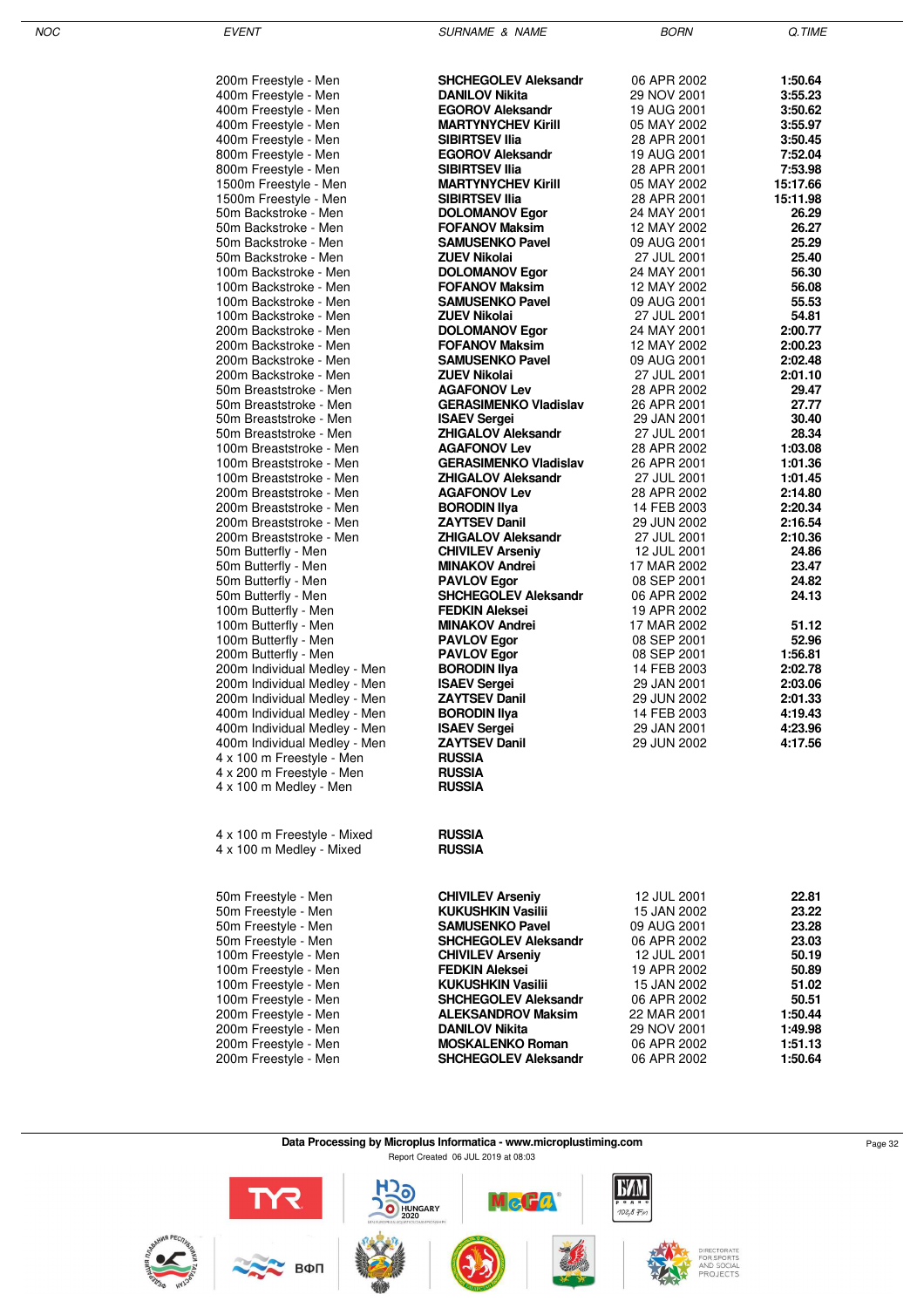| 200m Freestyle - Men                                         | <b>SHCHEGOLEV Aleksandr</b>                      | 06 APR 2002                | 1:50.64            |
|--------------------------------------------------------------|--------------------------------------------------|----------------------------|--------------------|
| 400m Freestyle - Men                                         | <b>DANILOV Nikita</b>                            | 29 NOV 2001                | 3:55.23            |
| 400m Freestyle - Men                                         | <b>EGOROV Aleksandr</b>                          | 19 AUG 2001                | 3:50.62            |
| 400m Freestyle - Men                                         | <b>MARTYNYCHEV Kirill</b>                        | 05 MAY 2002                | 3:55.97            |
| 400m Freestyle - Men                                         | <b>SIBIRTSEV IIia</b>                            | 28 APR 2001                | 3:50.45            |
| 800m Freestyle - Men                                         | <b>EGOROV Aleksandr</b>                          | 19 AUG 2001                | 7:52.04            |
| 800m Freestyle - Men                                         | <b>SIBIRTSEV IIIa</b>                            | 28 APR 2001                | 7:53.98            |
| 1500m Freestyle - Men                                        | <b>MARTYNYCHEV Kirill</b>                        | 05 MAY 2002                | 15:17.66           |
| 1500m Freestyle - Men<br>50m Backstroke - Men                | <b>SIBIRTSEV IIIa</b><br><b>DOLOMANOV Egor</b>   | 28 APR 2001<br>24 MAY 2001 | 15:11.98<br>26.29  |
| 50m Backstroke - Men                                         | <b>FOFANOV Maksim</b>                            | 12 MAY 2002                | 26.27              |
| 50m Backstroke - Men                                         | <b>SAMUSENKO Pavel</b>                           | 09 AUG 2001                | 25.29              |
| 50m Backstroke - Men                                         | <b>ZUEV Nikolai</b>                              | 27 JUL 2001                | 25.40              |
| 100m Backstroke - Men                                        | <b>DOLOMANOV Egor</b>                            | 24 MAY 2001                | 56.30              |
| 100m Backstroke - Men                                        | <b>FOFANOV Maksim</b>                            | 12 MAY 2002                | 56.08              |
| 100m Backstroke - Men                                        | <b>SAMUSENKO Pavel</b>                           | 09 AUG 2001                | 55.53              |
| 100m Backstroke - Men                                        | <b>ZUEV Nikolai</b>                              | 27 JUL 2001                | 54.81              |
| 200m Backstroke - Men                                        | <b>DOLOMANOV Egor</b>                            | 24 MAY 2001                | 2:00.77            |
| 200m Backstroke - Men                                        | <b>FOFANOV Maksim</b>                            | 12 MAY 2002                | 2:00.23            |
| 200m Backstroke - Men                                        | <b>SAMUSENKO Pavel</b>                           | 09 AUG 2001                | 2:02.48            |
| 200m Backstroke - Men<br>50m Breaststroke - Men              | <b>ZUEV Nikolai</b><br><b>AGAFONOV Lev</b>       | 27 JUL 2001<br>28 APR 2002 | 2:01.10<br>29.47   |
| 50m Breaststroke - Men                                       | <b>GERASIMENKO Vladislav</b>                     | 26 APR 2001                | 27.77              |
| 50m Breaststroke - Men                                       | <b>ISAEV Sergei</b>                              | 29 JAN 2001                | 30.40              |
| 50m Breaststroke - Men                                       | <b>ZHIGALOV Aleksandr</b>                        | 27 JUL 2001                | 28.34              |
| 100m Breaststroke - Men                                      | <b>AGAFONOV Lev</b>                              | 28 APR 2002                | 1:03.08            |
| 100m Breaststroke - Men                                      | <b>GERASIMENKO Vladislav</b>                     | 26 APR 2001                | 1:01.36            |
| 100m Breaststroke - Men                                      | <b>ZHIGALOV Aleksandr</b>                        | 27 JUL 2001                | 1:01.45            |
| 200m Breaststroke - Men                                      | <b>AGAFONOV Lev</b>                              | 28 APR 2002                | 2:14.80            |
| 200m Breaststroke - Men                                      | <b>BORODIN IIya</b>                              | 14 FEB 2003                | 2:20.34            |
| 200m Breaststroke - Men                                      | <b>ZAYTSEV Danil</b>                             | 29 JUN 2002                | 2:16.54            |
| 200m Breaststroke - Men                                      | <b>ZHIGALOV Aleksandr</b>                        | 27 JUL 2001                | 2:10.36            |
| 50m Butterfly - Men                                          | <b>CHIVILEV Arseniy</b><br><b>MINAKOV Andrei</b> | 12 JUL 2001<br>17 MAR 2002 | 24.86<br>23.47     |
| 50m Butterfly - Men<br>50m Butterfly - Men                   | <b>PAVLOV Egor</b>                               | 08 SEP 2001                | 24.82              |
| 50m Butterfly - Men                                          | <b>SHCHEGOLEV Aleksandr</b>                      | 06 APR 2002                | 24.13              |
| 100m Butterfly - Men                                         | <b>FEDKIN Aleksei</b>                            | 19 APR 2002                |                    |
| 100m Butterfly - Men                                         | <b>MINAKOV Andrei</b>                            | 17 MAR 2002                | 51.12              |
| 100m Butterfly - Men                                         | <b>PAVLOV Egor</b>                               | 08 SEP 2001                | 52.96              |
| 200m Butterfly - Men                                         | <b>PAVLOV Egor</b>                               | 08 SEP 2001                | 1:56.81            |
| 200m Individual Medley - Men                                 | <b>BORODIN IIya</b>                              | 14 FEB 2003                | 2:02.78            |
| 200m Individual Medley - Men                                 | <b>ISAEV Sergei</b>                              | 29 JAN 2001                | 2:03.06            |
| 200m Individual Medley - Men                                 | <b>ZAYTSEV Danil</b>                             | 29 JUN 2002                | 2:01.33            |
| 400m Individual Medley - Men                                 | <b>BORODIN IIya</b>                              | 14 FEB 2003<br>29 JAN 2001 | 4:19.43<br>4:23.96 |
| 400m Individual Medley - Men<br>400m Individual Medley - Men | <b>ISAEV Sergei</b><br><b>ZAYTSEV Danil</b>      | 29 JUN 2002                | 4:17.56            |
| 4 x 100 m Freestyle - Men                                    | <b>RUSSIA</b>                                    |                            |                    |
| 4 x 200 m Freestyle - Men                                    | <b>RUSSIA</b>                                    |                            |                    |
| 4 x 100 m Medley - Men                                       | <b>RUSSIA</b>                                    |                            |                    |
|                                                              |                                                  |                            |                    |
|                                                              |                                                  |                            |                    |
| 4 x 100 m Freestyle - Mixed                                  | <b>RUSSIA</b>                                    |                            |                    |
| 4 x 100 m Medley - Mixed                                     | <b>RUSSIA</b>                                    |                            |                    |
|                                                              |                                                  |                            |                    |
|                                                              |                                                  |                            |                    |
| 50m Freestyle - Men                                          | <b>CHIVILEV Arseniy</b>                          | 12 JUL 2001                | 22.81              |
| 50m Freestyle - Men                                          | <b>KUKUSHKIN Vasilii</b>                         | 15 JAN 2002                | 23.22              |
| 50m Freestyle - Men                                          | <b>SAMUSENKO Pavel</b>                           | 09 AUG 2001                | 23.28              |
| 50m Freestyle - Men                                          | <b>SHCHEGOLEV Aleksandr</b>                      | 06 APR 2002                | 23.03              |
| 100m Freestyle - Men<br>100m Freestyle - Men                 | <b>CHIVILEV Arseniy</b><br><b>FEDKIN Aleksei</b> | 12 JUL 2001<br>19 APR 2002 | 50.19<br>50.89     |
| 100m Freestyle - Men                                         | <b>KUKUSHKIN Vasilii</b>                         | 15 JAN 2002                | 51.02              |
| 100m Freestyle - Men                                         | <b>SHCHEGOLEV Aleksandr</b>                      | 06 APR 2002                | 50.51              |
| 200m Freestyle - Men                                         | <b>ALEKSANDROV Maksim</b>                        | 22 MAR 2001                | 1:50.44            |
| 200m Freestyle - Men                                         | <b>DANILOV Nikita</b>                            | 29 NOV 2001                | 1:49.98            |
| 200m Freestyle - Men                                         | <b>MOSKALENKO Roman</b>                          | 06 APR 2002                | 1:51.13            |
| 200m Freestyle - Men                                         | <b>SHCHEGOLEV Aleksandr</b>                      | 06 APR 2002                | 1:50.64            |

#### **Data Processing by Microplus Informatica - www.microplustiming.com** Page 32 Report Created 06 JUL 2019 at 08:03

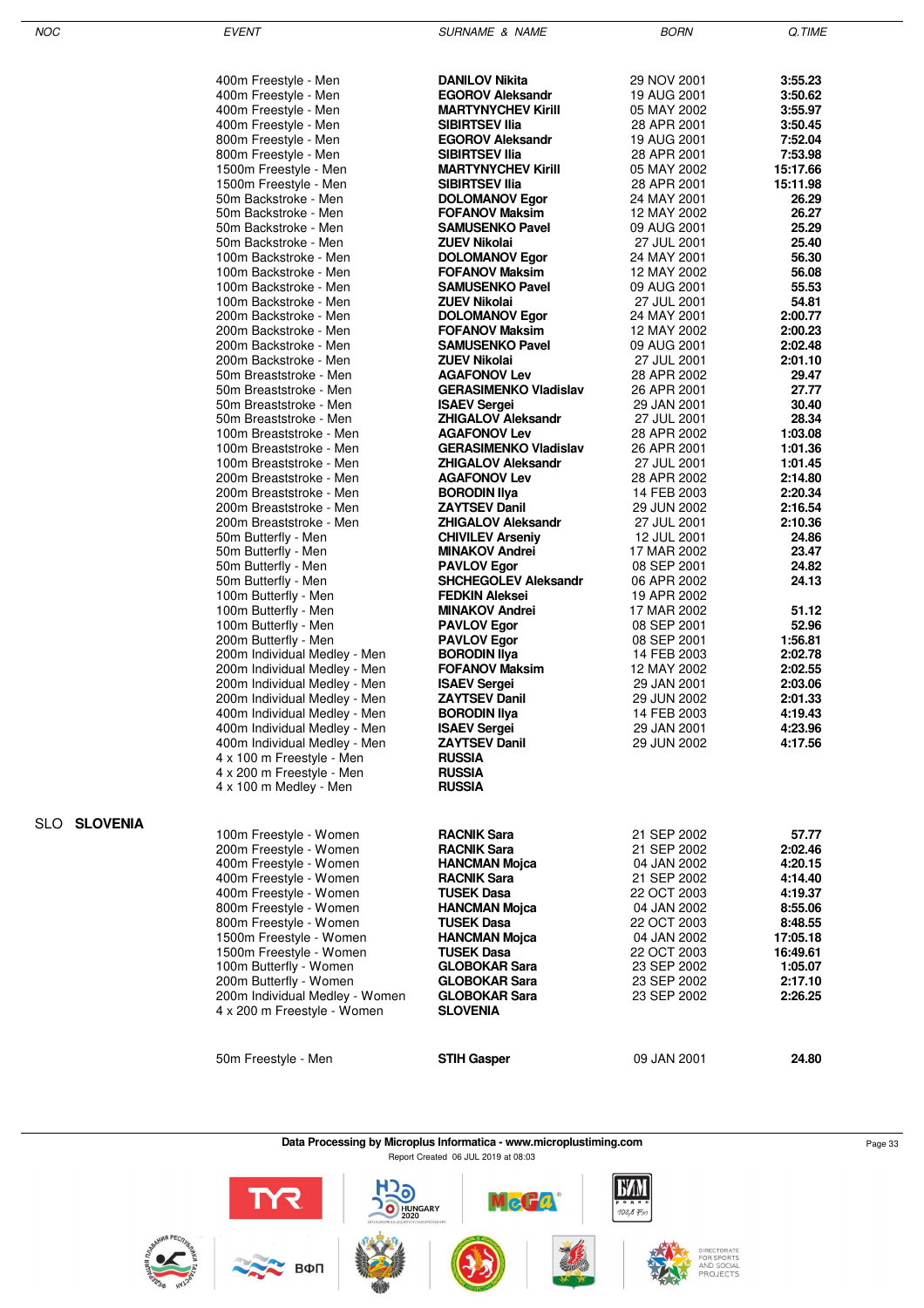SLO **SLOVENIA**

NOC EVENT EVENT SURNAME & NAME AND BORN Q.TIME

| 400m Freestyle - Men                                          | <b>DANILOV Nikita</b>                          | 29 NOV 2001                | 3:55.23            |
|---------------------------------------------------------------|------------------------------------------------|----------------------------|--------------------|
| 400m Freestyle - Men                                          | <b>EGOROV Aleksandr</b>                        | 19 AUG 2001                | 3:50.62            |
| 400m Freestyle - Men                                          | <b>MARTYNYCHEV Kirill</b>                      | 05 MAY 2002                | 3:55.97            |
| 400m Freestyle - Men                                          | <b>SIBIRTSEV IIIa</b>                          | 28 APR 2001                | 3:50.45            |
| 800m Freestyle - Men                                          | <b>EGOROV Aleksandr</b>                        | 19 AUG 2001                | 7:52.04            |
| 800m Freestyle - Men                                          | <b>SIBIRTSEV IIIa</b>                          | 28 APR 2001                | 7:53.98            |
| 1500m Freestyle - Men                                         | <b>MARTYNYCHEV Kirill</b>                      | 05 MAY 2002                | 15:17.66           |
| 1500m Freestyle - Men                                         | <b>SIBIRTSEV IIIa</b>                          | 28 APR 2001                | 15:11.98           |
| 50m Backstroke - Men                                          | <b>DOLOMANOV Egor</b><br><b>FOFANOV Maksim</b> | 24 MAY 2001                | 26.29              |
| 50m Backstroke - Men<br>50m Backstroke - Men                  | <b>SAMUSENKO Pavel</b>                         | 12 MAY 2002<br>09 AUG 2001 | 26.27<br>25.29     |
| 50m Backstroke - Men                                          | ZUEV Nikolai                                   | 27 JUL 2001                | 25.40              |
| 100m Backstroke - Men                                         | <b>DOLOMANOV Egor</b>                          | 24 MAY 2001                | 56.30              |
| 100m Backstroke - Men                                         | <b>FOFANOV Maksim</b>                          | 12 MAY 2002                | 56.08              |
| 100m Backstroke - Men                                         | <b>SAMUSENKO Pavel</b>                         | 09 AUG 2001                | 55.53              |
| 100m Backstroke - Men                                         | <b>ZUEV Nikolai</b>                            | 27 JUL 2001                | 54.81              |
| 200m Backstroke - Men                                         | <b>DOLOMANOV Egor</b>                          | 24 MAY 2001                | 2:00.77            |
| 200m Backstroke - Men                                         | <b>FOFANOV Maksim</b>                          | 12 MAY 2002                | 2:00.23            |
| 200m Backstroke - Men                                         | <b>SAMUSENKO Pavel</b>                         | 09 AUG 2001                | 2:02.48            |
| 200m Backstroke - Men                                         | <b>ZUEV Nikolai</b>                            | 27 JUL 2001                | 2:01.10            |
| 50m Breaststroke - Men                                        | <b>AGAFONOV Lev</b>                            | 28 APR 2002                | 29.47              |
| 50m Breaststroke - Men                                        | <b>GERASIMENKO Vladislav</b>                   | 26 APR 2001                | 27.77              |
| 50m Breaststroke - Men                                        | <b>ISAEV Sergei</b>                            | 29 JAN 2001                | 30.40              |
| 50m Breaststroke - Men                                        | <b>ZHIGALOV Aleksandr</b>                      | 27 JUL 2001                | 28.34              |
| 100m Breaststroke - Men                                       | <b>AGAFONOV Lev</b>                            | 28 APR 2002                | 1:03.08            |
| 100m Breaststroke - Men                                       | <b>GERASIMENKO Vladislav</b>                   | 26 APR 2001                | 1:01.36            |
| 100m Breaststroke - Men                                       | <b>ZHIGALOV Aleksandr</b>                      | 27 JUL 2001                | 1:01.45            |
| 200m Breaststroke - Men<br>200m Breaststroke - Men            | <b>AGAFONOV Lev</b><br><b>BORODIN IIva</b>     | 28 APR 2002<br>14 FEB 2003 | 2:14.80<br>2:20.34 |
| 200m Breaststroke - Men                                       | <b>ZAYTSEV Danil</b>                           | 29 JUN 2002                | 2:16.54            |
| 200m Breaststroke - Men                                       | <b>ZHIGALOV Aleksandr</b>                      | 27 JUL 2001                | 2:10.36            |
| 50m Butterfly - Men                                           | <b>CHIVILEV Arseniy</b>                        | 12 JUL 2001                | 24.86              |
| 50m Butterfly - Men                                           | <b>MINAKOV Andrei</b>                          | 17 MAR 2002                | 23.47              |
| 50m Butterfly - Men                                           | <b>PAVLOV Egor</b>                             | 08 SEP 2001                | 24.82              |
| 50m Butterfly - Men                                           | <b>SHCHEGOLEV Aleksandr</b>                    | 06 APR 2002                | 24.13              |
| 100m Butterfly - Men                                          | <b>FEDKIN Aleksei</b>                          | 19 APR 2002                |                    |
| 100m Butterfly - Men                                          | <b>MINAKOV Andrei</b>                          | 17 MAR 2002                | 51.12              |
| 100m Butterfly - Men                                          | <b>PAVLOV Egor</b>                             | 08 SEP 2001                | 52.96              |
| 200m Butterfly - Men                                          | <b>PAVLOV Egor</b>                             | 08 SEP 2001                | 1:56.81            |
| 200m Individual Medley - Men                                  | <b>BORODIN IIya</b>                            | 14 FEB 2003                | 2:02.78            |
| 200m Individual Medley - Men                                  | <b>FOFANOV Maksim</b>                          | 12 MAY 2002                | 2:02.55            |
| 200m Individual Medley - Men                                  | <b>ISAEV Sergei</b>                            | 29 JAN 2001                | 2:03.06            |
| 200m Individual Medley - Men                                  | ZAYTSEV Danil                                  | 29 JUN 2002                | 2:01.33            |
| 400m Individual Medley - Men                                  | <b>BORODIN IIya</b><br><b>ISAEV Sergei</b>     | 14 FEB 2003<br>29 JAN 2001 | 4:19.43<br>4:23.96 |
| 400m Individual Medley - Men<br>400m Individual Medley - Men  | <b>ZAYTSEV Danil</b>                           | 29 JUN 2002                | 4:17.56            |
| 4 x 100 m Freestyle - Men                                     | <b>RUSSIA</b>                                  |                            |                    |
| 4 x 200 m Freestyle - Men                                     | <b>RUSSIA</b>                                  |                            |                    |
| 4 x 100 m Medley - Men                                        | <b>RUSSIA</b>                                  |                            |                    |
|                                                               |                                                |                            |                    |
|                                                               |                                                |                            |                    |
| 100m Freestyle - Women                                        | <b>RACNIK Sara</b>                             | 21 SEP 2002                | 57.77              |
| 200m Freestyle - Women                                        | <b>RACNIK Sara</b>                             | 21 SEP 2002                | 2:02.46            |
| 400m Freestyle - Women                                        | <b>HANCMAN Mojca</b>                           | 04 JAN 2002                | 4:20.15            |
| 400m Freestyle - Women                                        | <b>RACNIK Sara</b>                             | 21 SEP 2002                | 4:14.40            |
| 400m Freestyle - Women                                        | <b>TUSEK Dasa</b>                              | 22 OCT 2003                | 4:19.37            |
| 800m Freestyle - Women                                        | <b>HANCMAN Mojca</b>                           | 04 JAN 2002                | 8:55.06            |
| 800m Freestyle - Women                                        | <b>TUSEK Dasa</b>                              | 22 OCT 2003                | 8:48.55            |
| 1500m Freestyle - Women                                       | <b>HANCMAN Mojca</b>                           | 04 JAN 2002                | 17:05.18           |
| 1500m Freestyle - Women                                       | <b>TUSEK Dasa</b>                              | 22 OCT 2003                | 16:49.61           |
| 100m Butterfly - Women                                        | <b>GLOBOKAR Sara</b>                           | 23 SEP 2002                | 1:05.07            |
| 200m Butterfly - Women                                        | <b>GLOBOKAR Sara</b>                           | 23 SEP 2002                | 2:17.10            |
| 200m Individual Medley - Women<br>4 x 200 m Freestyle - Women | <b>GLOBOKAR Sara</b><br>SLOVENIA               | 23 SEP 2002                | 2:26.25            |
|                                                               |                                                |                            |                    |
|                                                               |                                                |                            |                    |
| 50m Freestyle - Men                                           | <b>STIH Gasper</b>                             | 09 JAN 2001                | 24.80              |
|                                                               |                                                |                            |                    |

**Data Processing by Microplus Informatica - www.microplustiming.com** Page 33 Report Created 06 JUL 2019 at 08:03

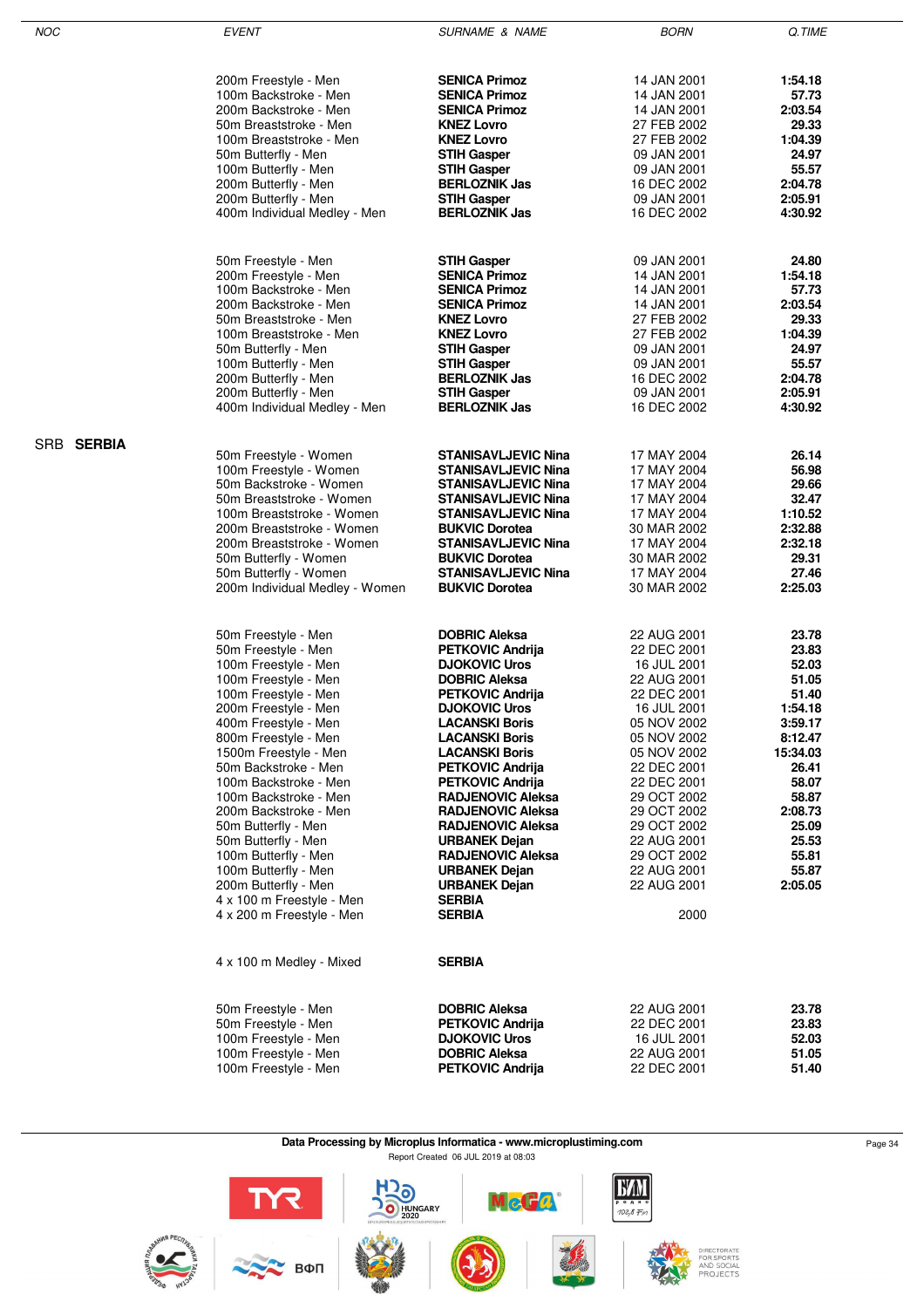| NOC        | <b>EVENT</b>                   | <b>SURNAME &amp; NAME</b>  | <b>BORN</b> | Q.TIME   |
|------------|--------------------------------|----------------------------|-------------|----------|
|            |                                |                            |             |          |
|            | 200m Freestyle - Men           | <b>SENICA Primoz</b>       | 14 JAN 2001 | 1:54.18  |
|            | 100m Backstroke - Men          | <b>SENICA Primoz</b>       | 14 JAN 2001 | 57.73    |
|            | 200m Backstroke - Men          | <b>SENICA Primoz</b>       | 14 JAN 2001 | 2:03.54  |
|            | 50m Breaststroke - Men         | <b>KNEZ Lovro</b>          | 27 FEB 2002 | 29.33    |
|            | 100m Breaststroke - Men        | <b>KNEZ Lovro</b>          | 27 FEB 2002 | 1:04.39  |
|            | 50m Butterfly - Men            | <b>STIH Gasper</b>         | 09 JAN 2001 | 24.97    |
|            | 100m Butterfly - Men           | <b>STIH Gasper</b>         | 09 JAN 2001 | 55.57    |
|            | 200m Butterfly - Men           | <b>BERLOZNIK Jas</b>       | 16 DEC 2002 | 2:04.78  |
|            | 200m Butterfly - Men           | <b>STIH Gasper</b>         | 09 JAN 2001 | 2:05.91  |
|            | 400m Individual Medley - Men   | <b>BERLOZNIK Jas</b>       | 16 DEC 2002 | 4:30.92  |
|            |                                |                            |             |          |
|            | 50m Freestyle - Men            | <b>STIH Gasper</b>         | 09 JAN 2001 | 24.80    |
|            | 200m Freestyle - Men           | <b>SENICA Primoz</b>       | 14 JAN 2001 | 1:54.18  |
|            | 100m Backstroke - Men          | <b>SENICA Primoz</b>       | 14 JAN 2001 | 57.73    |
|            | 200m Backstroke - Men          | <b>SENICA Primoz</b>       | 14 JAN 2001 | 2:03.54  |
|            | 50m Breaststroke - Men         | <b>KNEZ Lovro</b>          | 27 FEB 2002 | 29.33    |
|            | 100m Breaststroke - Men        | <b>KNEZ Lovro</b>          | 27 FEB 2002 | 1:04.39  |
|            | 50m Butterfly - Men            | <b>STIH Gasper</b>         | 09 JAN 2001 | 24.97    |
|            | 100m Butterfly - Men           | <b>STIH Gasper</b>         | 09 JAN 2001 | 55.57    |
|            | 200m Butterfly - Men           | <b>BERLOZNIK Jas</b>       | 16 DEC 2002 | 2:04.78  |
|            | 200m Butterfly - Men           | <b>STIH Gasper</b>         | 09 JAN 2001 | 2:05.91  |
|            | 400m Individual Medley - Men   | <b>BERLOZNIK Jas</b>       | 16 DEC 2002 | 4:30.92  |
| SRB SERBIA |                                |                            |             |          |
|            | 50m Freestyle - Women          | <b>STANISAVLJEVIC Nina</b> | 17 MAY 2004 | 26.14    |
|            | 100m Freestyle - Women         | <b>STANISAVLJEVIC Nina</b> | 17 MAY 2004 | 56.98    |
|            | 50m Backstroke - Women         | <b>STANISAVLJEVIC Nina</b> | 17 MAY 2004 | 29.66    |
|            | 50m Breaststroke - Women       | <b>STANISAVLJEVIC Nina</b> | 17 MAY 2004 | 32.47    |
|            | 100m Breaststroke - Women      | <b>STANISAVLJEVIC Nina</b> | 17 MAY 2004 | 1:10.52  |
|            | 200m Breaststroke - Women      | <b>BUKVIC Dorotea</b>      | 30 MAR 2002 | 2:32.88  |
|            | 200m Breaststroke - Women      | <b>STANISAVLJEVIC Nina</b> | 17 MAY 2004 | 2:32.18  |
|            | 50m Butterfly - Women          | <b>BUKVIC Dorotea</b>      | 30 MAR 2002 | 29.31    |
|            | 50m Butterfly - Women          | <b>STANISAVLJEVIC Nina</b> | 17 MAY 2004 | 27.46    |
|            | 200m Individual Medley - Women | <b>BUKVIC Dorotea</b>      | 30 MAR 2002 | 2:25.03  |
|            |                                |                            |             |          |
|            | 50m Freestyle - Men            | <b>DOBRIC Aleksa</b>       | 22 AUG 2001 | 23.78    |
|            | 50m Freestyle - Men            | <b>PETKOVIC Andrija</b>    | 22 DEC 2001 | 23.83    |
|            | 100m Freestyle - Men           | <b>DJOKOVIC Uros</b>       | 16 JUL 2001 | 52.03    |
|            | 100m Freestyle - Men           | <b>DOBRIC Aleksa</b>       | 22 AUG 2001 | 51.05    |
|            | 100m Freestyle - Men           | <b>PETKOVIC Andrija</b>    | 22 DEC 2001 | 51.40    |
|            | 200m Freestyle - Men           | <b>DJOKOVIC Uros</b>       | 16 JUL 2001 | 1:54.18  |
|            | 400m Freestyle - Men           | <b>LACANSKI Boris</b>      | 05 NOV 2002 | 3:59.17  |
|            | 800m Freestyle - Men           | <b>LACANSKI Boris</b>      | 05 NOV 2002 | 8:12.47  |
|            | 1500m Freestyle - Men          | <b>LACANSKI Boris</b>      | 05 NOV 2002 | 15:34.03 |
|            | 50m Backstroke - Men           | <b>PETKOVIC Andrija</b>    | 22 DEC 2001 | 26.41    |
|            | 100m Backstroke - Men          | <b>PETKOVIC Andrija</b>    | 22 DEC 2001 | 58.07    |
|            | 100m Backstroke - Men          | <b>RADJENOVIC Aleksa</b>   | 29 OCT 2002 | 58.87    |
|            | 200m Backstroke - Men          | <b>RADJENOVIC Aleksa</b>   | 29 OCT 2002 | 2:08.73  |
|            | 50m Butterfly - Men            | <b>RADJENOVIC Aleksa</b>   | 29 OCT 2002 | 25.09    |
|            | 50m Butterfly - Men            | <b>URBANEK Dejan</b>       | 22 AUG 2001 | 25.53    |
|            | 100m Butterfly - Men           | <b>RADJENOVIC Aleksa</b>   | 29 OCT 2002 | 55.81    |
|            | 100m Butterfly - Men           | <b>URBANEK Dejan</b>       | 22 AUG 2001 | 55.87    |
|            | 200m Butterfly - Men           | <b>URBANEK Dejan</b>       | 22 AUG 2001 | 2:05.05  |
|            | 4 x 100 m Freestyle - Men      | <b>SERBIA</b>              |             |          |
|            | 4 x 200 m Freestyle - Men      | <b>SERBIA</b>              | 2000        |          |
|            | 4 x 100 m Medley - Mixed       | <b>SERBIA</b>              |             |          |
|            |                                |                            |             |          |
|            | 50m Freestyle - Men            | <b>DOBRIC Aleksa</b>       | 22 AUG 2001 | 23.78    |
|            | 50m Freestyle - Men            | <b>PETKOVIC Andrija</b>    | 22 DEC 2001 | 23.83    |
|            | 100m Freestyle - Men           | <b>DJOKOVIC Uros</b>       | 16 JUL 2001 | 52.03    |
|            | 100m Freestyle - Men           | <b>DOBRIC Aleksa</b>       | 22 AUG 2001 | 51.05    |
|            | 100m Freestyle - Men           | <b>PETKOVIC Andrija</b>    | 22 DEC 2001 | 51.40    |

÷

#### **Data Processing by Microplus Informatica - www.microplustiming.com** Page 34 Report Created 06 JUL 2019 at 08:03

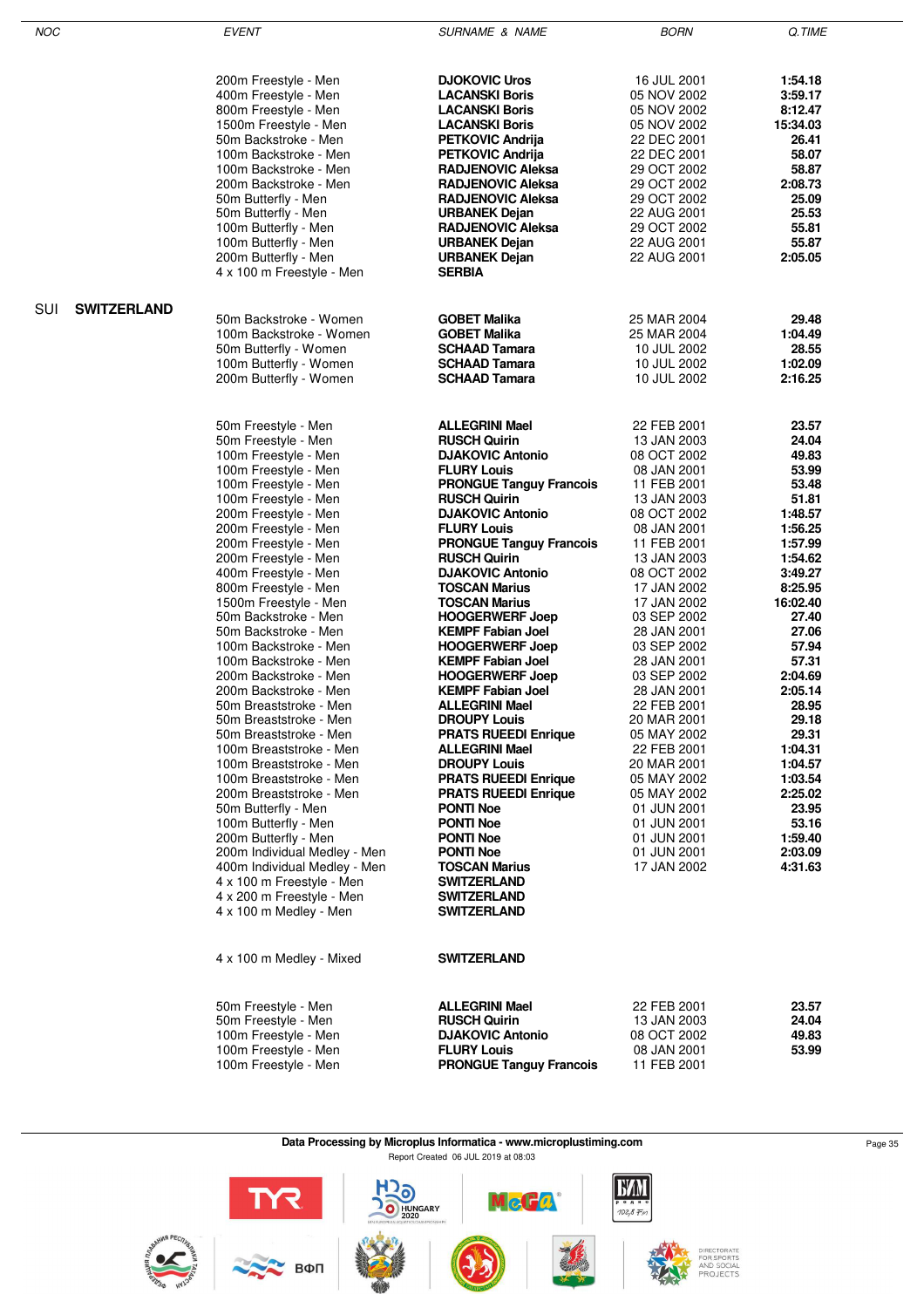| NOC                       | <b>EVENT</b>                                 | <b>SURNAME &amp; NAME</b>                            | <b>BORN</b>                | Q.TIME             |
|---------------------------|----------------------------------------------|------------------------------------------------------|----------------------------|--------------------|
|                           |                                              |                                                      |                            |                    |
|                           |                                              |                                                      |                            |                    |
|                           | 200m Freestyle - Men                         | <b>DJOKOVIC Uros</b>                                 | 16 JUL 2001                | 1:54.18            |
|                           | 400m Freestyle - Men                         | <b>LACANSKI Boris</b>                                | 05 NOV 2002                | 3:59.17            |
|                           | 800m Freestyle - Men                         | <b>LACANSKI Boris</b>                                | 05 NOV 2002                | 8:12.47            |
|                           | 1500m Freestyle - Men                        | <b>LACANSKI Boris</b>                                | 05 NOV 2002                | 15:34.03           |
|                           | 50m Backstroke - Men                         | <b>PETKOVIC Andrija</b>                              | 22 DEC 2001                | 26.41              |
|                           | 100m Backstroke - Men                        | <b>PETKOVIC Andrija</b>                              | 22 DEC 2001                | 58.07              |
|                           | 100m Backstroke - Men                        | <b>RADJENOVIC Aleksa</b><br><b>RADJENOVIC Aleksa</b> | 29 OCT 2002<br>29 OCT 2002 | 58.87<br>2:08.73   |
|                           | 200m Backstroke - Men<br>50m Butterfly - Men | <b>RADJENOVIC Aleksa</b>                             | 29 OCT 2002                | 25.09              |
|                           | 50m Butterfly - Men                          | <b>URBANEK Dejan</b>                                 | 22 AUG 2001                | 25.53              |
|                           | 100m Butterfly - Men                         | <b>RADJENOVIC Aleksa</b>                             | 29 OCT 2002                | 55.81              |
|                           | 100m Butterfly - Men                         | <b>URBANEK Dejan</b>                                 | 22 AUG 2001                | 55.87              |
|                           | 200m Butterfly - Men                         | <b>URBANEK Dejan</b>                                 | 22 AUG 2001                | 2:05.05            |
|                           | 4 x 100 m Freestyle - Men                    | <b>SERBIA</b>                                        |                            |                    |
| SUI<br><b>SWITZERLAND</b> |                                              |                                                      |                            |                    |
|                           | 50m Backstroke - Women                       | <b>GOBET Malika</b>                                  | 25 MAR 2004                | 29.48              |
|                           | 100m Backstroke - Women                      | <b>GOBET Malika</b>                                  | 25 MAR 2004                | 1:04.49            |
|                           | 50m Butterfly - Women                        | <b>SCHAAD Tamara</b>                                 | 10 JUL 2002                | 28.55              |
|                           | 100m Butterfly - Women                       | <b>SCHAAD Tamara</b>                                 | 10 JUL 2002                | 1:02.09            |
|                           | 200m Butterfly - Women                       | <b>SCHAAD Tamara</b>                                 | 10 JUL 2002                | 2:16.25            |
|                           |                                              |                                                      |                            |                    |
|                           | 50m Freestyle - Men                          | <b>ALLEGRINI Mael</b>                                | 22 FEB 2001                | 23.57              |
|                           | 50m Freestyle - Men                          | <b>RUSCH Quirin</b>                                  | 13 JAN 2003                | 24.04              |
|                           | 100m Freestyle - Men                         | <b>DJAKOVIC Antonio</b>                              | 08 OCT 2002                | 49.83              |
|                           | 100m Freestyle - Men                         | <b>FLURY Louis</b>                                   | 08 JAN 2001                | 53.99              |
|                           | 100m Freestyle - Men                         | <b>PRONGUE Tanguy Francois</b>                       | 11 FEB 2001                | 53.48              |
|                           | 100m Freestyle - Men                         | <b>RUSCH Quirin</b>                                  | 13 JAN 2003                | 51.81              |
|                           | 200m Freestyle - Men                         | <b>DJAKOVIC Antonio</b><br><b>FLURY Louis</b>        | 08 OCT 2002<br>08 JAN 2001 | 1:48.57<br>1:56.25 |
|                           | 200m Freestyle - Men<br>200m Freestyle - Men | <b>PRONGUE Tanguy Francois</b>                       | 11 FEB 2001                | 1:57.99            |
|                           | 200m Freestyle - Men                         | <b>RUSCH Quirin</b>                                  | 13 JAN 2003                | 1:54.62            |
|                           | 400m Freestyle - Men                         | <b>DJAKOVIC Antonio</b>                              | 08 OCT 2002                | 3:49.27            |
|                           | 800m Freestyle - Men                         | <b>TOSCAN Marius</b>                                 | 17 JAN 2002                | 8:25.95            |
|                           | 1500m Freestyle - Men                        | <b>TOSCAN Marius</b>                                 | 17 JAN 2002                | 16:02.40           |
|                           | 50m Backstroke - Men                         | <b>HOOGERWERF Joep</b>                               | 03 SEP 2002                | 27.40              |
|                           | 50m Backstroke - Men                         | <b>KEMPF Fabian Joel</b>                             | 28 JAN 2001                | 27.06              |
|                           | 100m Backstroke - Men                        | <b>HOOGERWERF Joep</b>                               | 03 SEP 2002                | 57.94              |
|                           | 100m Backstroke - Men                        | <b>KEMPF Fabian Joel</b>                             | 28 JAN 2001                | 57.31              |
|                           | 200m Backstroke - Men                        | <b>HOOGERWERF Joep</b>                               | 03 SEP 2002                | 2:04.69            |
|                           | 200m Backstroke - Men                        | <b>KEMPF Fabian Joel</b>                             | 28 JAN 2001                | 2:05.14            |
|                           | 50m Breaststroke - Men                       | <b>ALLEGRINI Mael</b>                                | 22 FEB 2001                | 28.95              |
|                           | 50m Breaststroke - Men                       | <b>DROUPY Louis</b>                                  | 20 MAR 2001                | 29.18              |
|                           | 50m Breaststroke - Men                       | <b>PRATS RUEEDI Enrique</b>                          | 05 MAY 2002                | 29.31              |
|                           | 100m Breaststroke - Men                      | <b>ALLEGRINI Mael</b>                                | 22 FEB 2001                | 1:04.31            |
|                           | 100m Breaststroke - Men                      | <b>DROUPY Louis</b>                                  | 20 MAR 2001                | 1:04.57            |
|                           | 100m Breaststroke - Men                      | <b>PRATS RUEEDI Enrique</b>                          | 05 MAY 2002                | 1:03.54            |
|                           | 200m Breaststroke - Men                      | <b>PRATS RUEEDI Enrique</b>                          | 05 MAY 2002                | 2:25.02            |
|                           | 50m Butterfly - Men                          | <b>PONTI Noe</b>                                     | 01 JUN 2001                | 23.95              |
|                           | 100m Butterfly - Men                         | <b>PONTI Noe</b>                                     | 01 JUN 2001                | 53.16              |
|                           | 200m Butterfly - Men                         | <b>PONTI Noe</b>                                     | 01 JUN 2001                | 1:59.40            |
|                           | 200m Individual Medley - Men                 | <b>PONTI Noe</b>                                     | 01 JUN 2001                | 2:03.09            |
|                           | 400m Individual Medley - Men                 | <b>TOSCAN Marius</b>                                 | 17 JAN 2002                | 4:31.63            |
|                           | 4 x 100 m Freestyle - Men                    | <b>SWITZERLAND</b>                                   |                            |                    |
|                           | 4 x 200 m Freestyle - Men                    | <b>SWITZERLAND</b>                                   |                            |                    |
|                           | 4 x 100 m Medley - Men                       | <b>SWITZERLAND</b>                                   |                            |                    |
|                           | 4 x 100 m Medley - Mixed                     | <b>SWITZERLAND</b>                                   |                            |                    |
|                           | 50m Freestyle - Men                          | <b>ALLEGRINI Mael</b>                                | 22 FEB 2001                | 23.57              |
|                           | 50m Freestyle - Men                          | <b>RUSCH Quirin</b>                                  | 13 JAN 2003                | 24.04              |
|                           | 100m Freestyle - Men                         | <b>DJAKOVIC Antonio</b>                              | 08 OCT 2002                | 49.83              |
|                           | 100m Freestyle - Men                         | <b>FLURY Louis</b>                                   | 08 JAN 2001                | 53.99              |
|                           | 100m Freestyle - Men                         | <b>PRONGUE Tanguy Francois</b>                       | 11 FEB 2001                |                    |

#### Data Processing by Microplus Informatica - www.microplustiming.com<br>
Page 35 Report Created 06 JUL 2019 at 08:03

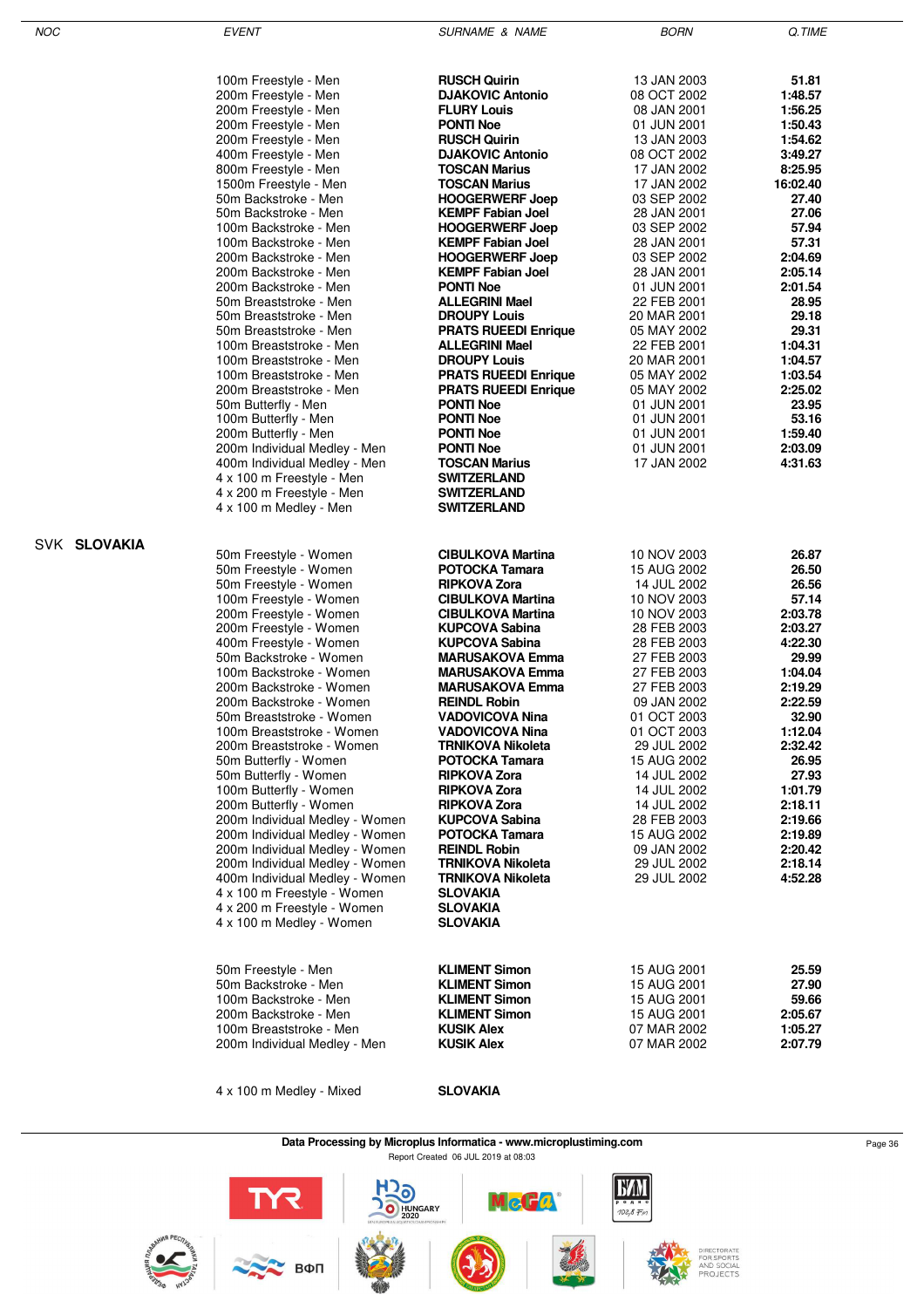| <b>NOC</b>   | <b>EVENT</b>                                | SURNAME & NAME              | <b>BORN</b> | Q.TIME   |
|--------------|---------------------------------------------|-----------------------------|-------------|----------|
|              |                                             |                             |             |          |
|              | 100m Freestyle - Men                        | <b>RUSCH Quirin</b>         | 13 JAN 2003 | 51.81    |
|              | 200m Freestyle - Men                        | <b>DJAKOVIC Antonio</b>     | 08 OCT 2002 | 1:48.57  |
|              | 200m Freestyle - Men                        | <b>FLURY Louis</b>          | 08 JAN 2001 | 1:56.25  |
|              | 200m Freestyle - Men                        | <b>PONTI Noe</b>            | 01 JUN 2001 | 1:50.43  |
|              | 200m Freestyle - Men                        | <b>RUSCH Quirin</b>         | 13 JAN 2003 | 1:54.62  |
|              | 400m Freestyle - Men                        | <b>DJAKOVIC Antonio</b>     | 08 OCT 2002 | 3:49.27  |
|              | 800m Freestyle - Men                        | <b>TOSCAN Marius</b>        | 17 JAN 2002 | 8:25.95  |
|              | 1500m Freestyle - Men                       | <b>TOSCAN Marius</b>        | 17 JAN 2002 | 16:02.40 |
|              | 50m Backstroke - Men                        | <b>HOOGERWERF Joep</b>      | 03 SEP 2002 | 27.40    |
|              | 50m Backstroke - Men                        | <b>KEMPF Fabian Joel</b>    | 28 JAN 2001 | 27.06    |
|              | 100m Backstroke - Men                       | <b>HOOGERWERF Joep</b>      | 03 SEP 2002 | 57.94    |
|              | 100m Backstroke - Men                       | <b>KEMPF Fabian Joel</b>    | 28 JAN 2001 | 57.31    |
|              | 200m Backstroke - Men                       | <b>HOOGERWERF Joep</b>      | 03 SEP 2002 | 2:04.69  |
|              | 200m Backstroke - Men                       | <b>KEMPF Fabian Joel</b>    | 28 JAN 2001 | 2:05.14  |
|              | 200m Backstroke - Men                       | <b>PONTI Noe</b>            | 01 JUN 2001 | 2:01.54  |
|              | 50m Breaststroke - Men                      | <b>ALLEGRINI Mael</b>       | 22 FEB 2001 | 28.95    |
|              | 50m Breaststroke - Men                      | <b>DROUPY Louis</b>         | 20 MAR 2001 | 29.18    |
|              | 50m Breaststroke - Men                      | <b>PRATS RUEEDI Enrique</b> | 05 MAY 2002 | 29.31    |
|              | 100m Breaststroke - Men                     | <b>ALLEGRINI Mael</b>       | 22 FEB 2001 | 1:04.31  |
|              | 100m Breaststroke - Men                     | <b>DROUPY Louis</b>         | 20 MAR 2001 | 1:04.57  |
|              | 100m Breaststroke - Men                     | <b>PRATS RUEEDI Enrique</b> | 05 MAY 2002 | 1:03.54  |
|              | 200m Breaststroke - Men                     | <b>PRATS RUEEDI Enrique</b> | 05 MAY 2002 | 2:25.02  |
|              | 50m Butterfly - Men                         | <b>PONTI Noe</b>            | 01 JUN 2001 | 23.95    |
|              | 100m Butterfly - Men                        | <b>PONTI Noe</b>            | 01 JUN 2001 | 53.16    |
|              | 200m Butterfly - Men                        | <b>PONTI Noe</b>            | 01 JUN 2001 | 1:59.40  |
|              | 200m Individual Medley - Men                | <b>PONTI Noe</b>            | 01 JUN 2001 | 2:03.09  |
|              | 400m Individual Medley - Men                | TOSCAN Marius               | 17 JAN 2002 | 4:31.63  |
|              | 4 x 100 m Freestyle - Men                   | <b>SWITZERLAND</b>          |             |          |
|              | 4 x 200 m Freestyle - Men                   | <b>SWITZERLAND</b>          |             |          |
|              | 4 x 100 m Medley - Men                      | <b>SWITZERLAND</b>          |             |          |
|              |                                             |                             |             |          |
| SVK SLOVAKIA |                                             |                             |             |          |
|              | 50m Freestyle - Women                       | <b>CIBULKOVA Martina</b>    | 10 NOV 2003 | 26.87    |
|              | 50m Freestyle - Women                       | <b>POTOCKA Tamara</b>       | 15 AUG 2002 | 26.50    |
|              | 50m Freestyle - Women                       | <b>RIPKOVA Zora</b>         | 14 JUL 2002 | 26.56    |
|              | 100m Freestyle - Women                      | <b>CIBULKOVA Martina</b>    | 10 NOV 2003 | 57.14    |
|              | 200m Freestyle - Women                      | <b>CIBULKOVA Martina</b>    | 10 NOV 2003 | 2:03.78  |
|              | 200m Freestyle - Women                      | <b>KUPCOVA Sabina</b>       | 28 FEB 2003 | 2:03.27  |
|              | 400m Freestyle - Women                      | <b>KUPCOVA Sabina</b>       | 28 FEB 2003 | 4:22.30  |
|              | 50m Backstroke - Women                      | <b>MARUSAKOVA Emma</b>      | 27 FEB 2003 | 29.99    |
|              | 100m Backstroke - Women                     | <b>MARUSAKOVA Emma</b>      | 27 FEB 2003 | 1:04.04  |
|              | 200m Backstroke - Women                     | <b>MARUSAKOVA Emma</b>      | 27 FEB 2003 | 2:19.29  |
|              | 200m Backstroke - Women                     | <b>REINDL Robin</b>         | 09 JAN 2002 | 2:22.59  |
|              | 50m Breaststroke - Women                    | VADOVICOVA Nina             | 01 OCT 2003 | 32.90    |
|              | 100m Breaststroke - Women                   | <b>VADOVICOVA Nina</b>      | 01 OCT 2003 | 1:12.04  |
|              | 200m Breaststroke - Women                   | <b>TRNIKOVA Nikoleta</b>    | 29 JUL 2002 | 2:32.42  |
|              | 50m Butterfly - Women                       | <b>POTOCKA Tamara</b>       | 15 AUG 2002 | 26.95    |
|              | 50m Butterfly - Women                       | <b>RIPKOVA Zora</b>         | 14 JUL 2002 | 27.93    |
|              | 100m Butterfly - Women                      | <b>RIPKOVA Zora</b>         | 14 JUL 2002 | 1:01.79  |
|              | 200m Butterfly - Women                      | <b>RIPKOVA Zora</b>         | 14 JUL 2002 | 2:18.11  |
|              | 200m Individual Medley - Women              | <b>KUPCOVA Sabina</b>       | 28 FEB 2003 | 2:19.66  |
|              | 200m Individual Medley - Women              | <b>POTOCKA Tamara</b>       | 15 AUG 2002 | 2:19.89  |
|              | 200m Individual Medley - Women              | <b>REINDL Robin</b>         | 09 JAN 2002 | 2:20.42  |
|              | 200m Individual Medley - Women              | <b>TRNIKOVA Nikoleta</b>    | 29 JUL 2002 | 2:18.14  |
|              | 400m Individual Medley - Women              | <b>TRNIKOVA Nikoleta</b>    | 29 JUL 2002 | 4:52.28  |
|              | 4 x 100 m Freestyle - Women                 | <b>SLOVAKIA</b>             |             |          |
|              | 4 x 200 m Freestyle - Women                 | <b>SLOVAKIA</b>             |             |          |
|              | 4 x 100 m Medley - Women                    | <b>SLOVAKIA</b>             |             |          |
|              |                                             |                             |             |          |
|              |                                             | <b>KLIMENT Simon</b>        | 15 AUG 2001 | 25.59    |
|              | 50m Freestyle - Men<br>50m Backstroke - Men | <b>KLIMENT Simon</b>        |             | 27.90    |
|              |                                             |                             | 15 AUG 2001 |          |
|              | 100m Backstroke - Men                       | <b>KLIMENT Simon</b>        | 15 AUG 2001 | 59.66    |
|              | 200m Backstroke - Men                       | <b>KLIMENT Simon</b>        | 15 AUG 2001 | 2:05.67  |
|              | 100m Breaststroke - Men                     | <b>KUSIK Alex</b>           | 07 MAR 2002 | 1:05.27  |
|              | 200m Individual Medley - Men                | <b>KUSIK Alex</b>           | 07 MAR 2002 | 2:07.79  |
|              |                                             |                             |             |          |

4 x 100 m Medley - Mixed **SLOVAKIA**

**Data Processing by Microplus Informatica - www.microplustiming.com** Page 36 Page 36 Report Created 06 JUL 2019 at 08:03

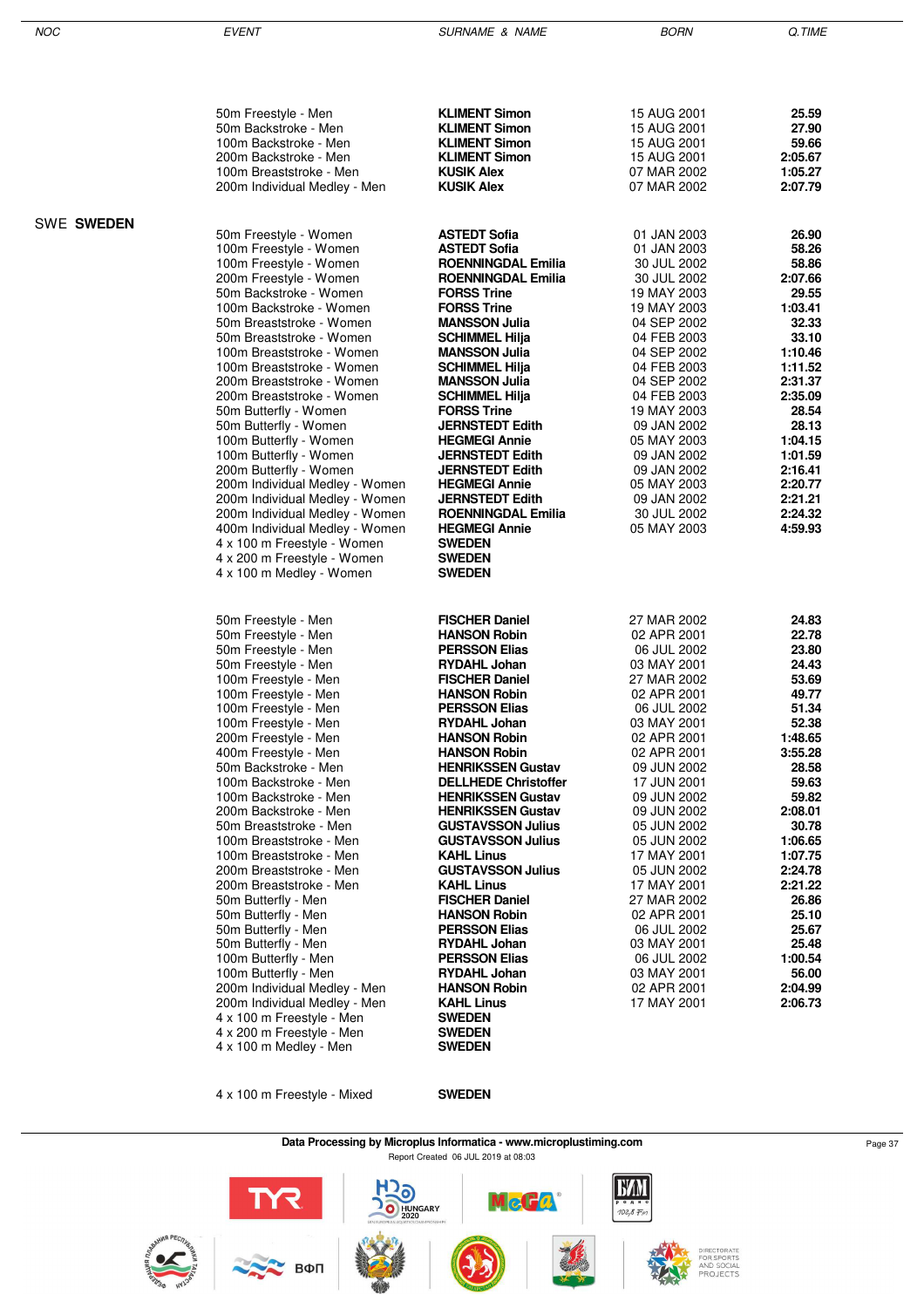|                   | 50m Freestyle - Men                                      | <b>KLIMENT Simon</b>                                 | 15 AUG 2001                | 25.59              |
|-------------------|----------------------------------------------------------|------------------------------------------------------|----------------------------|--------------------|
|                   | 50m Backstroke - Men                                     | <b>KLIMENT Simon</b>                                 | 15 AUG 2001                | 27.90              |
|                   | 100m Backstroke - Men                                    | <b>KLIMENT Simon</b>                                 | 15 AUG 2001                | 59.66              |
|                   | 200m Backstroke - Men                                    | <b>KLIMENT Simon</b>                                 | 15 AUG 2001                | 2:05.67            |
|                   | 100m Breaststroke - Men                                  | <b>KUSIK Alex</b>                                    | 07 MAR 2002                | 1:05.27            |
|                   | 200m Individual Medley - Men                             | <b>KUSIK Alex</b>                                    | 07 MAR 2002                | 2:07.79            |
| <b>SWE SWEDEN</b> |                                                          |                                                      |                            |                    |
|                   | 50m Freestyle - Women                                    | <b>ASTEDT Sofia</b>                                  | 01 JAN 2003                | 26.90              |
|                   | 100m Freestyle - Women                                   | <b>ASTEDT Sofia</b>                                  | 01 JAN 2003                | 58.26              |
|                   | 100m Freestyle - Women                                   | <b>ROENNINGDAL Emilia</b>                            | 30 JUL 2002                | 58.86              |
|                   | 200m Freestyle - Women                                   | <b>ROENNINGDAL Emilia</b>                            | 30 JUL 2002                | 2:07.66            |
|                   | 50m Backstroke - Women                                   | <b>FORSS Trine</b>                                   | 19 MAY 2003                | 29.55              |
|                   | 100m Backstroke - Women                                  | <b>FORSS Trine</b>                                   | 19 MAY 2003                | 1:03.41            |
|                   | 50m Breaststroke - Women<br>50m Breaststroke - Women     | <b>MANSSON Julia</b><br><b>SCHIMMEL Hilja</b>        | 04 SEP 2002<br>04 FEB 2003 | 32.33<br>33.10     |
|                   | 100m Breaststroke - Women                                | <b>MANSSON Julia</b>                                 | 04 SEP 2002                | 1:10.46            |
|                   | 100m Breaststroke - Women                                | SCHIMMEL Hilja                                       | 04 FEB 2003                | 1:11.52            |
|                   | 200m Breaststroke - Women                                | <b>MANSSON Julia</b>                                 | 04 SEP 2002                | 2:31.37            |
|                   | 200m Breaststroke - Women                                | <b>SCHIMMEL Hilja</b>                                | 04 FEB 2003                | 2:35.09            |
|                   | 50m Butterfly - Women                                    | <b>FORSS Trine</b>                                   | 19 MAY 2003                | 28.54              |
|                   | 50m Butterfly - Women                                    | <b>JERNSTEDT Edith</b>                               | 09 JAN 2002                | 28.13              |
|                   | 100m Butterfly - Women                                   | <b>HEGMEGI Annie</b>                                 | 05 MAY 2003                | 1:04.15            |
|                   | 100m Butterfly - Women                                   | <b>JERNSTEDT Edith</b>                               | 09 JAN 2002                | 1:01.59            |
|                   | 200m Butterfly - Women<br>200m Individual Medley - Women | <b>JERNSTEDT Edith</b><br><b>HEGMEGI Annie</b>       | 09 JAN 2002                | 2:16.41<br>2:20.77 |
|                   | 200m Individual Medley - Women                           | <b>JERNSTEDT Edith</b>                               | 05 MAY 2003<br>09 JAN 2002 | 2:21.21            |
|                   | 200m Individual Medley - Women                           | <b>ROENNINGDAL Emilia</b>                            | 30 JUL 2002                | 2:24.32            |
|                   | 400m Individual Medley - Women                           | <b>HEGMEGI Annie</b>                                 | 05 MAY 2003                | 4:59.93            |
|                   | 4 x 100 m Freestyle - Women                              | <b>SWEDEN</b>                                        |                            |                    |
|                   | 4 x 200 m Freestyle - Women                              | SWEDEN                                               |                            |                    |
|                   | 4 x 100 m Medley - Women                                 | SWEDEN                                               |                            |                    |
|                   |                                                          |                                                      |                            |                    |
|                   | 50m Freestyle - Men                                      | <b>FISCHER Daniel</b>                                | 27 MAR 2002                | 24.83              |
|                   | 50m Freestyle - Men                                      | <b>HANSON Robin</b>                                  | 02 APR 2001                | 22.78              |
|                   | 50m Freestyle - Men                                      | <b>PERSSON Elias</b>                                 | 06 JUL 2002                | 23.80              |
|                   | 50m Freestyle - Men                                      | <b>RYDAHL Johan</b>                                  | 03 MAY 2001                | 24.43              |
|                   | 100m Freestyle - Men<br>100m Freestyle - Men             | <b>FISCHER Daniel</b><br><b>HANSON Robin</b>         | 27 MAR 2002<br>02 APR 2001 | 53.69<br>49.77     |
|                   | 100m Freestyle - Men                                     | <b>PERSSON Elias</b>                                 | 06 JUL 2002                | 51.34              |
|                   | 100m Freestyle - Men                                     | <b>RYDAHL Johan</b>                                  | 03 MAY 2001                | 52.38              |
|                   | 200m Freestyle - Men                                     | <b>HANSON Robin</b>                                  | 02 APR 2001                | 1:48.65            |
|                   | 400m Freestyle - Men                                     | <b>HANSON Robin</b>                                  | 02 APR 2001                | 3:55.28            |
|                   | 50m Backstroke - Men                                     | <b>HENRIKSSEN Gustav</b>                             | 09 JUN 2002                | 28.58              |
|                   | 100m Backstroke - Men                                    | <b>DELLHEDE Christoffer</b>                          | 17 JUN 2001                | 59.63              |
|                   | 100m Backstroke - Men                                    | <b>HENRIKSSEN Gustav</b>                             | 09 JUN 2002                | 59.82              |
|                   | 200m Backstroke - Men                                    | <b>HENRIKSSEN Gustav</b>                             | 09 JUN 2002                | 2:08.01<br>30.78   |
|                   | 50m Breaststroke - Men<br>100m Breaststroke - Men        | <b>GUSTAVSSON Julius</b><br><b>GUSTAVSSON Julius</b> | 05 JUN 2002<br>05 JUN 2002 | 1:06.65            |
|                   | 100m Breaststroke - Men                                  | <b>KAHL Linus</b>                                    | 17 MAY 2001                | 1:07.75            |
|                   | 200m Breaststroke - Men                                  | <b>GUSTAVSSON Julius</b>                             | 05 JUN 2002                | 2:24.78            |
|                   | 200m Breaststroke - Men                                  | KAHL Linus                                           | 17 MAY 2001                | 2:21.22            |
|                   | 50m Butterfly - Men                                      | <b>FISCHER Daniel</b>                                | 27 MAR 2002                | 26.86              |
|                   | 50m Butterfly - Men                                      | <b>HANSON Robin</b>                                  | 02 APR 2001                | 25.10              |
|                   | 50m Butterfly - Men                                      | <b>PERSSON Elias</b>                                 | 06 JUL 2002                | 25.67              |
|                   | 50m Butterfly - Men                                      | <b>RYDAHL Johan</b>                                  | 03 MAY 2001                | 25.48              |
|                   | 100m Butterfly - Men<br>100m Butterfly - Men             | <b>PERSSON Elias</b><br><b>RYDAHL Johan</b>          | 06 JUL 2002<br>03 MAY 2001 | 1:00.54<br>56.00   |
|                   | 200m Individual Medley - Men                             | <b>HANSON Robin</b>                                  | 02 APR 2001                | 2:04.99            |
|                   | 200m Individual Medley - Men                             | KAHL Linus                                           | 17 MAY 2001                | 2:06.73            |
|                   | 4 x 100 m Freestyle - Men                                | <b>SWEDEN</b>                                        |                            |                    |
|                   | 4 x 200 m Freestyle - Men                                | <b>SWEDEN</b>                                        |                            |                    |
|                   | 4 x 100 m Medley - Men                                   | <b>SWEDEN</b>                                        |                            |                    |

4 x 100 m Freestyle - Mixed **SWEDEN**



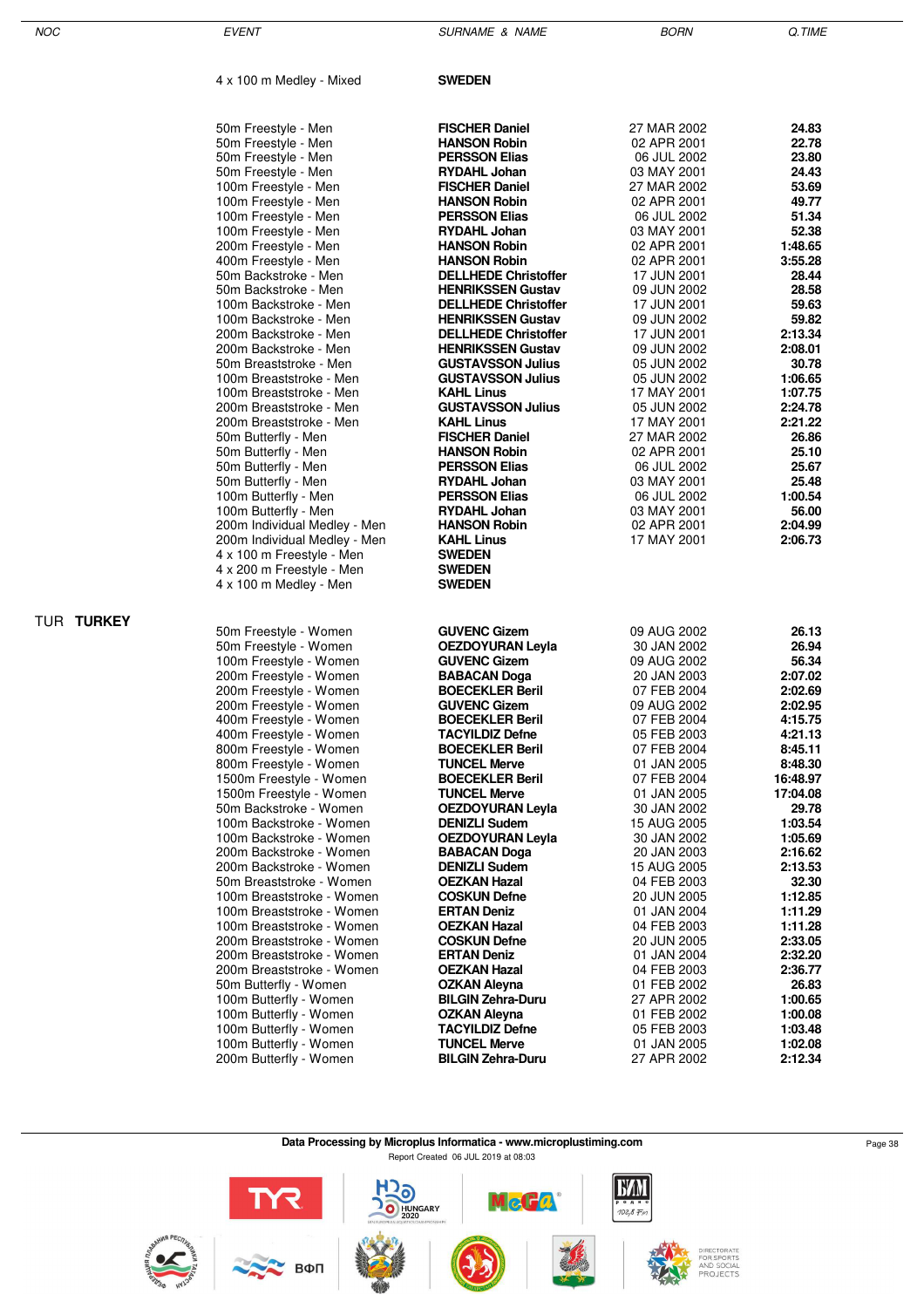| NOC        | <b>EVENT</b>                                           | <b>SURNAME &amp; NAME</b>                            | <b>BORN</b>                | Q.TIME             |
|------------|--------------------------------------------------------|------------------------------------------------------|----------------------------|--------------------|
|            | 4 x 100 m Medley - Mixed                               | <b>SWEDEN</b>                                        |                            |                    |
|            | 50m Freestyle - Men                                    | <b>FISCHER Daniel</b>                                | 27 MAR 2002                | 24.83              |
|            | 50m Freestyle - Men                                    | <b>HANSON Robin</b>                                  | 02 APR 2001                | 22.78              |
|            | 50m Freestyle - Men                                    | <b>PERSSON Elias</b>                                 | 06 JUL 2002                | 23.80              |
|            | 50m Freestyle - Men                                    | <b>RYDAHL Johan</b>                                  | 03 MAY 2001                | 24.43              |
|            | 100m Freestyle - Men                                   | <b>FISCHER Daniel</b>                                | 27 MAR 2002                | 53.69              |
|            | 100m Freestyle - Men                                   | <b>HANSON Robin</b>                                  | 02 APR 2001                | 49.77              |
|            | 100m Freestyle - Men                                   | <b>PERSSON Elias</b>                                 | 06 JUL 2002                | 51.34              |
|            | 100m Freestyle - Men                                   | <b>RYDAHL Johan</b>                                  | 03 MAY 2001                | 52.38              |
|            | 200m Freestyle - Men                                   | <b>HANSON Robin</b>                                  | 02 APR 2001                | 1:48.65            |
|            | 400m Freestyle - Men                                   | <b>HANSON Robin</b>                                  | 02 APR 2001                | 3:55.28            |
|            | 50m Backstroke - Men                                   | <b>DELLHEDE Christoffer</b>                          | 17 JUN 2001                | 28.44              |
|            | 50m Backstroke - Men                                   | <b>HENRIKSSEN Gustav</b>                             | 09 JUN 2002                | 28.58              |
|            | 100m Backstroke - Men                                  | <b>DELLHEDE Christoffer</b>                          | 17 JUN 2001                | 59.63              |
|            | 100m Backstroke - Men                                  | <b>HENRIKSSEN Gustav</b>                             | 09 JUN 2002                | 59.82              |
|            | 200m Backstroke - Men                                  | <b>DELLHEDE Christoffer</b>                          | 17 JUN 2001                | 2:13.34            |
|            | 200m Backstroke - Men<br>50m Breaststroke - Men        | <b>HENRIKSSEN Gustav</b><br><b>GUSTAVSSON Julius</b> | 09 JUN 2002                | 2:08.01<br>30.78   |
|            | 100m Breaststroke - Men                                | <b>GUSTAVSSON Julius</b>                             | 05 JUN 2002<br>05 JUN 2002 | 1:06.65            |
|            | 100m Breaststroke - Men                                | <b>KAHL Linus</b>                                    | 17 MAY 2001                | 1:07.75            |
|            | 200m Breaststroke - Men                                | <b>GUSTAVSSON Julius</b>                             | 05 JUN 2002                | 2:24.78            |
|            | 200m Breaststroke - Men                                | <b>KAHL Linus</b>                                    | 17 MAY 2001                | 2:21.22            |
|            | 50m Butterfly - Men                                    | <b>FISCHER Daniel</b>                                | 27 MAR 2002                | 26.86              |
|            | 50m Butterfly - Men                                    | <b>HANSON Robin</b>                                  | 02 APR 2001                | 25.10              |
|            | 50m Butterfly - Men                                    | <b>PERSSON Elias</b>                                 | 06 JUL 2002                | 25.67              |
|            | 50m Butterfly - Men                                    | <b>RYDAHL Johan</b>                                  | 03 MAY 2001                | 25.48              |
|            | 100m Butterfly - Men                                   | <b>PERSSON Elias</b>                                 | 06 JUL 2002                | 1:00.54            |
|            | 100m Butterfly - Men                                   | <b>RYDAHL Johan</b>                                  | 03 MAY 2001                | 56.00              |
|            | 200m Individual Medley - Men                           | <b>HANSON Robin</b>                                  | 02 APR 2001                | 2:04.99            |
|            | 200m Individual Medley - Men                           | <b>KAHL Linus</b>                                    | 17 MAY 2001                | 2:06.73            |
|            | 4 x 100 m Freestyle - Men                              | <b>SWEDEN</b>                                        |                            |                    |
|            | 4 x 200 m Freestyle - Men                              | <b>SWEDEN</b>                                        |                            |                    |
|            | 4 x 100 m Medley - Men                                 | <b>SWEDEN</b>                                        |                            |                    |
| TUR TURKEY |                                                        |                                                      |                            |                    |
|            | 50m Freestyle - Women                                  | <b>GUVENC Gizem</b><br><b>OEZDOYURAN Leyla</b>       | 09 AUG 2002                | 26.13<br>26.94     |
|            | 50m Freestyle - Women<br>100m Freestyle - Women        | <b>GUVENC Gizem</b>                                  | 30 JAN 2002<br>09 AUG 2002 | 56.34              |
|            | 200m Freestyle - Women                                 | <b>BABACAN Doga</b>                                  | 20 JAN 2003                | 2:07.02            |
|            | 200m Freestyle - Women                                 | <b>BOECEKLER Beril</b>                               | 07 FEB 2004                | 2:02.69            |
|            | 200m Freestyle - Women                                 | <b>GUVENC Gizem</b>                                  | 09 AUG 2002                | 2:02.95            |
|            | 400m Freestyle - Women                                 | <b>BOECEKLER Beril</b>                               | 07 FEB 2004                | 4:15.75            |
|            | 400m Freestyle - Women                                 | <b>TACYILDIZ Defne</b>                               | 05 FEB 2003                | 4:21.13            |
|            | 800m Freestyle - Women                                 | <b>BOECEKLER Beril</b>                               | 07 FEB 2004                | 8:45.11            |
|            | 800m Freestyle - Women                                 | <b>TUNCEL Merve</b>                                  | 01 JAN 2005                | 8:48.30            |
|            | 1500m Freestyle - Women                                | <b>BOECEKLER Beril</b>                               | 07 FEB 2004                | 16:48.97           |
|            | 1500m Freestyle - Women                                | <b>TUNCEL Merve</b>                                  | 01 JAN 2005                | 17:04.08           |
|            | 50m Backstroke - Women                                 | <b>OEZDOYURAN Leyla</b>                              | 30 JAN 2002                | 29.78              |
|            | 100m Backstroke - Women                                | <b>DENIZLI Sudem</b>                                 | 15 AUG 2005                | 1:03.54            |
|            | 100m Backstroke - Women                                | <b>OEZDOYURAN Leyla</b>                              | 30 JAN 2002                | 1:05.69            |
|            | 200m Backstroke - Women                                | <b>BABACAN Doga</b>                                  | 20 JAN 2003                | 2:16.62            |
|            | 200m Backstroke - Women                                | <b>DENIZLI Sudem</b>                                 | 15 AUG 2005                | 2:13.53            |
|            | 50m Breaststroke - Women                               | <b>OEZKAN Hazal</b>                                  | 04 FEB 2003                | 32.30              |
|            | 100m Breaststroke - Women                              | <b>COSKUN Defne</b>                                  | 20 JUN 2005                | 1:12.85            |
|            | 100m Breaststroke - Women<br>100m Breaststroke - Women | <b>ERTAN Deniz</b>                                   | 01 JAN 2004                | 1:11.29<br>1:11.28 |
|            | 200m Breaststroke - Women                              | <b>OEZKAN Hazal</b>                                  | 04 FEB 2003                | 2:33.05            |
|            | 200m Breaststroke - Women                              | <b>COSKUN Defne</b><br><b>ERTAN Deniz</b>            | 20 JUN 2005<br>01 JAN 2004 | 2:32.20            |
|            | 200m Breaststroke - Women                              | <b>OEZKAN Hazal</b>                                  | 04 FEB 2003                | 2:36.77            |
|            | 50m Butterfly - Women                                  | OZKAN Aleyna                                         | 01 FEB 2002                | 26.83              |
|            | 100m Butterfly - Women                                 | <b>BILGIN Zehra-Duru</b>                             | 27 APR 2002                | 1:00.65            |
|            | 100m Butterfly - Women                                 | <b>OZKAN Aleyna</b>                                  | 01 FEB 2002                | 1:00.08            |
|            | 100m Butterfly - Women                                 | <b>TACYILDIZ Defne</b>                               | 05 FEB 2003                | 1:03.48            |
|            | 100m Butterfly - Women                                 | <b>TUNCEL Merve</b>                                  | 01 JAN 2005                | 1:02.08            |
|            | 200m Butterfly - Women                                 | <b>BILGIN Zehra-Duru</b>                             | 27 APR 2002                | 2:12.34            |

**Data Processing by Microplus Informatica - www.microplustiming.com** Page 38

Report Created 06 JUL 2019 at 08:03

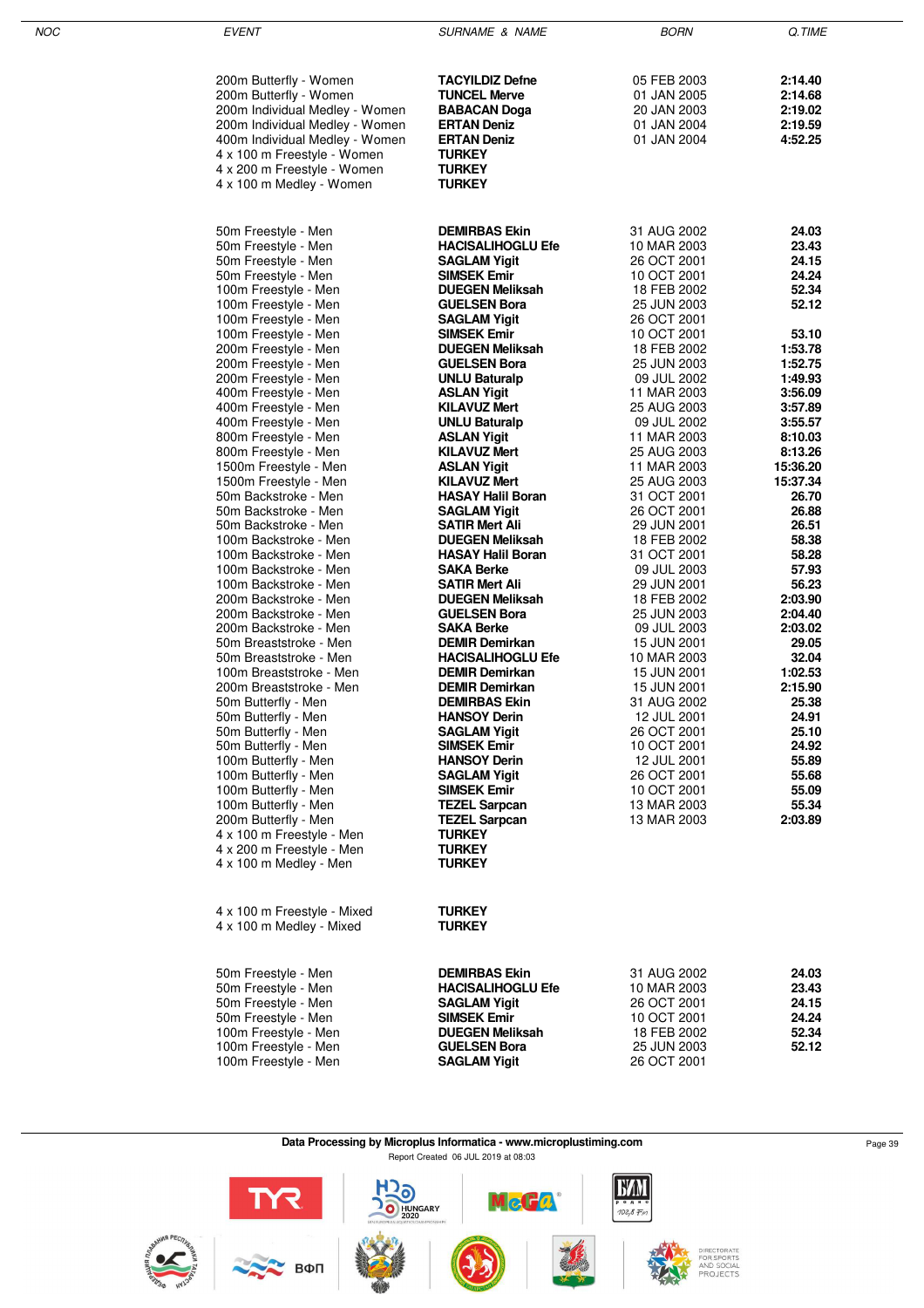| NOC | <b>EVENT</b>                                 | <b>SURNAME &amp; NAME</b>                    | <b>BORN</b>                | Q.TIME         |
|-----|----------------------------------------------|----------------------------------------------|----------------------------|----------------|
|     |                                              |                                              |                            |                |
|     |                                              |                                              |                            |                |
|     | 200m Butterfly - Women                       | <b>TACYILDIZ Defne</b>                       | 05 FEB 2003                | 2:14.40        |
|     | 200m Butterfly - Women                       | <b>TUNCEL Merve</b>                          | 01 JAN 2005                | 2:14.68        |
|     | 200m Individual Medley - Women               | <b>BABACAN Doga</b>                          | 20 JAN 2003                | 2:19.02        |
|     | 200m Individual Medley - Women               | <b>ERTAN Deniz</b>                           | 01 JAN 2004                | 2:19.59        |
|     | 400m Individual Medley - Women               | <b>ERTAN Deniz</b>                           | 01 JAN 2004                | 4:52.25        |
|     | 4 x 100 m Freestyle - Women                  | <b>TURKEY</b>                                |                            |                |
|     | 4 x 200 m Freestyle - Women                  | <b>TURKEY</b>                                |                            |                |
|     | 4 x 100 m Medley - Women                     | <b>TURKEY</b>                                |                            |                |
|     |                                              |                                              |                            |                |
|     |                                              |                                              |                            |                |
|     | 50m Freestyle - Men                          | <b>DEMIRBAS Ekin</b>                         | 31 AUG 2002                | 24.03          |
|     | 50m Freestyle - Men                          | <b>HACISALIHOGLU Efe</b>                     | 10 MAR 2003                | 23.43          |
|     | 50m Freestyle - Men                          | <b>SAGLAM Yigit</b>                          | 26 OCT 2001                | 24.15          |
|     | 50m Freestyle - Men                          | <b>SIMSEK Emir</b>                           | 10 OCT 2001                | 24.24          |
|     | 100m Freestyle - Men                         | <b>DUEGEN Meliksah</b>                       | 18 FEB 2002                | 52.34          |
|     | 100m Freestyle - Men                         | <b>GUELSEN Bora</b>                          | 25 JUN 2003                | 52.12          |
|     | 100m Freestyle - Men                         | <b>SAGLAM Yigit</b>                          | 26 OCT 2001                |                |
|     | 100m Freestyle - Men                         | <b>SIMSEK Emir</b>                           | 10 OCT 2001                | 53.10          |
|     | 200m Freestyle - Men                         | <b>DUEGEN Meliksah</b>                       | 18 FEB 2002                | 1:53.78        |
|     | 200m Freestyle - Men                         | <b>GUELSEN Bora</b>                          | 25 JUN 2003                | 1:52.75        |
|     | 200m Freestyle - Men                         | <b>UNLU Baturalp</b>                         | 09 JUL 2002                | 1:49.93        |
|     | 400m Freestyle - Men                         | <b>ASLAN Yigit</b>                           | 11 MAR 2003                | 3:56.09        |
|     | 400m Freestyle - Men                         | <b>KILAVUZ Mert</b>                          | 25 AUG 2003                | 3:57.89        |
|     | 400m Freestyle - Men                         | <b>UNLU Baturalp</b>                         | 09 JUL 2002                | 3:55.57        |
|     | 800m Freestyle - Men                         | <b>ASLAN Yigit</b>                           | 11 MAR 2003                | 8:10.03        |
|     | 800m Freestyle - Men                         | <b>KILAVUZ Mert</b>                          | 25 AUG 2003                | 8:13.26        |
|     | 1500m Freestyle - Men                        | <b>ASLAN Yigit</b>                           | 11 MAR 2003                | 15:36.20       |
|     | 1500m Freestyle - Men                        | <b>KILAVUZ Mert</b>                          | 25 AUG 2003                | 15:37.34       |
|     | 50m Backstroke - Men                         | <b>HASAY Halil Boran</b>                     | 31 OCT 2001                | 26.70<br>26.88 |
|     | 50m Backstroke - Men<br>50m Backstroke - Men | <b>SAGLAM Yigit</b><br><b>SATIR Mert Ali</b> | 26 OCT 2001                | 26.51          |
|     | 100m Backstroke - Men                        | <b>DUEGEN Meliksah</b>                       | 29 JUN 2001<br>18 FEB 2002 | 58.38          |
|     | 100m Backstroke - Men                        | <b>HASAY Halil Boran</b>                     | 31 OCT 2001                | 58.28          |
|     | 100m Backstroke - Men                        | <b>SAKA Berke</b>                            | 09 JUL 2003                | 57.93          |
|     | 100m Backstroke - Men                        | <b>SATIR Mert Ali</b>                        | 29 JUN 2001                | 56.23          |
|     | 200m Backstroke - Men                        | <b>DUEGEN Meliksah</b>                       | 18 FEB 2002                | 2:03.90        |
|     | 200m Backstroke - Men                        | <b>GUELSEN Bora</b>                          | 25 JUN 2003                | 2:04.40        |
|     | 200m Backstroke - Men                        | <b>SAKA Berke</b>                            | 09 JUL 2003                | 2:03.02        |
|     | 50m Breaststroke - Men                       | <b>DEMIR Demirkan</b>                        | 15 JUN 2001                | 29.05          |
|     | 50m Breaststroke - Men                       | <b>HACISALIHOGLU Efe</b>                     | 10 MAR 2003                | 32.04          |
|     | 100m Breaststroke - Men                      | <b>DEMIR Demirkan</b>                        | 15 JUN 2001                | 1:02.53        |
|     | 200m Breaststroke - Men                      | <b>DEMIR Demirkan</b>                        | 15 JUN 2001                | 2:15.90        |
|     | 50m Butterfly - Men                          | <b>DEMIRBAS Ekin</b>                         | 31 AUG 2002                | 25.38          |
|     | 50m Butterfly - Men                          | <b>HANSOY Derin</b>                          | 12 JUL 2001                | 24.91          |
|     | 50m Butterfly - Men                          | <b>SAGLAM Yigit</b>                          | 26 OCT 2001                | 25.10          |
|     | 50m Butterfly - Men                          | <b>SIMSEK Emir</b>                           | 10 OCT 2001                | 24.92          |
|     | 100m Butterfly - Men                         | <b>HANSOY Derin</b>                          | 12 JUL 2001                | 55.89          |
|     | 100m Butterfly - Men                         | <b>SAGLAM Yigit</b>                          | 26 OCT 2001                | 55.68          |
|     | 100m Butterfly - Men                         | <b>SIMSEK Emir</b>                           | 10 OCT 2001                | 55.09          |
|     | 100m Butterfly - Men                         | <b>TEZEL Sarpcan</b>                         | 13 MAR 2003                | 55.34          |
|     | 200m Butterfly - Men                         | <b>TEZEL Sarpcan</b>                         | 13 MAR 2003                | 2:03.89        |
|     | 4 x 100 m Freestyle - Men                    | <b>TURKEY</b>                                |                            |                |
|     | 4 x 200 m Freestyle - Men                    | <b>TURKEY</b>                                |                            |                |
|     | 4 x 100 m Medley - Men                       | <b>TURKEY</b>                                |                            |                |
|     |                                              |                                              |                            |                |
|     |                                              |                                              |                            |                |
|     | 4 x 100 m Freestyle - Mixed                  | <b>TURKEY</b>                                |                            |                |
|     | 4 x 100 m Medley - Mixed                     | <b>TURKEY</b>                                |                            |                |
|     |                                              |                                              |                            |                |
|     |                                              |                                              |                            |                |
|     | 50m Freestyle - Men                          | <b>DEMIRBAS Ekin</b>                         | 31 AUG 2002                | 24.03          |
|     | 50m Freestyle - Men                          | <b>HACISALIHOGLU Efe</b>                     | 10 MAR 2003                | 23.43          |
|     | 50m Freestyle - Men                          | <b>SAGLAM Yigit</b>                          | 26 OCT 2001                | 24.15          |
|     | 50m Freestyle - Men                          | <b>SIMSEK Emir</b>                           | 10 OCT 2001                | 24.24          |
|     | 100m Freestyle - Men                         | <b>DUEGEN Meliksah</b>                       | 18 FEB 2002                | 52.34          |
|     | 100m Freestyle - Men                         | <b>GUELSEN Bora</b>                          | 25 JUN 2003                | 52.12          |
|     | 100m Freestyle - Men                         | <b>SAGLAM Yigit</b>                          | 26 OCT 2001                |                |

#### **Data Processing by Microplus Informatica - www.microplustiming.com** Page 39 Report Created 06 JUL 2019 at 08:03